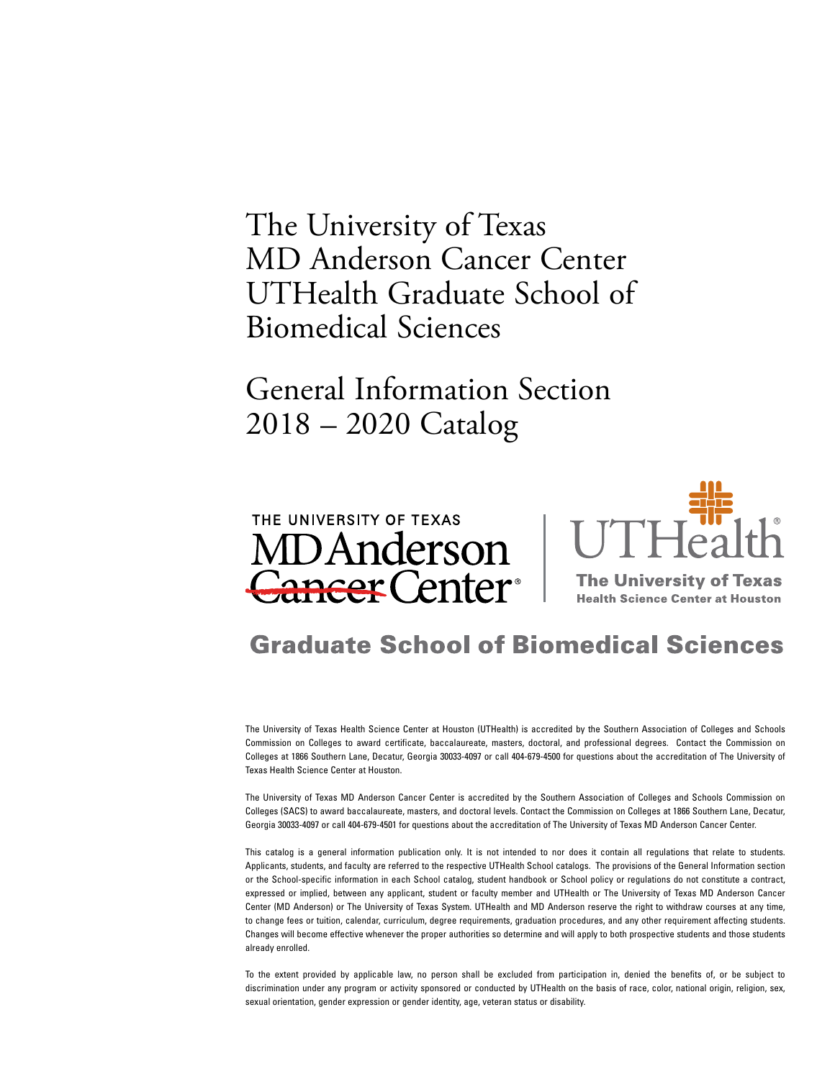<span id="page-0-0"></span>The University of Texas MD Anderson Cancer Center UTHealth Graduate School of Biomedical Sciences

General Information Section 2018 – 2020 Catalog





**The University of Texas Health Science Center at Houston** 

# **Graduate School of Biomedical Sciences**

The University of Texas Health Science Center at Houston (UTHealth) is accredited by the Southern Association of Colleges and Schools Commission on Colleges to award certificate, baccalaureate, masters, doctoral, and professional degrees. Contact the Commission on Colleges at 1866 Southern Lane, Decatur, Georgia 30033-4097 or call 404-679-4500 for questions about the accreditation of The University of Texas Health Science Center at Houston.

The University of Texas MD Anderson Cancer Center is accredited by the Southern Association of Colleges and Schools Commission on Colleges (SACS) to award baccalaureate, masters, and doctoral levels. Contact the Commission on Colleges at 1866 Southern Lane, Decatur, Georgia 30033-4097 or call 404-679-4501 for questions about the accreditation of The University of Texas MD Anderson Cancer Center.

This catalog is a general information publication only. It is not intended to nor does it contain all regulations that relate to students. Applicants, students, and faculty are referred to the respective UTHealth School catalogs. The provisions of the General Information section or the School-specific information in each School catalog, student handbook or School policy or regulations do not constitute a contract, expressed or implied, between any applicant, student or faculty member and UTHealth or The University of Texas MD Anderson Cancer Center (MD Anderson) or The University of Texas System. UTHealth and MD Anderson reserve the right to withdraw courses at any time, to change fees or tuition, calendar, curriculum, degree requirements, graduation procedures, and any other requirement affecting students. Changes will become effective whenever the proper authorities so determine and will apply to both prospective students and those students already enrolled.

To the extent provided by applicable law, no person shall be excluded from participation in, denied the benefits of, or be subject to discrimination under any program or activity sponsored or conducted by UTHealth on the basis of race, color, national origin, religion, sex, sexual orientation, gender expression or gender identity, age, veteran status or disability.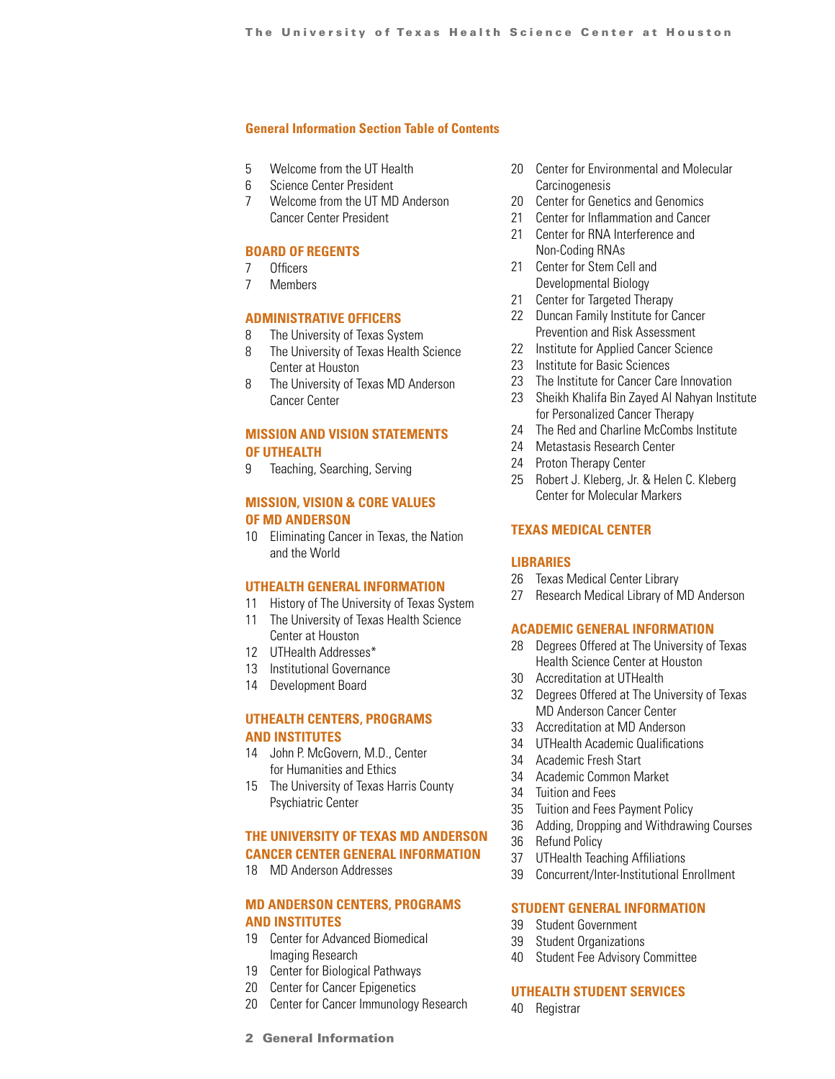### <span id="page-1-0"></span>**[General Information Section Table of Contents](#page-0-0)**

- 5 Welcome from the UT Health
- 6 Science Center President
- 7 Welcome from the UT MD Anderson Cancer Center President

### **[BOARD OF REGENTS](#page-6-0)**

- 7 Officers
- 7 Members

### **[ADMINISTRATIVE OFFICERS](#page-7-0)**

- 8 The University of Texas System
- 8 The University of Texas Health Science Center at Houston
- 8 The University of Texas MD Anderson Cancer Center

### **[MISSION AND VISION STATEMENTS](#page-8-0) [OF UTHEALTH](#page-8-0)**

9 Teaching, Searching, Serving

### **[MISSION, VISION & CORE VALUES](#page-9-0) [OF MD ANDERSON](#page-9-0)**

10 Eliminating Cancer in Texas, the Nation and the World

#### **[UTHEALTH GENERAL INFORMATION](#page-10-0)**

- 11 History of The University of Texas System
- 11 The University of Texas Health Science Center at Houston
- 12 UTHealth Addresses\*
- 13 Institutional Governance
- 14 Development Board

### **[UTHEALTH CENTERS, PROGRAMS](#page-13-0) [AND INSTITUTES](#page-13-0)**

- 14 John P. McGovern, M.D., Center for Humanities and Ethics
- 15 The University of Texas Harris County Psychiatric Center

### **[THE UNIVERSITY OF TEXAS MD ANDERSON](#page-14-0) [CANCER CENTER GENERAL INFORMATION](#page-14-0)**

18 MD Anderson Addresses

### **[MD ANDERSON CENTERS, PROGRAMS](#page-18-0) [AND INSTITUTES](#page-18-0)**

- 19 Center for Advanced Biomedical Imaging Research
- 19 Center for Biological Pathways
- 20 Center for Cancer Epigenetics
- 20 Center for Cancer Immunology Research
- 20 Center for Environmental and Molecular **Carcinogenesis**
- 20 Center for Genetics and Genomics
- 21 Center for Inflammation and Cancer
- 21 Center for RNA Interference and Non-Coding RNAs
- 21 Center for Stem Cell and Developmental Biology
- 21 Center for Targeted Therapy
- 22 Duncan Family Institute for Cancer Prevention and Risk Assessment
- 22 Institute for Applied Cancer Science
- 23 Institute for Basic Sciences
- 23 The Institute for Cancer Care Innovation
- 23 Sheikh Khalifa Bin Zayed Al Nahyan Institute for Personalized Cancer Therapy
- 24 The Red and Charline McCombs Institute
- 24 Metastasis Research Center
- 24 Proton Therapy Center
- 25 Robert J. Kleberg, Jr. & Helen C. Kleberg Center for Molecular Markers

### **[TEXAS MEDICAL CENTER](#page-24-0)**

### **[LIBRARIES](#page-25-0)**

- 26 Texas Medical Center Library
- 27 Research Medical Library of MD Anderson

### **[ACADEMIC GENERAL INFORMATION](#page-27-0)**

- 28 Degrees Offered at The University of Texas Health Science Center at Houston
- 30 Accreditation at UTHealth
- 32 Degrees Offered at The University of Texas MD Anderson Cancer Center
- 33 Accreditation at MD Anderson
- 34 UTHealth Academic Qualifications
- 34 Academic Fresh Start
- 34 Academic Common Market
- 34 Tuition and Fees
- 35 Tuition and Fees Payment Policy
- 36 Adding, Dropping and Withdrawing Courses
- 36 Refund Policy
- 37 UTHealth Teaching Affiliations
- 39 Concurrent/Inter-Institutional Enrollment

### **[STUDENT GENERAL INFORMATION](#page-38-0)**

- 39 Student Government
- 39 Student Organizations
- 40 Student Fee Advisory Committee

### **[UTHEALTH STUDENT SERVICES](#page-39-0)**

40 Registrar

2 General Information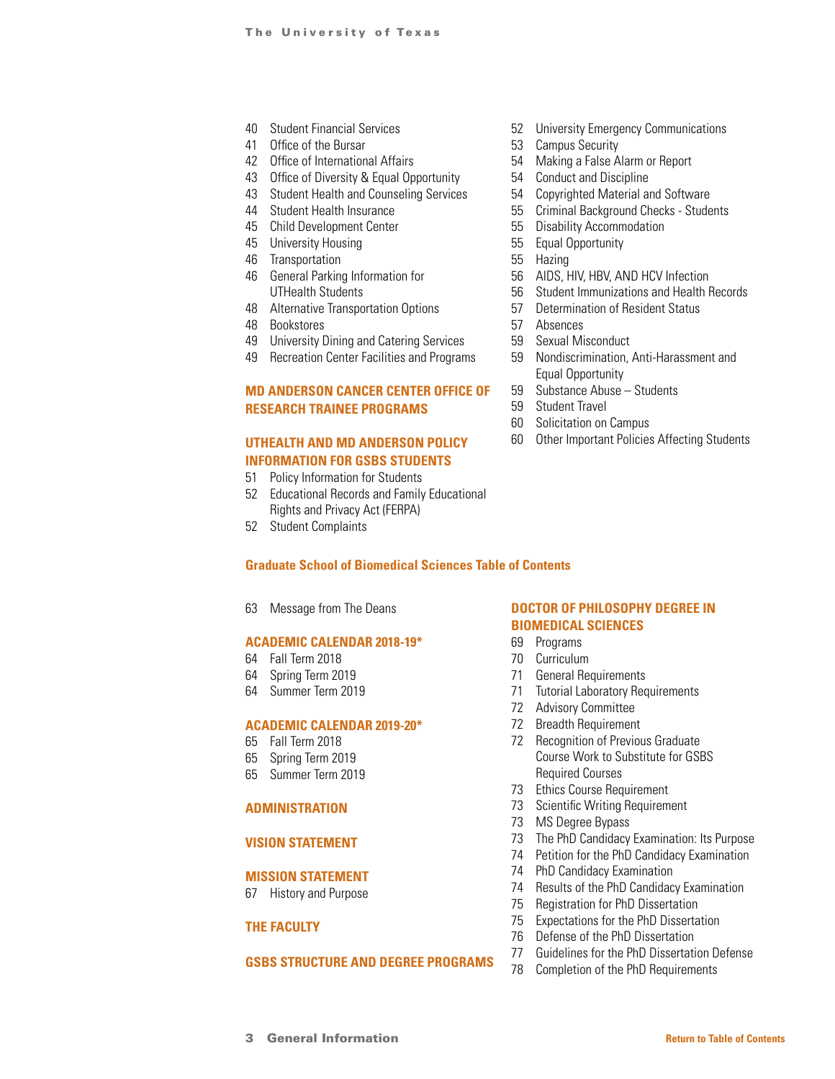- Student Financial Services
- Office of the Bursar
- Office of International Affairs
- Office of Diversity & Equal Opportunity
- Student Health and Counseling Services
- Student Health Insurance
- Child Development Center
- University Housing
- Transportation
- General Parking Information for UTHealth Students
- Alternative Transportation Options
- Bookstores
- University Dining and Catering Services
- Recreation Center Facilities and Programs

### **[MD ANDERSON CANCER CENTER OFFICE OF](#page-49-0) [RESEARCH TRAINEE PROGRAMS](#page-49-0)**

### **[UTHEALTH AND MD ANDERSON POLICY](#page-50-0) [INFORMATION FOR GSBS STUDENTS](#page-50-0)**

- Policy Information for Students
- Educational Records and Family Educational Rights and Privacy Act (FERPA)
- Student Complaints

### **[Graduate School of Biomedical Sciences Table of Contents](#page-61-0)**

Message from The Deans

### **[ACADEMIC CALENDAR 2018-19\\*](#page-63-0)**

- Fall Term 2018
- Spring Term 2019
- Summer Term 2019

#### **[ACADEMIC CALENDAR 2019-20\\*](#page-64-0)**

- Fall Term 2018
- Spring Term 2019
- Summer Term 2019

### **[ADMINISTRATION](#page-65-0)**

### **[VISION STATEMENT](#page-66-0)**

### **[MISSION STATEMENT](#page-66-0)**

History and Purpose

### **[THE FACULTY](#page-67-0)**

### **[GSBS STRUCTURE AND DEGREE PROGRAMS](#page-67-0)**

- University Emergency Communications
- Campus Security
- Making a False Alarm or Report
- Conduct and Discipline
- Copyrighted Material and Software
- Criminal Background Checks Students
- Disability Accommodation
- Equal Opportunity
- Hazing
- AIDS, HIV, HBV, AND HCV Infection
- Student Immunizations and Health Records
- Determination of Resident Status
- Absences
- Sexual Misconduct
- Nondiscrimination, Anti-Harassment and Equal Opportunity
- Substance Abuse Students
- Student Travel
- Solicitation on Campus
- Other Important Policies Affecting Students

### **[DOCTOR OF PHILOSOPHY DEGREE IN](#page-68-0) [BIOMEDICAL SCIENCES](#page-68-0)**

## Programs

- Curriculum
- General Requirements
- Tutorial Laboratory Requirements
- Advisory Committee
- Breadth Requirement
- Recognition of Previous Graduate Course Work to Substitute for GSBS Required Courses
- Ethics Course Requirement
- Scientific Writing Requirement
- MS Degree Bypass
- The PhD Candidacy Examination: Its Purpose
- Petition for the PhD Candidacy Examination
- PhD Candidacy Examination
- Results of the PhD Candidacy Examination
- Registration for PhD Dissertation
- Expectations for the PhD Dissertation
- Defense of the PhD Dissertation
- Guidelines for the PhD Dissertation Defense
- Completion of the PhD Requirements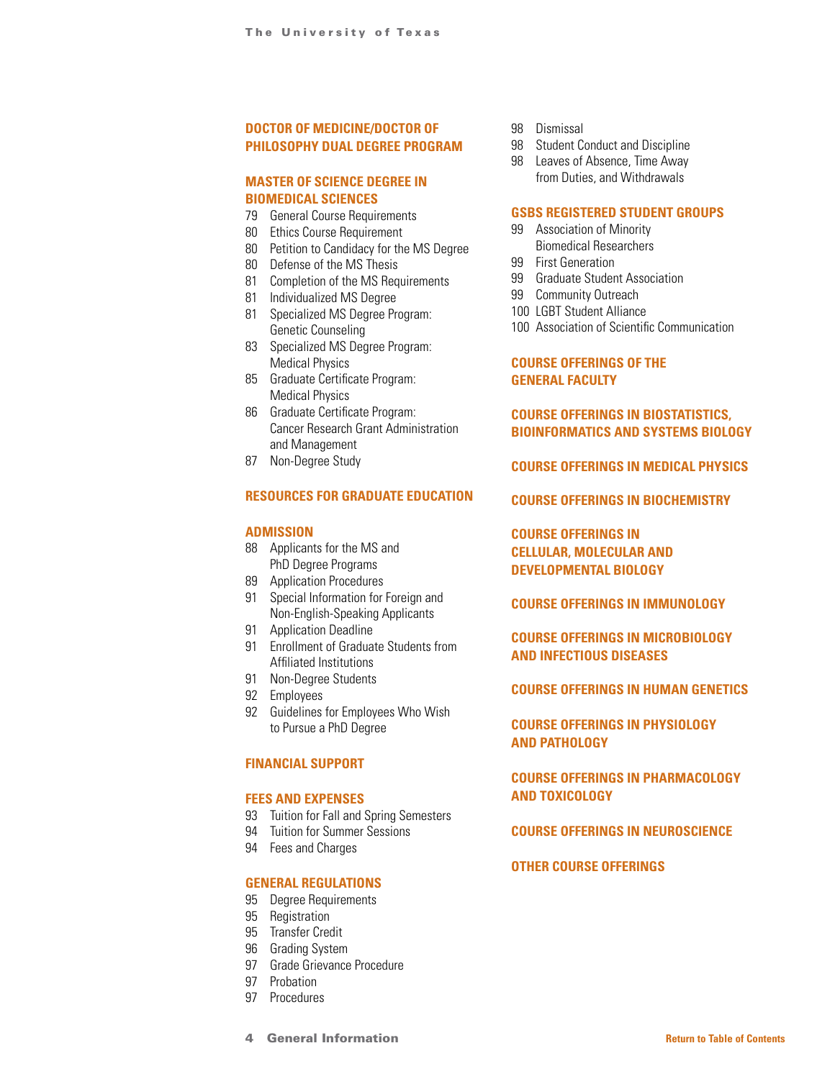### **[DOCTOR OF MEDICINE/DOCTOR OF](#page-77-0) [PHILOSOPHY DUAL DEGREE PROGRAM](#page-77-0)**

### **[MASTER OF SCIENCE DEGREE IN](#page-78-0) [BIOMEDICAL SCIENCES](#page-78-0)**

- 79 General Course Requirements
- 80 Ethics Course Requirement
- 80 Petition to Candidacy for the MS Degree
- 80 Defense of the MS Thesis
- 81 Completion of the MS Requirements
- 81 Individualized MS Degree
- 81 Specialized MS Degree Program: Genetic Counseling
- 83 Specialized MS Degree Program: Medical Physics
- 85 Graduate Certificate Program: Medical Physics
- 86 Graduate Certificate Program: Cancer Research Grant Administration and Management
- 87 Non-Degree Study

### **[RESOURCES FOR GRADUATE EDUCATION](#page-86-0)**

### **[ADMISSION](#page-87-0)**

- 88 Applicants for the MS and PhD Degree Programs
- 89 Application Procedures
- 91 Special Information for Foreign and Non-English-Speaking Applicants
- 91 Application Deadline
- 91 Enrollment of Graduate Students from Affiliated Institutions
- 91 Non-Degree Students
- 92 Employees
- 92 Guidelines for Employees Who Wish to Pursue a PhD Degree

#### **[FINANCIAL SUPPORT](#page-91-0)**

#### **[FEES AND EXPENSES](#page-92-0)**

- 93 Tuition for Fall and Spring Semesters
- 94 Tuition for Summer Sessions
- 94 Fees and Charges

#### **[GENERAL REGULATIONS](#page-94-0)**

- 95 Degree Requirements
- 95 Registration
- 95 Transfer Credit
- 96 Grading System
- 97 Grade Grievance Procedure
- 97 Probation
- 97 Procedures
- 98 Dismissal
- 98 Student Conduct and Discipline 98 Leaves of Absence, Time Away
	- from Duties, and Withdrawals

### **[GSBS REGISTERED STUDENT GROUPS](#page-98-0)**

- 99 Association of Minority Biomedical Researchers
- 99 First Generation
- 99 Graduate Student Association
- 99 Community Outreach
- 100 LGBT Student Alliance
- 100 Association of Scientific Communication

### **[COURSE OFFERINGS OF THE](#page-99-0)  [GENERAL FACULTY](#page-99-0)**

### **[COURSE OFFERINGS IN BIOSTATISTICS,](#page-100-0) [BIOINFORMATICS AND SYSTEMS BIOLOGY](#page-100-0)**

### **[COURSE OFFERINGS IN MEDICAL PHYSICS](#page-103-0)**

**[COURSE OFFERINGS IN BIOCHEMISTRY](#page-107-0)**

**[COURSE OFFERINGS IN](#page-108-0)  [CELLULAR, MOLECULAR AND](#page-108-0)  [DEVELOPMENTAL BIOLOGY](#page-108-0)**

**[COURSE OFFERINGS IN IMMUNOLOGY](#page-113-0)**

**[COURSE OFFERINGS IN MICROBIOLOGY](#page-114-0)  [AND INFECTIOUS DISEASES](#page-114-0)**

### **[COURSE OFFERINGS IN HUMAN GENETICS](#page-115-0)**

**[COURSE OFFERINGS IN PHYSIOLOGY](#page-119-0) [AND PATHOLOGY](#page-119-0)**

### **[COURSE OFFERINGS IN PHARMACOLOGY](#page-121-0) [AND TOXICOLOGY](#page-121-0)**

### **[COURSE OFFERINGS IN NEUROSCIENCE](#page-122-0)**

### **[OTHER COURSE OFFERINGS](#page-125-0)**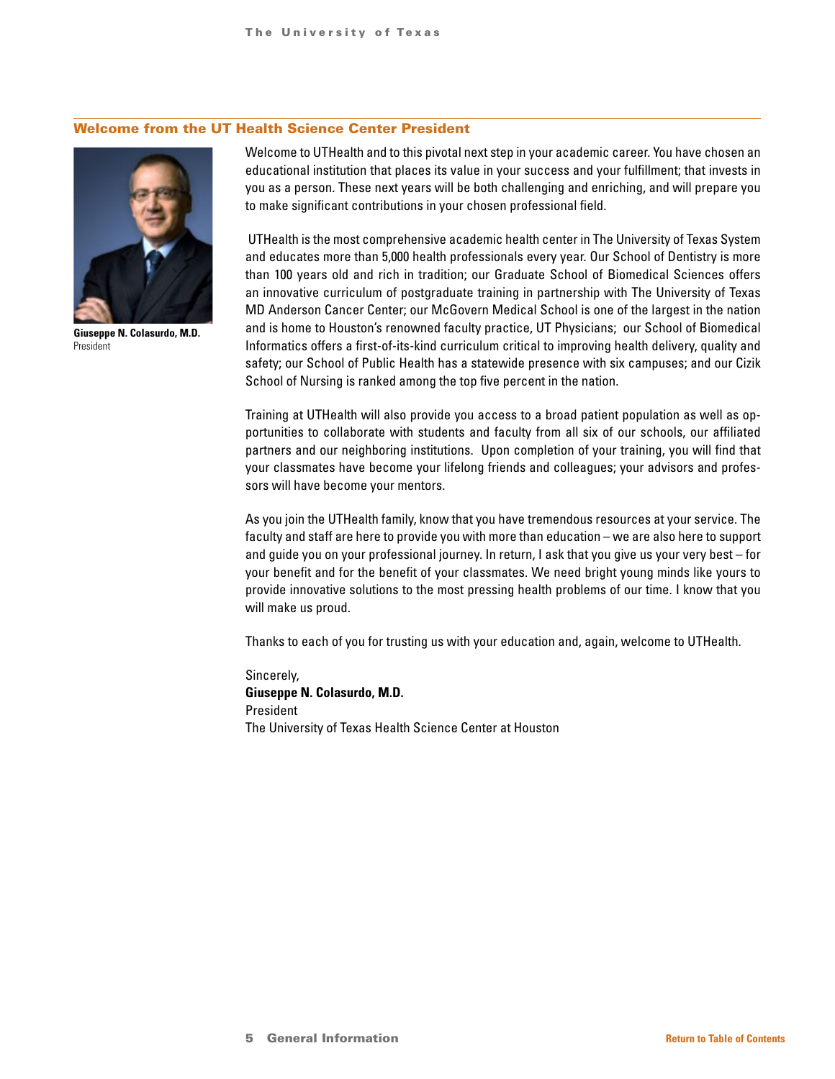### Welcome from the UT Health Science Center President



**Giuseppe N. Colasurdo, M.D.** President

Welcome to UTHealth and to this pivotal next step in your academic career. You have chosen an educational institution that places its value in your success and your fulfillment; that invests in you as a person. These next years will be both challenging and enriching, and will prepare you to make significant contributions in your chosen professional field.

 UTHealth is the most comprehensive academic health center in The University of Texas System and educates more than 5,000 health professionals every year. Our School of Dentistry is more than 100 years old and rich in tradition; our Graduate School of Biomedical Sciences offers an innovative curriculum of postgraduate training in partnership with The University of Texas MD Anderson Cancer Center; our McGovern Medical School is one of the largest in the nation and is home to Houston's renowned faculty practice, UT Physicians; our School of Biomedical Informatics offers a first-of-its-kind curriculum critical to improving health delivery, quality and safety; our School of Public Health has a statewide presence with six campuses; and our Cizik School of Nursing is ranked among the top five percent in the nation.

Training at UTHealth will also provide you access to a broad patient population as well as opportunities to collaborate with students and faculty from all six of our schools, our affiliated partners and our neighboring institutions. Upon completion of your training, you will find that your classmates have become your lifelong friends and colleagues; your advisors and professors will have become your mentors.

As you join the UTHealth family, know that you have tremendous resources at your service. The faculty and staff are here to provide you with more than education – we are also here to support and guide you on your professional journey. In return, I ask that you give us your very best – for your benefit and for the benefit of your classmates. We need bright young minds like yours to provide innovative solutions to the most pressing health problems of our time. I know that you will make us proud.

Thanks to each of you for trusting us with your education and, again, welcome to UTHealth.

Sincerely, **Giuseppe N. Colasurdo, M.D.** President The University of Texas Health Science Center at Houston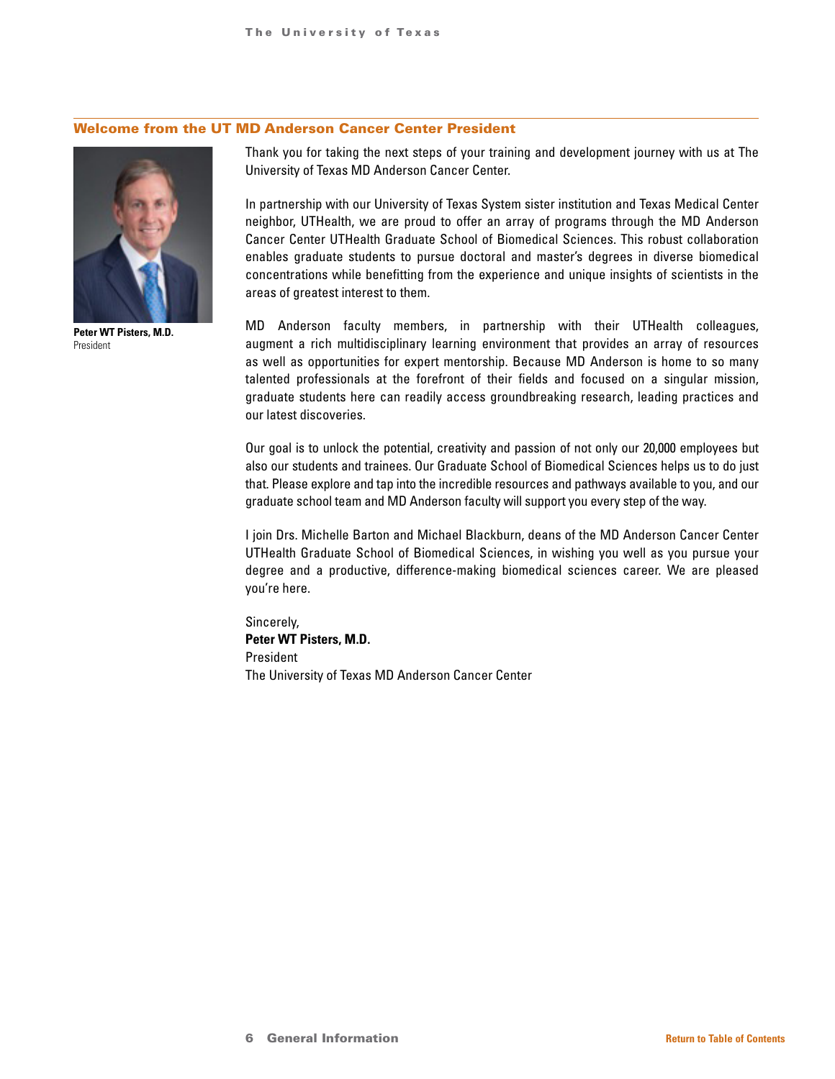### Welcome from the UT MD Anderson Cancer Center President



**Peter WT Pisters, M.D.** President

Thank you for taking the next steps of your training and development journey with us at The University of Texas MD Anderson Cancer Center.

In partnership with our University of Texas System sister institution and Texas Medical Center neighbor, UTHealth, we are proud to offer an array of programs through the MD Anderson Cancer Center UTHealth Graduate School of Biomedical Sciences. This robust collaboration enables graduate students to pursue doctoral and master's degrees in diverse biomedical concentrations while benefitting from the experience and unique insights of scientists in the areas of greatest interest to them.

MD Anderson faculty members, in partnership with their UTHealth colleagues, augment a rich multidisciplinary learning environment that provides an array of resources as well as opportunities for expert mentorship. Because MD Anderson is home to so many talented professionals at the forefront of their fields and focused on a singular mission, graduate students here can readily access groundbreaking research, leading practices and our latest discoveries.

Our goal is to unlock the potential, creativity and passion of not only our 20,000 employees but also our students and trainees. Our Graduate School of Biomedical Sciences helps us to do just that. Please explore and tap into the incredible resources and pathways available to you, and our graduate school team and MD Anderson faculty will support you every step of the way.

I join Drs. Michelle Barton and Michael Blackburn, deans of the MD Anderson Cancer Center UTHealth Graduate School of Biomedical Sciences, in wishing you well as you pursue your degree and a productive, difference-making biomedical sciences career. We are pleased you're here.

Sincerely, **Peter WT Pisters, M.D.** President The University of Texas MD Anderson Cancer Center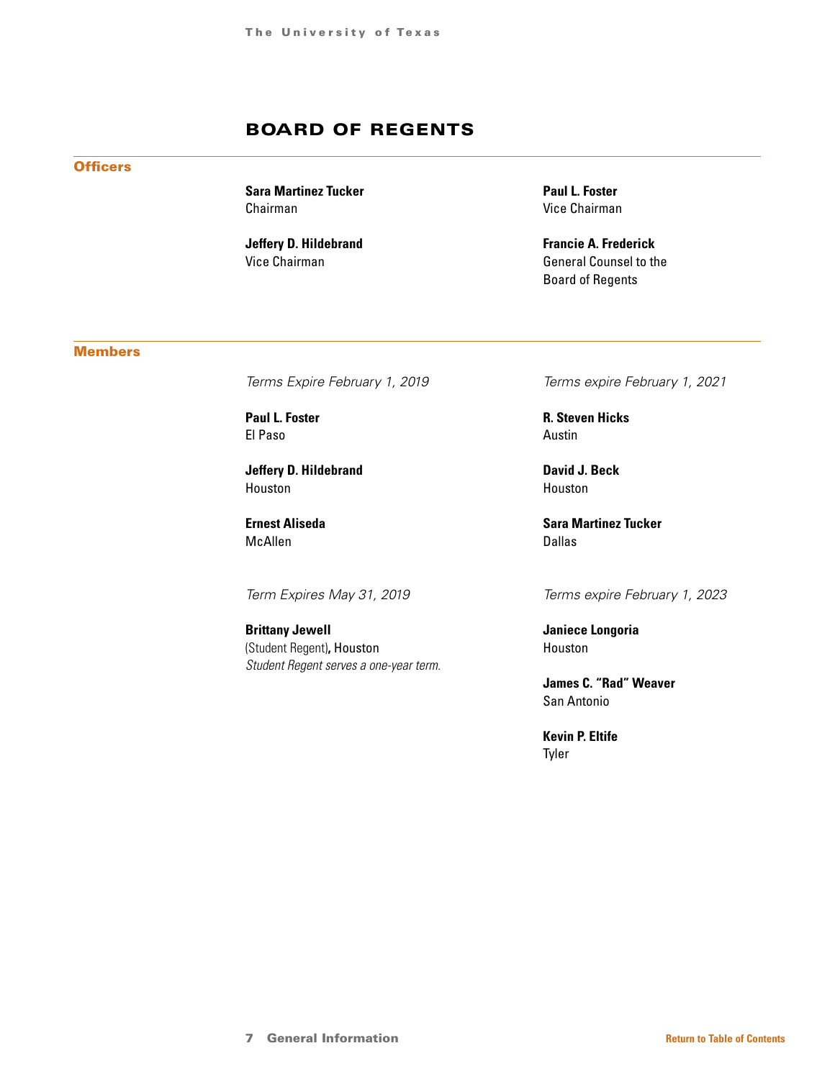## BOARD OF REGENTS

<span id="page-6-0"></span>**Officers** 

**Sara Martinez Tucker** Chairman

**Jeffery D. Hildebrand** Vice Chairman

**Paul L. Foster** Vice Chairman

**Francie A. Frederick** General Counsel to the Board of Regents

### **Members**

*Terms Expire February 1, 2019*

**Paul L. Foster** El Paso

**Jeffery D. Hildebrand** Houston

**Ernest Aliseda** McAllen

*Term Expires May 31, 2019*

**Brittany Jewell** (Student Regent)**,** Houston *Student Regent serves a one-year term.* *Terms expire February 1, 2021*

**R. Steven Hicks** Austin

**David J. Beck** Houston

**Sara Martinez Tucker** Dallas

*Terms expire February 1, 2023*

**Janiece Longoria** Houston

**James C. "Rad" Weaver** San Antonio

**Kevin P. Eltife** Tyler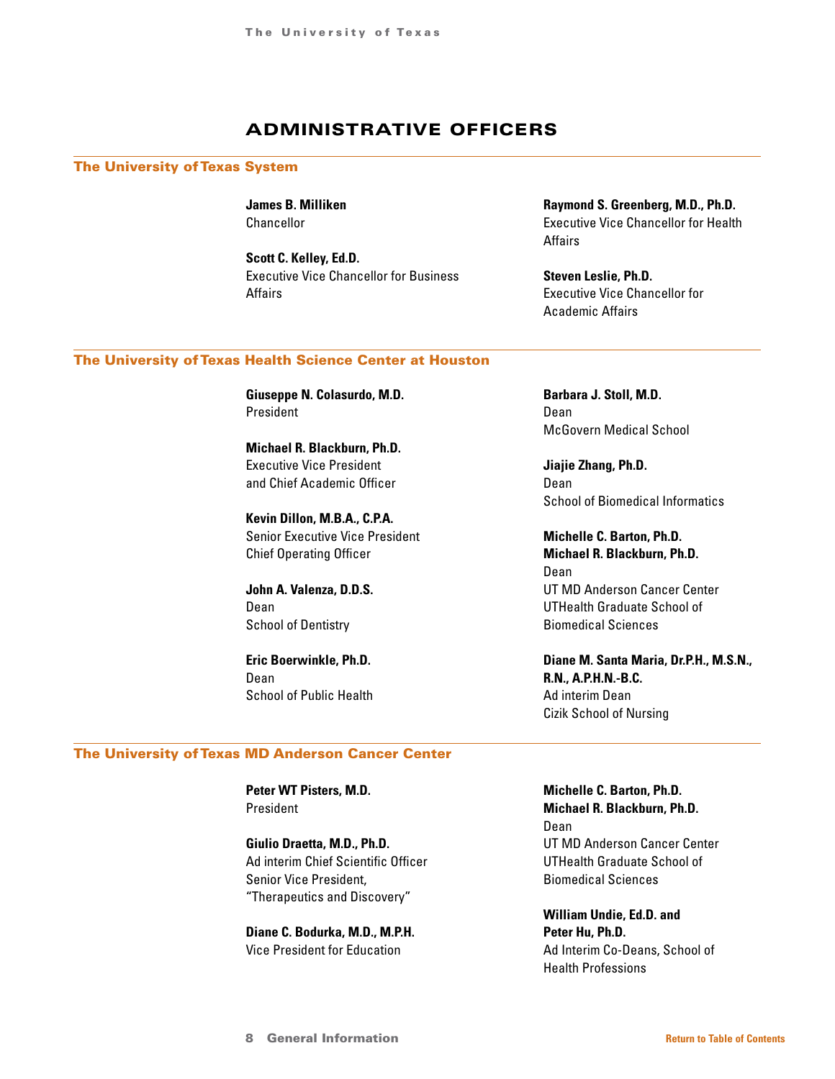## ADMINISTRATIVE OFFICERS

#### <span id="page-7-0"></span>The University of Texas System

**James B. Milliken** Chancellor

**Scott C. Kelley, Ed.D.** Executive Vice Chancellor for Business Affairs

**Raymond S. Greenberg, M.D., Ph.D.** Executive Vice Chancellor for Health Affairs

**Steven Leslie, Ph.D.** Executive Vice Chancellor for Academic Affairs

### The University of Texas Health Science Center at Houston

**Giuseppe N. Colasurdo, M.D.** President

**Michael R. Blackburn, Ph.D.** Executive Vice President and Chief Academic Officer

**Kevin Dillon, M.B.A., C.P.A.** Senior Executive Vice President Chief Operating Officer

**John A. Valenza, D.D.S.** Dean School of Dentistry

**Eric Boerwinkle, Ph.D.** Dean School of Public Health **Barbara J. Stoll, M.D.** Dean McGovern Medical School

**Jiajie Zhang, Ph.D.** Dean School of Biomedical Informatics

**Michelle C. Barton, Ph.D. Michael R. Blackburn, Ph.D.** Dean UT MD Anderson Cancer Center UTHealth Graduate School of Biomedical Sciences

**Diane M. Santa Maria, Dr.P.H., M.S.N., R.N., A.P.H.N.-B.C.** Ad interim Dean Cizik School of Nursing

### The University of Texas MD Anderson Cancer Center

**Peter WT Pisters, M.D.** President

**Giulio Draetta, M.D., Ph.D.** Ad interim Chief Scientific Officer Senior Vice President, "Therapeutics and Discovery"

**Diane C. Bodurka, M.D., M.P.H.** Vice President for Education

**Michelle C. Barton, Ph.D. Michael R. Blackburn, Ph.D.** Dean UT MD Anderson Cancer Center UTHealth Graduate School of Biomedical Sciences

**William Undie, Ed.D. and Peter Hu, Ph.D.** Ad Interim Co-Deans, School of Health Professions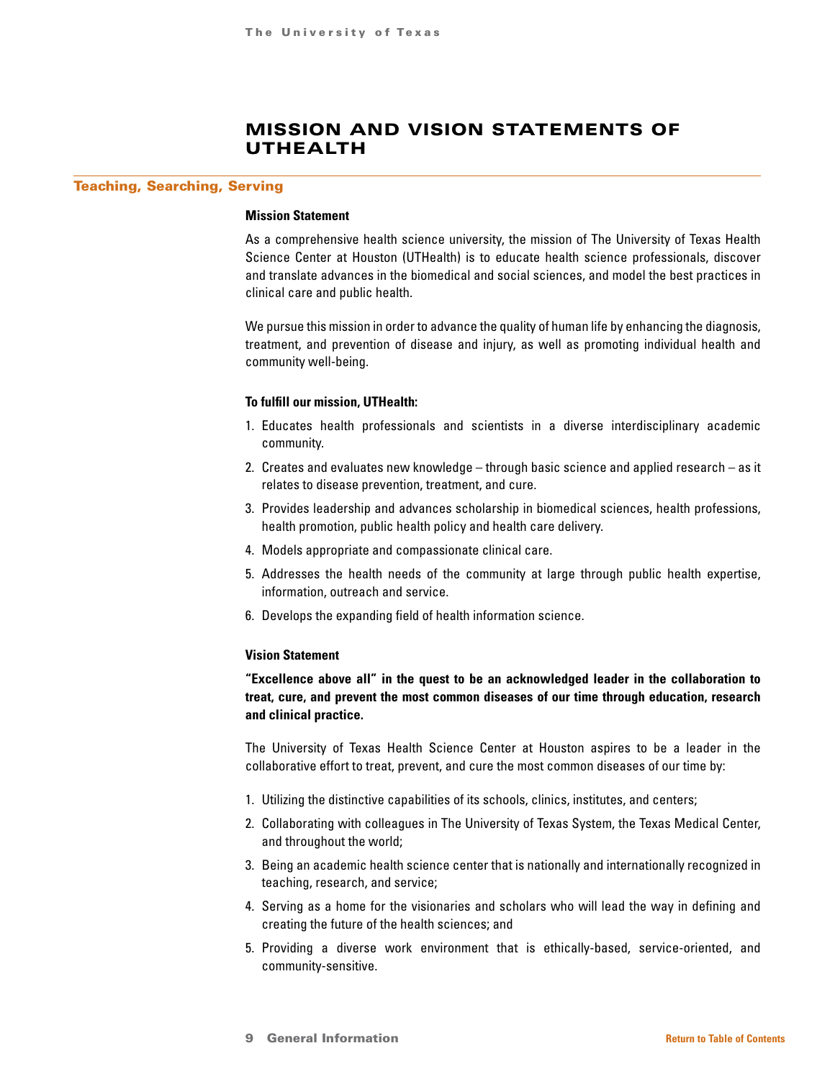## MISSION AND VISION STATEMENTS OF UTHEALTH

#### <span id="page-8-0"></span>Teaching, Searching, Serving

#### **Mission Statement**

As a comprehensive health science university, the mission of The University of Texas Health Science Center at Houston (UTHealth) is to educate health science professionals, discover and translate advances in the biomedical and social sciences, and model the best practices in clinical care and public health.

We pursue this mission in order to advance the quality of human life by enhancing the diagnosis, treatment, and prevention of disease and injury, as well as promoting individual health and community well-being.

### **To fulfill our mission, UTHealth:**

- 1. Educates health professionals and scientists in a diverse interdisciplinary academic community.
- 2. Creates and evaluates new knowledge through basic science and applied research as it relates to disease prevention, treatment, and cure.
- 3. Provides leadership and advances scholarship in biomedical sciences, health professions, health promotion, public health policy and health care delivery.
- 4. Models appropriate and compassionate clinical care.
- 5. Addresses the health needs of the community at large through public health expertise, information, outreach and service.
- 6. Develops the expanding field of health information science.

#### **Vision Statement**

**"Excellence above all" in the quest to be an acknowledged leader in the collaboration to treat, cure, and prevent the most common diseases of our time through education, research and clinical practice.**

The University of Texas Health Science Center at Houston aspires to be a leader in the collaborative effort to treat, prevent, and cure the most common diseases of our time by:

- 1. Utilizing the distinctive capabilities of its schools, clinics, institutes, and centers;
- 2. Collaborating with colleagues in The University of Texas System, the Texas Medical Center, and throughout the world;
- 3. Being an academic health science center that is nationally and internationally recognized in teaching, research, and service;
- 4. Serving as a home for the visionaries and scholars who will lead the way in defining and creating the future of the health sciences; and
- 5. Providing a diverse work environment that is ethically-based, service-oriented, and community-sensitive.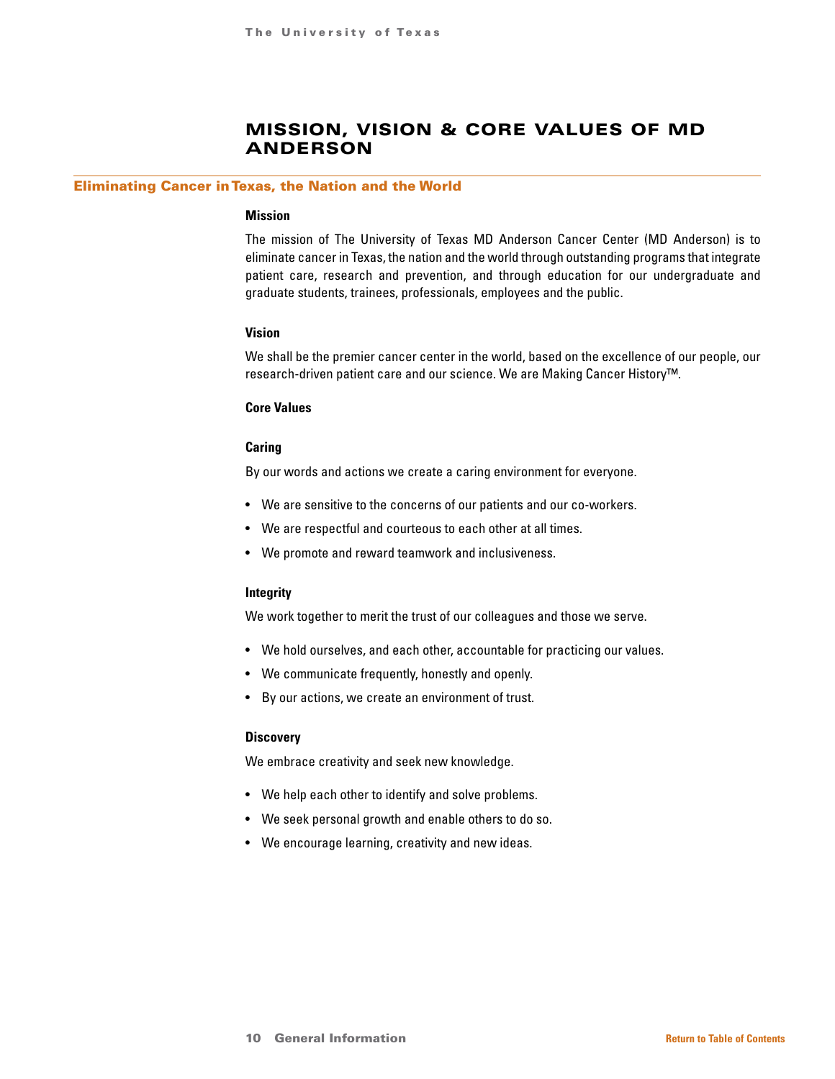## MISSION, VISION & CORE VALUES OF MD ANDERSON

#### <span id="page-9-0"></span>Eliminating Cancer in Texas, the Nation and the World

#### **Mission**

The mission of The University of Texas MD Anderson Cancer Center (MD Anderson) is to eliminate cancer in Texas, the nation and the world through outstanding programs that integrate patient care, research and prevention, and through education for our undergraduate and graduate students, trainees, professionals, employees and the public.

### **Vision**

We shall be the premier cancer center in the world, based on the excellence of our people, our research-driven patient care and our science. We are Making Cancer History™.

### **Core Values**

#### **Caring**

By our words and actions we create a caring environment for everyone.

- We are sensitive to the concerns of our patients and our co-workers.
- We are respectful and courteous to each other at all times.
- We promote and reward teamwork and inclusiveness.

#### **Integrity**

We work together to merit the trust of our colleagues and those we serve.

- We hold ourselves, and each other, accountable for practicing our values.
- We communicate frequently, honestly and openly.
- By our actions, we create an environment of trust.

#### **Discovery**

We embrace creativity and seek new knowledge.

- We help each other to identify and solve problems.
- We seek personal growth and enable others to do so.
- We encourage learning, creativity and new ideas.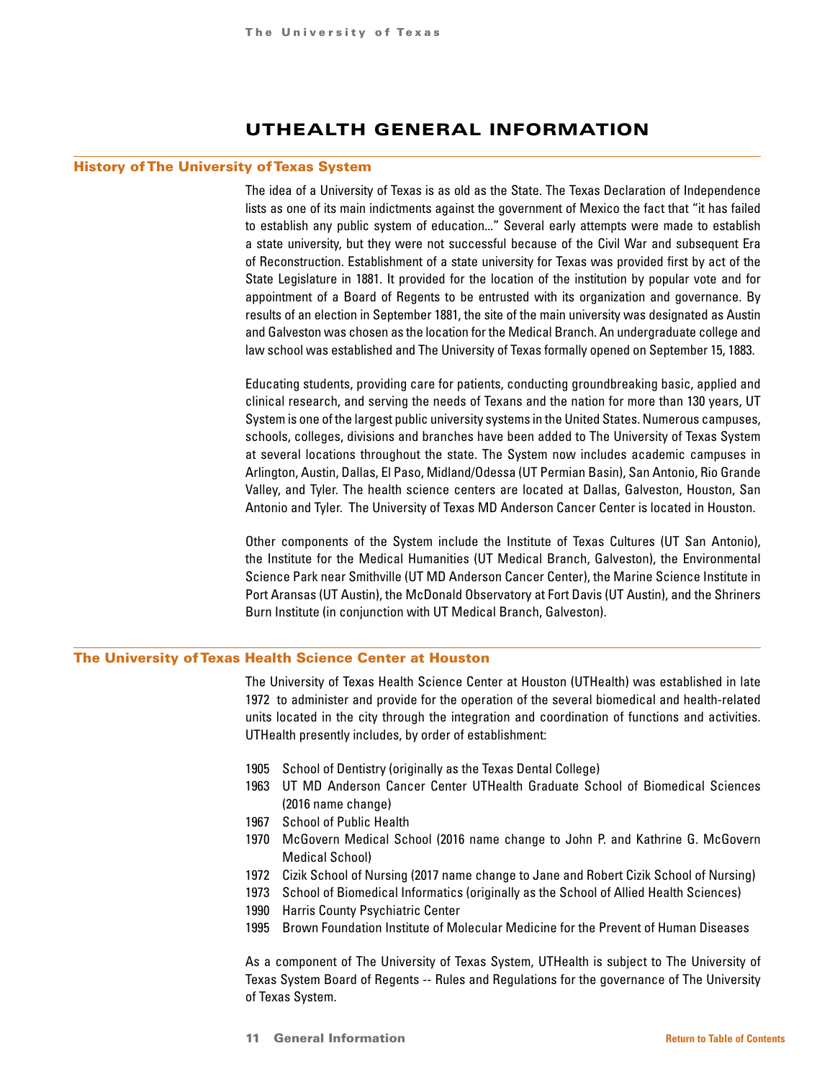## UTHEALTH GENERAL INFORMATION

### <span id="page-10-0"></span>History of The University of Texas System

The idea of a University of Texas is as old as the State. The Texas Declaration of Independence lists as one of its main indictments against the government of Mexico the fact that "it has failed to establish any public system of education..." Several early attempts were made to establish a state university, but they were not successful because of the Civil War and subsequent Era of Reconstruction. Establishment of a state university for Texas was provided first by act of the State Legislature in 1881. It provided for the location of the institution by popular vote and for appointment of a Board of Regents to be entrusted with its organization and governance. By results of an election in September 1881, the site of the main university was designated as Austin and Galveston was chosen as the location for the Medical Branch. An undergraduate college and law school was established and The University of Texas formally opened on September 15, 1883.

Educating students, providing care for patients, conducting groundbreaking basic, applied and clinical research, and serving the needs of Texans and the nation for more than 130 years, UT System is one of the largest public university systems in the United States. Numerous campuses, schools, colleges, divisions and branches have been added to The University of Texas System at several locations throughout the state. The System now includes academic campuses in Arlington, Austin, Dallas, El Paso, Midland/Odessa (UT Permian Basin), San Antonio, Rio Grande Valley, and Tyler. The health science centers are located at Dallas, Galveston, Houston, San Antonio and Tyler. The University of Texas MD Anderson Cancer Center is located in Houston.

Other components of the System include the Institute of Texas Cultures (UT San Antonio), the Institute for the Medical Humanities (UT Medical Branch, Galveston), the Environmental Science Park near Smithville (UT MD Anderson Cancer Center), the Marine Science Institute in Port Aransas (UT Austin), the McDonald Observatory at Fort Davis (UT Austin), and the Shriners Burn Institute (in conjunction with UT Medical Branch, Galveston).

### The University of Texas Health Science Center at Houston

The University of Texas Health Science Center at Houston (UTHealth) was established in late 1972 to administer and provide for the operation of the several biomedical and health-related units located in the city through the integration and coordination of functions and activities. UTHealth presently includes, by order of establishment:

- 1905 School of Dentistry (originally as the Texas Dental College)
- 1963 UT MD Anderson Cancer Center UTHealth Graduate School of Biomedical Sciences (2016 name change)
- 1967 School of Public Health
- 1970 McGovern Medical School (2016 name change to John P. and Kathrine G. McGovern Medical School)
- 1972 Cizik School of Nursing (2017 name change to Jane and Robert Cizik School of Nursing)
- 1973 School of Biomedical Informatics (originally as the School of Allied Health Sciences)
- 1990 Harris County Psychiatric Center
- 1995 Brown Foundation Institute of Molecular Medicine for the Prevent of Human Diseases

As a component of The University of Texas System, UTHealth is subject to The University of Texas System Board of Regents -- Rules and Regulations for the governance of The University of Texas System.

11 General Information **[Return to Table of Contents](#page-1-0)**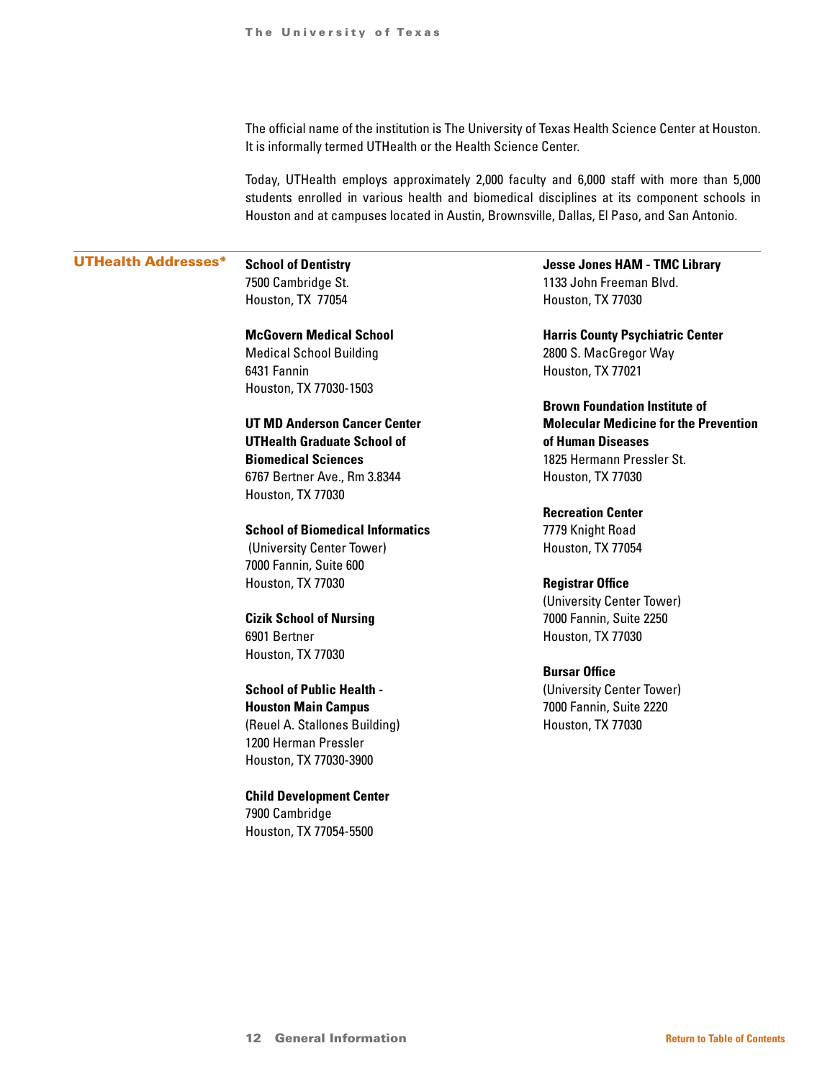The official name of the institution is The University of Texas Health Science Center at Houston. It is informally termed UTHealth or the Health Science Center.

Today, UTHealth employs approximately 2,000 faculty and 6,000 staff with more than 5,000 students enrolled in various health and biomedical disciplines at its component schools in Houston and at campuses located in Austin, Brownsville, Dallas, El Paso, and San Antonio.

### UTHealth Addresses\* **School of Dentistry**

7500 Cambridge St. Houston, TX 77054

**McGovern Medical School**  Medical School Building 6431 Fannin Houston, TX 77030-1503

**UT MD Anderson Cancer Center UTHealth Graduate School of Biomedical Sciences** 6767 Bertner Ave., Rm 3.8344 Houston, TX 77030

**School of Biomedical Informatics**

 (University Center Tower) 7000 Fannin, Suite 600 Houston, TX 77030

**Cizik School of Nursing**  6901 Bertner Houston, TX 77030

**School of Public Health - Houston Main Campus**  (Reuel A. Stallones Building) 1200 Herman Pressler Houston, TX 77030-3900

**Child Development Center** 7900 Cambridge Houston, TX 77054-5500

**Jesse Jones HAM - TMC Library** 1133 John Freeman Blvd. Houston, TX 77030

**Harris County Psychiatric Center** 2800 S. MacGregor Way Houston, TX 77021

**Brown Foundation Institute of Molecular Medicine for the Prevention of Human Diseases** 1825 Hermann Pressler St. Houston, TX 77030

**Recreation Center** 7779 Knight Road Houston, TX 77054

**Registrar Office** (University Center Tower) 7000 Fannin, Suite 2250 Houston, TX 77030

**Bursar Office** (University Center Tower) 7000 Fannin, Suite 2220 Houston, TX 77030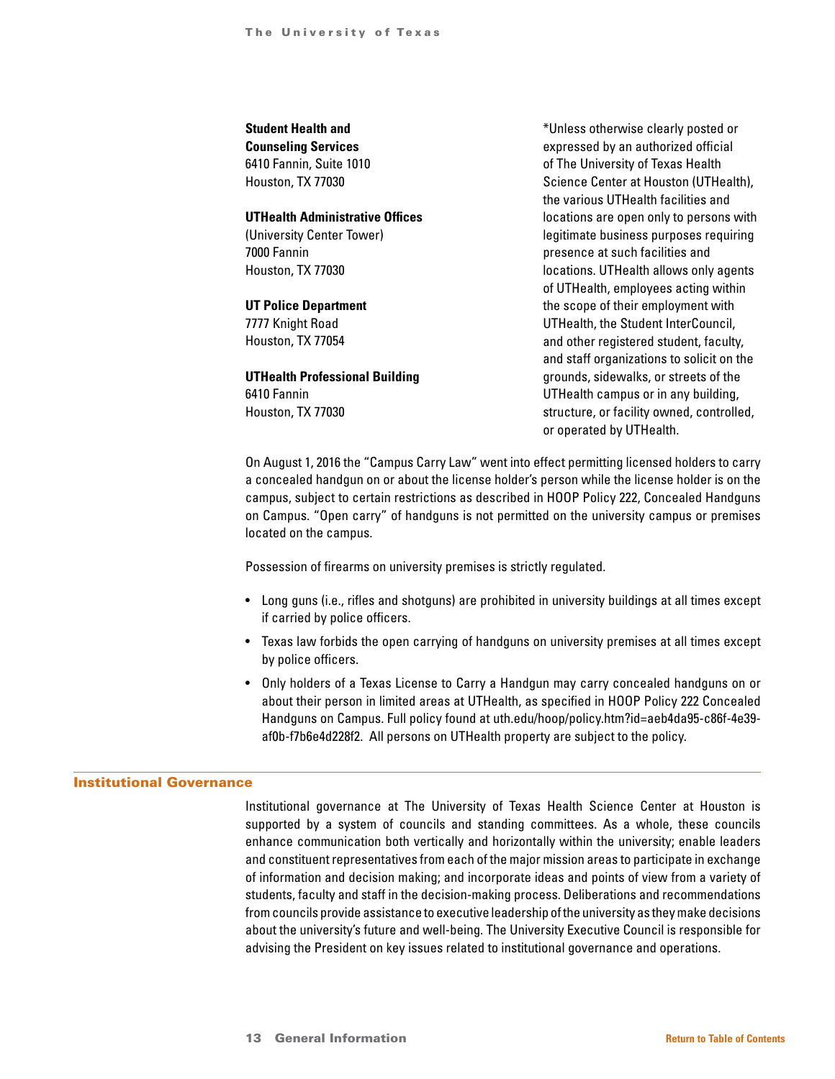### **Student Health and**

**Counseling Services** 6410 Fannin, Suite 1010 Houston, TX 77030

### **UTHealth Administrative Offices**

(University Center Tower) 7000 Fannin Houston, TX 77030

### **UT Police Department**

7777 Knight Road Houston, TX 77054

### **UTHealth Professional Building** 6410 Fannin Houston, TX 77030

\*Unless otherwise clearly posted or expressed by an authorized official of The University of Texas Health Science Center at Houston (UTHealth), the various UTHealth facilities and locations are open only to persons with legitimate business purposes requiring presence at such facilities and locations. UTHealth allows only agents of UTHealth, employees acting within the scope of their employment with UTHealth, the Student InterCouncil, and other registered student, faculty, and staff organizations to solicit on the grounds, sidewalks, or streets of the UTHealth campus or in any building, structure, or facility owned, controlled, or operated by UTHealth.

On August 1, 2016 the "Campus Carry Law" went into effect permitting licensed holders to carry a concealed handgun on or about the license holder's person while the license holder is on the campus, subject to certain restrictions as described in HOOP Policy 222, Concealed Handguns on Campus. "Open carry" of handguns is not permitted on the university campus or premises located on the campus.

Possession of firearms on university premises is strictly regulated.

- Long guns (i.e., rifles and shotguns) are prohibited in university buildings at all times except if carried by police officers.
- Texas law forbids the open carrying of handguns on university premises at all times except by police officers.
- Only holders of a Texas License to Carry a Handgun may carry concealed handguns on or about their person in limited areas at UTHealth, as specified in HOOP Policy 222 Concealed Handguns on Campus. Full policy found at uth.edu/hoop/policy.htm?id=aeb4da95-c86f-4e39 af0b-f7b6e4d228f2. All persons on UTHealth property are subject to the policy.

### Institutional Governance

Institutional governance at The University of Texas Health Science Center at Houston is supported by a system of councils and standing committees. As a whole, these councils enhance communication both vertically and horizontally within the university; enable leaders and constituent representatives from each of the major mission areas to participate in exchange of information and decision making; and incorporate ideas and points of view from a variety of students, faculty and staff in the decision-making process. Deliberations and recommendations from councils provide assistance to executive leadership of the university as they make decisions about the university's future and well-being. The University Executive Council is responsible for advising the President on key issues related to institutional governance and operations.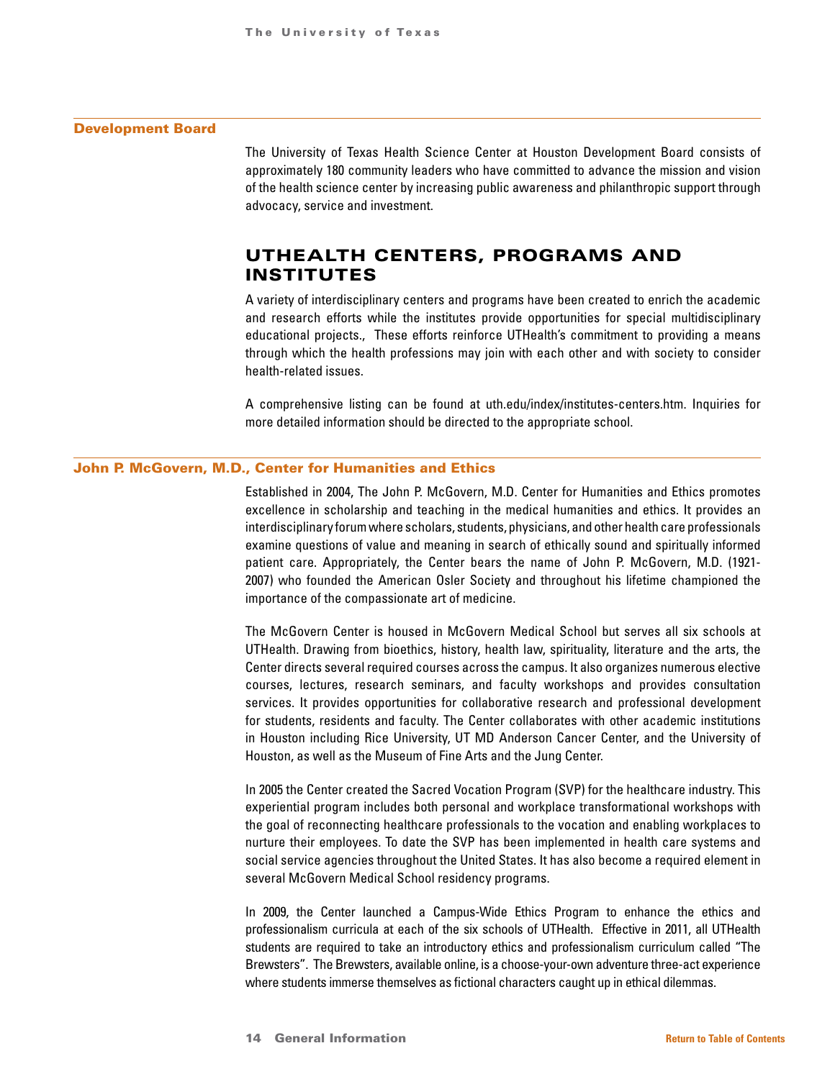#### <span id="page-13-0"></span>Development Board

The University of Texas Health Science Center at Houston Development Board consists of approximately 180 community leaders who have committed to advance the mission and vision of the health science center by increasing public awareness and philanthropic support through advocacy, service and investment.

## UTHEALTH CENTERS, PROGRAMS AND INSTITUTES

A variety of interdisciplinary centers and programs have been created to enrich the academic and research efforts while the institutes provide opportunities for special multidisciplinary educational projects., These efforts reinforce UTHealth's commitment to providing a means through which the health professions may join with each other and with society to consider health-related issues.

A comprehensive listing can be found at uth.edu/index/institutes-centers.htm. Inquiries for more detailed information should be directed to the appropriate school.

#### John P. McGovern, M.D., Center for Humanities and Ethics

Established in 2004, The John P. McGovern, M.D. Center for Humanities and Ethics promotes excellence in scholarship and teaching in the medical humanities and ethics. It provides an interdisciplinary forum where scholars, students, physicians, and other health care professionals examine questions of value and meaning in search of ethically sound and spiritually informed patient care. Appropriately, the Center bears the name of John P. McGovern, M.D. (1921- 2007) who founded the American Osler Society and throughout his lifetime championed the importance of the compassionate art of medicine.

The McGovern Center is housed in McGovern Medical School but serves all six schools at UTHealth. Drawing from bioethics, history, health law, spirituality, literature and the arts, the Center directs several required courses across the campus. It also organizes numerous elective courses, lectures, research seminars, and faculty workshops and provides consultation services. It provides opportunities for collaborative research and professional development for students, residents and faculty. The Center collaborates with other academic institutions in Houston including Rice University, UT MD Anderson Cancer Center, and the University of Houston, as well as the Museum of Fine Arts and the Jung Center.

In 2005 the Center created the Sacred Vocation Program (SVP) for the healthcare industry. This experiential program includes both personal and workplace transformational workshops with the goal of reconnecting healthcare professionals to the vocation and enabling workplaces to nurture their employees. To date the SVP has been implemented in health care systems and social service agencies throughout the United States. It has also become a required element in several McGovern Medical School residency programs.

In 2009, the Center launched a Campus-Wide Ethics Program to enhance the ethics and professionalism curricula at each of the six schools of UTHealth. Effective in 2011, all UTHealth students are required to take an introductory ethics and professionalism curriculum called "The Brewsters". The Brewsters, available online, is a choose-your-own adventure three-act experience where students immerse themselves as fictional characters caught up in ethical dilemmas.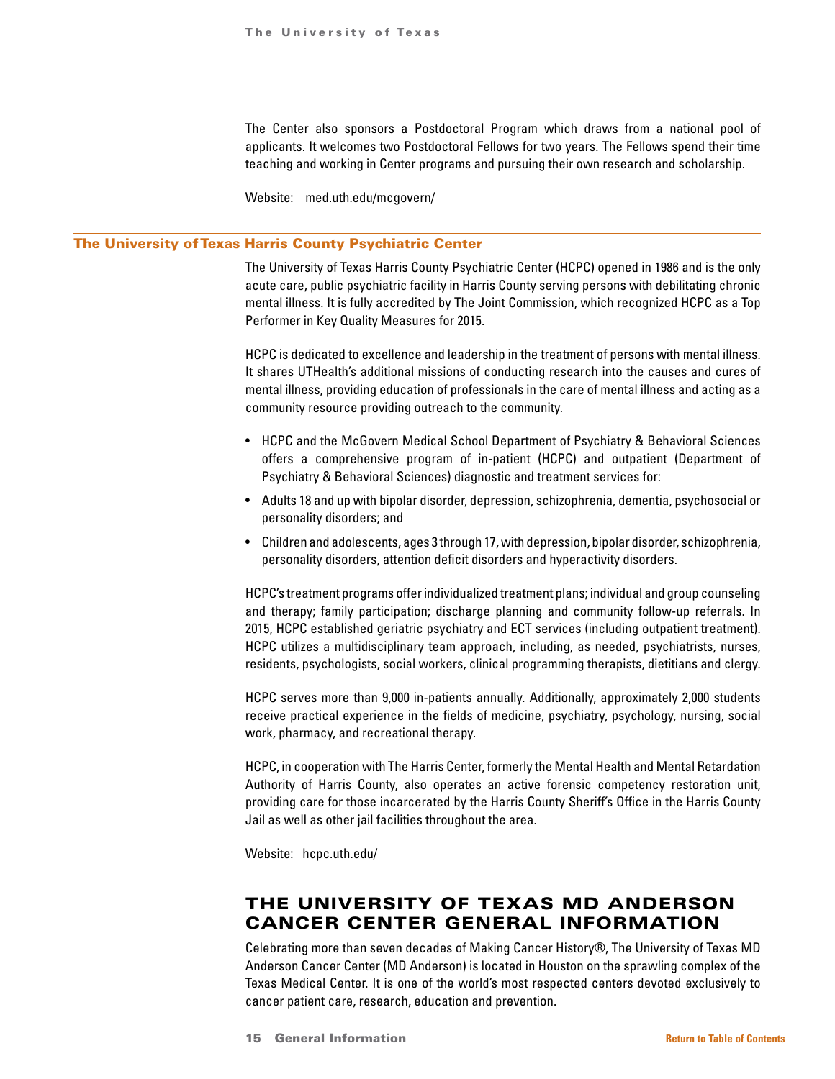The Center also sponsors a Postdoctoral Program which draws from a national pool of applicants. It welcomes two Postdoctoral Fellows for two years. The Fellows spend their time teaching and working in Center programs and pursuing their own research and scholarship.

Website: med.uth.edu/mcgovern/

### <span id="page-14-0"></span>The University of Texas Harris County Psychiatric Center

The University of Texas Harris County Psychiatric Center (HCPC) opened in 1986 and is the only acute care, public psychiatric facility in Harris County serving persons with debilitating chronic mental illness. It is fully accredited by The Joint Commission, which recognized HCPC as a Top Performer in Key Quality Measures for 2015.

HCPC is dedicated to excellence and leadership in the treatment of persons with mental illness. It shares UTHealth's additional missions of conducting research into the causes and cures of mental illness, providing education of professionals in the care of mental illness and acting as a community resource providing outreach to the community.

- HCPC and the McGovern Medical School Department of Psychiatry & Behavioral Sciences offers a comprehensive program of in-patient (HCPC) and outpatient (Department of Psychiatry & Behavioral Sciences) diagnostic and treatment services for:
- Adults 18 and up with bipolar disorder, depression, schizophrenia, dementia, psychosocial or personality disorders; and
- Children and adolescents, ages 3 through 17, with depression, bipolar disorder, schizophrenia, personality disorders, attention deficit disorders and hyperactivity disorders.

HCPC's treatment programs offer individualized treatment plans; individual and group counseling and therapy; family participation; discharge planning and community follow-up referrals. In 2015, HCPC established geriatric psychiatry and ECT services (including outpatient treatment). HCPC utilizes a multidisciplinary team approach, including, as needed, psychiatrists, nurses, residents, psychologists, social workers, clinical programming therapists, dietitians and clergy.

HCPC serves more than 9,000 in-patients annually. Additionally, approximately 2,000 students receive practical experience in the fields of medicine, psychiatry, psychology, nursing, social work, pharmacy, and recreational therapy.

HCPC, in cooperation with The Harris Center, formerly the Mental Health and Mental Retardation Authority of Harris County, also operates an active forensic competency restoration unit, providing care for those incarcerated by the Harris County Sheriff's Office in the Harris County Jail as well as other jail facilities throughout the area.

Website: hcpc.uth.edu/

## THE UNIVERSITY OF TEXAS MD ANDERSON CANCER CENTER GENERAL INFORMATION

Celebrating more than seven decades of Making Cancer History®, The University of Texas MD Anderson Cancer Center (MD Anderson) is located in Houston on the sprawling complex of the Texas Medical Center. It is one of the world's most respected centers devoted exclusively to cancer patient care, research, education and prevention.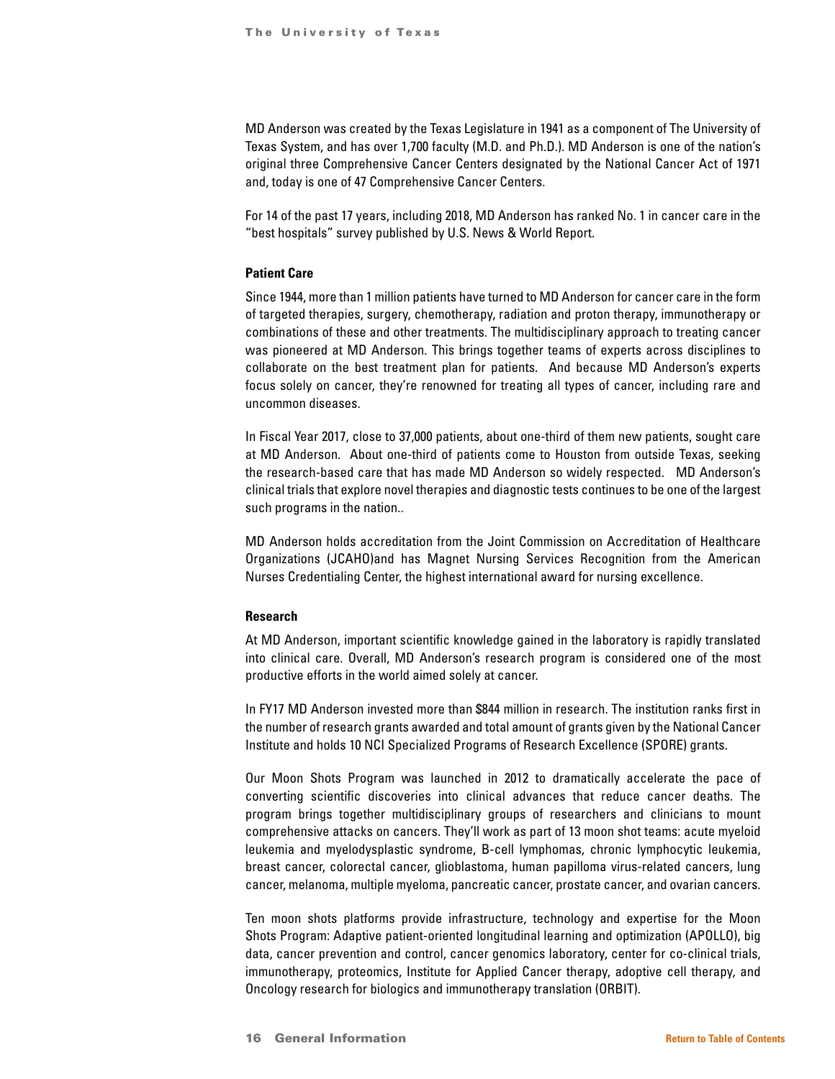MD Anderson was created by the Texas Legislature in 1941 as a component of The University of Texas System, and has over 1,700 faculty (M.D. and Ph.D.). MD Anderson is one of the nation's original three Comprehensive Cancer Centers designated by the National Cancer Act of 1971 and, today is one of 47 Comprehensive Cancer Centers.

For 14 of the past 17 years, including 2018, MD Anderson has ranked No. 1 in cancer care in the "best hospitals" survey published by U.S. News & World Report.

### **Patient Care**

Since 1944, more than 1 million patients have turned to MD Anderson for cancer care in the form of targeted therapies, surgery, chemotherapy, radiation and proton therapy, immunotherapy or combinations of these and other treatments. The multidisciplinary approach to treating cancer was pioneered at MD Anderson. This brings together teams of experts across disciplines to collaborate on the best treatment plan for patients. And because MD Anderson's experts focus solely on cancer, they're renowned for treating all types of cancer, including rare and uncommon diseases.

In Fiscal Year 2017, close to 37,000 patients, about one-third of them new patients, sought care at MD Anderson. About one-third of patients come to Houston from outside Texas, seeking the research-based care that has made MD Anderson so widely respected. MD Anderson's clinical trials that explore novel therapies and diagnostic tests continues to be one of the largest such programs in the nation..

MD Anderson holds accreditation from the Joint Commission on Accreditation of Healthcare Organizations (JCAHO)and has Magnet Nursing Services Recognition from the American Nurses Credentialing Center, the highest international award for nursing excellence.

#### **Research**

At MD Anderson, important scientific knowledge gained in the laboratory is rapidly translated into clinical care. Overall, MD Anderson's research program is considered one of the most productive efforts in the world aimed solely at cancer.

In FY17 MD Anderson invested more than \$844 million in research. The institution ranks first in the number of research grants awarded and total amount of grants given by the National Cancer Institute and holds 10 NCI Specialized Programs of Research Excellence (SPORE) grants.

Our Moon Shots Program was launched in 2012 to dramatically accelerate the pace of converting scientific discoveries into clinical advances that reduce cancer deaths. The program brings together multidisciplinary groups of researchers and clinicians to mount comprehensive attacks on cancers. They'll work as part of 13 moon shot teams: acute myeloid leukemia and myelodysplastic syndrome, B-cell lymphomas, chronic lymphocytic leukemia, breast cancer, colorectal cancer, glioblastoma, human papilloma virus-related cancers, lung cancer, melanoma, multiple myeloma, pancreatic cancer, prostate cancer, and ovarian cancers.

Ten moon shots platforms provide infrastructure, technology and expertise for the Moon Shots Program: Adaptive patient-oriented longitudinal learning and optimization (APOLLO), big data, cancer prevention and control, cancer genomics laboratory, center for co-clinical trials, immunotherapy, proteomics, Institute for Applied Cancer therapy, adoptive cell therapy, and Oncology research for biologics and immunotherapy translation (ORBIT).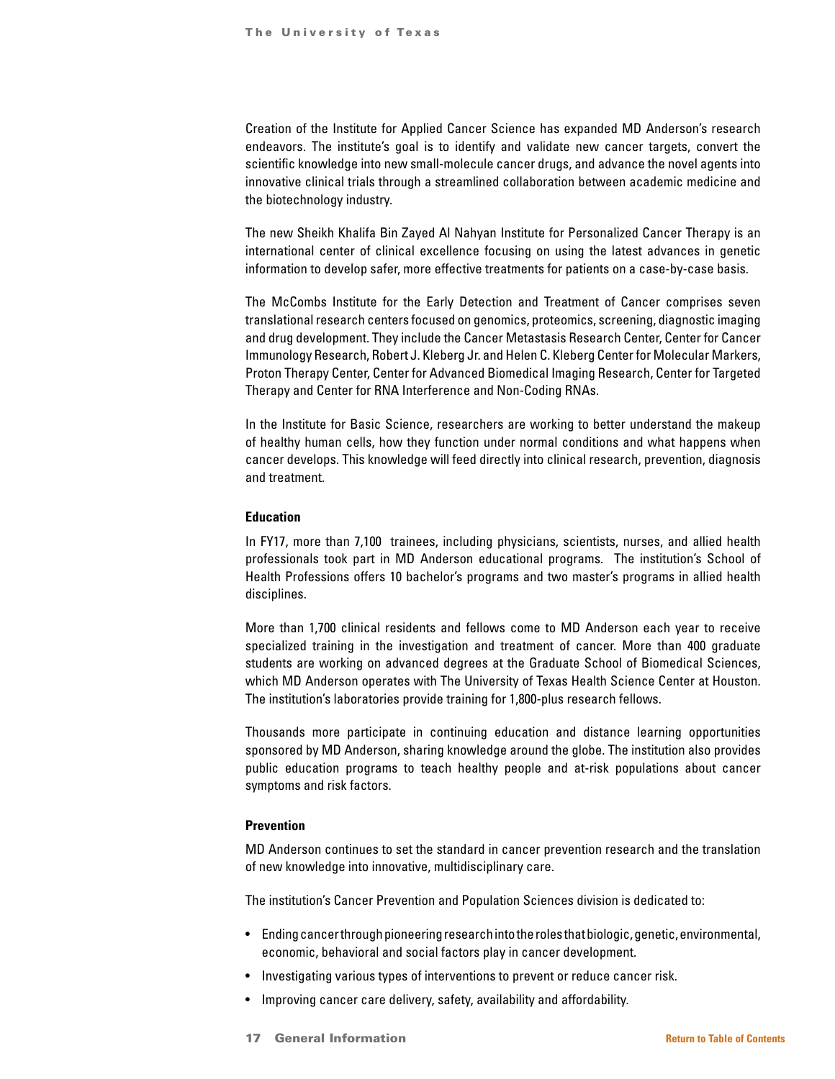Creation of the Institute for Applied Cancer Science has expanded MD Anderson's research endeavors. The institute's goal is to identify and validate new cancer targets, convert the scientific knowledge into new small-molecule cancer drugs, and advance the novel agents into innovative clinical trials through a streamlined collaboration between academic medicine and the biotechnology industry.

The new Sheikh Khalifa Bin Zayed Al Nahyan Institute for Personalized Cancer Therapy is an international center of clinical excellence focusing on using the latest advances in genetic information to develop safer, more effective treatments for patients on a case-by-case basis.

The McCombs Institute for the Early Detection and Treatment of Cancer comprises seven translational research centers focused on genomics, proteomics, screening, diagnostic imaging and drug development. They include the Cancer Metastasis Research Center, Center for Cancer Immunology Research, Robert J. Kleberg Jr. and Helen C. Kleberg Center for Molecular Markers, Proton Therapy Center, Center for Advanced Biomedical Imaging Research, Center for Targeted Therapy and Center for RNA Interference and Non-Coding RNAs.

In the Institute for Basic Science, researchers are working to better understand the makeup of healthy human cells, how they function under normal conditions and what happens when cancer develops. This knowledge will feed directly into clinical research, prevention, diagnosis and treatment.

#### **Education**

In FY17, more than 7,100 trainees, including physicians, scientists, nurses, and allied health professionals took part in MD Anderson educational programs. The institution's School of Health Professions offers 10 bachelor's programs and two master's programs in allied health disciplines.

More than 1,700 clinical residents and fellows come to MD Anderson each year to receive specialized training in the investigation and treatment of cancer. More than 400 graduate students are working on advanced degrees at the Graduate School of Biomedical Sciences, which MD Anderson operates with The University of Texas Health Science Center at Houston. The institution's laboratories provide training for 1,800-plus research fellows.

Thousands more participate in continuing education and distance learning opportunities sponsored by MD Anderson, sharing knowledge around the globe. The institution also provides public education programs to teach healthy people and at-risk populations about cancer symptoms and risk factors.

#### **Prevention**

MD Anderson continues to set the standard in cancer prevention research and the translation of new knowledge into innovative, multidisciplinary care.

The institution's Cancer Prevention and Population Sciences division is dedicated to:

- Ending cancer through pioneering research into the roles that biologic, genetic, environmental, economic, behavioral and social factors play in cancer development.
- Investigating various types of interventions to prevent or reduce cancer risk.
- Improving cancer care delivery, safety, availability and affordability.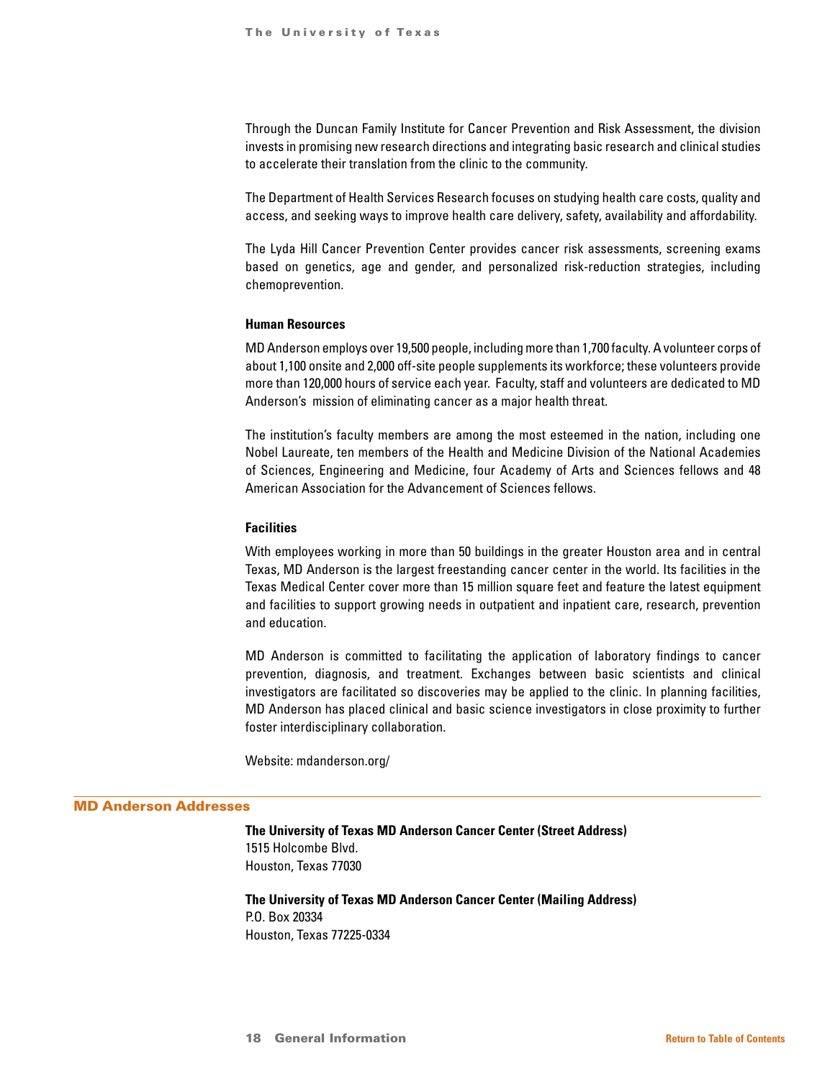Through the Duncan Family Institute for Cancer Prevention and Risk Assessment, the division invests in promising new research directions and integrating basic research and clinical studies to accelerate their translation from the clinic to the community.

The Department of Health Services Research focuses on studying health care costs, quality and access, and seeking ways to improve health care delivery, safety, availability and affordability.

The Lyda Hill Cancer Prevention Center provides cancer risk assessments, screening exams based on genetics, age and gender, and personalized risk-reduction strategies, including chemoprevention.

#### **Human Resources**

MD Anderson employs over 19,500 people, including more than 1,700 faculty. A volunteer corps of about 1,100 onsite and 2,000 off-site people supplements its workforce; these volunteers provide more than 120,000 hours of service each year. Faculty, staff and volunteers are dedicated to MD Anderson's mission of eliminating cancer as a major health threat.

The institution's faculty members are among the most esteemed in the nation, including one Nobel Laureate, ten members of the Health and Medicine Division of the National Academies of Sciences, Engineering and Medicine, four Academy of Arts and Sciences fellows and 48 American Association for the Advancement of Sciences fellows.

### **Facilities**

With employees working in more than 50 buildings in the greater Houston area and in central Texas, MD Anderson is the largest freestanding cancer center in the world. Its facilities in the Texas Medical Center cover more than 15 million square feet and feature the latest equipment and facilities to support growing needs in outpatient and inpatient care, research, prevention and education.

MD Anderson is committed to facilitating the application of laboratory findings to cancer prevention, diagnosis, and treatment. Exchanges between basic scientists and clinical investigators are facilitated so discoveries may be applied to the clinic. In planning facilities, MD Anderson has placed clinical and basic science investigators in close proximity to further foster interdisciplinary collaboration.

Website: mdanderson.org/

#### MD Anderson Addresses

**The University of Texas MD Anderson Cancer Center (Street Address)** 1515 Holcombe Blvd. Houston, Texas 77030

**The University of Texas MD Anderson Cancer Center (Mailing Address)** P.O. Box 20334 Houston, Texas 77225-0334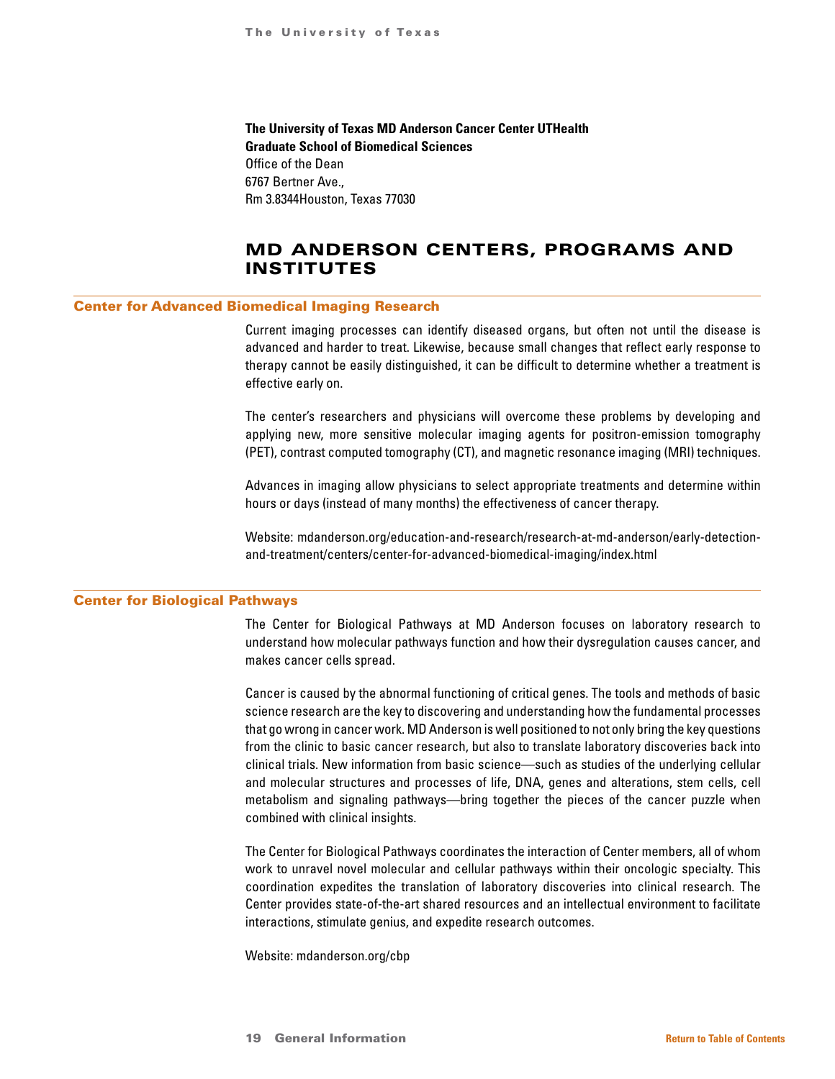<span id="page-18-0"></span>**The University of Texas MD Anderson Cancer Center UTHealth Graduate School of Biomedical Sciences** Office of the Dean 6767 Bertner Ave., Rm 3.8344Houston, Texas 77030

## MD ANDERSON CENTERS, PROGRAMS AND INSTITUTES

#### Center for Advanced Biomedical Imaging Research

Current imaging processes can identify diseased organs, but often not until the disease is advanced and harder to treat. Likewise, because small changes that reflect early response to therapy cannot be easily distinguished, it can be difficult to determine whether a treatment is effective early on.

The center's researchers and physicians will overcome these problems by developing and applying new, more sensitive molecular imaging agents for positron-emission tomography (PET), contrast computed tomography (CT), and magnetic resonance imaging (MRI) techniques.

Advances in imaging allow physicians to select appropriate treatments and determine within hours or days (instead of many months) the effectiveness of cancer therapy.

Website: mdanderson.org/education-and-research/research-at-md-anderson/early-detectionand-treatment/centers/center-for-advanced-biomedical-imaging/index.html

### Center for Biological Pathways

The Center for Biological Pathways at MD Anderson focuses on laboratory research to understand how molecular pathways function and how their dysregulation causes cancer, and makes cancer cells spread.

Cancer is caused by the abnormal functioning of critical genes. The tools and methods of basic science research are the key to discovering and understanding how the fundamental processes that go wrong in cancer work. MD Anderson is well positioned to not only bring the key questions from the clinic to basic cancer research, but also to translate laboratory discoveries back into clinical trials. New information from basic science—such as studies of the underlying cellular and molecular structures and processes of life, DNA, genes and alterations, stem cells, cell metabolism and signaling pathways—bring together the pieces of the cancer puzzle when combined with clinical insights.

The Center for Biological Pathways coordinates the interaction of Center members, all of whom work to unravel novel molecular and cellular pathways within their oncologic specialty. This coordination expedites the translation of laboratory discoveries into clinical research. The Center provides state-of-the-art shared resources and an intellectual environment to facilitate interactions, stimulate genius, and expedite research outcomes.

Website: mdanderson.org/cbp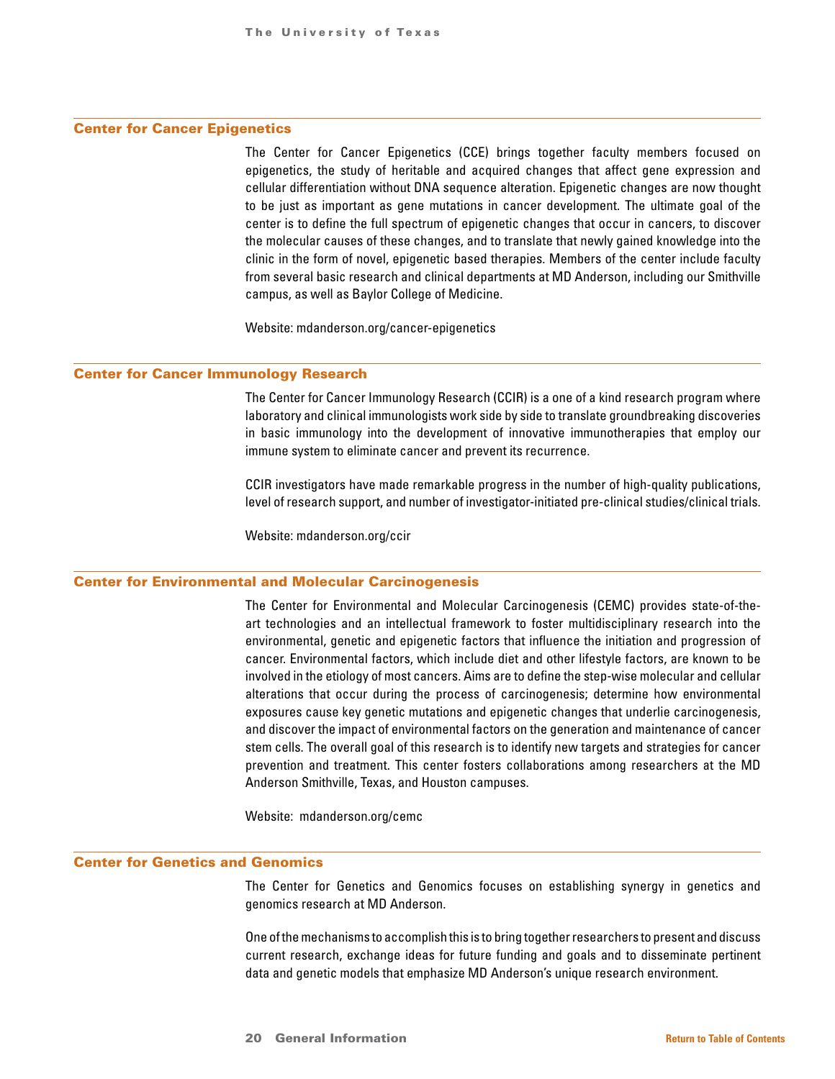#### Center for Cancer Epigenetics

The Center for Cancer Epigenetics (CCE) brings together faculty members focused on epigenetics, the study of heritable and acquired changes that affect gene expression and cellular differentiation without DNA sequence alteration. Epigenetic changes are now thought to be just as important as gene mutations in cancer development. The ultimate goal of the center is to define the full spectrum of epigenetic changes that occur in cancers, to discover the molecular causes of these changes, and to translate that newly gained knowledge into the clinic in the form of novel, epigenetic based therapies. Members of the center include faculty from several basic research and clinical departments at MD Anderson, including our Smithville campus, as well as Baylor College of Medicine.

Website: mdanderson.org/cancer-epigenetics

#### Center for Cancer Immunology Research

The Center for Cancer Immunology Research (CCIR) is a one of a kind research program where laboratory and clinical immunologists work side by side to translate groundbreaking discoveries in basic immunology into the development of innovative immunotherapies that employ our immune system to eliminate cancer and prevent its recurrence.

CCIR investigators have made remarkable progress in the number of high-quality publications, level of research support, and number of investigator-initiated pre-clinical studies/clinical trials.

Website: mdanderson.org/ccir

### Center for Environmental and Molecular Carcinogenesis

The Center for Environmental and Molecular Carcinogenesis (CEMC) provides state-of-theart technologies and an intellectual framework to foster multidisciplinary research into the environmental, genetic and epigenetic factors that influence the initiation and progression of cancer. Environmental factors, which include diet and other lifestyle factors, are known to be involved in the etiology of most cancers. Aims are to define the step-wise molecular and cellular alterations that occur during the process of carcinogenesis; determine how environmental exposures cause key genetic mutations and epigenetic changes that underlie carcinogenesis, and discover the impact of environmental factors on the generation and maintenance of cancer stem cells. The overall goal of this research is to identify new targets and strategies for cancer prevention and treatment. This center fosters collaborations among researchers at the MD Anderson Smithville, Texas, and Houston campuses.

Website: mdanderson.org/cemc

### Center for Genetics and Genomics

The Center for Genetics and Genomics focuses on establishing synergy in genetics and genomics research at MD Anderson.

One of the mechanisms to accomplish this is to bring together researchers to present and discuss current research, exchange ideas for future funding and goals and to disseminate pertinent data and genetic models that emphasize MD Anderson's unique research environment.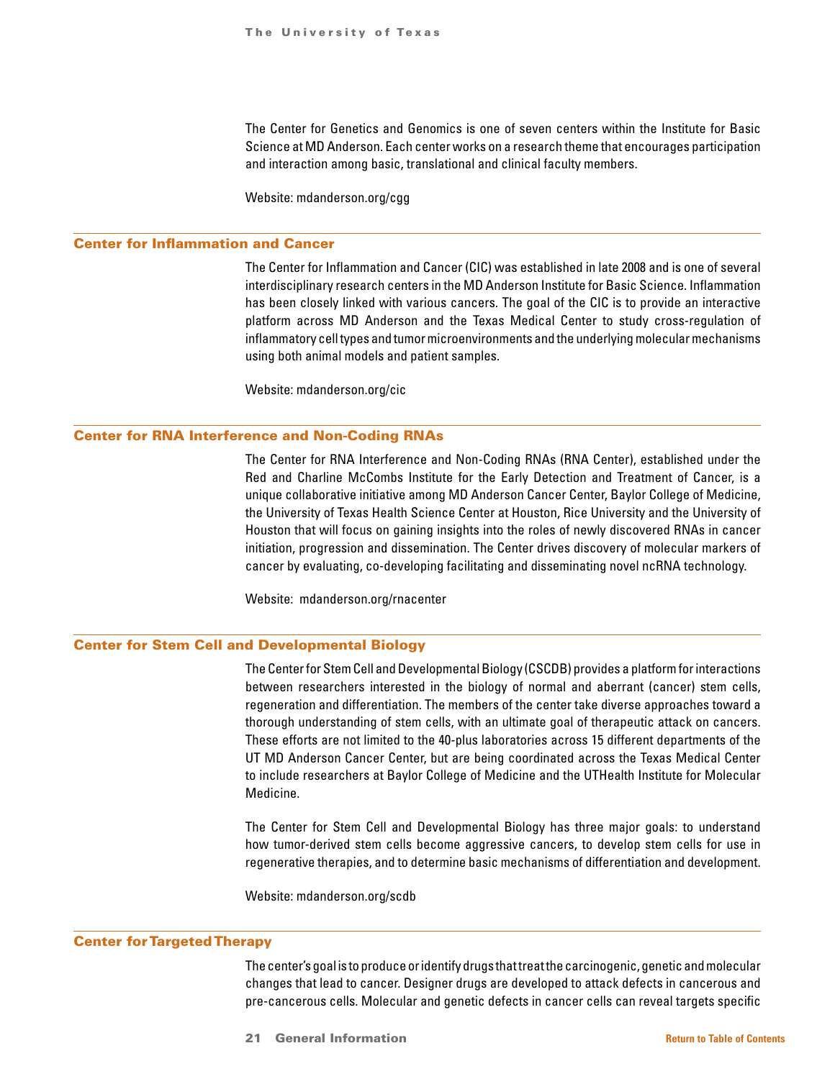The Center for Genetics and Genomics is one of seven centers within the Institute for Basic Science at MD Anderson. Each center works on a research theme that encourages participation and interaction among basic, translational and clinical faculty members.

Website: mdanderson.org/cgg

#### Center for Inflammation and Cancer

The Center for Inflammation and Cancer (CIC) was established in late 2008 and is one of several interdisciplinary research centers in the MD Anderson Institute for Basic Science. Inflammation has been closely linked with various cancers. The goal of the CIC is to provide an interactive platform across MD Anderson and the Texas Medical Center to study cross-regulation of inflammatory cell types and tumor microenvironments and the underlying molecular mechanisms using both animal models and patient samples.

Website: mdanderson.org/cic

### Center for RNA Interference and Non-Coding RNAs

The Center for RNA Interference and Non-Coding RNAs (RNA Center), established under the Red and Charline McCombs Institute for the Early Detection and Treatment of Cancer, is a unique collaborative initiative among MD Anderson Cancer Center, Baylor College of Medicine, the University of Texas Health Science Center at Houston, Rice University and the University of Houston that will focus on gaining insights into the roles of newly discovered RNAs in cancer initiation, progression and dissemination. The Center drives discovery of molecular markers of cancer by evaluating, co-developing facilitating and disseminating novel ncRNA technology.

Website: mdanderson.org/rnacenter

### Center for Stem Cell and Developmental Biology

The Center for Stem Cell and Developmental Biology (CSCDB) provides a platform for interactions between researchers interested in the biology of normal and aberrant (cancer) stem cells, regeneration and differentiation. The members of the center take diverse approaches toward a thorough understanding of stem cells, with an ultimate goal of therapeutic attack on cancers. These efforts are not limited to the 40-plus laboratories across 15 different departments of the UT MD Anderson Cancer Center, but are being coordinated across the Texas Medical Center to include researchers at Baylor College of Medicine and the UTHealth Institute for Molecular Medicine.

The Center for Stem Cell and Developmental Biology has three major goals: to understand how tumor-derived stem cells become aggressive cancers, to develop stem cells for use in regenerative therapies, and to determine basic mechanisms of differentiation and development.

Website: mdanderson.org/scdb

#### Center for Targeted Therapy

The center's goal is to produce or identify drugs that treat the carcinogenic, genetic and molecular changes that lead to cancer. Designer drugs are developed to attack defects in cancerous and pre-cancerous cells. Molecular and genetic defects in cancer cells can reveal targets specific

21 General Information **[Return to Table of Contents](#page-1-0)**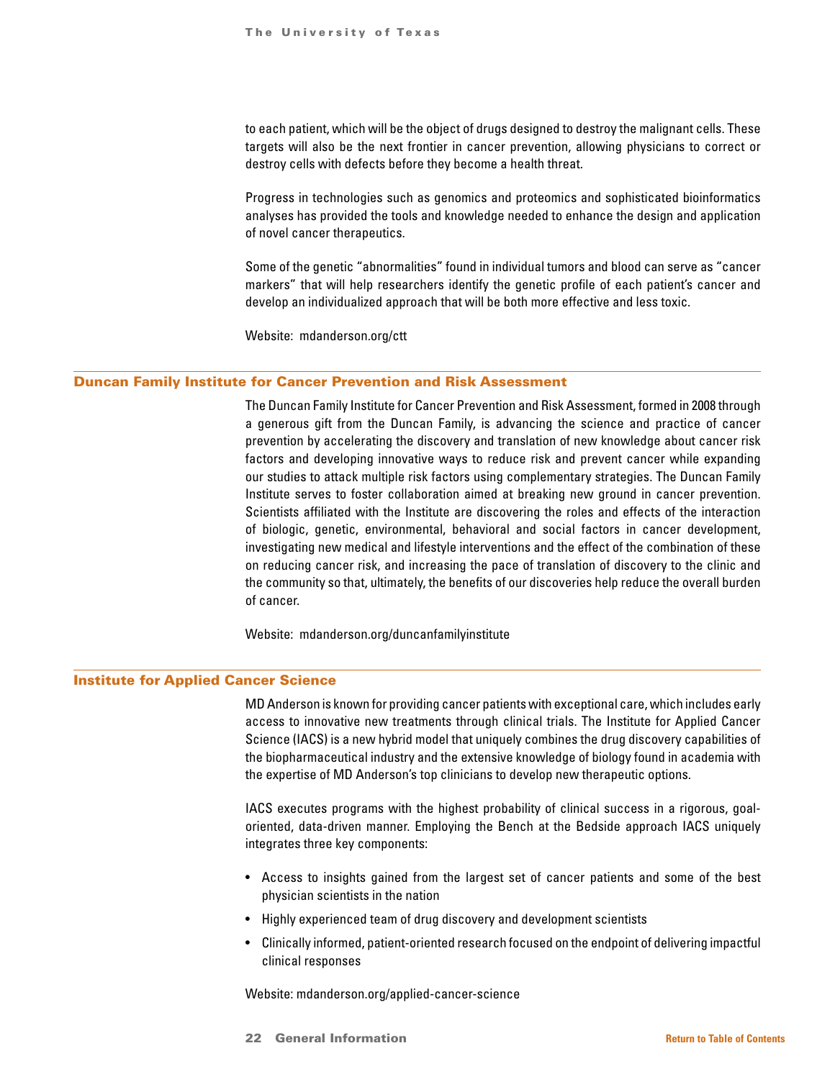to each patient, which will be the object of drugs designed to destroy the malignant cells. These targets will also be the next frontier in cancer prevention, allowing physicians to correct or destroy cells with defects before they become a health threat.

Progress in technologies such as genomics and proteomics and sophisticated bioinformatics analyses has provided the tools and knowledge needed to enhance the design and application of novel cancer therapeutics.

Some of the genetic "abnormalities" found in individual tumors and blood can serve as "cancer markers" that will help researchers identify the genetic profile of each patient's cancer and develop an individualized approach that will be both more effective and less toxic.

Website: mdanderson.org/ctt

### Duncan Family Institute for Cancer Prevention and Risk Assessment

The Duncan Family Institute for Cancer Prevention and Risk Assessment, formed in 2008 through a generous gift from the Duncan Family, is advancing the science and practice of cancer prevention by accelerating the discovery and translation of new knowledge about cancer risk factors and developing innovative ways to reduce risk and prevent cancer while expanding our studies to attack multiple risk factors using complementary strategies. The Duncan Family Institute serves to foster collaboration aimed at breaking new ground in cancer prevention. Scientists affiliated with the Institute are discovering the roles and effects of the interaction of biologic, genetic, environmental, behavioral and social factors in cancer development, investigating new medical and lifestyle interventions and the effect of the combination of these on reducing cancer risk, and increasing the pace of translation of discovery to the clinic and the community so that, ultimately, the benefits of our discoveries help reduce the overall burden of cancer.

Website: mdanderson.org/duncanfamilyinstitute

### Institute for Applied Cancer Science

MD Anderson is known for providing cancer patients with exceptional care, which includes early access to innovative new treatments through clinical trials. The Institute for Applied Cancer Science (IACS) is a new hybrid model that uniquely combines the drug discovery capabilities of the biopharmaceutical industry and the extensive knowledge of biology found in academia with the expertise of MD Anderson's top clinicians to develop new therapeutic options.

IACS executes programs with the highest probability of clinical success in a rigorous, goaloriented, data-driven manner. Employing the Bench at the Bedside approach IACS uniquely integrates three key components:

- Access to insights gained from the largest set of cancer patients and some of the best physician scientists in the nation
- Highly experienced team of drug discovery and development scientists
- Clinically informed, patient-oriented research focused on the endpoint of delivering impactful clinical responses

Website: mdanderson.org/applied-cancer-science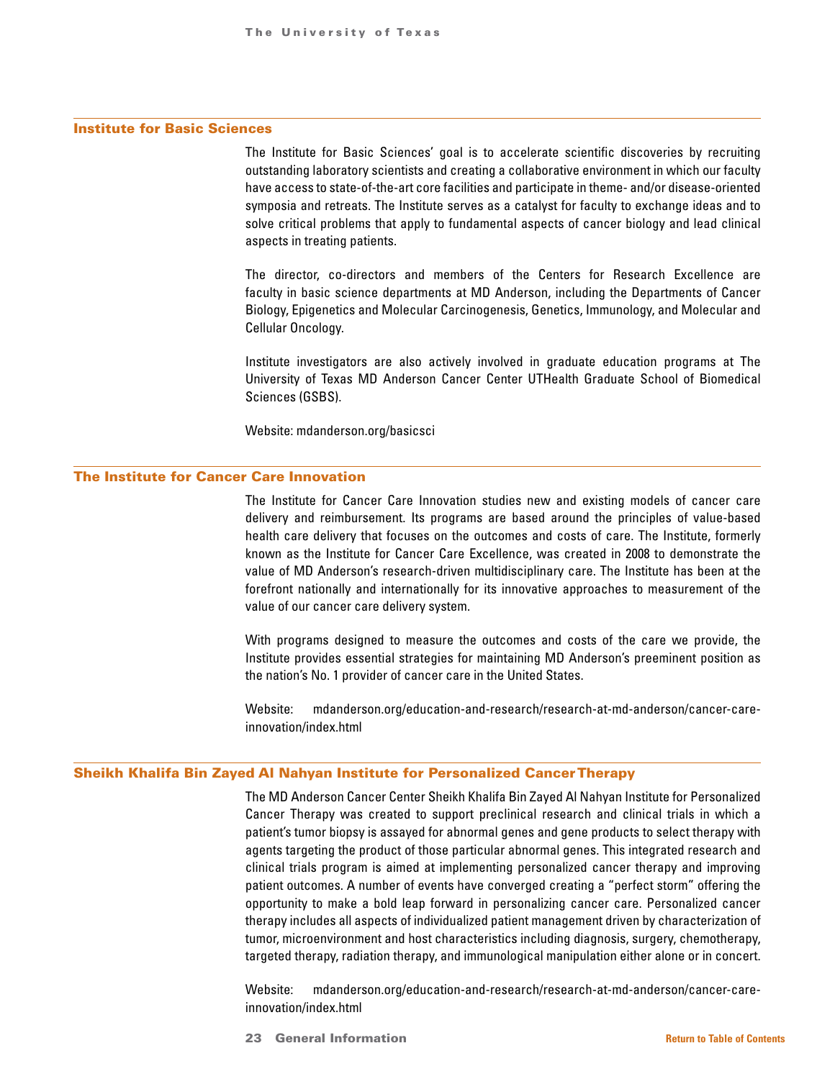### Institute for Basic Sciences

The Institute for Basic Sciences' goal is to accelerate scientific discoveries by recruiting outstanding laboratory scientists and creating a collaborative environment in which our faculty have access to state-of-the-art core facilities and participate in theme- and/or disease-oriented symposia and retreats. The Institute serves as a catalyst for faculty to exchange ideas and to solve critical problems that apply to fundamental aspects of cancer biology and lead clinical aspects in treating patients.

The director, co-directors and members of the Centers for Research Excellence are faculty in basic science departments at MD Anderson, including the Departments of Cancer Biology, Epigenetics and Molecular Carcinogenesis, Genetics, Immunology, and Molecular and Cellular Oncology.

Institute investigators are also actively involved in graduate education programs at The University of Texas MD Anderson Cancer Center UTHealth Graduate School of Biomedical Sciences (GSBS).

Website: mdanderson.org/basicsci

### The Institute for Cancer Care Innovation

The Institute for Cancer Care Innovation studies new and existing models of cancer care delivery and reimbursement. Its programs are based around the principles of value-based health care delivery that focuses on the outcomes and costs of care. The Institute, formerly known as the Institute for Cancer Care Excellence, was created in 2008 to demonstrate the value of MD Anderson's research-driven multidisciplinary care. The Institute has been at the forefront nationally and internationally for its innovative approaches to measurement of the value of our cancer care delivery system.

With programs designed to measure the outcomes and costs of the care we provide, the Institute provides essential strategies for maintaining MD Anderson's preeminent position as the nation's No. 1 provider of cancer care in the United States.

Website: mdanderson.org/education-and-research/research-at-md-anderson/cancer-careinnovation/index.html

#### Sheikh Khalifa Bin Zayed Al Nahyan Institute for Personalized Cancer Therapy

The MD Anderson Cancer Center Sheikh Khalifa Bin Zayed Al Nahyan Institute for Personalized Cancer Therapy was created to support preclinical research and clinical trials in which a patient's tumor biopsy is assayed for abnormal genes and gene products to select therapy with agents targeting the product of those particular abnormal genes. This integrated research and clinical trials program is aimed at implementing personalized cancer therapy and improving patient outcomes. A number of events have converged creating a "perfect storm" offering the opportunity to make a bold leap forward in personalizing cancer care. Personalized cancer therapy includes all aspects of individualized patient management driven by characterization of tumor, microenvironment and host characteristics including diagnosis, surgery, chemotherapy, targeted therapy, radiation therapy, and immunological manipulation either alone or in concert.

Website: mdanderson.org/education-and-research/research-at-md-anderson/cancer-careinnovation/index.html

23 General Information **[Return to Table of Contents](#page-1-0)**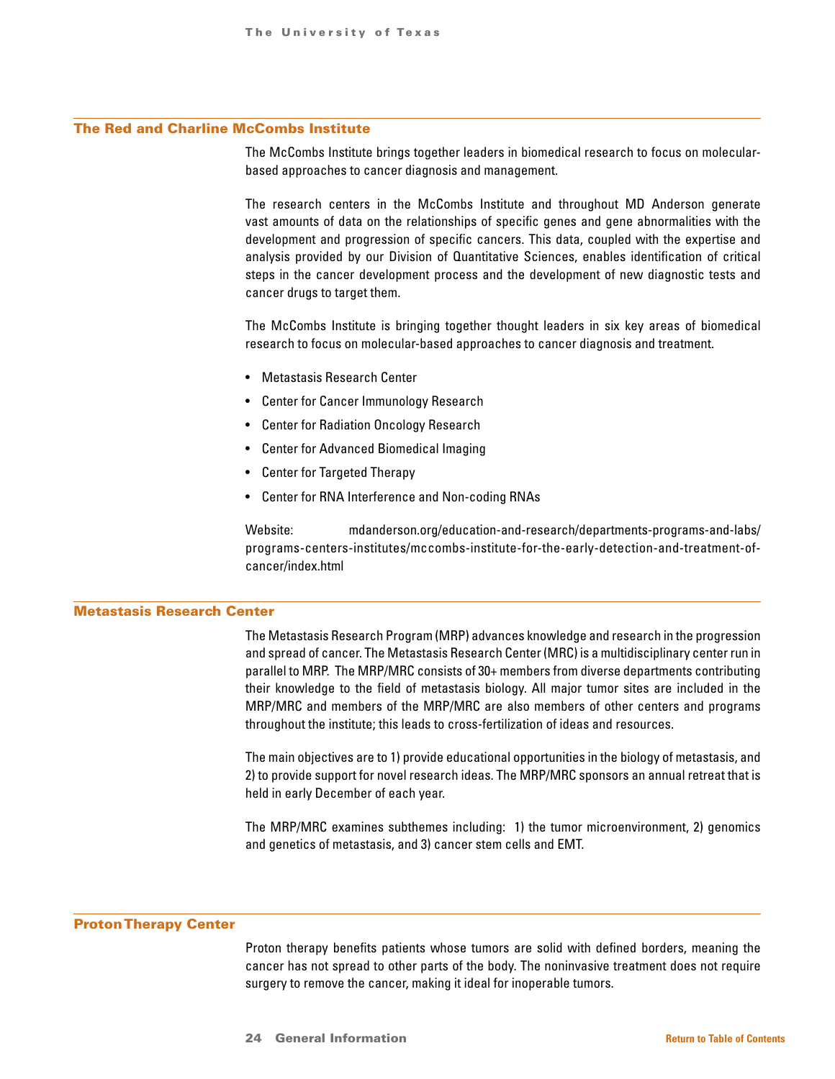### The Red and Charline McCombs Institute

The McCombs Institute brings together leaders in biomedical research to focus on molecularbased approaches to cancer diagnosis and management.

The research centers in the McCombs Institute and throughout MD Anderson generate vast amounts of data on the relationships of specific genes and gene abnormalities with the development and progression of specific cancers. This data, coupled with the expertise and analysis provided by our Division of Quantitative Sciences, enables identification of critical steps in the cancer development process and the development of new diagnostic tests and cancer drugs to target them.

The McCombs Institute is bringing together thought leaders in six key areas of biomedical research to focus on molecular-based approaches to cancer diagnosis and treatment.

- Metastasis Research Center
- Center for Cancer Immunology Research
- Center for Radiation Oncology Research
- Center for Advanced Biomedical Imaging
- Center for Targeted Therapy
- Center for RNA Interference and Non-coding RNAs

Website: mdanderson.org/education-and-research/departments-programs-and-labs/ programs-centers-institutes/mccombs-institute-for-the-early-detection-and-treatment-ofcancer/index.html

### Metastasis Research Center

The Metastasis Research Program (MRP) advances knowledge and research in the progression and spread of cancer. The Metastasis Research Center (MRC) is a multidisciplinary center run in parallel to MRP. The MRP/MRC consists of 30+ members from diverse departments contributing their knowledge to the field of metastasis biology. All major tumor sites are included in the MRP/MRC and members of the MRP/MRC are also members of other centers and programs throughout the institute; this leads to cross-fertilization of ideas and resources.

The main objectives are to 1) provide educational opportunities in the biology of metastasis, and 2) to provide support for novel research ideas. The MRP/MRC sponsors an annual retreat that is held in early December of each year.

The MRP/MRC examines subthemes including: 1) the tumor microenvironment, 2) genomics and genetics of metastasis, and 3) cancer stem cells and EMT.

#### Proton Therapy Center

Proton therapy benefits patients whose tumors are solid with defined borders, meaning the cancer has not spread to other parts of the body. The noninvasive treatment does not require surgery to remove the cancer, making it ideal for inoperable tumors.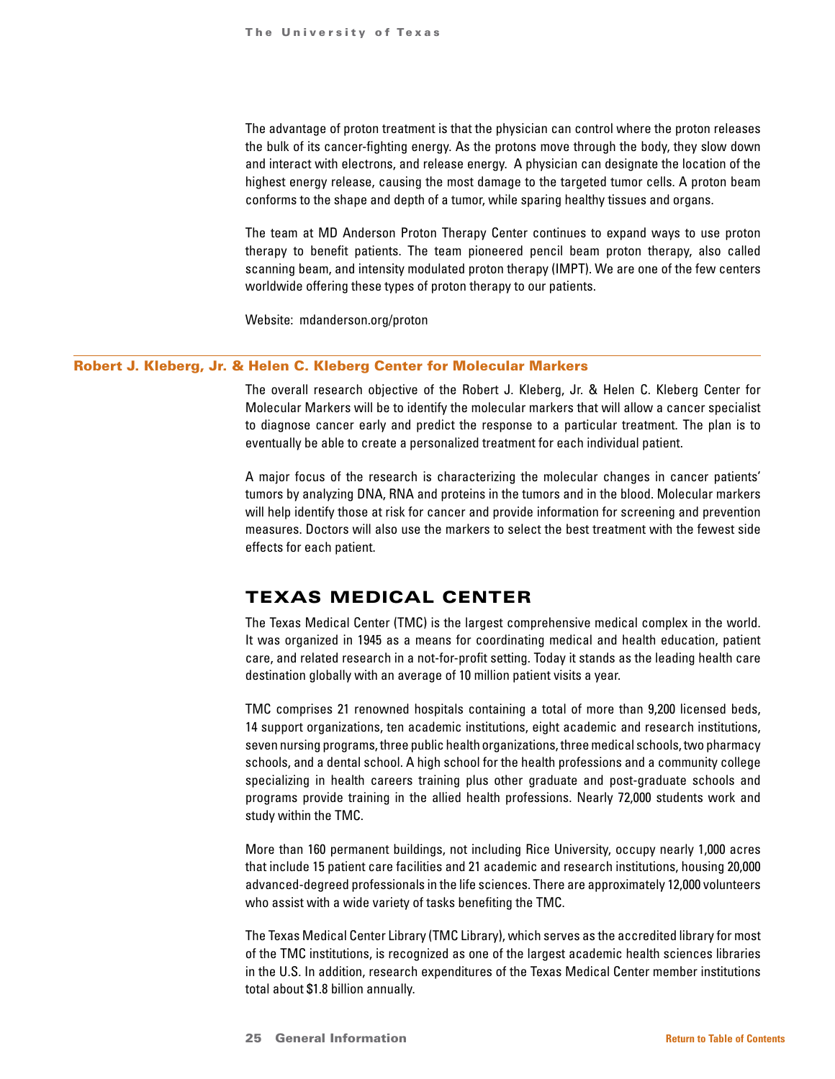<span id="page-24-0"></span>The advantage of proton treatment is that the physician can control where the proton releases the bulk of its cancer-fighting energy. As the protons move through the body, they slow down and interact with electrons, and release energy. A physician can designate the location of the highest energy release, causing the most damage to the targeted tumor cells. A proton beam conforms to the shape and depth of a tumor, while sparing healthy tissues and organs.

The team at MD Anderson Proton Therapy Center continues to expand ways to use proton therapy to benefit patients. The team pioneered pencil beam proton therapy, also called scanning beam, and intensity modulated proton therapy (IMPT). We are one of the few centers worldwide offering these types of proton therapy to our patients.

Website: mdanderson.org/proton

### Robert J. Kleberg, Jr. & Helen C. Kleberg Center for Molecular Markers

The overall research objective of the Robert J. Kleberg, Jr. & Helen C. Kleberg Center for Molecular Markers will be to identify the molecular markers that will allow a cancer specialist to diagnose cancer early and predict the response to a particular treatment. The plan is to eventually be able to create a personalized treatment for each individual patient.

A major focus of the research is characterizing the molecular changes in cancer patients' tumors by analyzing DNA, RNA and proteins in the tumors and in the blood. Molecular markers will help identify those at risk for cancer and provide information for screening and prevention measures. Doctors will also use the markers to select the best treatment with the fewest side effects for each patient.

### TEXAS MEDICAL CENTER

The Texas Medical Center (TMC) is the largest comprehensive medical complex in the world. It was organized in 1945 as a means for coordinating medical and health education, patient care, and related research in a not-for-profit setting. Today it stands as the leading health care destination globally with an average of 10 million patient visits a year.

TMC comprises 21 renowned hospitals containing a total of more than 9,200 licensed beds, 14 support organizations, ten academic institutions, eight academic and research institutions, seven nursing programs, three public health organizations, three medical schools, two pharmacy schools, and a dental school. A high school for the health professions and a community college specializing in health careers training plus other graduate and post-graduate schools and programs provide training in the allied health professions. Nearly 72,000 students work and study within the TMC.

More than 160 permanent buildings, not including Rice University, occupy nearly 1,000 acres that include 15 patient care facilities and 21 academic and research institutions, housing 20,000 advanced-degreed professionals in the life sciences. There are approximately 12,000 volunteers who assist with a wide variety of tasks benefiting the TMC.

The Texas Medical Center Library (TMC Library), which serves as the accredited library for most of the TMC institutions, is recognized as one of the largest academic health sciences libraries in the U.S. In addition, research expenditures of the Texas Medical Center member institutions total about \$1.8 billion annually.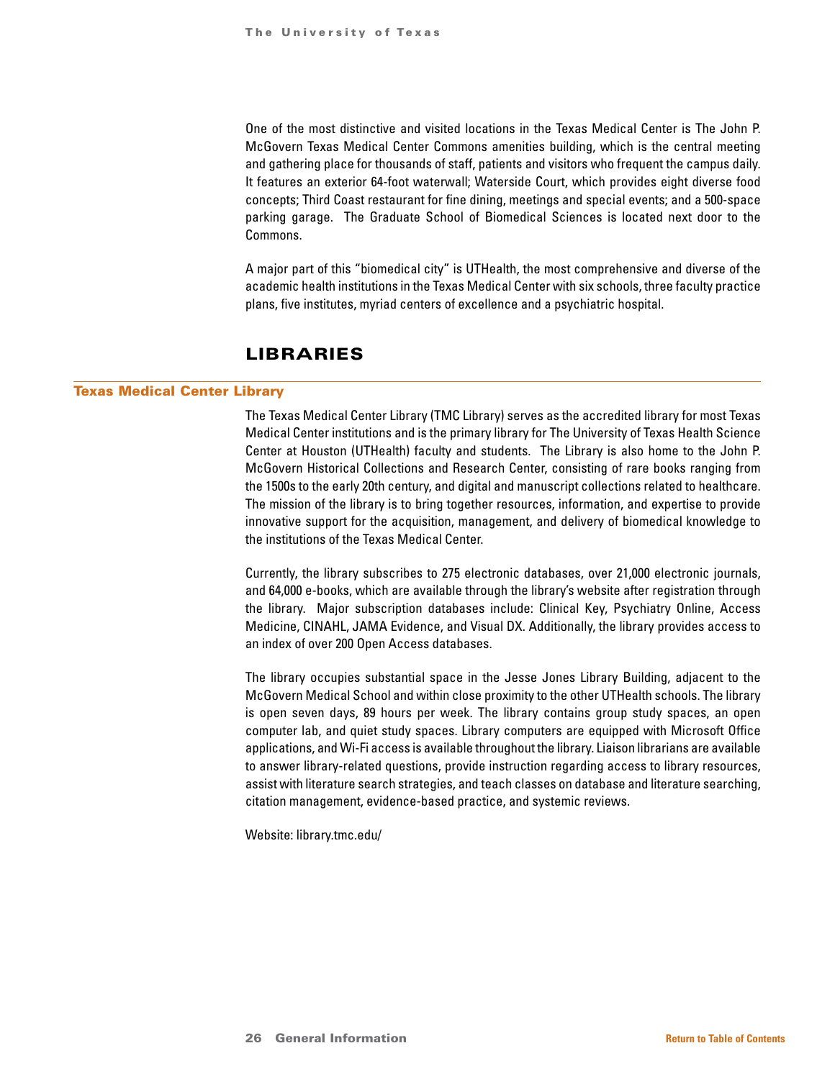<span id="page-25-0"></span>One of the most distinctive and visited locations in the Texas Medical Center is The John P. McGovern Texas Medical Center Commons amenities building, which is the central meeting and gathering place for thousands of staff, patients and visitors who frequent the campus daily. It features an exterior 64-foot waterwall; Waterside Court, which provides eight diverse food concepts; Third Coast restaurant for fine dining, meetings and special events; and a 500-space parking garage. The Graduate School of Biomedical Sciences is located next door to the Commons.

A major part of this "biomedical city" is UTHealth, the most comprehensive and diverse of the academic health institutions in the Texas Medical Center with six schools, three faculty practice plans, five institutes, myriad centers of excellence and a psychiatric hospital.

## LIBRARIES

#### Texas Medical Center Library

The Texas Medical Center Library (TMC Library) serves as the accredited library for most Texas Medical Center institutions and is the primary library for The University of Texas Health Science Center at Houston (UTHealth) faculty and students. The Library is also home to the John P. McGovern Historical Collections and Research Center, consisting of rare books ranging from the 1500s to the early 20th century, and digital and manuscript collections related to healthcare. The mission of the library is to bring together resources, information, and expertise to provide innovative support for the acquisition, management, and delivery of biomedical knowledge to the institutions of the Texas Medical Center.

Currently, the library subscribes to 275 electronic databases, over 21,000 electronic journals, and 64,000 e-books, which are available through the library's website after registration through the library. Major subscription databases include: Clinical Key, Psychiatry Online, Access Medicine, CINAHL, JAMA Evidence, and Visual DX. Additionally, the library provides access to an index of over 200 Open Access databases.

The library occupies substantial space in the Jesse Jones Library Building, adjacent to the McGovern Medical School and within close proximity to the other UTHealth schools. The library is open seven days, 89 hours per week. The library contains group study spaces, an open computer lab, and quiet study spaces. Library computers are equipped with Microsoft Office applications, and Wi-Fi access is available throughout the library. Liaison librarians are available to answer library-related questions, provide instruction regarding access to library resources, assist with literature search strategies, and teach classes on database and literature searching, citation management, evidence-based practice, and systemic reviews.

Website: library.tmc.edu/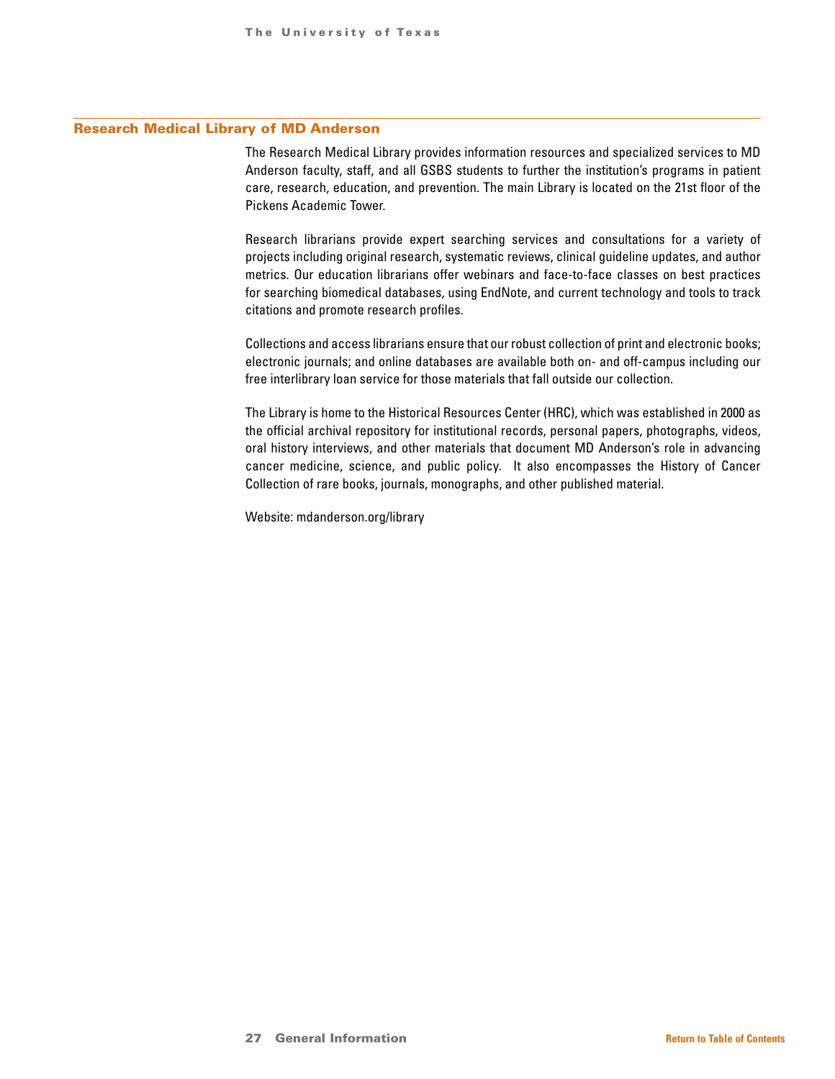#### Research Medical Library of MD Anderson

The Research Medical Library provides information resources and specialized services to MD Anderson faculty, staff, and all GSBS students to further the institution's programs in patient care, research, education, and prevention. The main Library is located on the 21st floor of the Pickens Academic Tower.

Research librarians provide expert searching services and consultations for a variety of projects including original research, systematic reviews, clinical guideline updates, and author metrics. Our education librarians offer webinars and face-to-face classes on best practices for searching biomedical databases, using EndNote, and current technology and tools to track citations and promote research profiles.

Collections and access librarians ensure that our robust collection of print and electronic books; electronic journals; and online databases are available both on- and off-campus including our free interlibrary loan service for those materials that fall outside our collection.

The Library is home to the Historical Resources Center (HRC), which was established in 2000 as the official archival repository for institutional records, personal papers, photographs, videos, oral history interviews, and other materials that document MD Anderson's role in advancing cancer medicine, science, and public policy. It also encompasses the History of Cancer Collection of rare books, journals, monographs, and other published material.

Website: mdanderson.org/library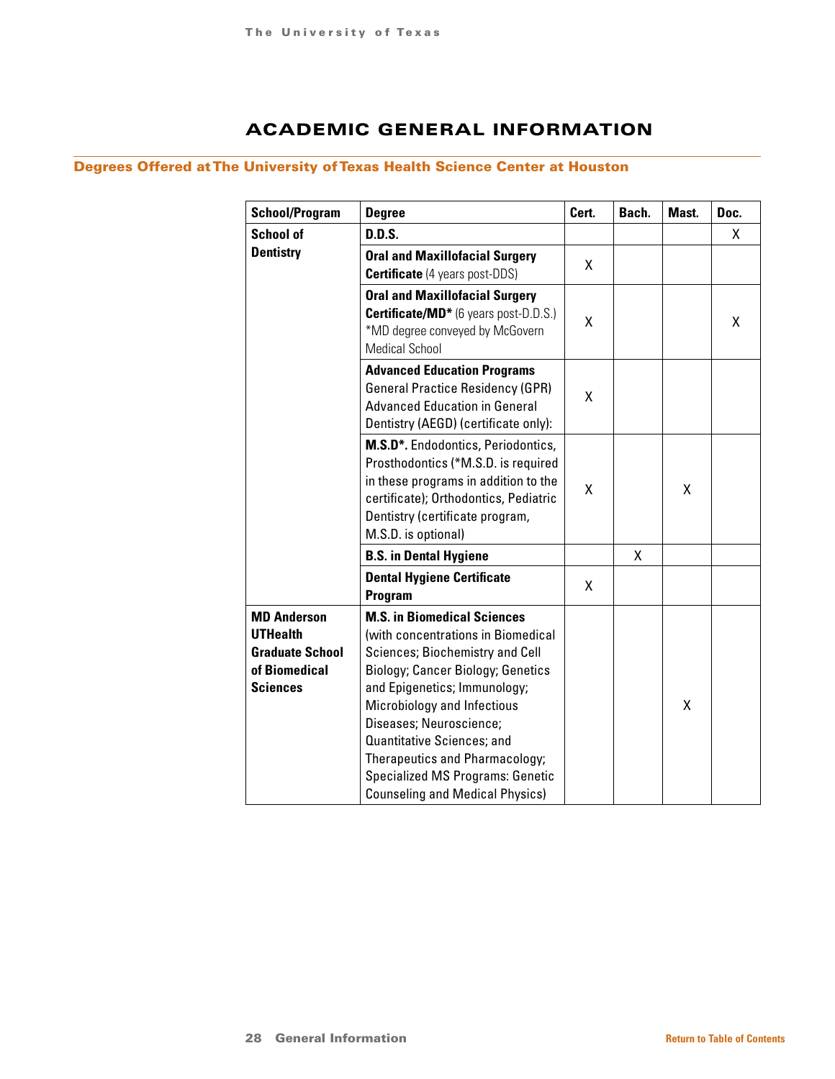## ACADEMIC GENERAL INFORMATION

## <span id="page-27-0"></span>Degrees Offered at The University of Texas Health Science Center at Houston

| <b>School/Program</b>                                                                               | <b>Degree</b>                                                                                                                                                                                                                                                                                                                                                                                          | Cert. | Bach. | Mast. | Doc. |
|-----------------------------------------------------------------------------------------------------|--------------------------------------------------------------------------------------------------------------------------------------------------------------------------------------------------------------------------------------------------------------------------------------------------------------------------------------------------------------------------------------------------------|-------|-------|-------|------|
| <b>School of</b>                                                                                    | <b>D.D.S.</b>                                                                                                                                                                                                                                                                                                                                                                                          |       |       |       | Х.   |
| <b>Dentistry</b>                                                                                    | <b>Oral and Maxillofacial Surgery</b><br><b>Certificate</b> (4 years post-DDS)                                                                                                                                                                                                                                                                                                                         | χ     |       |       |      |
|                                                                                                     | <b>Oral and Maxillofacial Surgery</b><br><b>Certificate/MD*</b> (6 years post-D.D.S.)<br>*MD degree conveyed by McGovern<br><b>Medical School</b>                                                                                                                                                                                                                                                      | X     |       |       | X    |
|                                                                                                     | <b>Advanced Education Programs</b><br><b>General Practice Residency (GPR)</b><br><b>Advanced Education in General</b><br>Dentistry (AEGD) (certificate only):                                                                                                                                                                                                                                          | x     |       |       |      |
|                                                                                                     | M.S.D*. Endodontics, Periodontics,<br>Prosthodontics (*M.S.D. is required<br>in these programs in addition to the<br>certificate); Orthodontics, Pediatric<br>Dentistry (certificate program,<br>M.S.D. is optional)                                                                                                                                                                                   | Χ     |       | x     |      |
|                                                                                                     | <b>B.S. in Dental Hygiene</b>                                                                                                                                                                                                                                                                                                                                                                          |       | X     |       |      |
|                                                                                                     | <b>Dental Hygiene Certificate</b><br>Program                                                                                                                                                                                                                                                                                                                                                           | X     |       |       |      |
| <b>MD Anderson</b><br><b>UTHealth</b><br><b>Graduate School</b><br>of Biomedical<br><b>Sciences</b> | <b>M.S. in Biomedical Sciences</b><br>(with concentrations in Biomedical<br>Sciences; Biochemistry and Cell<br><b>Biology; Cancer Biology; Genetics</b><br>and Epigenetics; Immunology;<br>Microbiology and Infectious<br>Diseases; Neuroscience;<br>Quantitative Sciences; and<br>Therapeutics and Pharmacology;<br><b>Specialized MS Programs: Genetic</b><br><b>Counseling and Medical Physics)</b> |       |       | Χ     |      |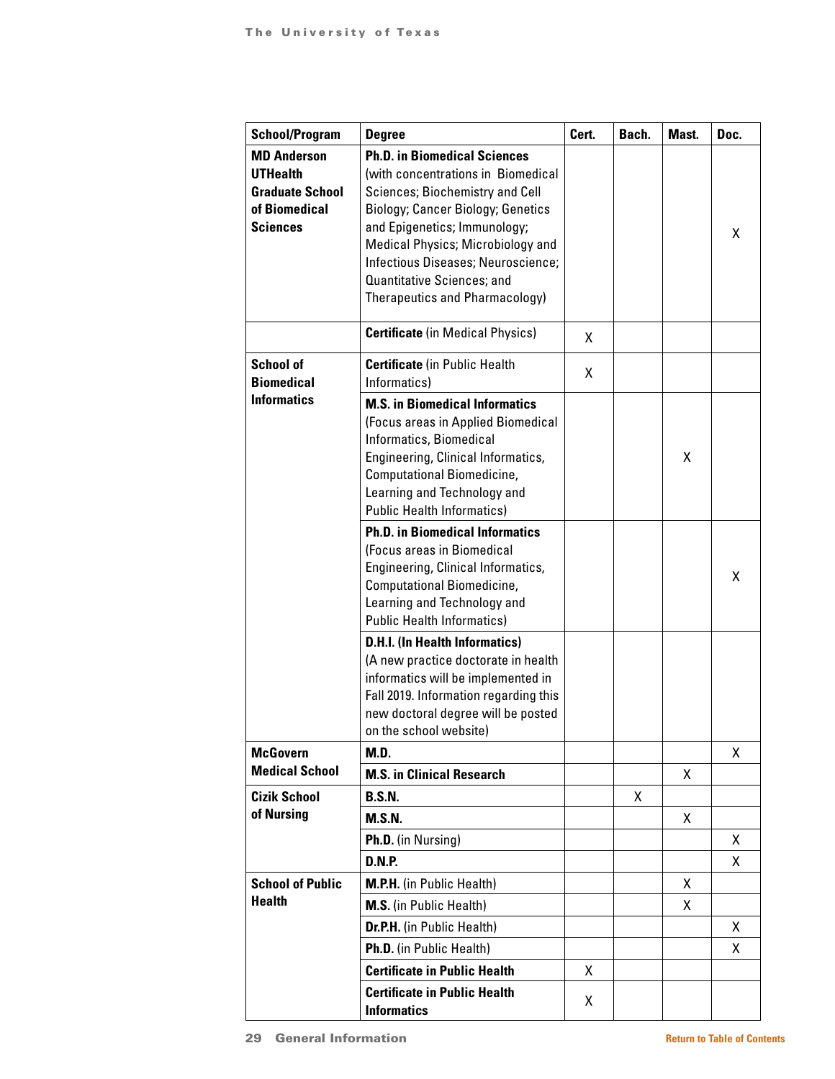| <b>School/Program</b>                                                                               | <b>Degree</b>                                                                                                                                                                                                                                                       | Cert. | Bach. | Mast. | Doc. |
|-----------------------------------------------------------------------------------------------------|---------------------------------------------------------------------------------------------------------------------------------------------------------------------------------------------------------------------------------------------------------------------|-------|-------|-------|------|
| <b>MD Anderson</b><br><b>UTHealth</b><br><b>Graduate School</b><br>of Biomedical<br><b>Sciences</b> | <b>Ph.D. in Biomedical Sciences</b><br>(with concentrations in Biomedical<br>Sciences; Biochemistry and Cell<br><b>Biology; Cancer Biology; Genetics</b><br>and Epigenetics; Immunology;<br>Medical Physics; Microbiology and<br>Infectious Diseases; Neuroscience; |       |       |       | X    |
|                                                                                                     | Quantitative Sciences; and<br>Therapeutics and Pharmacology)                                                                                                                                                                                                        |       |       |       |      |
|                                                                                                     | <b>Certificate</b> (in Medical Physics)                                                                                                                                                                                                                             | X     |       |       |      |
| <b>School of</b><br><b>Biomedical</b>                                                               | <b>Certificate</b> (in Public Health<br>Informatics)                                                                                                                                                                                                                | X     |       |       |      |
| <b>Informatics</b>                                                                                  | <b>M.S. in Biomedical Informatics</b><br>(Focus areas in Applied Biomedical<br>Informatics, Biomedical<br>Engineering, Clinical Informatics,<br>Computational Biomedicine,<br>Learning and Technology and<br><b>Public Health Informatics)</b>                      |       |       | х     |      |
|                                                                                                     | <b>Ph.D. in Biomedical Informatics</b><br>(Focus areas in Biomedical<br>Engineering, Clinical Informatics,<br>Computational Biomedicine,<br>Learning and Technology and<br><b>Public Health Informatics)</b>                                                        |       |       |       | X    |
|                                                                                                     | <b>D.H.I. (In Health Informatics)</b><br>(A new practice doctorate in health<br>informatics will be implemented in<br>Fall 2019. Information regarding this<br>new doctoral degree will be posted<br>on the school website)                                         |       |       |       |      |
| <b>McGovern</b><br><b>Medical School</b>                                                            | M.D.                                                                                                                                                                                                                                                                |       |       |       | X    |
| <b>Cizik School</b>                                                                                 | <b>M.S. in Clinical Research</b><br><b>B.S.N.</b>                                                                                                                                                                                                                   |       | X     | X     |      |
| of Nursing                                                                                          | <b>M.S.N.</b>                                                                                                                                                                                                                                                       |       |       | X     |      |
|                                                                                                     | Ph.D. (in Nursing)                                                                                                                                                                                                                                                  |       |       |       | X    |
|                                                                                                     | <b>D.N.P.</b>                                                                                                                                                                                                                                                       |       |       |       | X    |
| <b>School of Public</b>                                                                             | <b>M.P.H.</b> (in Public Health)                                                                                                                                                                                                                                    |       |       | X     |      |
| <b>Health</b>                                                                                       | M.S. (in Public Health)                                                                                                                                                                                                                                             |       |       | x     |      |
|                                                                                                     | Dr.P.H. (in Public Health)                                                                                                                                                                                                                                          |       |       |       | X    |
|                                                                                                     | Ph.D. (in Public Health)                                                                                                                                                                                                                                            |       |       |       | X.   |
|                                                                                                     | <b>Certificate in Public Health</b>                                                                                                                                                                                                                                 | Χ     |       |       |      |
|                                                                                                     | <b>Certificate in Public Health</b><br><b>Informatics</b>                                                                                                                                                                                                           | Χ     |       |       |      |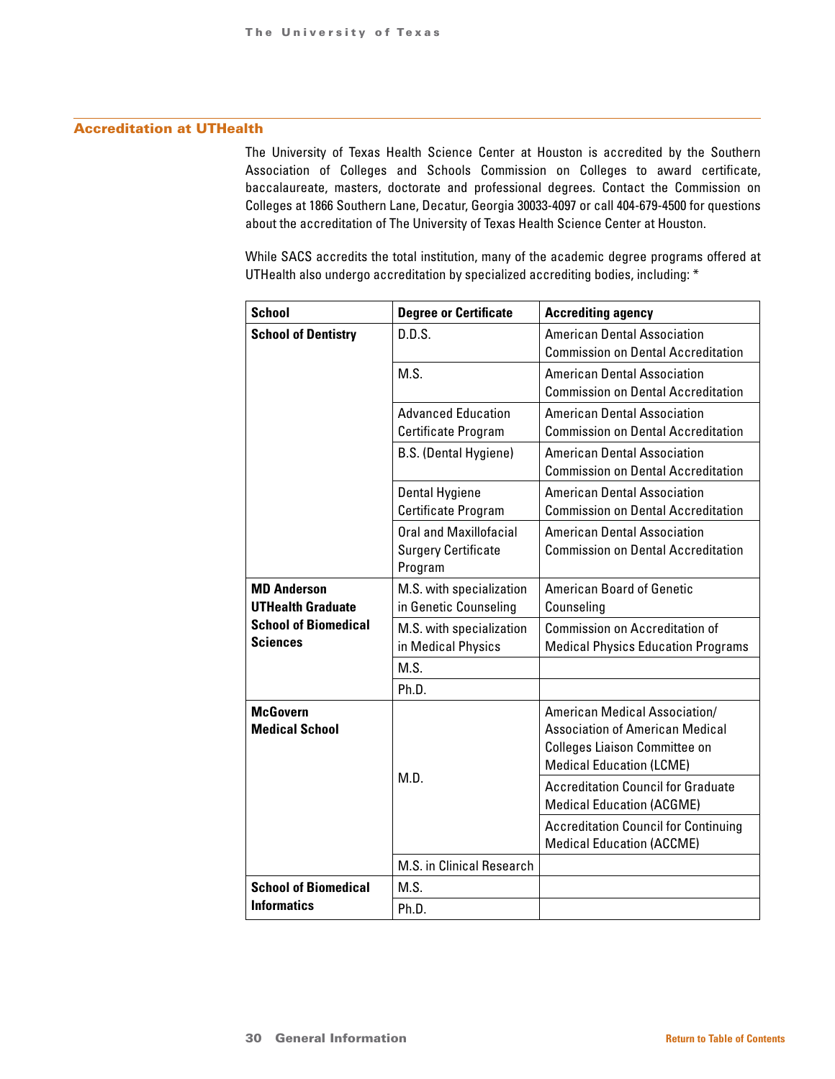### Accreditation at UTHealth

The University of Texas Health Science Center at Houston is accredited by the Southern Association of Colleges and Schools Commission on Colleges to award certificate, baccalaureate, masters, doctorate and professional degrees. Contact the Commission on Colleges at 1866 Southern Lane, Decatur, Georgia 30033-4097 or call 404-679-4500 for questions about the accreditation of The University of Texas Health Science Center at Houston.

While SACS accredits the total institution, many of the academic degree programs offered at UTHealth also undergo accreditation by specialized accrediting bodies, including: \*

| <b>School</b>               | <b>Degree or Certificate</b>  | <b>Accrediting agency</b>                   |
|-----------------------------|-------------------------------|---------------------------------------------|
| <b>School of Dentistry</b>  | D.D.S.                        | <b>American Dental Association</b>          |
|                             |                               | <b>Commission on Dental Accreditation</b>   |
|                             | M.S.                          | <b>American Dental Association</b>          |
|                             |                               | <b>Commission on Dental Accreditation</b>   |
|                             | <b>Advanced Education</b>     | <b>American Dental Association</b>          |
|                             | Certificate Program           | <b>Commission on Dental Accreditation</b>   |
|                             | B.S. (Dental Hygiene)         | <b>American Dental Association</b>          |
|                             |                               | <b>Commission on Dental Accreditation</b>   |
|                             | Dental Hygiene                | <b>American Dental Association</b>          |
|                             | Certificate Program           | <b>Commission on Dental Accreditation</b>   |
|                             | <b>Oral and Maxillofacial</b> | <b>American Dental Association</b>          |
|                             | <b>Surgery Certificate</b>    | <b>Commission on Dental Accreditation</b>   |
|                             | Program                       |                                             |
| <b>MD Anderson</b>          | M.S. with specialization      | <b>American Board of Genetic</b>            |
| <b>UTHealth Graduate</b>    | in Genetic Counseling         | Counseling                                  |
| <b>School of Biomedical</b> | M.S. with specialization      | <b>Commission on Accreditation of</b>       |
| <b>Sciences</b>             | in Medical Physics            | <b>Medical Physics Education Programs</b>   |
|                             | M.S.                          |                                             |
|                             | Ph.D.                         |                                             |
| <b>McGovern</b>             |                               | American Medical Association/               |
| <b>Medical School</b>       |                               | <b>Association of American Medical</b>      |
|                             |                               | <b>Colleges Liaison Committee on</b>        |
|                             |                               | <b>Medical Education (LCME)</b>             |
|                             | M.D.                          | <b>Accreditation Council for Graduate</b>   |
|                             |                               | <b>Medical Education (ACGME)</b>            |
|                             |                               | <b>Accreditation Council for Continuing</b> |
|                             |                               | <b>Medical Education (ACCME)</b>            |
|                             | M.S. in Clinical Research     |                                             |
| <b>School of Biomedical</b> | M.S.                          |                                             |
| <b>Informatics</b>          | Ph.D.                         |                                             |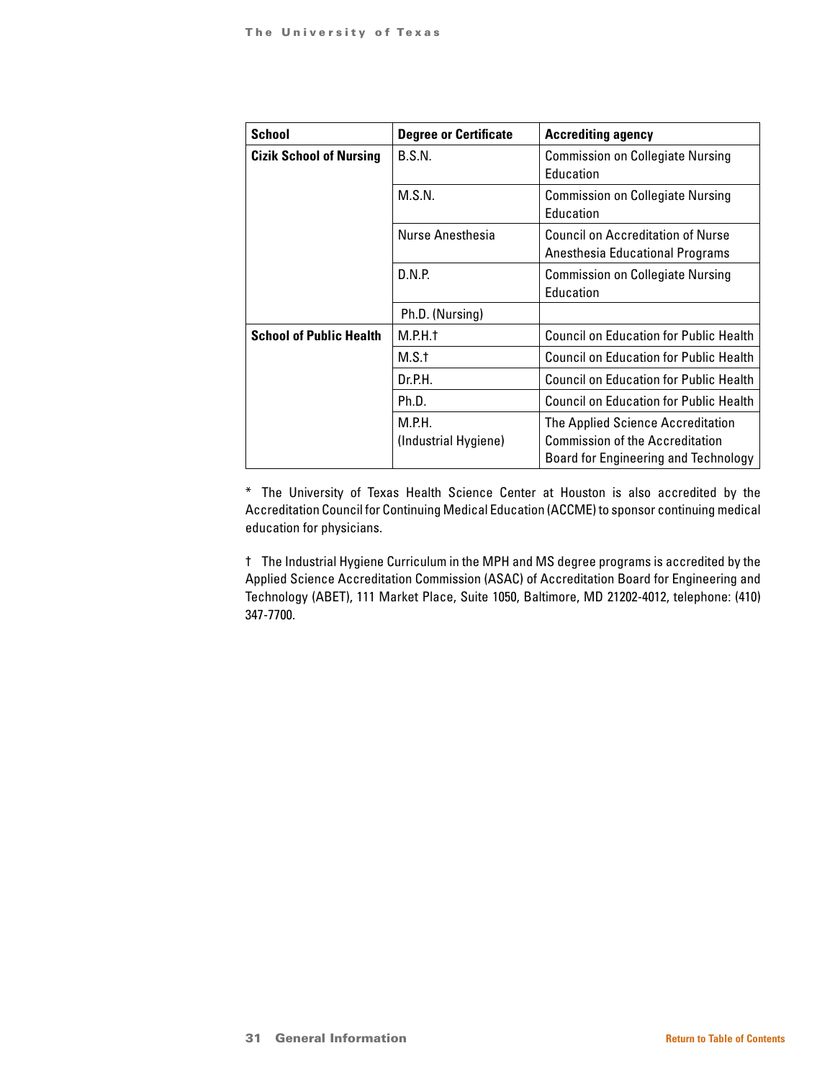| <b>School</b>                  | <b>Degree or Certificate</b>   | <b>Accrediting agency</b>                                                                                                  |  |
|--------------------------------|--------------------------------|----------------------------------------------------------------------------------------------------------------------------|--|
| <b>Cizik School of Nursing</b> | B.S.N.                         | <b>Commission on Collegiate Nursing</b><br>Education                                                                       |  |
|                                | M.S.N.                         | <b>Commission on Collegiate Nursing</b><br>Education                                                                       |  |
|                                | Nurse Anesthesia               | Council on Accreditation of Nurse<br>Anesthesia Educational Programs                                                       |  |
|                                | D.N.P.                         | <b>Commission on Collegiate Nursing</b><br>Education                                                                       |  |
|                                | Ph.D. (Nursing)                |                                                                                                                            |  |
| <b>School of Public Health</b> | M.P.H.t                        | <b>Council on Education for Public Health</b>                                                                              |  |
|                                | M.S.t                          | Council on Education for Public Health                                                                                     |  |
|                                | Dr.P.H.                        | <b>Council on Education for Public Health</b>                                                                              |  |
|                                | Ph.D.                          | <b>Council on Education for Public Health</b>                                                                              |  |
|                                | M.P.H.<br>(Industrial Hygiene) | The Applied Science Accreditation<br><b>Commission of the Accreditation</b><br><b>Board for Engineering and Technology</b> |  |

\* The University of Texas Health Science Center at Houston is also accredited by the Accreditation Council for Continuing Medical Education (ACCME) to sponsor continuing medical education for physicians.

† The Industrial Hygiene Curriculum in the MPH and MS degree programs is accredited by the Applied Science Accreditation Commission (ASAC) of Accreditation Board for Engineering and Technology (ABET), 111 Market Place, Suite 1050, Baltimore, MD 21202-4012, telephone: (410) 347-7700.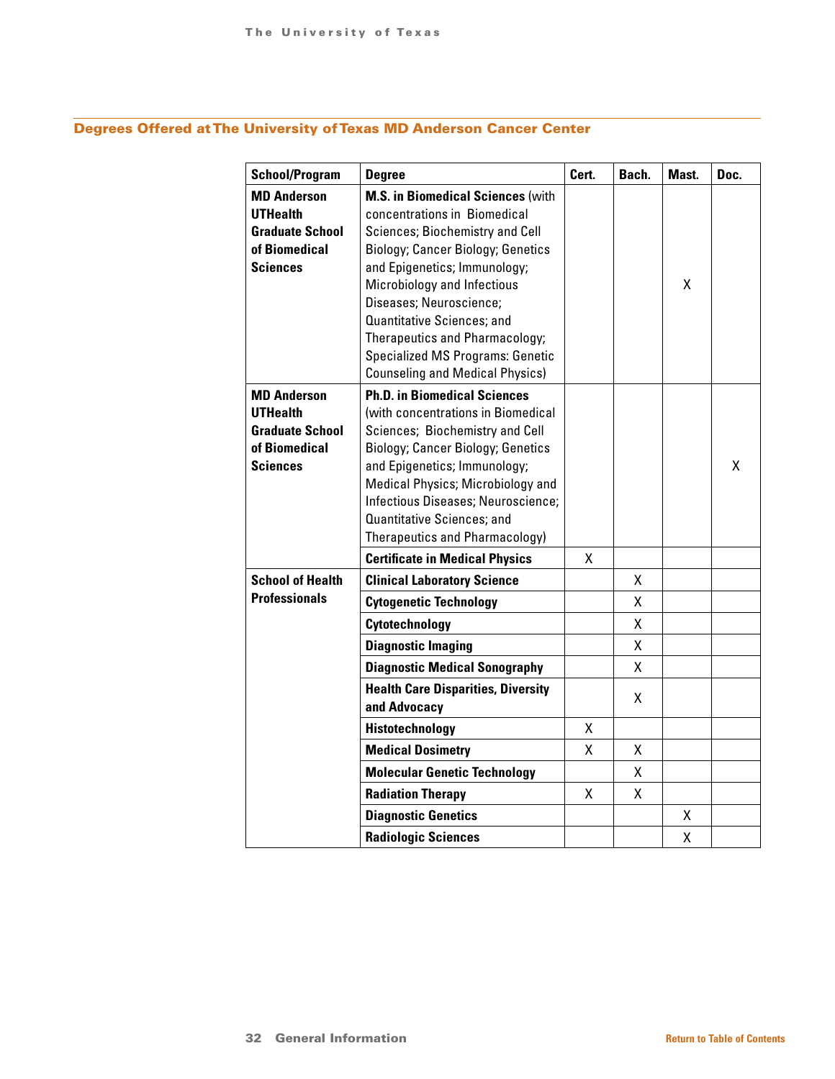## Degrees Offered at The University of Texas MD Anderson Cancer Center

| <b>School/Program</b>                                                                               | <b>Degree</b>                                                                                                                                                                                                                                                                                                                                                                                          | Cert.  | Bach.                  | Mast.  | Doc. |
|-----------------------------------------------------------------------------------------------------|--------------------------------------------------------------------------------------------------------------------------------------------------------------------------------------------------------------------------------------------------------------------------------------------------------------------------------------------------------------------------------------------------------|--------|------------------------|--------|------|
| <b>MD Anderson</b><br><b>UTHealth</b><br><b>Graduate School</b><br>of Biomedical<br><b>Sciences</b> | <b>M.S. in Biomedical Sciences (with</b><br>concentrations in Biomedical<br>Sciences; Biochemistry and Cell<br><b>Biology; Cancer Biology; Genetics</b><br>and Epigenetics; Immunology;<br>Microbiology and Infectious<br>Diseases; Neuroscience;<br>Quantitative Sciences; and<br>Therapeutics and Pharmacology;<br><b>Specialized MS Programs: Genetic</b><br><b>Counseling and Medical Physics)</b> |        |                        | χ      |      |
| <b>MD Anderson</b><br><b>UTHealth</b><br><b>Graduate School</b><br>of Biomedical<br><b>Sciences</b> | <b>Ph.D. in Biomedical Sciences</b><br>(with concentrations in Biomedical<br>Sciences; Biochemistry and Cell<br><b>Biology; Cancer Biology; Genetics</b><br>and Epigenetics; Immunology;<br>Medical Physics; Microbiology and<br>Infectious Diseases; Neuroscience;<br>Quantitative Sciences; and<br>Therapeutics and Pharmacology)                                                                    |        |                        |        | x    |
|                                                                                                     | <b>Certificate in Medical Physics</b>                                                                                                                                                                                                                                                                                                                                                                  | x      |                        |        |      |
| <b>School of Health</b><br><b>Professionals</b>                                                     | <b>Clinical Laboratory Science</b><br><b>Cytogenetic Technology</b><br>Cytotechnology<br><b>Diagnostic Imaging</b><br><b>Diagnostic Medical Sonography</b>                                                                                                                                                                                                                                             |        | X.<br>X<br>χ<br>X<br>X |        |      |
|                                                                                                     | <b>Health Care Disparities, Diversity</b><br>and Advocacy<br>Histotechnology<br><b>Medical Dosimetry</b>                                                                                                                                                                                                                                                                                               | χ<br>Χ | x<br>χ                 |        |      |
|                                                                                                     | <b>Molecular Genetic Technology</b><br><b>Radiation Therapy</b>                                                                                                                                                                                                                                                                                                                                        | x      | x<br>X                 |        |      |
|                                                                                                     | <b>Diagnostic Genetics</b><br><b>Radiologic Sciences</b>                                                                                                                                                                                                                                                                                                                                               |        |                        | X<br>χ |      |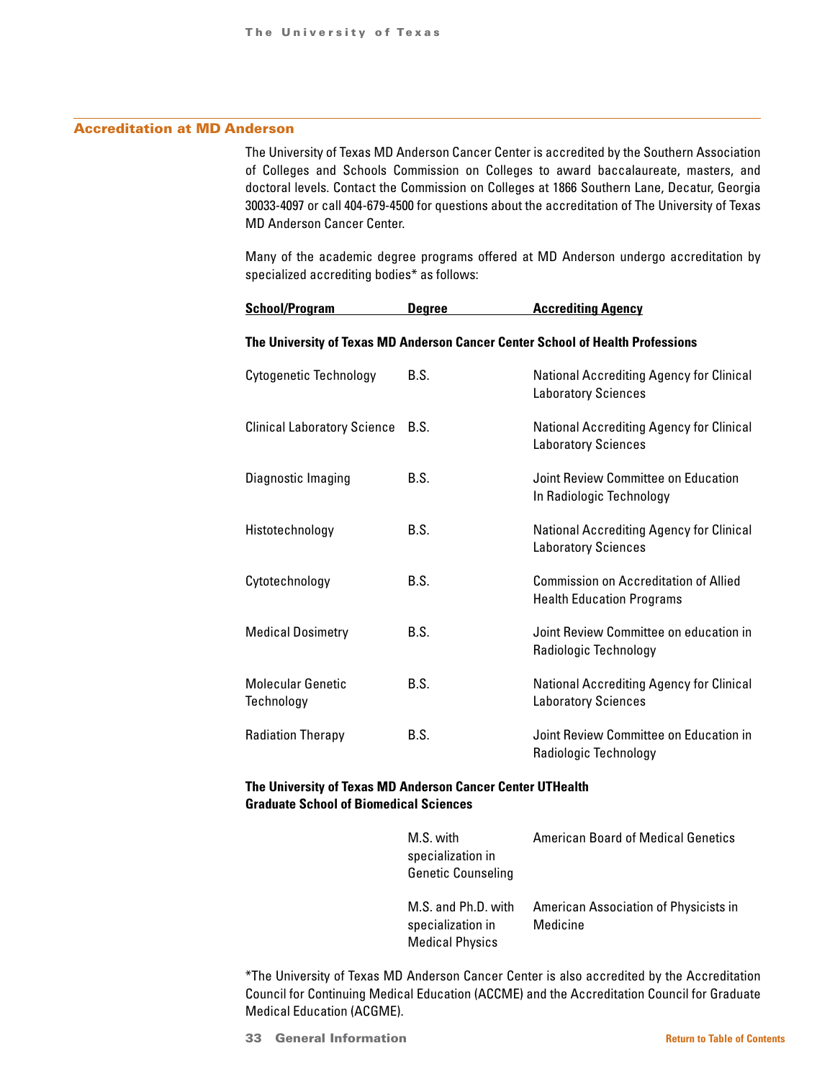### Accreditation at MD Anderson

The University of Texas MD Anderson Cancer Center is accredited by the Southern Association of Colleges and Schools Commission on Colleges to award baccalaureate, masters, and doctoral levels. Contact the Commission on Colleges at 1866 Southern Lane, Decatur, Georgia 30033-4097 or call 404-679-4500 for questions about the accreditation of The University of Texas MD Anderson Cancer Center.

Many of the academic degree programs offered at MD Anderson undergo accreditation by specialized accrediting bodies\* as follows:

**School/Program Degree Accrediting Agency**

| The University of Texas MD Anderson Cancer Center School of Health Professions |             |                                                                               |  |  |  |
|--------------------------------------------------------------------------------|-------------|-------------------------------------------------------------------------------|--|--|--|
| <b>Cytogenetic Technology</b>                                                  | B.S.        | <b>National Accrediting Agency for Clinical</b><br><b>Laboratory Sciences</b> |  |  |  |
| <b>Clinical Laboratory Science</b>                                             | <b>B.S.</b> | <b>National Accrediting Agency for Clinical</b><br><b>Laboratory Sciences</b> |  |  |  |
| Diagnostic Imaging                                                             | B.S.        | Joint Review Committee on Education<br>In Radiologic Technology               |  |  |  |
| Histotechnology                                                                | B.S.        | <b>National Accrediting Agency for Clinical</b><br><b>Laboratory Sciences</b> |  |  |  |
| Cytotechnology                                                                 | B.S.        | Commission on Accreditation of Allied<br><b>Health Education Programs</b>     |  |  |  |
| <b>Medical Dosimetry</b>                                                       | B.S.        | Joint Review Committee on education in<br>Radiologic Technology               |  |  |  |
| <b>Molecular Genetic</b><br>Technology                                         | B.S.        | <b>National Accrediting Agency for Clinical</b><br><b>Laboratory Sciences</b> |  |  |  |
| <b>Radiation Therapy</b>                                                       | B.S.        | Joint Review Committee on Education in<br>Radiologic Technology               |  |  |  |

### **The University of Texas MD Anderson Cancer Center UTHealth Graduate School of Biomedical Sciences**

| M.S. with                 | <b>American Board of Medical Genetics</b> |
|---------------------------|-------------------------------------------|
| specialization in         |                                           |
| <b>Genetic Counseling</b> |                                           |
|                           |                                           |
| M.S. and Ph.D. with       | American Association of Physicists in     |
| specialization in         | Medicine                                  |
| <b>Medical Physics</b>    |                                           |

\*The University of Texas MD Anderson Cancer Center is also accredited by the Accreditation Council for Continuing Medical Education (ACCME) and the Accreditation Council for Graduate Medical Education (ACGME).

**33 General Information [Return to Table of Contents](#page-1-0)**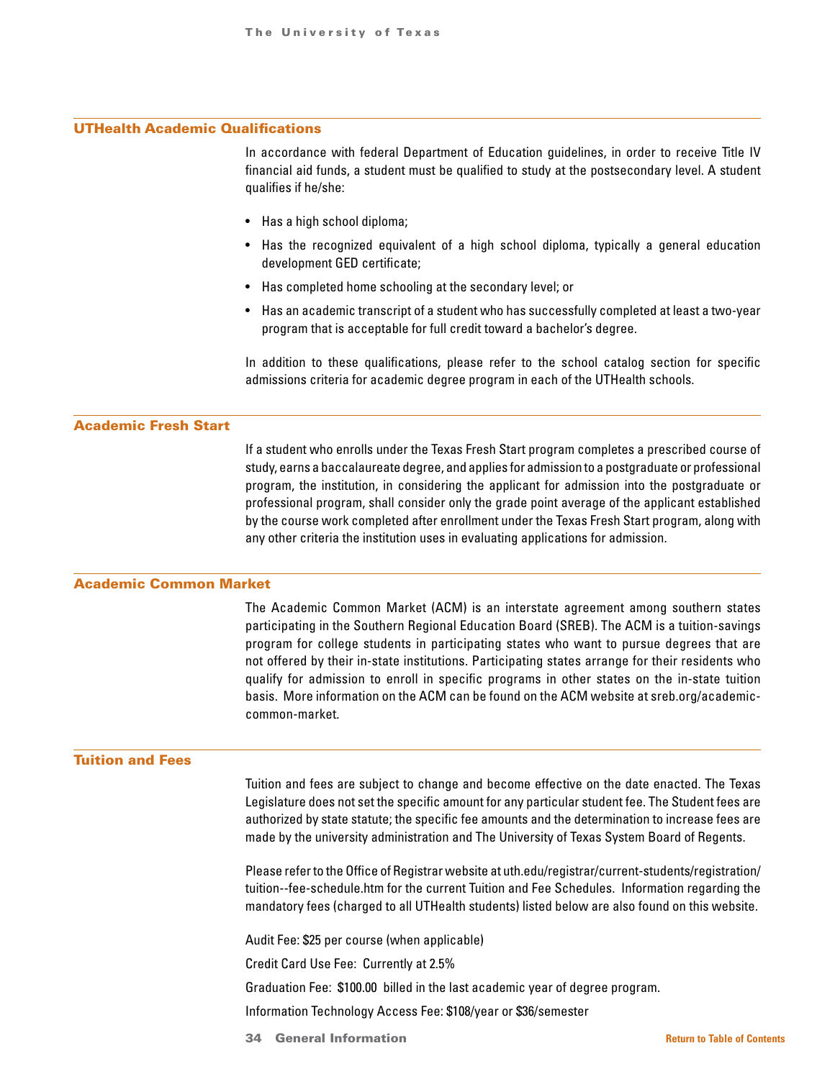### UTHealth Academic Qualifications

In accordance with federal Department of Education guidelines, in order to receive Title IV financial aid funds, a student must be qualified to study at the postsecondary level. A student qualifies if he/she:

- Has a high school diploma;
- Has the recognized equivalent of a high school diploma, typically a general education development GED certificate;
- Has completed home schooling at the secondary level; or
- Has an academic transcript of a student who has successfully completed at least a two-year program that is acceptable for full credit toward a bachelor's degree.

In addition to these qualifications, please refer to the school catalog section for specific admissions criteria for academic degree program in each of the UTHealth schools.

### Academic Fresh Start

If a student who enrolls under the Texas Fresh Start program completes a prescribed course of study, earns a baccalaureate degree, and applies for admission to a postgraduate or professional program, the institution, in considering the applicant for admission into the postgraduate or professional program, shall consider only the grade point average of the applicant established by the course work completed after enrollment under the Texas Fresh Start program, along with any other criteria the institution uses in evaluating applications for admission.

### Academic Common Market

The Academic Common Market (ACM) is an interstate agreement among southern states participating in the Southern Regional Education Board (SREB). The ACM is a tuition-savings program for college students in participating states who want to pursue degrees that are not offered by their in-state institutions. Participating states arrange for their residents who qualify for admission to enroll in specific programs in other states on the in-state tuition basis. More information on the ACM can be found on the ACM website at sreb.org/academiccommon-market.

#### Tuition and Fees

Tuition and fees are subject to change and become effective on the date enacted. The Texas Legislature does not set the specific amount for any particular student fee. The Student fees are authorized by state statute; the specific fee amounts and the determination to increase fees are made by the university administration and The University of Texas System Board of Regents.

Please refer to the Office of Registrar website at uth.edu/registrar/current-students/registration/ tuition--fee-schedule.htm for the current Tuition and Fee Schedules. Information regarding the mandatory fees (charged to all UTHealth students) listed below are also found on this website.

Audit Fee: \$25 per course (when applicable)

Credit Card Use Fee: Currently at 2.5%

Graduation Fee: \$100.00 billed in the last academic year of degree program.

Information Technology Access Fee: \$108/year or \$36/semester

34 General Information **[Return to Table of Contents](#page-1-0)**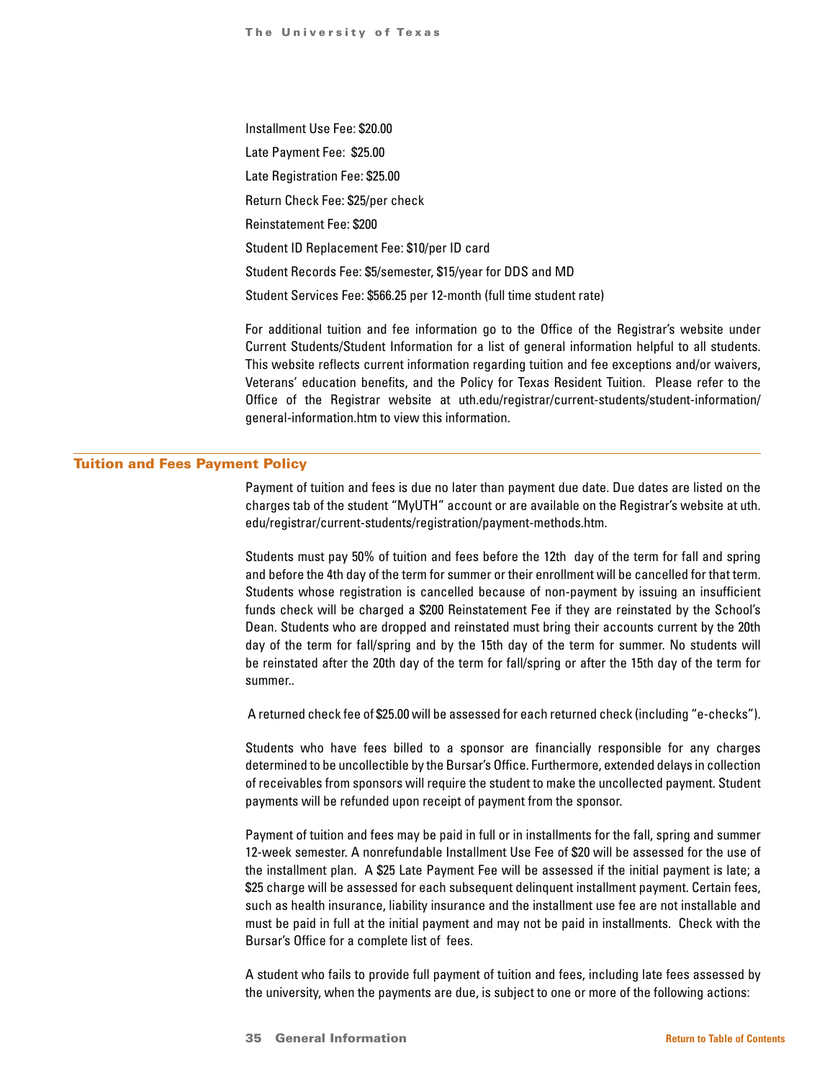Installment Use Fee: \$20.00 Late Payment Fee: \$25.00 Late Registration Fee: \$25.00 Return Check Fee: \$25/per check Reinstatement Fee: \$200 Student ID Replacement Fee: \$10/per ID card Student Records Fee: \$5/semester, \$15/year for DDS and MD Student Services Fee: \$566.25 per 12-month (full time student rate)

For additional tuition and fee information go to the Office of the Registrar's website under Current Students/Student Information for a list of general information helpful to all students. This website reflects current information regarding tuition and fee exceptions and/or waivers, Veterans' education benefits, and the Policy for Texas Resident Tuition. Please refer to the Office of the Registrar website at uth.edu/registrar/current-students/student-information/ general-information.htm to view this information.

### Tuition and Fees Payment Policy

Payment of tuition and fees is due no later than payment due date. Due dates are listed on the charges tab of the student "MyUTH" account or are available on the Registrar's website at uth. edu/registrar/current-students/registration/payment-methods.htm.

Students must pay 50% of tuition and fees before the 12th day of the term for fall and spring and before the 4th day of the term for summer or their enrollment will be cancelled for that term. Students whose registration is cancelled because of non-payment by issuing an insufficient funds check will be charged a \$200 Reinstatement Fee if they are reinstated by the School's Dean. Students who are dropped and reinstated must bring their accounts current by the 20th day of the term for fall/spring and by the 15th day of the term for summer. No students will be reinstated after the 20th day of the term for fall/spring or after the 15th day of the term for summer..

A returned check fee of \$25.00 will be assessed for each returned check (including "e-checks").

Students who have fees billed to a sponsor are financially responsible for any charges determined to be uncollectible by the Bursar's Office. Furthermore, extended delays in collection of receivables from sponsors will require the student to make the uncollected payment. Student payments will be refunded upon receipt of payment from the sponsor.

Payment of tuition and fees may be paid in full or in installments for the fall, spring and summer 12-week semester. A nonrefundable Installment Use Fee of \$20 will be assessed for the use of the installment plan. A \$25 Late Payment Fee will be assessed if the initial payment is late; a \$25 charge will be assessed for each subsequent delinquent installment payment. Certain fees, such as health insurance, liability insurance and the installment use fee are not installable and must be paid in full at the initial payment and may not be paid in installments. Check with the Bursar's Office for a complete list of fees.

A student who fails to provide full payment of tuition and fees, including late fees assessed by the university, when the payments are due, is subject to one or more of the following actions: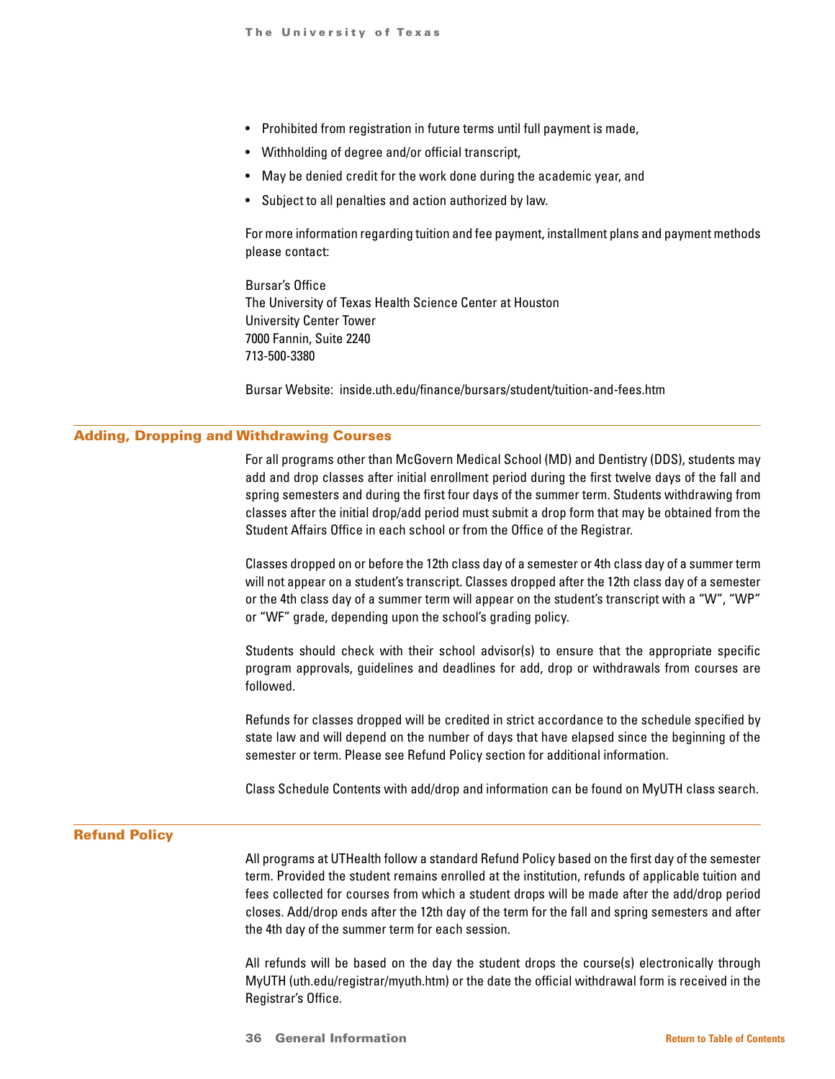- Prohibited from registration in future terms until full payment is made,
- Withholding of degree and/or official transcript,
- May be denied credit for the work done during the academic year, and
- Subject to all penalties and action authorized by law.

For more information regarding tuition and fee payment, installment plans and payment methods please contact:

Bursar's Office The University of Texas Health Science Center at Houston University Center Tower 7000 Fannin, Suite 2240 713-500-3380

Bursar Website: inside.uth.edu/finance/bursars/student/tuition-and-fees.htm

### Adding, Dropping and Withdrawing Courses

For all programs other than McGovern Medical School (MD) and Dentistry (DDS), students may add and drop classes after initial enrollment period during the first twelve days of the fall and spring semesters and during the first four days of the summer term. Students withdrawing from classes after the initial drop/add period must submit a drop form that may be obtained from the Student Affairs Office in each school or from the Office of the Registrar.

Classes dropped on or before the 12th class day of a semester or 4th class day of a summer term will not appear on a student's transcript. Classes dropped after the 12th class day of a semester or the 4th class day of a summer term will appear on the student's transcript with a "W", "WP" or "WF" grade, depending upon the school's grading policy.

Students should check with their school advisor(s) to ensure that the appropriate specific program approvals, guidelines and deadlines for add, drop or withdrawals from courses are followed.

Refunds for classes dropped will be credited in strict accordance to the schedule specified by state law and will depend on the number of days that have elapsed since the beginning of the semester or term. Please see Refund Policy section for additional information.

Class Schedule Contents with add/drop and information can be found on MyUTH class search.

### Refund Policy

All programs at UTHealth follow a standard Refund Policy based on the first day of the semester term. Provided the student remains enrolled at the institution, refunds of applicable tuition and fees collected for courses from which a student drops will be made after the add/drop period closes. Add/drop ends after the 12th day of the term for the fall and spring semesters and after the 4th day of the summer term for each session.

All refunds will be based on the day the student drops the course(s) electronically through MyUTH (uth.edu/registrar/myuth.htm) or the date the official withdrawal form is received in the Registrar's Office.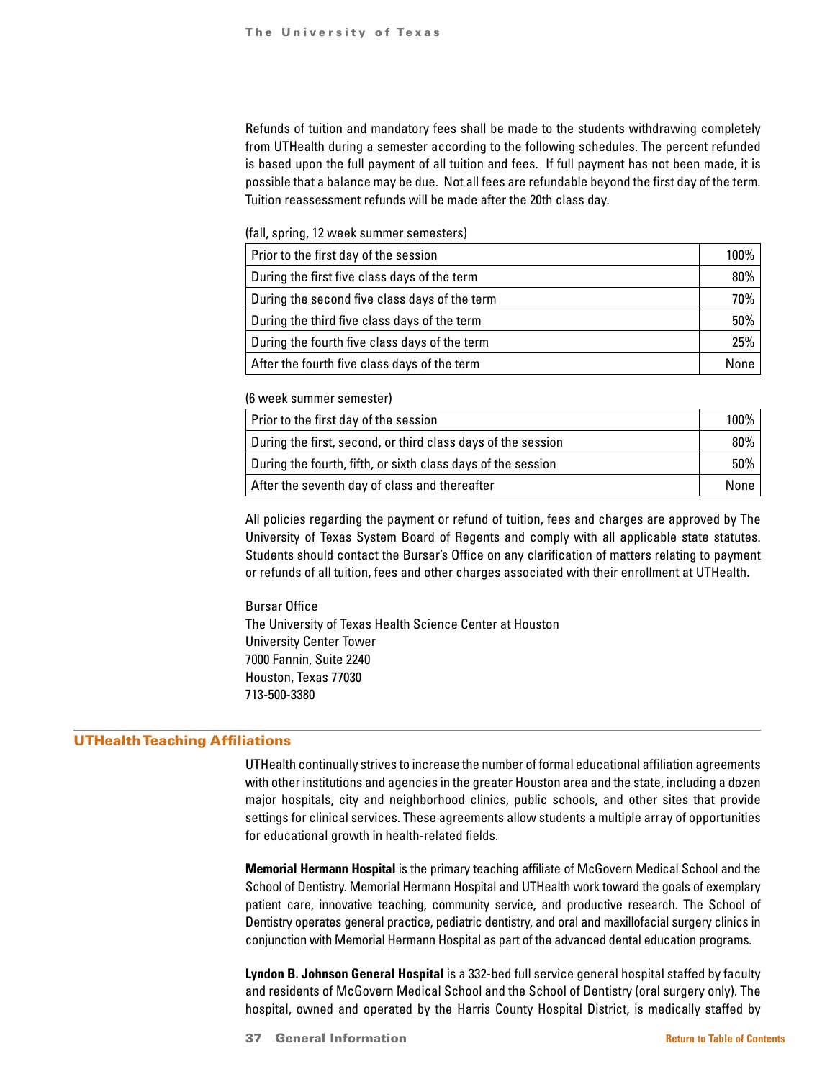Refunds of tuition and mandatory fees shall be made to the students withdrawing completely from UTHealth during a semester according to the following schedules. The percent refunded is based upon the full payment of all tuition and fees. If full payment has not been made, it is possible that a balance may be due. Not all fees are refundable beyond the first day of the term. Tuition reassessment refunds will be made after the 20th class day.

(fall, spring, 12 week summer semesters)

| Prior to the first day of the session         | 100%   |
|-----------------------------------------------|--------|
| During the first five class days of the term  | $80\%$ |
| During the second five class days of the term | 70%    |
| During the third five class days of the term  | $50\%$ |
| During the fourth five class days of the term | 25%    |
| After the fourth five class days of the term  | None   |

(6 week summer semester)

| Prior to the first day of the session                        | $100\%$ |
|--------------------------------------------------------------|---------|
| During the first, second, or third class days of the session | 80%     |
| During the fourth, fifth, or sixth class days of the session | 50%     |
| After the seventh day of class and thereafter                | None    |

All policies regarding the payment or refund of tuition, fees and charges are approved by The University of Texas System Board of Regents and comply with all applicable state statutes. Students should contact the Bursar's Office on any clarification of matters relating to payment or refunds of all tuition, fees and other charges associated with their enrollment at UTHealth.

Bursar Office The University of Texas Health Science Center at Houston University Center Tower 7000 Fannin, Suite 2240 Houston, Texas 77030 713-500-3380

# UTHealth Teaching Affiliations

UTHealth continually strives to increase the number of formal educational affiliation agreements with other institutions and agencies in the greater Houston area and the state, including a dozen major hospitals, city and neighborhood clinics, public schools, and other sites that provide settings for clinical services. These agreements allow students a multiple array of opportunities for educational growth in health-related fields.

**Memorial Hermann Hospital** is the primary teaching affiliate of McGovern Medical School and the School of Dentistry. Memorial Hermann Hospital and UTHealth work toward the goals of exemplary patient care, innovative teaching, community service, and productive research. The School of Dentistry operates general practice, pediatric dentistry, and oral and maxillofacial surgery clinics in conjunction with Memorial Hermann Hospital as part of the advanced dental education programs.

**Lyndon B. Johnson General Hospital** is a 332-bed full service general hospital staffed by faculty and residents of McGovern Medical School and the School of Dentistry (oral surgery only). The hospital, owned and operated by the Harris County Hospital District, is medically staffed by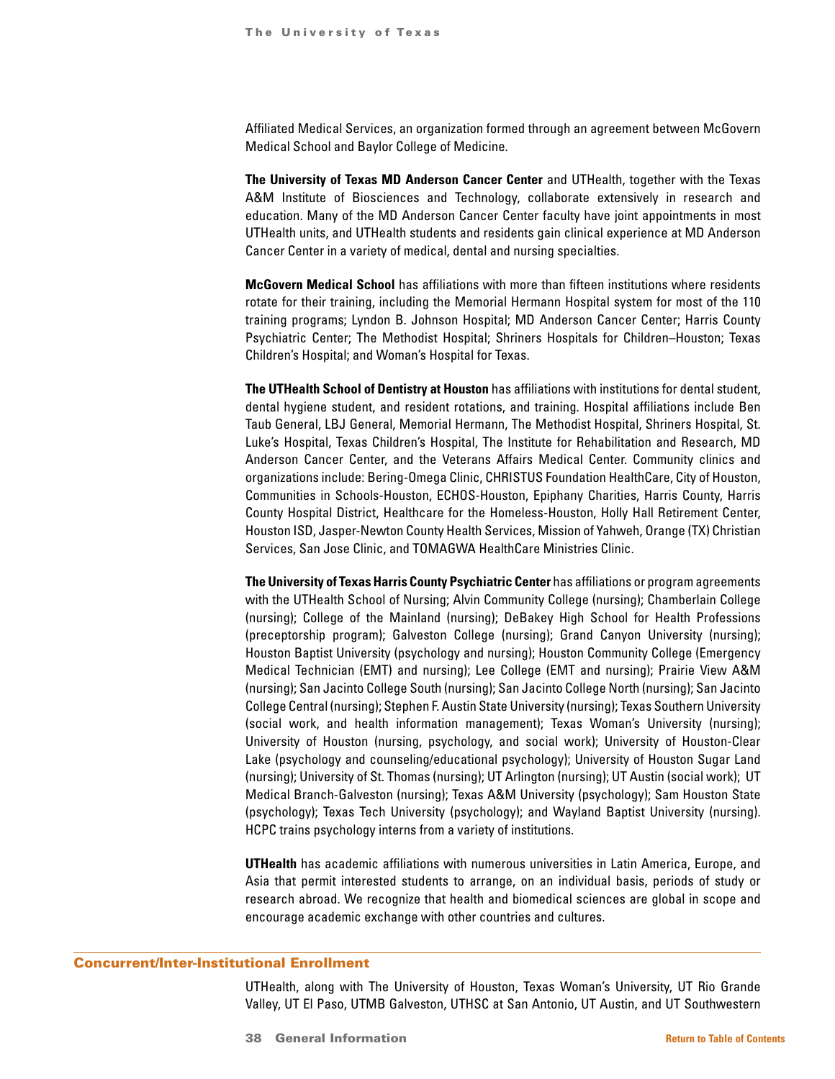Affiliated Medical Services, an organization formed through an agreement between McGovern Medical School and Baylor College of Medicine.

**The University of Texas MD Anderson Cancer Center** and UTHealth, together with the Texas A&M Institute of Biosciences and Technology, collaborate extensively in research and education. Many of the MD Anderson Cancer Center faculty have joint appointments in most UTHealth units, and UTHealth students and residents gain clinical experience at MD Anderson Cancer Center in a variety of medical, dental and nursing specialties.

**McGovern Medical School** has affiliations with more than fifteen institutions where residents rotate for their training, including the Memorial Hermann Hospital system for most of the 110 training programs; Lyndon B. Johnson Hospital; MD Anderson Cancer Center; Harris County Psychiatric Center; The Methodist Hospital; Shriners Hospitals for Children–Houston; Texas Children's Hospital; and Woman's Hospital for Texas.

**The UTHealth School of Dentistry at Houston** has affiliations with institutions for dental student, dental hygiene student, and resident rotations, and training. Hospital affiliations include Ben Taub General, LBJ General, Memorial Hermann, The Methodist Hospital, Shriners Hospital, St. Luke's Hospital, Texas Children's Hospital, The Institute for Rehabilitation and Research, MD Anderson Cancer Center, and the Veterans Affairs Medical Center. Community clinics and organizations include: Bering-Omega Clinic, CHRISTUS Foundation HealthCare, City of Houston, Communities in Schools-Houston, ECHOS-Houston, Epiphany Charities, Harris County, Harris County Hospital District, Healthcare for the Homeless-Houston, Holly Hall Retirement Center, Houston ISD, Jasper-Newton County Health Services, Mission of Yahweh, Orange (TX) Christian Services, San Jose Clinic, and TOMAGWA HealthCare Ministries Clinic.

**The University of Texas Harris County Psychiatric Center** has affiliations or program agreements with the UTHealth School of Nursing; Alvin Community College (nursing); Chamberlain College (nursing); College of the Mainland (nursing); DeBakey High School for Health Professions (preceptorship program); Galveston College (nursing); Grand Canyon University (nursing); Houston Baptist University (psychology and nursing); Houston Community College (Emergency Medical Technician (EMT) and nursing); Lee College (EMT and nursing); Prairie View A&M (nursing); San Jacinto College South (nursing); San Jacinto College North (nursing); San Jacinto College Central (nursing); Stephen F. Austin State University (nursing); Texas Southern University (social work, and health information management); Texas Woman's University (nursing); University of Houston (nursing, psychology, and social work); University of Houston-Clear Lake (psychology and counseling/educational psychology); University of Houston Sugar Land (nursing); University of St. Thomas (nursing); UT Arlington (nursing); UT Austin (social work); UT Medical Branch-Galveston (nursing); Texas A&M University (psychology); Sam Houston State (psychology); Texas Tech University (psychology); and Wayland Baptist University (nursing). HCPC trains psychology interns from a variety of institutions.

**UTHealth** has academic affiliations with numerous universities in Latin America, Europe, and Asia that permit interested students to arrange, on an individual basis, periods of study or research abroad. We recognize that health and biomedical sciences are global in scope and encourage academic exchange with other countries and cultures.

## Concurrent/Inter-Institutional Enrollment

UTHealth, along with The University of Houston, Texas Woman's University, UT Rio Grande Valley, UT El Paso, UTMB Galveston, UTHSC at San Antonio, UT Austin, and UT Southwestern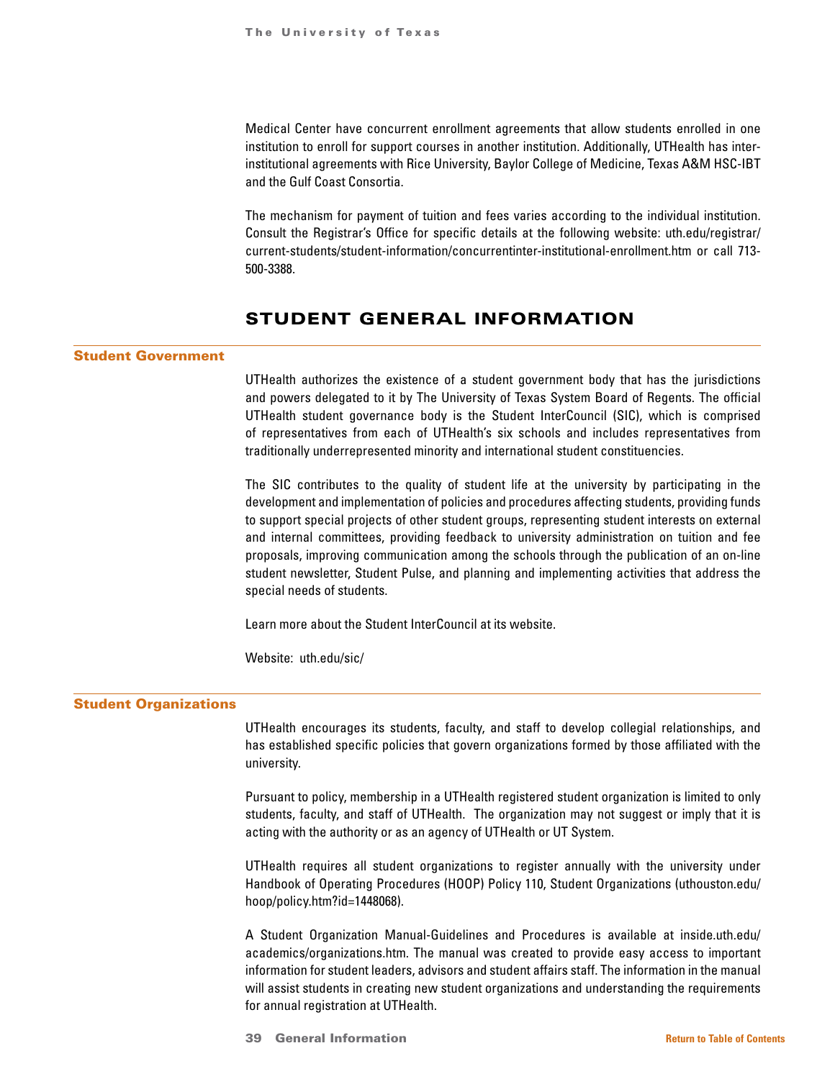Medical Center have concurrent enrollment agreements that allow students enrolled in one institution to enroll for support courses in another institution. Additionally, UTHealth has interinstitutional agreements with Rice University, Baylor College of Medicine, Texas A&M HSC-IBT and the Gulf Coast Consortia.

The mechanism for payment of tuition and fees varies according to the individual institution. Consult the Registrar's Office for specific details at the following website: uth.edu/registrar/ current-students/student-information/concurrentinter-institutional-enrollment.htm or call 713- 500-3388.

# STUDENT GENERAL INFORMATION

#### Student Government

UTHealth authorizes the existence of a student government body that has the jurisdictions and powers delegated to it by The University of Texas System Board of Regents. The official UTHealth student governance body is the Student InterCouncil (SIC), which is comprised of representatives from each of UTHealth's six schools and includes representatives from traditionally underrepresented minority and international student constituencies.

The SIC contributes to the quality of student life at the university by participating in the development and implementation of policies and procedures affecting students, providing funds to support special projects of other student groups, representing student interests on external and internal committees, providing feedback to university administration on tuition and fee proposals, improving communication among the schools through the publication of an on-line student newsletter, Student Pulse, and planning and implementing activities that address the special needs of students.

Learn more about the Student InterCouncil at its website.

Website: uth.edu/sic/

# Student Organizations

UTHealth encourages its students, faculty, and staff to develop collegial relationships, and has established specific policies that govern organizations formed by those affiliated with the university.

Pursuant to policy, membership in a UTHealth registered student organization is limited to only students, faculty, and staff of UTHealth. The organization may not suggest or imply that it is acting with the authority or as an agency of UTHealth or UT System.

UTHealth requires all student organizations to register annually with the university under Handbook of Operating Procedures (HOOP) Policy 110, Student Organizations (uthouston.edu/ hoop/policy.htm?id=1448068).

A Student Organization Manual-Guidelines and Procedures is available at inside.uth.edu/ academics/organizations.htm. The manual was created to provide easy access to important information for student leaders, advisors and student affairs staff. The information in the manual will assist students in creating new student organizations and understanding the requirements for annual registration at UTHealth.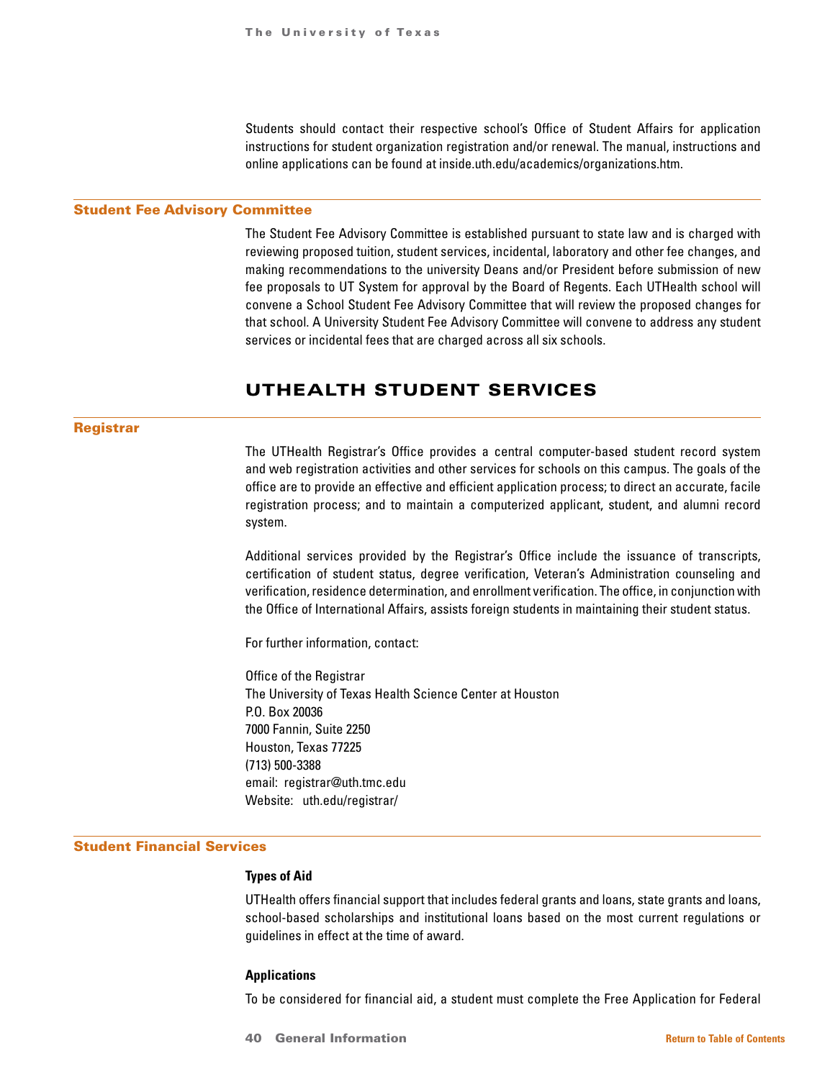Students should contact their respective school's Office of Student Affairs for application instructions for student organization registration and/or renewal. The manual, instructions and online applications can be found at inside.uth.edu/academics/organizations.htm.

#### Student Fee Advisory Committee

The Student Fee Advisory Committee is established pursuant to state law and is charged with reviewing proposed tuition, student services, incidental, laboratory and other fee changes, and making recommendations to the university Deans and/or President before submission of new fee proposals to UT System for approval by the Board of Regents. Each UTHealth school will convene a School Student Fee Advisory Committee that will review the proposed changes for that school. A University Student Fee Advisory Committee will convene to address any student services or incidental fees that are charged across all six schools.

# UTHEALTH STUDENT SERVICES

#### Registrar

The UTHealth Registrar's Office provides a central computer-based student record system and web registration activities and other services for schools on this campus. The goals of the office are to provide an effective and efficient application process; to direct an accurate, facile registration process; and to maintain a computerized applicant, student, and alumni record system.

Additional services provided by the Registrar's Office include the issuance of transcripts, certification of student status, degree verification, Veteran's Administration counseling and verification, residence determination, and enrollment verification. The office, in conjunction with the Office of International Affairs, assists foreign students in maintaining their student status.

For further information, contact:

Office of the Registrar The University of Texas Health Science Center at Houston P.O. Box 20036 7000 Fannin, Suite 2250 Houston, Texas 77225 (713) 500-3388 email: registrar@uth.tmc.edu Website: uth.edu/registrar/

## Student Financial Services

#### **Types of Aid**

UTHealth offers financial support that includes federal grants and loans, state grants and loans, school-based scholarships and institutional loans based on the most current regulations or guidelines in effect at the time of award.

#### **Applications**

To be considered for financial aid, a student must complete the Free Application for Federal

40 General Information **[Return to Table of Contents](#page-1-0)**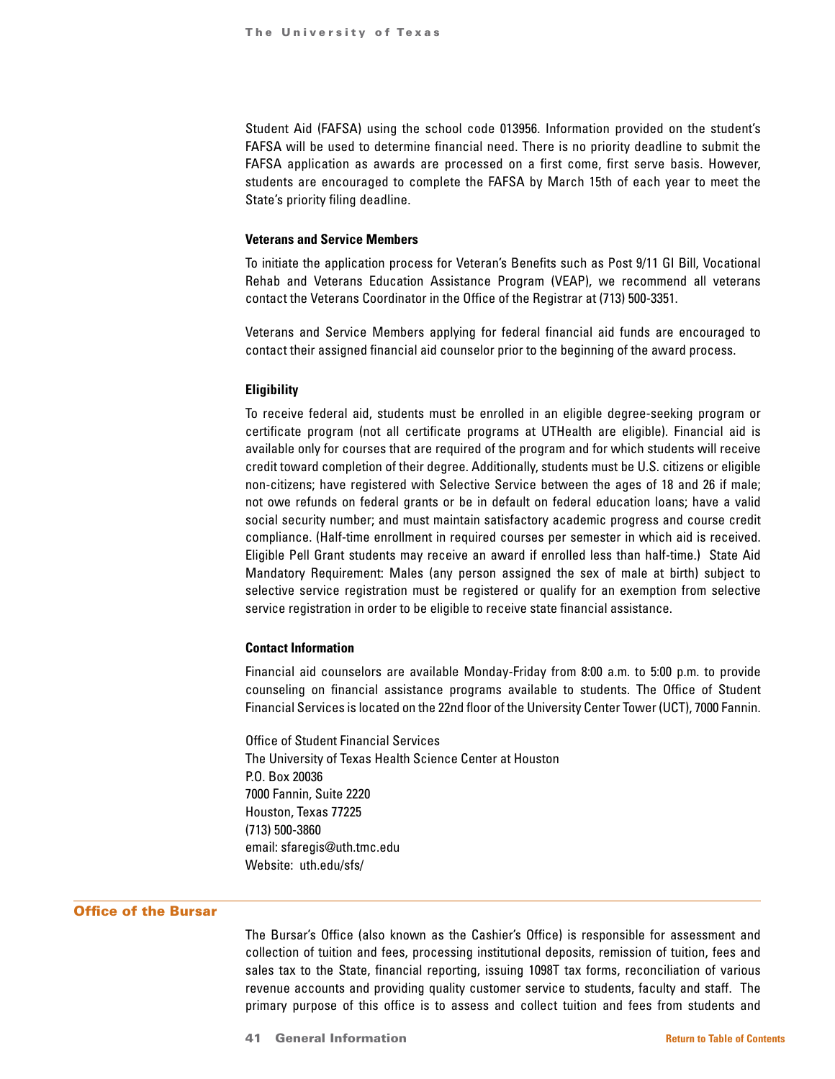Student Aid (FAFSA) using the school code 013956. Information provided on the student's FAFSA will be used to determine financial need. There is no priority deadline to submit the FAFSA application as awards are processed on a first come, first serve basis. However, students are encouraged to complete the FAFSA by March 15th of each year to meet the State's priority filing deadline.

#### **Veterans and Service Members**

To initiate the application process for Veteran's Benefits such as Post 9/11 GI Bill, Vocational Rehab and Veterans Education Assistance Program (VEAP), we recommend all veterans contact the Veterans Coordinator in the Office of the Registrar at (713) 500-3351.

Veterans and Service Members applying for federal financial aid funds are encouraged to contact their assigned financial aid counselor prior to the beginning of the award process.

#### **Eligibility**

To receive federal aid, students must be enrolled in an eligible degree-seeking program or certificate program (not all certificate programs at UTHealth are eligible). Financial aid is available only for courses that are required of the program and for which students will receive credit toward completion of their degree. Additionally, students must be U.S. citizens or eligible non-citizens; have registered with Selective Service between the ages of 18 and 26 if male; not owe refunds on federal grants or be in default on federal education loans; have a valid social security number; and must maintain satisfactory academic progress and course credit compliance. (Half-time enrollment in required courses per semester in which aid is received. Eligible Pell Grant students may receive an award if enrolled less than half-time.) State Aid Mandatory Requirement: Males (any person assigned the sex of male at birth) subject to selective service registration must be registered or qualify for an exemption from selective service registration in order to be eligible to receive state financial assistance.

## **Contact Information**

Financial aid counselors are available Monday-Friday from 8:00 a.m. to 5:00 p.m. to provide counseling on financial assistance programs available to students. The Office of Student Financial Services is located on the 22nd floor of the University Center Tower (UCT), 7000 Fannin.

Office of Student Financial Services The University of Texas Health Science Center at Houston P.O. Box 20036 7000 Fannin, Suite 2220 Houston, Texas 77225 (713) 500-3860 email: sfaregis@uth.tmc.edu Website: uth.edu/sfs/

## Office of the Bursar

The Bursar's Office (also known as the Cashier's Office) is responsible for assessment and collection of tuition and fees, processing institutional deposits, remission of tuition, fees and sales tax to the State, financial reporting, issuing 1098T tax forms, reconciliation of various revenue accounts and providing quality customer service to students, faculty and staff. The primary purpose of this office is to assess and collect tuition and fees from students and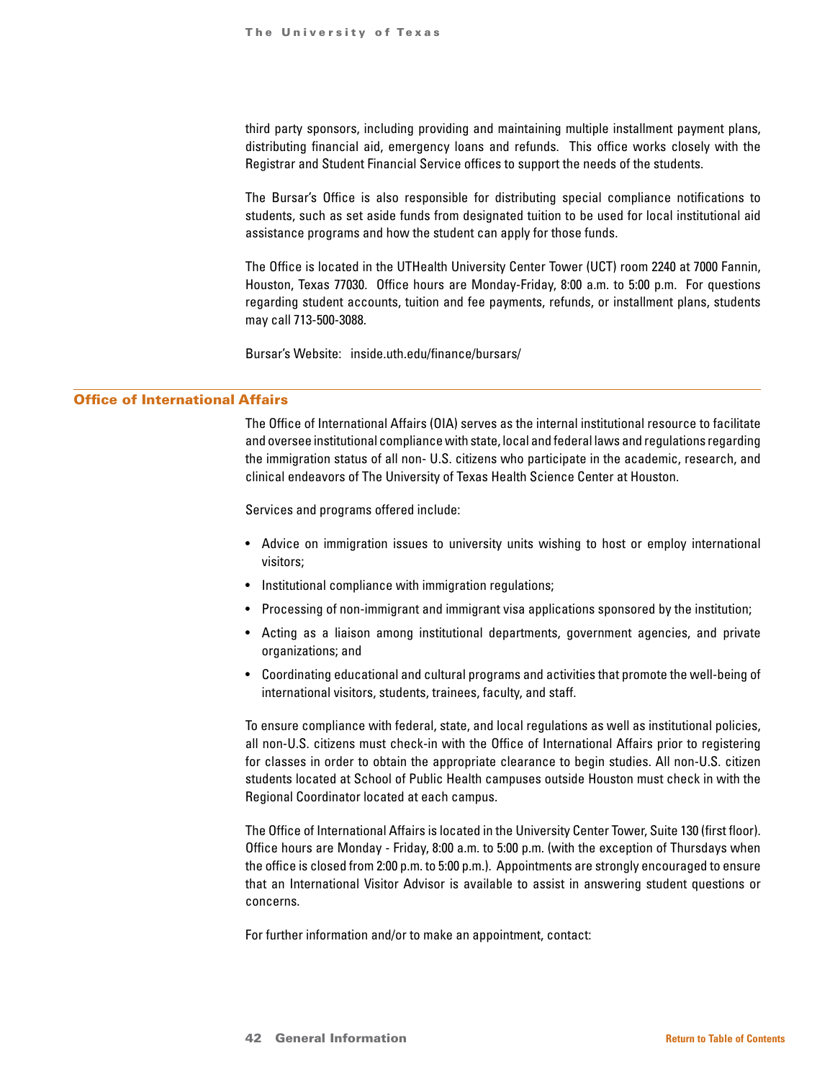third party sponsors, including providing and maintaining multiple installment payment plans, distributing financial aid, emergency loans and refunds. This office works closely with the Registrar and Student Financial Service offices to support the needs of the students.

The Bursar's Office is also responsible for distributing special compliance notifications to students, such as set aside funds from designated tuition to be used for local institutional aid assistance programs and how the student can apply for those funds.

The Office is located in the UTHealth University Center Tower (UCT) room 2240 at 7000 Fannin, Houston, Texas 77030. Office hours are Monday-Friday, 8:00 a.m. to 5:00 p.m. For questions regarding student accounts, tuition and fee payments, refunds, or installment plans, students may call 713-500-3088.

Bursar's Website: inside.uth.edu/finance/bursars/

#### Office of International Affairs

The Office of International Affairs (OIA) serves as the internal institutional resource to facilitate and oversee institutional compliance with state, local and federal laws and regulations regarding the immigration status of all non- U.S. citizens who participate in the academic, research, and clinical endeavors of The University of Texas Health Science Center at Houston.

Services and programs offered include:

- Advice on immigration issues to university units wishing to host or employ international visitors;
- Institutional compliance with immigration regulations;
- Processing of non-immigrant and immigrant visa applications sponsored by the institution;
- Acting as a liaison among institutional departments, government agencies, and private organizations; and
- Coordinating educational and cultural programs and activities that promote the well-being of international visitors, students, trainees, faculty, and staff.

To ensure compliance with federal, state, and local regulations as well as institutional policies, all non-U.S. citizens must check-in with the Office of International Affairs prior to registering for classes in order to obtain the appropriate clearance to begin studies. All non-U.S. citizen students located at School of Public Health campuses outside Houston must check in with the Regional Coordinator located at each campus.

The Office of International Affairs is located in the University Center Tower, Suite 130 (first floor). Office hours are Monday - Friday, 8:00 a.m. to 5:00 p.m. (with the exception of Thursdays when the office is closed from 2:00 p.m. to 5:00 p.m.). Appointments are strongly encouraged to ensure that an International Visitor Advisor is available to assist in answering student questions or concerns.

For further information and/or to make an appointment, contact: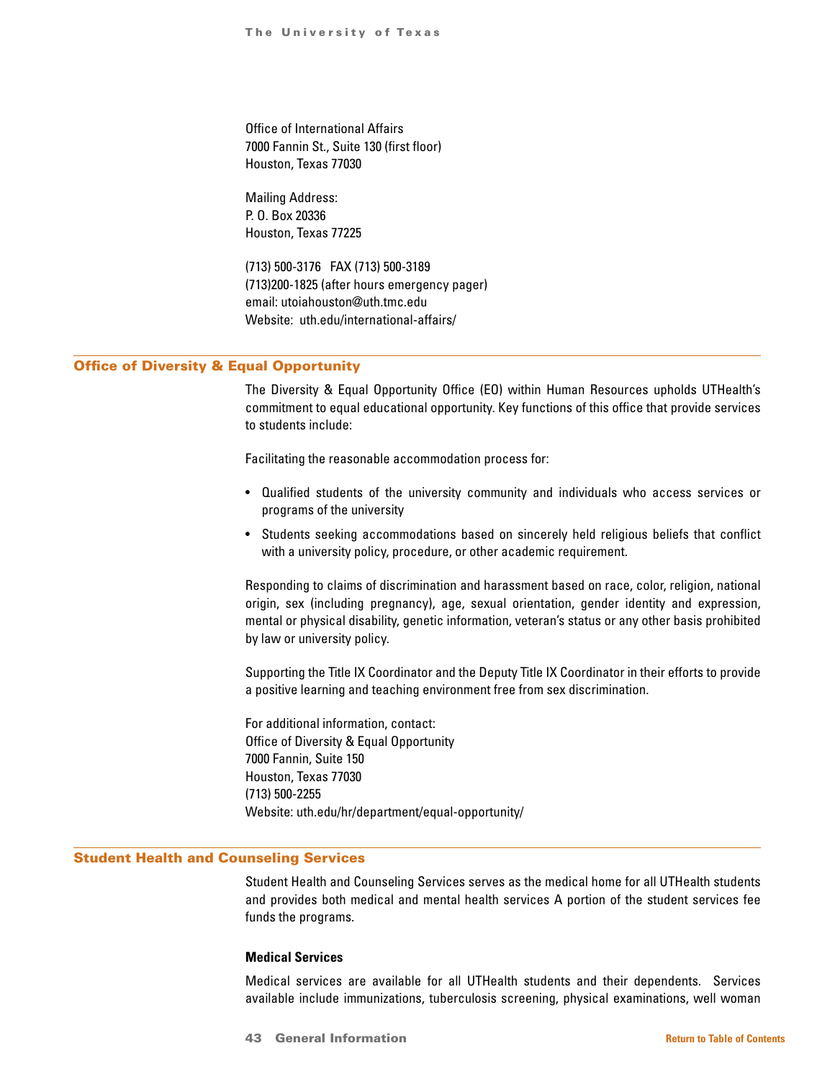Office of International Affairs 7000 Fannin St., Suite 130 (first floor) Houston, Texas 77030

Mailing Address: P. O. Box 20336 Houston, Texas 77225

(713) 500-3176 FAX (713) 500-3189 (713)200-1825 (after hours emergency pager) email: utoiahouston@uth.tmc.edu Website: uth.edu/international-affairs/

# Office of Diversity & Equal Opportunity

The Diversity & Equal Opportunity Office (EO) within Human Resources upholds UTHealth's commitment to equal educational opportunity. Key functions of this office that provide services to students include:

Facilitating the reasonable accommodation process for:

- Qualified students of the university community and individuals who access services or programs of the university
- Students seeking accommodations based on sincerely held religious beliefs that conflict with a university policy, procedure, or other academic requirement.

Responding to claims of discrimination and harassment based on race, color, religion, national origin, sex (including pregnancy), age, sexual orientation, gender identity and expression, mental or physical disability, genetic information, veteran's status or any other basis prohibited by law or university policy.

Supporting the Title IX Coordinator and the Deputy Title IX Coordinator in their efforts to provide a positive learning and teaching environment free from sex discrimination.

For additional information, contact: Office of Diversity & Equal Opportunity 7000 Fannin, Suite 150 Houston, Texas 77030 (713) 500-2255 Website: uth.edu/hr/department/equal-opportunity/

# Student Health and Counseling Services

Student Health and Counseling Services serves as the medical home for all UTHealth students and provides both medical and mental health services A portion of the student services fee funds the programs.

#### **Medical Services**

Medical services are available for all UTHealth students and their dependents. Services available include immunizations, tuberculosis screening, physical examinations, well woman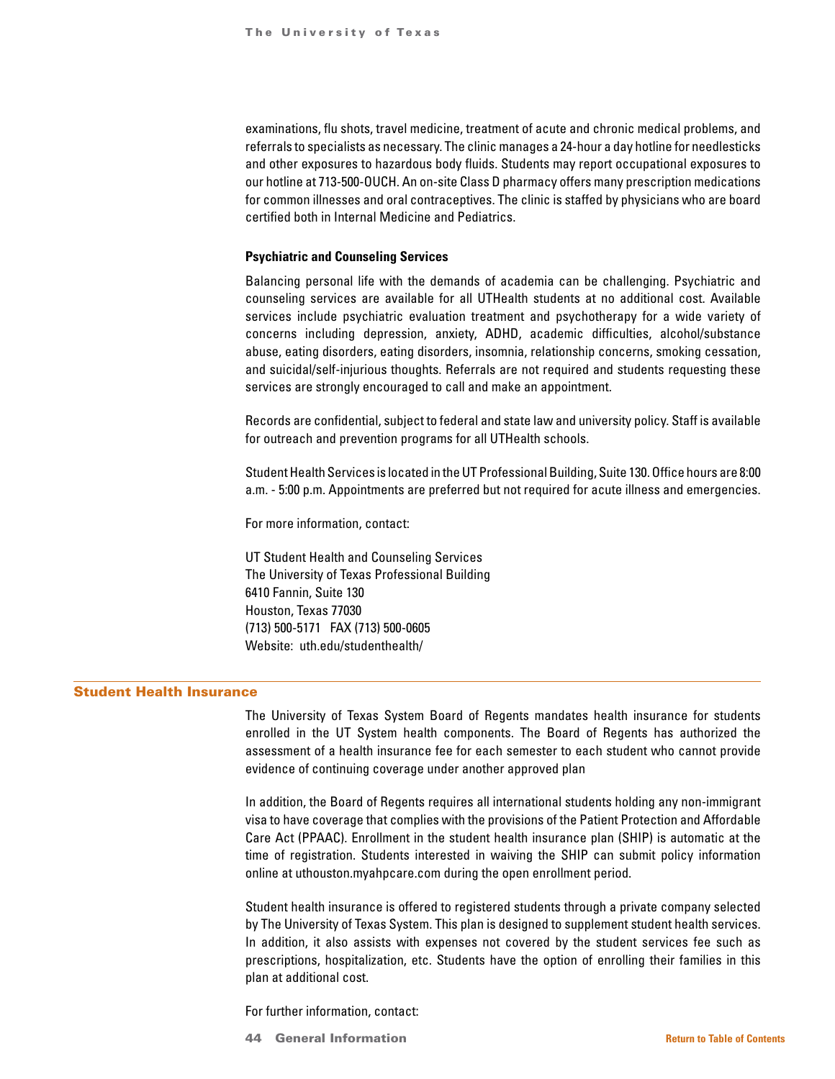examinations, flu shots, travel medicine, treatment of acute and chronic medical problems, and referrals to specialists as necessary. The clinic manages a 24-hour a day hotline for needlesticks and other exposures to hazardous body fluids. Students may report occupational exposures to our hotline at 713-500-OUCH. An on-site Class D pharmacy offers many prescription medications for common illnesses and oral contraceptives. The clinic is staffed by physicians who are board certified both in Internal Medicine and Pediatrics.

#### **Psychiatric and Counseling Services**

Balancing personal life with the demands of academia can be challenging. Psychiatric and counseling services are available for all UTHealth students at no additional cost. Available services include psychiatric evaluation treatment and psychotherapy for a wide variety of concerns including depression, anxiety, ADHD, academic difficulties, alcohol/substance abuse, eating disorders, eating disorders, insomnia, relationship concerns, smoking cessation, and suicidal/self-injurious thoughts. Referrals are not required and students requesting these services are strongly encouraged to call and make an appointment.

Records are confidential, subject to federal and state law and university policy. Staff is available for outreach and prevention programs for all UTHealth schools.

Student Health Services is located in the UT Professional Building, Suite 130. Office hours are 8:00 a.m. - 5:00 p.m. Appointments are preferred but not required for acute illness and emergencies.

For more information, contact:

UT Student Health and Counseling Services The University of Texas Professional Building 6410 Fannin, Suite 130 Houston, Texas 77030 (713) 500-5171 FAX (713) 500-0605 Website: uth.edu/studenthealth/

## Student Health Insurance

The University of Texas System Board of Regents mandates health insurance for students enrolled in the UT System health components. The Board of Regents has authorized the assessment of a health insurance fee for each semester to each student who cannot provide evidence of continuing coverage under another approved plan

In addition, the Board of Regents requires all international students holding any non-immigrant visa to have coverage that complies with the provisions of the Patient Protection and Affordable Care Act (PPAAC). Enrollment in the student health insurance plan (SHIP) is automatic at the time of registration. Students interested in waiving the SHIP can submit policy information online at uthouston.myahpcare.com during the open enrollment period.

Student health insurance is offered to registered students through a private company selected by The University of Texas System. This plan is designed to supplement student health services. In addition, it also assists with expenses not covered by the student services fee such as prescriptions, hospitalization, etc. Students have the option of enrolling their families in this plan at additional cost.

For further information, contact:

44 General Information **[Return to Table of Contents](#page-1-0)**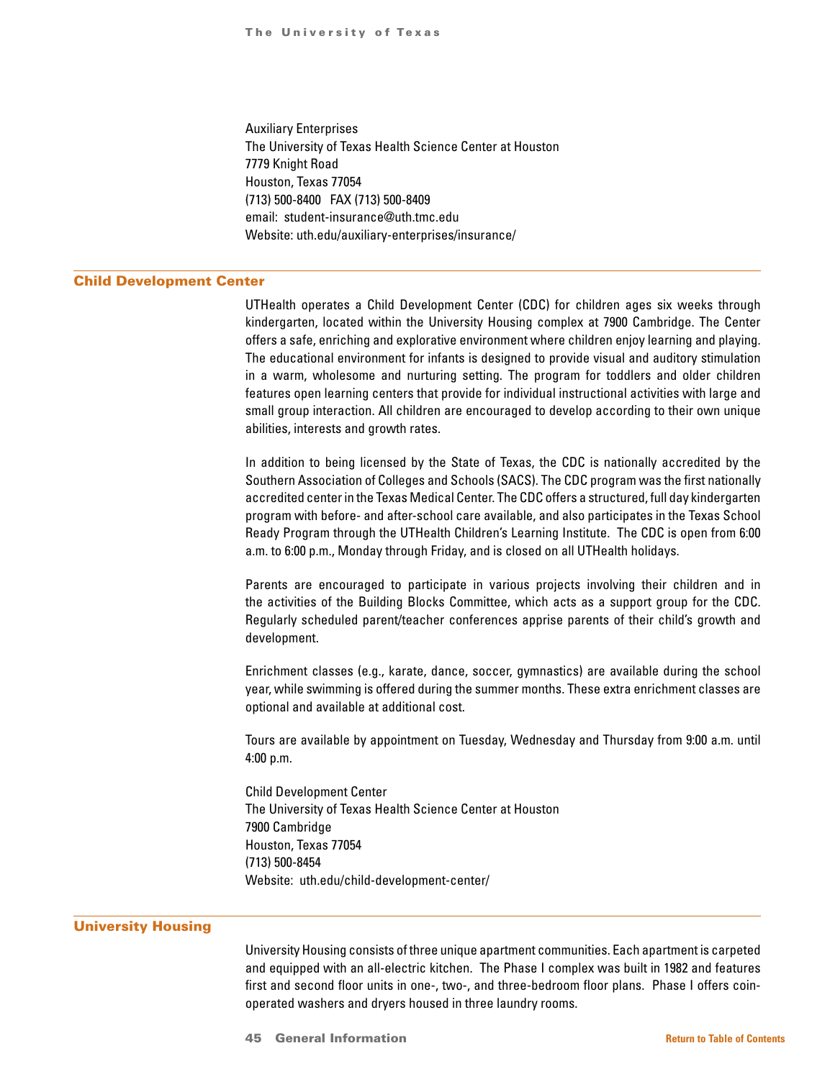Auxiliary Enterprises The University of Texas Health Science Center at Houston 7779 Knight Road Houston, Texas 77054 (713) 500-8400 FAX (713) 500-8409 email: student-insurance@uth.tmc.edu Website: uth.edu/auxiliary-enterprises/insurance/

#### Child Development Center

UTHealth operates a Child Development Center (CDC) for children ages six weeks through kindergarten, located within the University Housing complex at 7900 Cambridge. The Center offers a safe, enriching and explorative environment where children enjoy learning and playing. The educational environment for infants is designed to provide visual and auditory stimulation in a warm, wholesome and nurturing setting. The program for toddlers and older children features open learning centers that provide for individual instructional activities with large and small group interaction. All children are encouraged to develop according to their own unique abilities, interests and growth rates.

In addition to being licensed by the State of Texas, the CDC is nationally accredited by the Southern Association of Colleges and Schools (SACS). The CDC program was the first nationally accredited center in the Texas Medical Center. The CDC offers a structured, full day kindergarten program with before- and after-school care available, and also participates in the Texas School Ready Program through the UTHealth Children's Learning Institute. The CDC is open from 6:00 a.m. to 6:00 p.m., Monday through Friday, and is closed on all UTHealth holidays.

Parents are encouraged to participate in various projects involving their children and in the activities of the Building Blocks Committee, which acts as a support group for the CDC. Regularly scheduled parent/teacher conferences apprise parents of their child's growth and development.

Enrichment classes (e.g., karate, dance, soccer, gymnastics) are available during the school year, while swimming is offered during the summer months. These extra enrichment classes are optional and available at additional cost.

Tours are available by appointment on Tuesday, Wednesday and Thursday from 9:00 a.m. until 4:00 p.m.

Child Development Center The University of Texas Health Science Center at Houston 7900 Cambridge Houston, Texas 77054 (713) 500-8454 Website: uth.edu/child-development-center/

#### University Housing

University Housing consists of three unique apartment communities. Each apartment is carpeted and equipped with an all-electric kitchen. The Phase I complex was built in 1982 and features first and second floor units in one-, two-, and three-bedroom floor plans. Phase I offers coinoperated washers and dryers housed in three laundry rooms.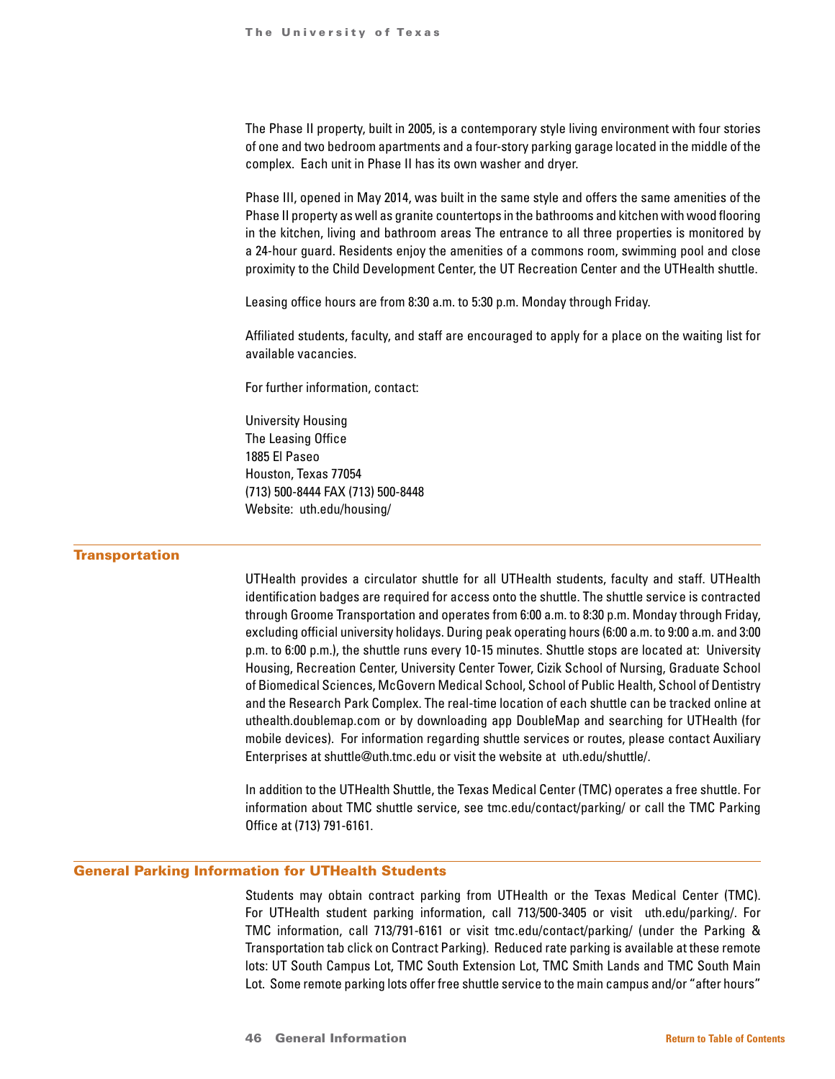The Phase II property, built in 2005, is a contemporary style living environment with four stories of one and two bedroom apartments and a four-story parking garage located in the middle of the complex. Each unit in Phase II has its own washer and dryer.

Phase III, opened in May 2014, was built in the same style and offers the same amenities of the Phase II property as well as granite countertops in the bathrooms and kitchen with wood flooring in the kitchen, living and bathroom areas The entrance to all three properties is monitored by a 24-hour guard. Residents enjoy the amenities of a commons room, swimming pool and close proximity to the Child Development Center, the UT Recreation Center and the UTHealth shuttle.

Leasing office hours are from 8:30 a.m. to 5:30 p.m. Monday through Friday.

Affiliated students, faculty, and staff are encouraged to apply for a place on the waiting list for available vacancies.

For further information, contact:

University Housing The Leasing Office 1885 El Paseo Houston, Texas 77054 (713) 500-8444 FAX (713) 500-8448 Website: uth.edu/housing/

# **Transportation**

UTHealth provides a circulator shuttle for all UTHealth students, faculty and staff. UTHealth identification badges are required for access onto the shuttle. The shuttle service is contracted through Groome Transportation and operates from 6:00 a.m. to 8:30 p.m. Monday through Friday, excluding official university holidays. During peak operating hours (6:00 a.m. to 9:00 a.m. and 3:00 p.m. to 6:00 p.m.), the shuttle runs every 10-15 minutes. Shuttle stops are located at: University Housing, Recreation Center, University Center Tower, Cizik School of Nursing, Graduate School of Biomedical Sciences, McGovern Medical School, School of Public Health, School of Dentistry and the Research Park Complex. The real-time location of each shuttle can be tracked online at uthealth.doublemap.com or by downloading app DoubleMap and searching for UTHealth (for mobile devices). For information regarding shuttle services or routes, please contact Auxiliary Enterprises at shuttle@uth.tmc.edu or visit the website at uth.edu/shuttle/.

In addition to the UTHealth Shuttle, the Texas Medical Center (TMC) operates a free shuttle. For information about TMC shuttle service, see tmc.edu/contact/parking/ or call the TMC Parking Office at (713) 791-6161.

#### General Parking Information for UTHealth Students

Students may obtain contract parking from UTHealth or the Texas Medical Center (TMC). For UTHealth student parking information, call 713/500-3405 or visit uth.edu/parking/. For TMC information, call 713/791-6161 or visit tmc.edu/contact/parking/ (under the Parking & Transportation tab click on Contract Parking). Reduced rate parking is available at these remote lots: UT South Campus Lot, TMC South Extension Lot, TMC Smith Lands and TMC South Main Lot. Some remote parking lots offer free shuttle service to the main campus and/or "after hours"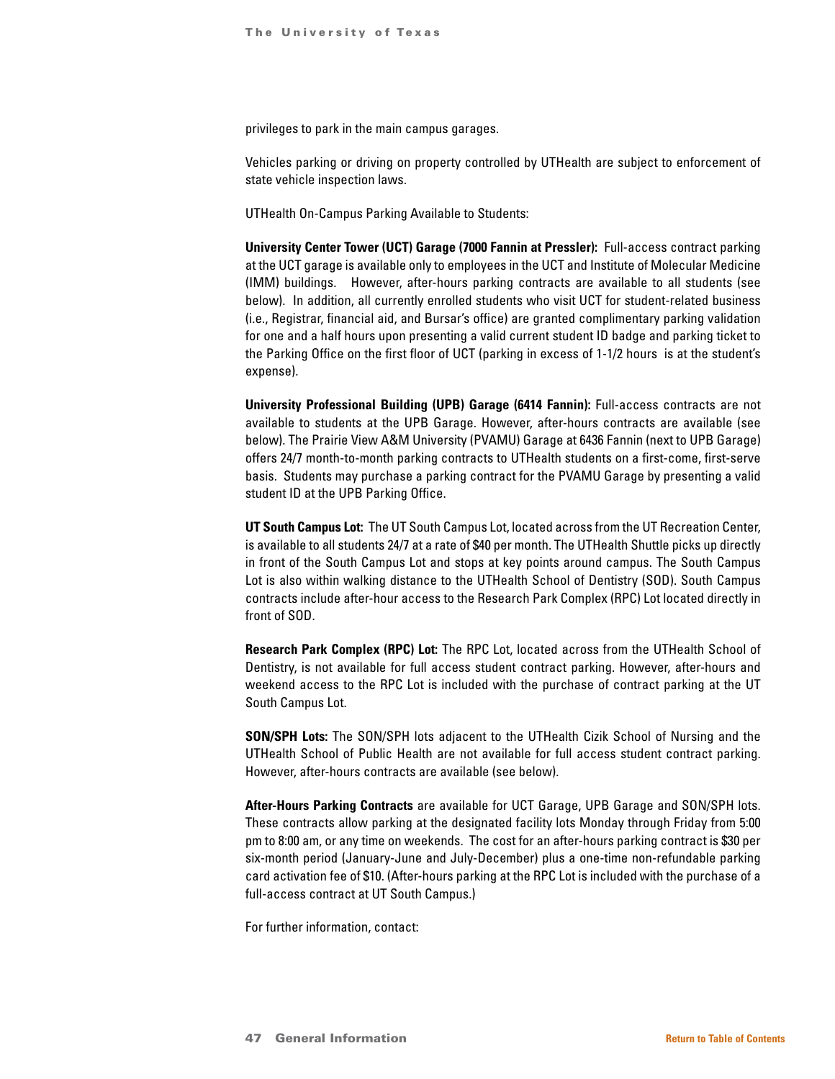privileges to park in the main campus garages.

Vehicles parking or driving on property controlled by UTHealth are subject to enforcement of state vehicle inspection laws.

UTHealth On-Campus Parking Available to Students:

**University Center Tower (UCT) Garage (7000 Fannin at Pressler):** Full-access contract parking at the UCT garage is available only to employees in the UCT and Institute of Molecular Medicine (IMM) buildings. However, after-hours parking contracts are available to all students (see below). In addition, all currently enrolled students who visit UCT for student-related business (i.e., Registrar, financial aid, and Bursar's office) are granted complimentary parking validation for one and a half hours upon presenting a valid current student ID badge and parking ticket to the Parking Office on the first floor of UCT (parking in excess of 1-1/2 hours is at the student's expense).

**University Professional Building (UPB) Garage (6414 Fannin):** Full-access contracts are not available to students at the UPB Garage. However, after-hours contracts are available (see below). The Prairie View A&M University (PVAMU) Garage at 6436 Fannin (next to UPB Garage) offers 24/7 month-to-month parking contracts to UTHealth students on a first-come, first-serve basis. Students may purchase a parking contract for the PVAMU Garage by presenting a valid student ID at the UPB Parking Office.

**UT South Campus Lot:** The UT South Campus Lot, located across from the UT Recreation Center, is available to all students 24/7 at a rate of \$40 per month. The UTHealth Shuttle picks up directly in front of the South Campus Lot and stops at key points around campus. The South Campus Lot is also within walking distance to the UTHealth School of Dentistry (SOD). South Campus contracts include after-hour access to the Research Park Complex (RPC) Lot located directly in front of SOD.

**Research Park Complex (RPC) Lot:** The RPC Lot, located across from the UTHealth School of Dentistry, is not available for full access student contract parking. However, after-hours and weekend access to the RPC Lot is included with the purchase of contract parking at the UT South Campus Lot.

**SON/SPH Lots:** The SON/SPH lots adjacent to the UTHealth Cizik School of Nursing and the UTHealth School of Public Health are not available for full access student contract parking. However, after-hours contracts are available (see below).

**After-Hours Parking Contracts** are available for UCT Garage, UPB Garage and SON/SPH lots. These contracts allow parking at the designated facility lots Monday through Friday from 5:00 pm to 8:00 am, or any time on weekends. The cost for an after-hours parking contract is \$30 per six-month period (January-June and July-December) plus a one-time non-refundable parking card activation fee of \$10. (After-hours parking at the RPC Lot is included with the purchase of a full-access contract at UT South Campus.)

For further information, contact: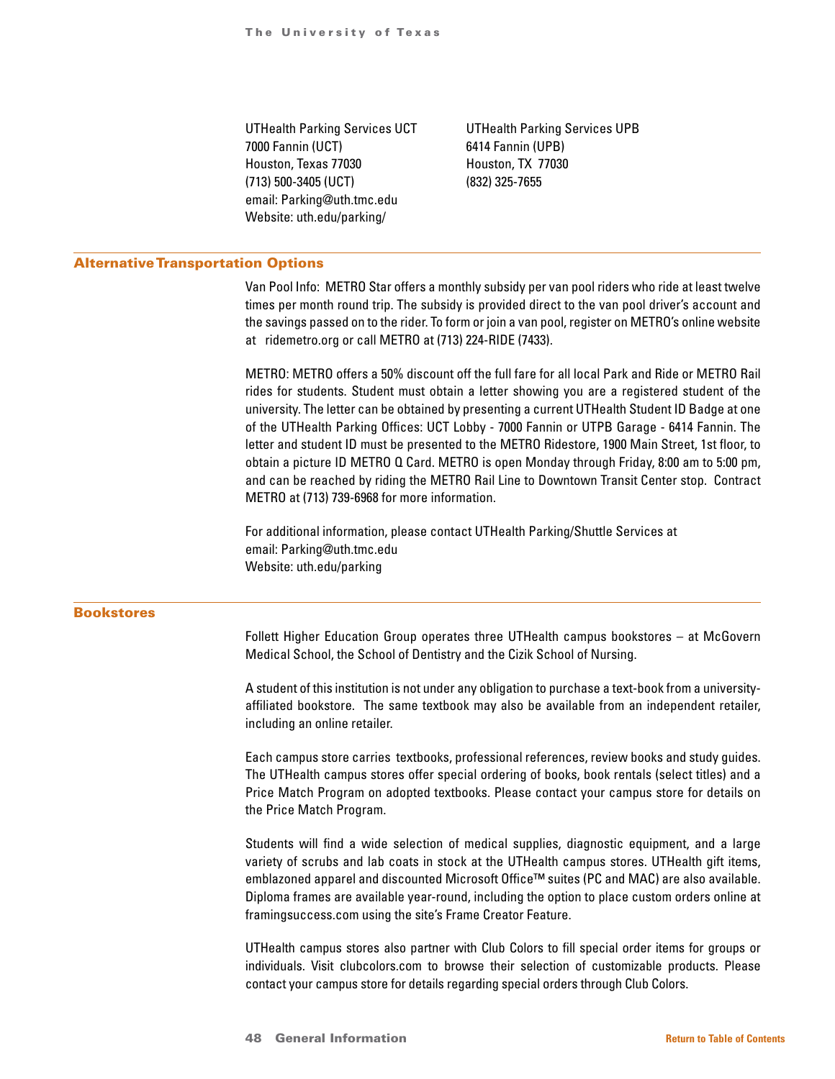7000 Fannin (UCT) 6414 Fannin (UPB) Houston, Texas 77030 Houston, TX 77030 (713) 500-3405 (UCT) (832) 325-7655 email: Parking@uth.tmc.edu Website: uth.edu/parking/

UTHealth Parking Services UCT UTHealth Parking Services UPB

#### Alternative Transportation Options

Van Pool Info: METRO Star offers a monthly subsidy per van pool riders who ride at least twelve times per month round trip. The subsidy is provided direct to the van pool driver's account and the savings passed on to the rider. To form or join a van pool, register on METRO's online website at ridemetro.org or call METRO at (713) 224-RIDE (7433).

METRO: METRO offers a 50% discount off the full fare for all local Park and Ride or METRO Rail rides for students. Student must obtain a letter showing you are a registered student of the university. The letter can be obtained by presenting a current UTHealth Student ID Badge at one of the UTHealth Parking Offices: UCT Lobby - 7000 Fannin or UTPB Garage - 6414 Fannin. The letter and student ID must be presented to the METRO Ridestore, 1900 Main Street, 1st floor, to obtain a picture ID METRO Q Card. METRO is open Monday through Friday, 8:00 am to 5:00 pm, and can be reached by riding the METRO Rail Line to Downtown Transit Center stop. Contract METRO at (713) 739-6968 for more information.

For additional information, please contact UTHealth Parking/Shuttle Services at email: Parking@uth.tmc.edu Website: uth.edu/parking

#### Bookstores

Follett Higher Education Group operates three UTHealth campus bookstores – at McGovern Medical School, the School of Dentistry and the Cizik School of Nursing.

A student of this institution is not under any obligation to purchase a text-book from a universityaffiliated bookstore. The same textbook may also be available from an independent retailer, including an online retailer.

Each campus store carries textbooks, professional references, review books and study guides. The UTHealth campus stores offer special ordering of books, book rentals (select titles) and a Price Match Program on adopted textbooks. Please contact your campus store for details on the Price Match Program.

Students will find a wide selection of medical supplies, diagnostic equipment, and a large variety of scrubs and lab coats in stock at the UTHealth campus stores. UTHealth gift items, emblazoned apparel and discounted Microsoft Office™ suites (PC and MAC) are also available. Diploma frames are available year-round, including the option to place custom orders online at framingsuccess.com using the site's Frame Creator Feature.

UTHealth campus stores also partner with Club Colors to fill special order items for groups or individuals. Visit clubcolors.com to browse their selection of customizable products. Please contact your campus store for details regarding special orders through Club Colors.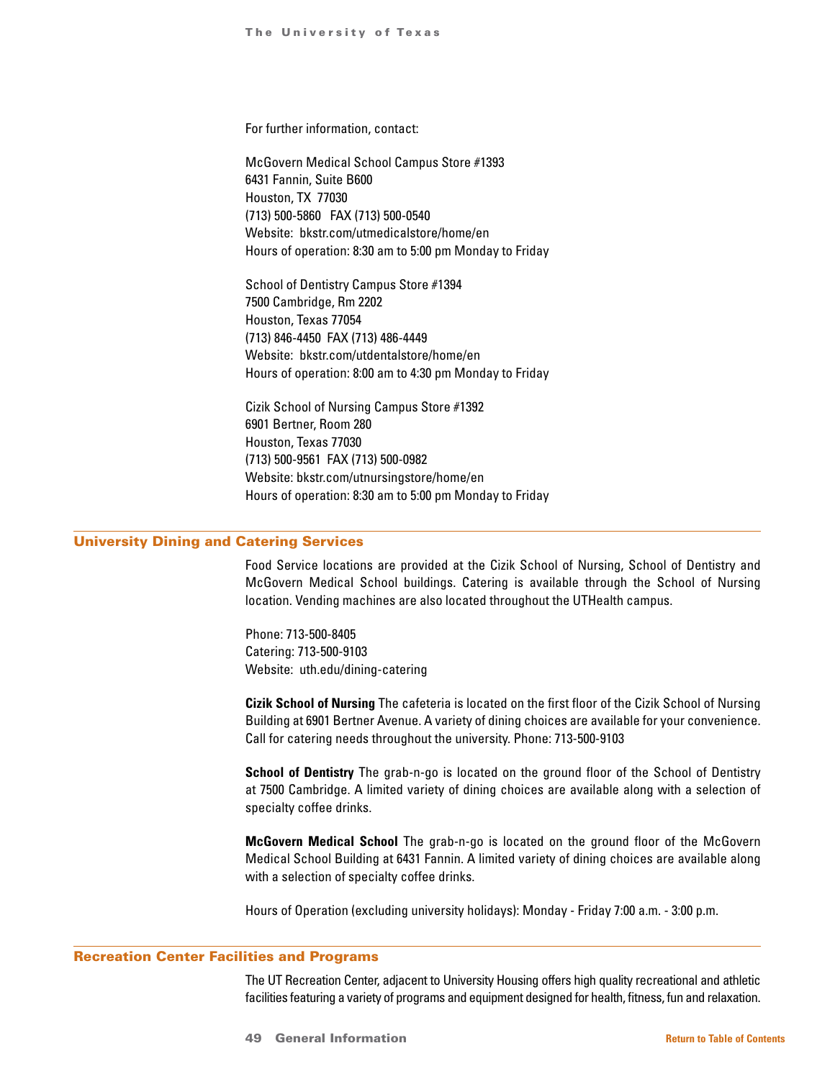For further information, contact:

McGovern Medical School Campus Store #1393 6431 Fannin, Suite B600 Houston, TX 77030 (713) 500-5860 FAX (713) 500-0540 Website: bkstr.com/utmedicalstore/home/en Hours of operation: 8:30 am to 5:00 pm Monday to Friday

School of Dentistry Campus Store #1394 7500 Cambridge, Rm 2202 Houston, Texas 77054 (713) 846-4450 FAX (713) 486-4449 Website: bkstr.com/utdentalstore/home/en Hours of operation: 8:00 am to 4:30 pm Monday to Friday

Cizik School of Nursing Campus Store #1392 6901 Bertner, Room 280 Houston, Texas 77030 (713) 500-9561 FAX (713) 500-0982 Website: bkstr.com/utnursingstore/home/en Hours of operation: 8:30 am to 5:00 pm Monday to Friday

## University Dining and Catering Services

Food Service locations are provided at the Cizik School of Nursing, School of Dentistry and McGovern Medical School buildings. Catering is available through the School of Nursing location. Vending machines are also located throughout the UTHealth campus.

Phone: 713-500-8405 Catering: 713-500-9103 Website: uth.edu/dining-catering

**Cizik School of Nursing** The cafeteria is located on the first floor of the Cizik School of Nursing Building at 6901 Bertner Avenue. A variety of dining choices are available for your convenience. Call for catering needs throughout the university. Phone: 713-500-9103

**School of Dentistry** The grab-n-go is located on the ground floor of the School of Dentistry at 7500 Cambridge. A limited variety of dining choices are available along with a selection of specialty coffee drinks.

**McGovern Medical School** The grab-n-go is located on the ground floor of the McGovern Medical School Building at 6431 Fannin. A limited variety of dining choices are available along with a selection of specialty coffee drinks.

Hours of Operation (excluding university holidays): Monday - Friday 7:00 a.m. - 3:00 p.m.

#### Recreation Center Facilities and Programs

The UT Recreation Center, adjacent to University Housing offers high quality recreational and athletic facilities featuring a variety of programs and equipment designed for health, fitness, fun and relaxation.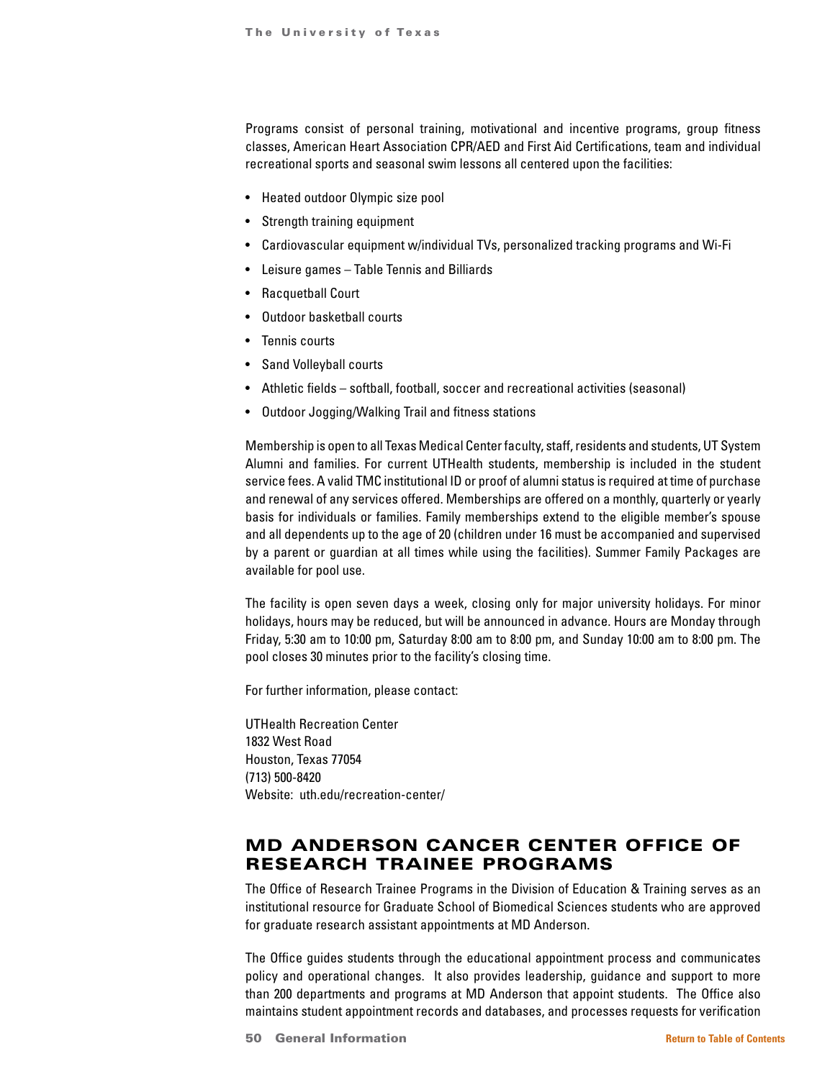Programs consist of personal training, motivational and incentive programs, group fitness classes, American Heart Association CPR/AED and First Aid Certifications, team and individual recreational sports and seasonal swim lessons all centered upon the facilities:

- Heated outdoor Olympic size pool
- Strength training equipment
- Cardiovascular equipment w/individual TVs, personalized tracking programs and Wi-Fi
- Leisure games Table Tennis and Billiards
- Racquetball Court
- Outdoor basketball courts
- Tennis courts
- Sand Volleyball courts
- Athletic fields softball, football, soccer and recreational activities (seasonal)
- Outdoor Jogging/Walking Trail and fitness stations

Membership is open to all Texas Medical Center faculty, staff, residents and students, UT System Alumni and families. For current UTHealth students, membership is included in the student service fees. A valid TMC institutional ID or proof of alumni status is required at time of purchase and renewal of any services offered. Memberships are offered on a monthly, quarterly or yearly basis for individuals or families. Family memberships extend to the eligible member's spouse and all dependents up to the age of 20 (children under 16 must be accompanied and supervised by a parent or guardian at all times while using the facilities). Summer Family Packages are available for pool use.

The facility is open seven days a week, closing only for major university holidays. For minor holidays, hours may be reduced, but will be announced in advance. Hours are Monday through Friday, 5:30 am to 10:00 pm, Saturday 8:00 am to 8:00 pm, and Sunday 10:00 am to 8:00 pm. The pool closes 30 minutes prior to the facility's closing time.

For further information, please contact:

UTHealth Recreation Center 1832 West Road Houston, Texas 77054 (713) 500-8420 Website: uth.edu/recreation-center/

# MD ANDERSON CANCER CENTER OFFICE OF RESEARCH TRAINEE PROGRAMS

The Office of Research Trainee Programs in the Division of Education & Training serves as an institutional resource for Graduate School of Biomedical Sciences students who are approved for graduate research assistant appointments at MD Anderson.

The Office guides students through the educational appointment process and communicates policy and operational changes. It also provides leadership, guidance and support to more than 200 departments and programs at MD Anderson that appoint students. The Office also maintains student appointment records and databases, and processes requests for verification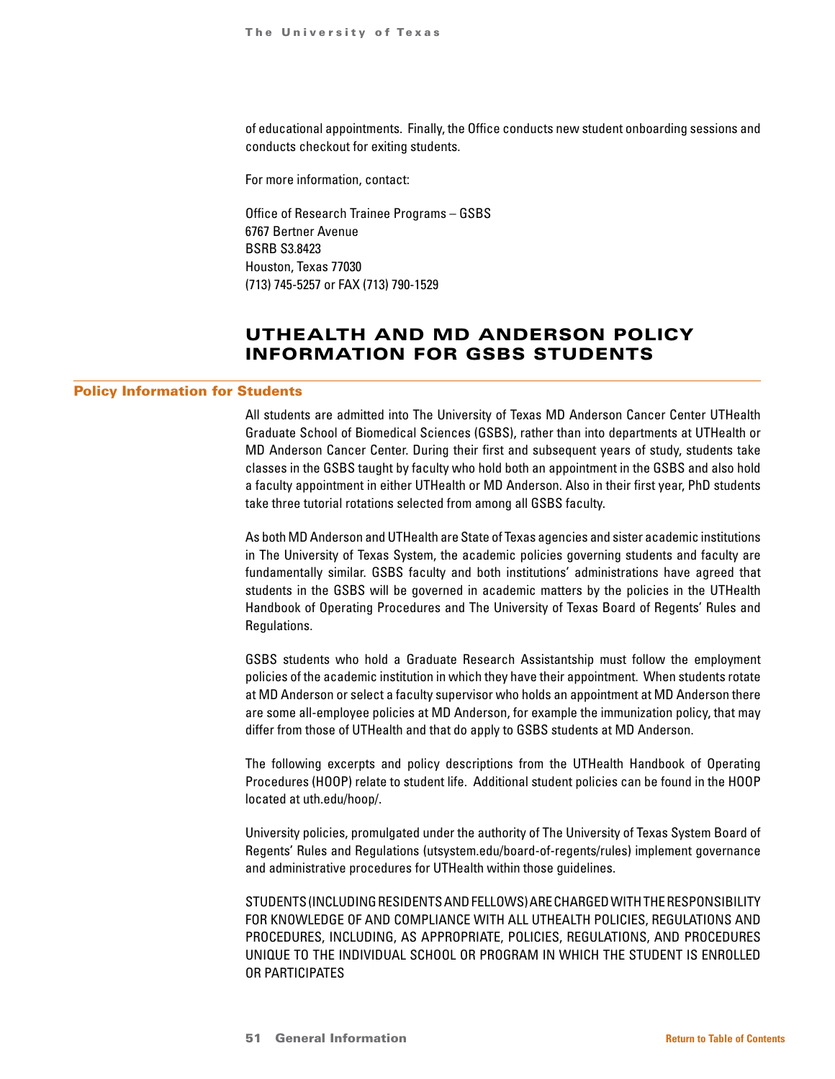of educational appointments. Finally, the Office conducts new student onboarding sessions and conducts checkout for exiting students.

For more information, contact:

Office of Research Trainee Programs – GSBS 6767 Bertner Avenue BSRB S3.8423 Houston, Texas 77030 (713) 745-5257 or FAX (713) 790-1529

# UTHEALTH AND MD ANDERSON POLICY INFORMATION FOR GSBS STUDENTS

## Policy Information for Students

All students are admitted into The University of Texas MD Anderson Cancer Center UTHealth Graduate School of Biomedical Sciences (GSBS), rather than into departments at UTHealth or MD Anderson Cancer Center. During their first and subsequent years of study, students take classes in the GSBS taught by faculty who hold both an appointment in the GSBS and also hold a faculty appointment in either UTHealth or MD Anderson. Also in their first year, PhD students take three tutorial rotations selected from among all GSBS faculty.

As both MD Anderson and UTHealth are State of Texas agencies and sister academic institutions in The University of Texas System, the academic policies governing students and faculty are fundamentally similar. GSBS faculty and both institutions' administrations have agreed that students in the GSBS will be governed in academic matters by the policies in the UTHealth Handbook of Operating Procedures and The University of Texas Board of Regents' Rules and Regulations.

GSBS students who hold a Graduate Research Assistantship must follow the employment policies of the academic institution in which they have their appointment. When students rotate at MD Anderson or select a faculty supervisor who holds an appointment at MD Anderson there are some all-employee policies at MD Anderson, for example the immunization policy, that may differ from those of UTHealth and that do apply to GSBS students at MD Anderson.

The following excerpts and policy descriptions from the UTHealth Handbook of Operating Procedures (HOOP) relate to student life. Additional student policies can be found in the HOOP located at uth.edu/hoop/.

University policies, promulgated under the authority of The University of Texas System Board of Regents' Rules and Regulations (utsystem.edu/board-of-regents/rules) implement governance and administrative procedures for UTHealth within those guidelines.

STUDENTS (INCLUDING RESIDENTS AND FELLOWS) ARE CHARGED WITH THE RESPONSIBILITY FOR KNOWLEDGE OF AND COMPLIANCE WITH ALL UTHEALTH POLICIES, REGULATIONS AND PROCEDURES, INCLUDING, AS APPROPRIATE, POLICIES, REGULATIONS, AND PROCEDURES UNIQUE TO THE INDIVIDUAL SCHOOL OR PROGRAM IN WHICH THE STUDENT IS ENROLLED OR PARTICIPATES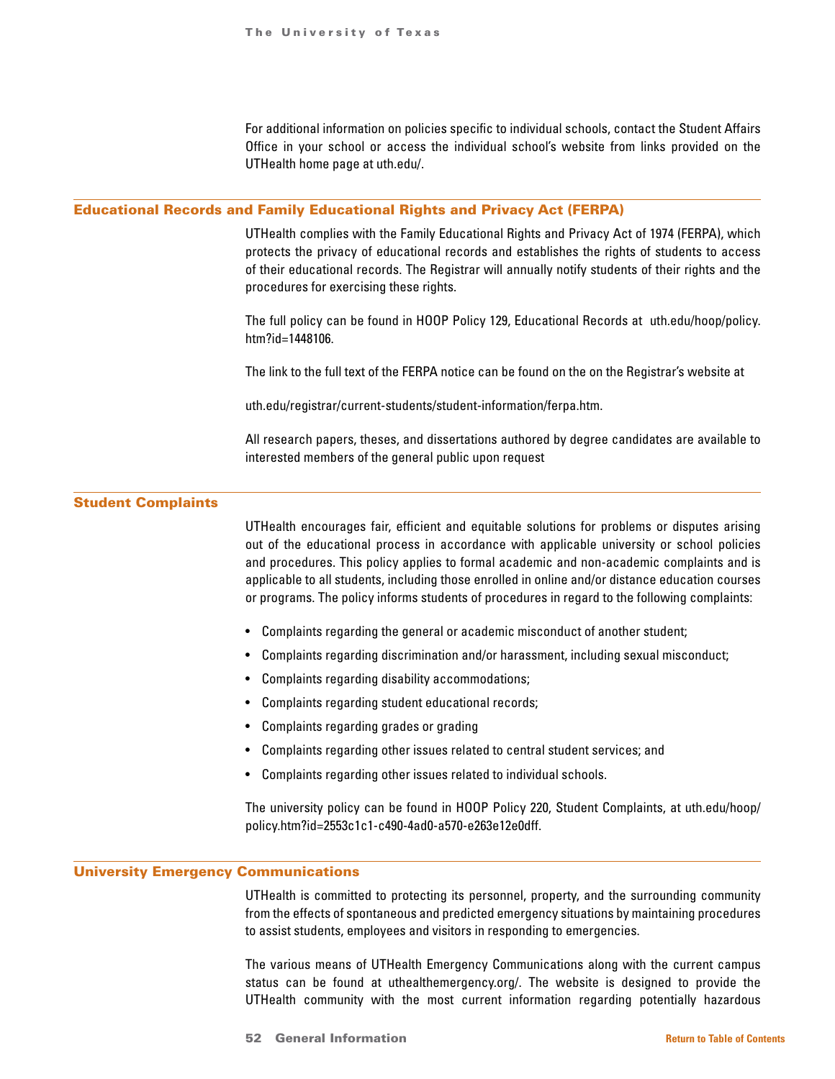For additional information on policies specific to individual schools, contact the Student Affairs Office in your school or access the individual school's website from links provided on the UTHealth home page at uth.edu/.

# Educational Records and Family Educational Rights and Privacy Act (FERPA)

UTHealth complies with the Family Educational Rights and Privacy Act of 1974 (FERPA), which protects the privacy of educational records and establishes the rights of students to access of their educational records. The Registrar will annually notify students of their rights and the procedures for exercising these rights.

The full policy can be found in HOOP Policy 129, Educational Records at uth.edu/hoop/policy. htm?id=1448106.

The link to the full text of the FERPA notice can be found on the on the Registrar's website at

uth.edu/registrar/current-students/student-information/ferpa.htm.

All research papers, theses, and dissertations authored by degree candidates are available to interested members of the general public upon request

## Student Complaints

UTHealth encourages fair, efficient and equitable solutions for problems or disputes arising out of the educational process in accordance with applicable university or school policies and procedures. This policy applies to formal academic and non-academic complaints and is applicable to all students, including those enrolled in online and/or distance education courses or programs. The policy informs students of procedures in regard to the following complaints:

- Complaints regarding the general or academic misconduct of another student;
- Complaints regarding discrimination and/or harassment, including sexual misconduct;
- Complaints regarding disability accommodations;
- Complaints regarding student educational records;
- Complaints regarding grades or grading
- Complaints regarding other issues related to central student services; and
- Complaints regarding other issues related to individual schools.

The university policy can be found in HOOP Policy 220, Student Complaints, at uth.edu/hoop/ policy.htm?id=2553c1c1-c490-4ad0-a570-e263e12e0dff.

# University Emergency Communications

UTHealth is committed to protecting its personnel, property, and the surrounding community from the effects of spontaneous and predicted emergency situations by maintaining procedures to assist students, employees and visitors in responding to emergencies.

The various means of UTHealth Emergency Communications along with the current campus status can be found at uthealthemergency.org/. The website is designed to provide the UTHealth community with the most current information regarding potentially hazardous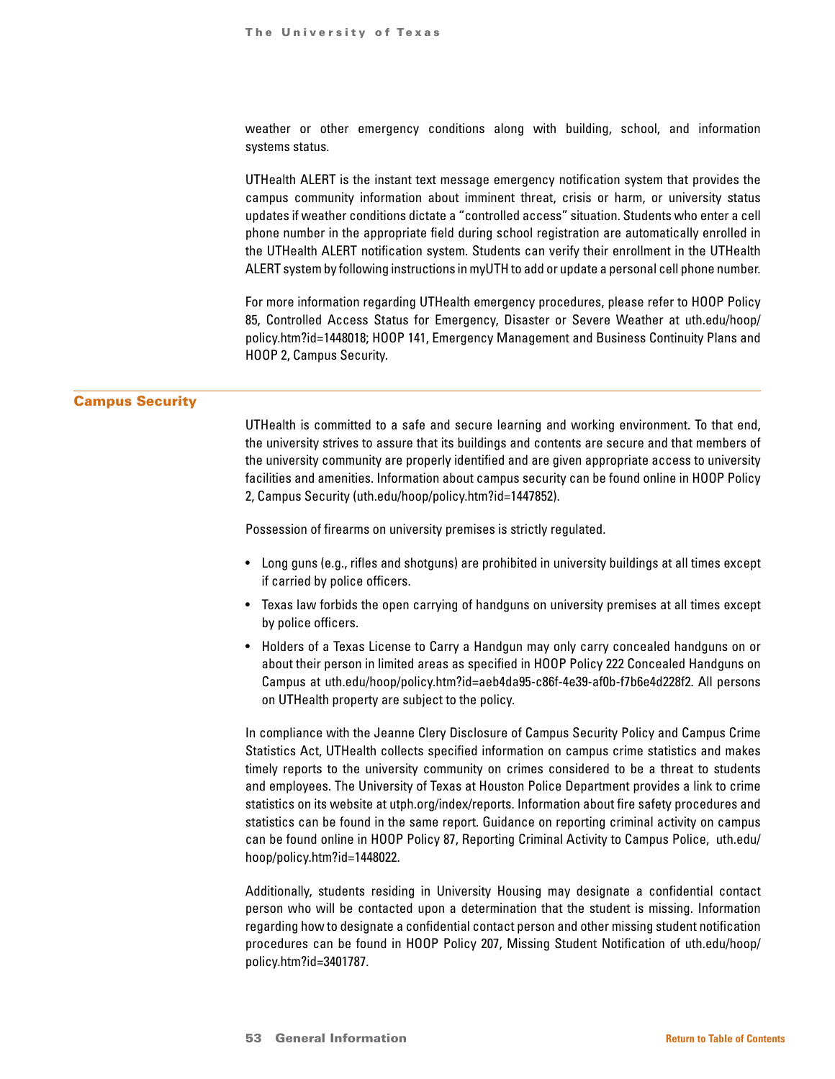weather or other emergency conditions along with building, school, and information systems status.

UTHealth ALERT is the instant text message emergency notification system that provides the campus community information about imminent threat, crisis or harm, or university status updates if weather conditions dictate a "controlled access" situation. Students who enter a cell phone number in the appropriate field during school registration are automatically enrolled in the UTHealth ALERT notification system. Students can verify their enrollment in the UTHealth ALERT system by following instructions in myUTH to add or update a personal cell phone number.

For more information regarding UTHealth emergency procedures, please refer to HOOP Policy 85, Controlled Access Status for Emergency, Disaster or Severe Weather at uth.edu/hoop/ policy.htm?id=1448018; HOOP 141, Emergency Management and Business Continuity Plans and HOOP 2, Campus Security.

# Campus Security

UTHealth is committed to a safe and secure learning and working environment. To that end, the university strives to assure that its buildings and contents are secure and that members of the university community are properly identified and are given appropriate access to university facilities and amenities. Information about campus security can be found online in HOOP Policy 2, Campus Security (uth.edu/hoop/policy.htm?id=1447852).

Possession of firearms on university premises is strictly regulated.

- Long guns (e.g., rifles and shotguns) are prohibited in university buildings at all times except if carried by police officers.
- Texas law forbids the open carrying of handguns on university premises at all times except by police officers.
- Holders of a Texas License to Carry a Handgun may only carry concealed handguns on or about their person in limited areas as specified in HOOP Policy 222 Concealed Handguns on Campus at uth.edu/hoop/policy.htm?id=aeb4da95-c86f-4e39-af0b-f7b6e4d228f2. All persons on UTHealth property are subject to the policy.

In compliance with the Jeanne Clery Disclosure of Campus Security Policy and Campus Crime Statistics Act, UTHealth collects specified information on campus crime statistics and makes timely reports to the university community on crimes considered to be a threat to students and employees. The University of Texas at Houston Police Department provides a link to crime statistics on its website at utph.org/index/reports. Information about fire safety procedures and statistics can be found in the same report. Guidance on reporting criminal activity on campus can be found online in HOOP Policy 87, Reporting Criminal Activity to Campus Police, uth.edu/ hoop/policy.htm?id=1448022.

Additionally, students residing in University Housing may designate a confidential contact person who will be contacted upon a determination that the student is missing. Information regarding how to designate a confidential contact person and other missing student notification procedures can be found in HOOP Policy 207, Missing Student Notification of uth.edu/hoop/ policy.htm?id=3401787.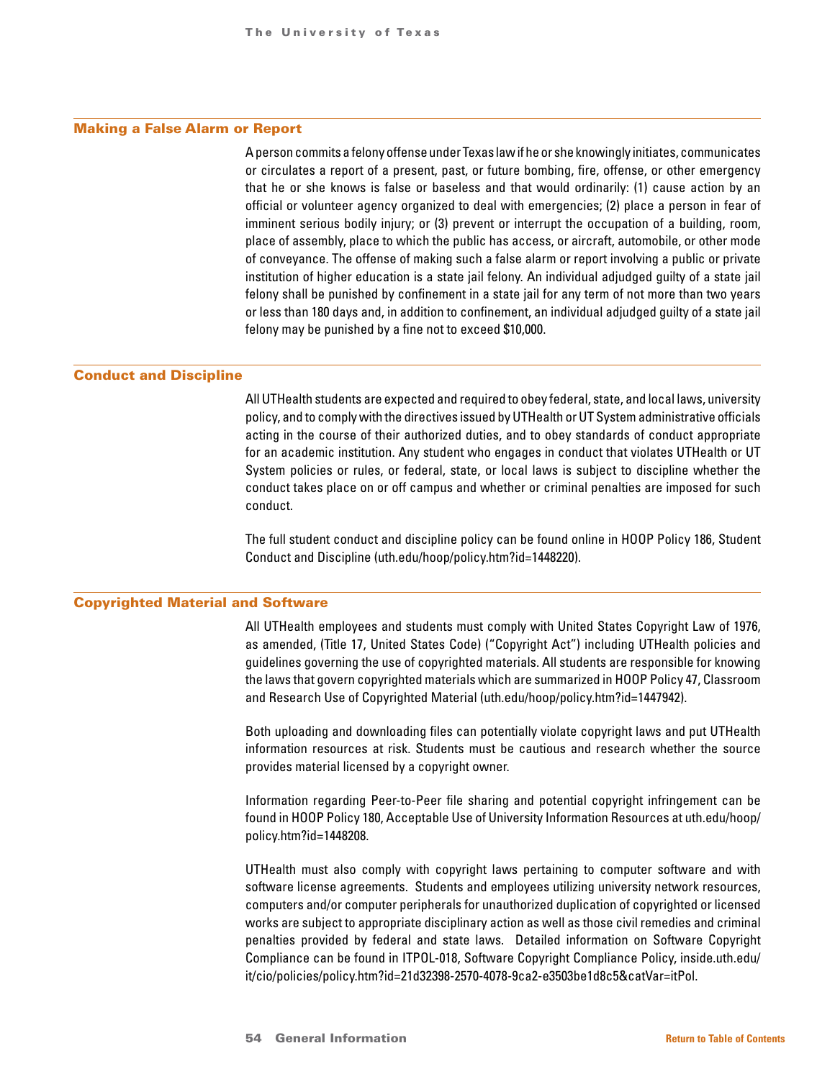#### Making a False Alarm or Report

A person commits a felony offense under Texas law if he or she knowingly initiates, communicates or circulates a report of a present, past, or future bombing, fire, offense, or other emergency that he or she knows is false or baseless and that would ordinarily: (1) cause action by an official or volunteer agency organized to deal with emergencies; (2) place a person in fear of imminent serious bodily injury; or (3) prevent or interrupt the occupation of a building, room, place of assembly, place to which the public has access, or aircraft, automobile, or other mode of conveyance. The offense of making such a false alarm or report involving a public or private institution of higher education is a state jail felony. An individual adjudged guilty of a state jail felony shall be punished by confinement in a state jail for any term of not more than two years or less than 180 days and, in addition to confinement, an individual adjudged guilty of a state jail felony may be punished by a fine not to exceed \$10,000.

## Conduct and Discipline

All UTHealth students are expected and required to obey federal, state, and local laws, university policy, and to comply with the directives issued by UTHealth or UT System administrative officials acting in the course of their authorized duties, and to obey standards of conduct appropriate for an academic institution. Any student who engages in conduct that violates UTHealth or UT System policies or rules, or federal, state, or local laws is subject to discipline whether the conduct takes place on or off campus and whether or criminal penalties are imposed for such conduct.

The full student conduct and discipline policy can be found online in HOOP Policy 186, Student Conduct and Discipline (uth.edu/hoop/policy.htm?id=1448220).

#### Copyrighted Material and Software

All UTHealth employees and students must comply with United States Copyright Law of 1976, as amended, (Title 17, United States Code) ("Copyright Act") including UTHealth policies and guidelines governing the use of copyrighted materials. All students are responsible for knowing the laws that govern copyrighted materials which are summarized in HOOP Policy 47, Classroom and Research Use of Copyrighted Material (uth.edu/hoop/policy.htm?id=1447942).

Both uploading and downloading files can potentially violate copyright laws and put UTHealth information resources at risk. Students must be cautious and research whether the source provides material licensed by a copyright owner.

Information regarding Peer-to-Peer file sharing and potential copyright infringement can be found in HOOP Policy 180, Acceptable Use of University Information Resources at uth.edu/hoop/ policy.htm?id=1448208.

UTHealth must also comply with copyright laws pertaining to computer software and with software license agreements. Students and employees utilizing university network resources, computers and/or computer peripherals for unauthorized duplication of copyrighted or licensed works are subject to appropriate disciplinary action as well as those civil remedies and criminal penalties provided by federal and state laws. Detailed information on Software Copyright Compliance can be found in ITPOL-018, Software Copyright Compliance Policy, inside.uth.edu/ it/cio/policies/policy.htm?id=21d32398-2570-4078-9ca2-e3503be1d8c5&catVar=itPol.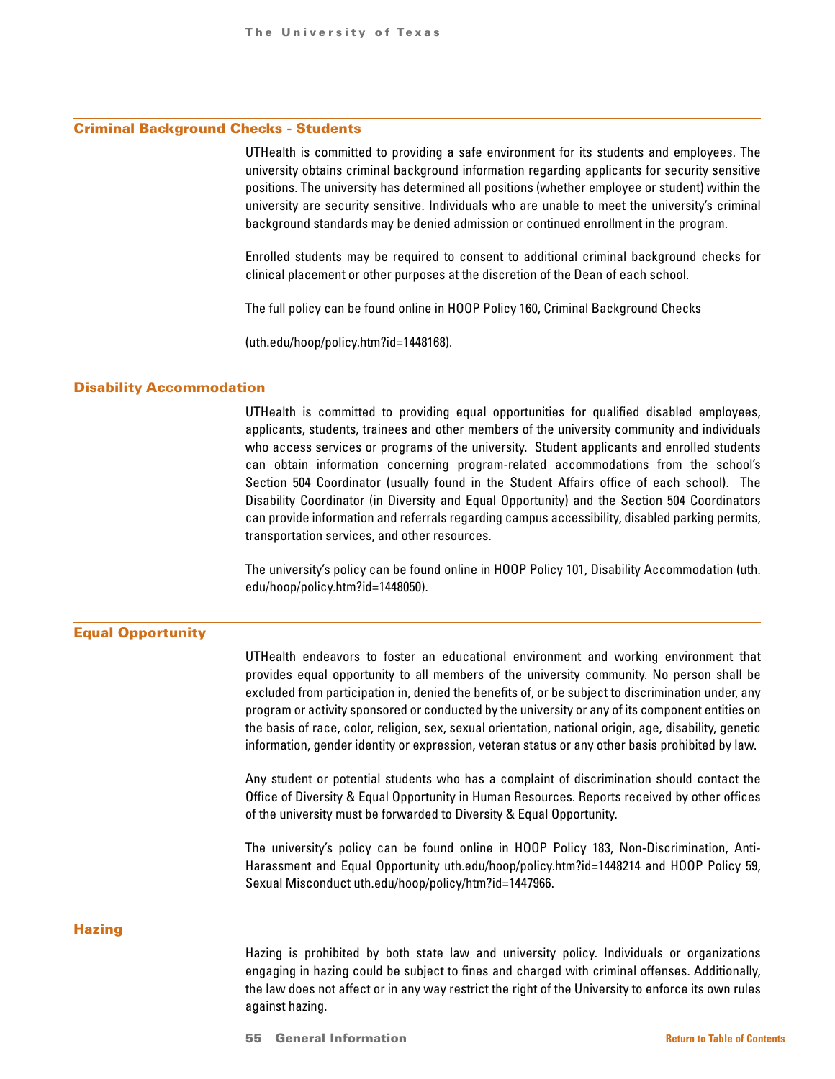#### Criminal Background Checks - Students

UTHealth is committed to providing a safe environment for its students and employees. The university obtains criminal background information regarding applicants for security sensitive positions. The university has determined all positions (whether employee or student) within the university are security sensitive. Individuals who are unable to meet the university's criminal background standards may be denied admission or continued enrollment in the program.

Enrolled students may be required to consent to additional criminal background checks for clinical placement or other purposes at the discretion of the Dean of each school.

The full policy can be found online in HOOP Policy 160, Criminal Background Checks

(uth.edu/hoop/policy.htm?id=1448168).

#### Disability Accommodation

UTHealth is committed to providing equal opportunities for qualified disabled employees, applicants, students, trainees and other members of the university community and individuals who access services or programs of the university. Student applicants and enrolled students can obtain information concerning program-related accommodations from the school's Section 504 Coordinator (usually found in the Student Affairs office of each school). The Disability Coordinator (in Diversity and Equal Opportunity) and the Section 504 Coordinators can provide information and referrals regarding campus accessibility, disabled parking permits, transportation services, and other resources.

The university's policy can be found online in HOOP Policy 101, Disability Accommodation (uth. edu/hoop/policy.htm?id=1448050).

#### Equal Opportunity

UTHealth endeavors to foster an educational environment and working environment that provides equal opportunity to all members of the university community. No person shall be excluded from participation in, denied the benefits of, or be subject to discrimination under, any program or activity sponsored or conducted by the university or any of its component entities on the basis of race, color, religion, sex, sexual orientation, national origin, age, disability, genetic information, gender identity or expression, veteran status or any other basis prohibited by law.

Any student or potential students who has a complaint of discrimination should contact the Office of Diversity & Equal Opportunity in Human Resources. Reports received by other offices of the university must be forwarded to Diversity & Equal Opportunity.

The university's policy can be found online in HOOP Policy 183, Non-Discrimination, Anti-Harassment and Equal Opportunity uth.edu/hoop/policy.htm?id=1448214 and HOOP Policy 59, Sexual Misconduct uth.edu/hoop/policy/htm?id=1447966.

#### **Hazing**

Hazing is prohibited by both state law and university policy. Individuals or organizations engaging in hazing could be subject to fines and charged with criminal offenses. Additionally, the law does not affect or in any way restrict the right of the University to enforce its own rules against hazing.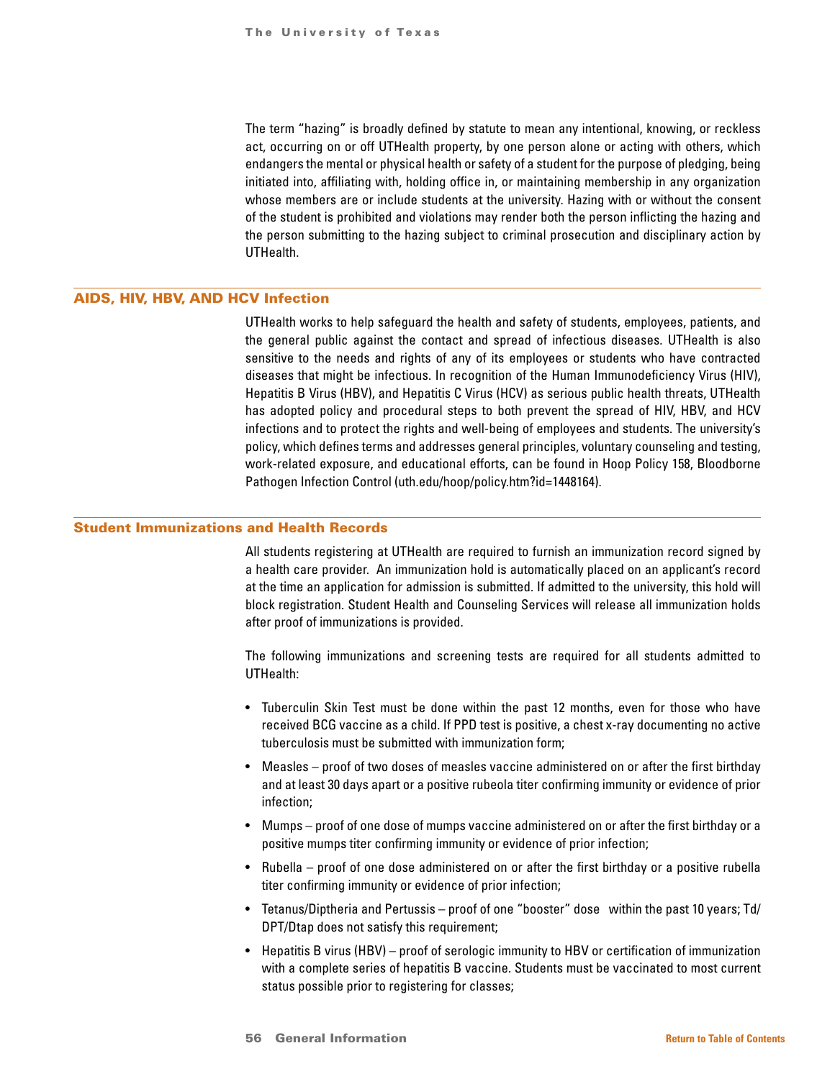The term "hazing" is broadly defined by statute to mean any intentional, knowing, or reckless act, occurring on or off UTHealth property, by one person alone or acting with others, which endangers the mental or physical health or safety of a student for the purpose of pledging, being initiated into, affiliating with, holding office in, or maintaining membership in any organization whose members are or include students at the university. Hazing with or without the consent of the student is prohibited and violations may render both the person inflicting the hazing and the person submitting to the hazing subject to criminal prosecution and disciplinary action by UTHealth.

# AIDS, HIV, HBV, AND HCV Infection

UTHealth works to help safeguard the health and safety of students, employees, patients, and the general public against the contact and spread of infectious diseases. UTHealth is also sensitive to the needs and rights of any of its employees or students who have contracted diseases that might be infectious. In recognition of the Human Immunodeficiency Virus (HIV), Hepatitis B Virus (HBV), and Hepatitis C Virus (HCV) as serious public health threats, UTHealth has adopted policy and procedural steps to both prevent the spread of HIV, HBV, and HCV infections and to protect the rights and well-being of employees and students. The university's policy, which defines terms and addresses general principles, voluntary counseling and testing, work-related exposure, and educational efforts, can be found in Hoop Policy 158, Bloodborne Pathogen Infection Control (uth.edu/hoop/policy.htm?id=1448164).

# Student Immunizations and Health Records

All students registering at UTHealth are required to furnish an immunization record signed by a health care provider. An immunization hold is automatically placed on an applicant's record at the time an application for admission is submitted. If admitted to the university, this hold will block registration. Student Health and Counseling Services will release all immunization holds after proof of immunizations is provided.

The following immunizations and screening tests are required for all students admitted to UTHealth:

- Tuberculin Skin Test must be done within the past 12 months, even for those who have received BCG vaccine as a child. If PPD test is positive, a chest x-ray documenting no active tuberculosis must be submitted with immunization form;
- Measles proof of two doses of measles vaccine administered on or after the first birthday and at least 30 days apart or a positive rubeola titer confirming immunity or evidence of prior infection;
- Mumps proof of one dose of mumps vaccine administered on or after the first birthday or a positive mumps titer confirming immunity or evidence of prior infection;
- Rubella proof of one dose administered on or after the first birthday or a positive rubella titer confirming immunity or evidence of prior infection;
- Tetanus/Diptheria and Pertussis proof of one "booster" dose within the past 10 years; Td/ DPT/Dtap does not satisfy this requirement;
- Hepatitis B virus (HBV) proof of serologic immunity to HBV or certification of immunization with a complete series of hepatitis B vaccine. Students must be vaccinated to most current status possible prior to registering for classes;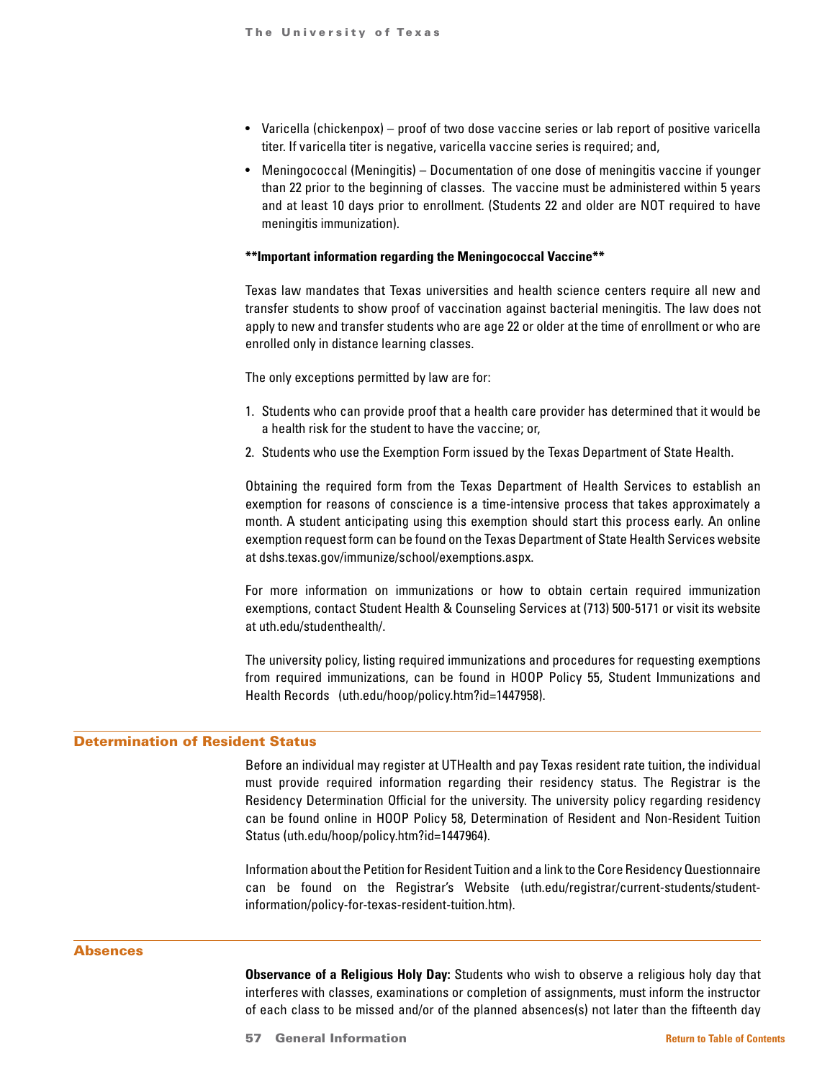- Varicella (chickenpox) proof of two dose vaccine series or lab report of positive varicella titer. If varicella titer is negative, varicella vaccine series is required; and,
- Meningococcal (Meningitis) Documentation of one dose of meningitis vaccine if younger than 22 prior to the beginning of classes. The vaccine must be administered within 5 years and at least 10 days prior to enrollment. (Students 22 and older are NOT required to have meningitis immunization).

#### **\*\*Important information regarding the Meningococcal Vaccine\*\***

Texas law mandates that Texas universities and health science centers require all new and transfer students to show proof of vaccination against bacterial meningitis. The law does not apply to new and transfer students who are age 22 or older at the time of enrollment or who are enrolled only in distance learning classes.

The only exceptions permitted by law are for:

- 1. Students who can provide proof that a health care provider has determined that it would be a health risk for the student to have the vaccine; or,
- 2. Students who use the Exemption Form issued by the Texas Department of State Health.

Obtaining the required form from the Texas Department of Health Services to establish an exemption for reasons of conscience is a time-intensive process that takes approximately a month. A student anticipating using this exemption should start this process early. An online exemption request form can be found on the Texas Department of State Health Services website at dshs.texas.gov/immunize/school/exemptions.aspx.

For more information on immunizations or how to obtain certain required immunization exemptions, contact Student Health & Counseling Services at (713) 500-5171 or visit its website at uth.edu/studenthealth/.

The university policy, listing required immunizations and procedures for requesting exemptions from required immunizations, can be found in HOOP Policy 55, Student Immunizations and Health Records (uth.edu/hoop/policy.htm?id=1447958).

# Determination of Resident Status

Before an individual may register at UTHealth and pay Texas resident rate tuition, the individual must provide required information regarding their residency status. The Registrar is the Residency Determination Official for the university. The university policy regarding residency can be found online in HOOP Policy 58, Determination of Resident and Non-Resident Tuition Status (uth.edu/hoop/policy.htm?id=1447964).

Information about the Petition for Resident Tuition and a link to the Core Residency Questionnaire can be found on the Registrar's Website (uth.edu/registrar/current-students/studentinformation/policy-for-texas-resident-tuition.htm).

#### **Absences**

**Observance of a Religious Holy Day:** Students who wish to observe a religious holy day that interferes with classes, examinations or completion of assignments, must inform the instructor of each class to be missed and/or of the planned absences(s) not later than the fifteenth day

57 General Information **[Return to Table of Contents](#page-1-0)**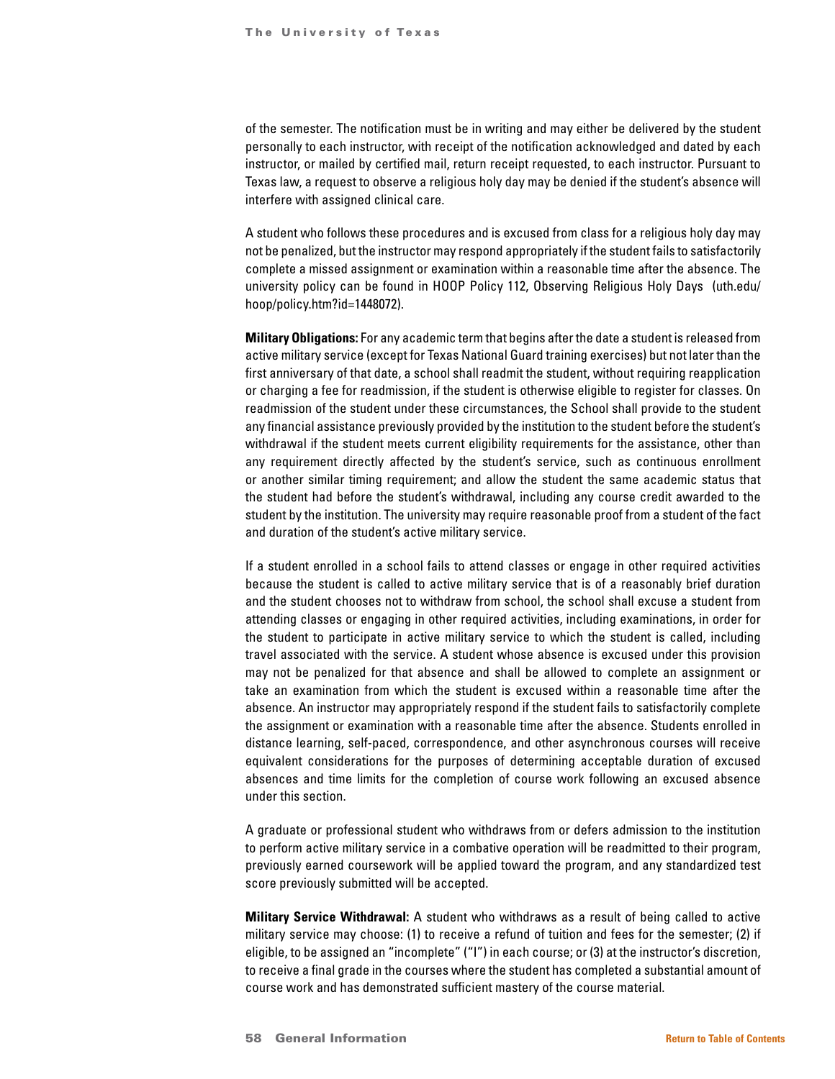of the semester. The notification must be in writing and may either be delivered by the student personally to each instructor, with receipt of the notification acknowledged and dated by each instructor, or mailed by certified mail, return receipt requested, to each instructor. Pursuant to Texas law, a request to observe a religious holy day may be denied if the student's absence will interfere with assigned clinical care.

A student who follows these procedures and is excused from class for a religious holy day may not be penalized, but the instructor may respond appropriately if the student fails to satisfactorily complete a missed assignment or examination within a reasonable time after the absence. The university policy can be found in HOOP Policy 112, Observing Religious Holy Days (uth.edu/ hoop/policy.htm?id=1448072).

**Military Obligations:** For any academic term that begins after the date a student is released from active military service (except for Texas National Guard training exercises) but not later than the first anniversary of that date, a school shall readmit the student, without requiring reapplication or charging a fee for readmission, if the student is otherwise eligible to register for classes. On readmission of the student under these circumstances, the School shall provide to the student any financial assistance previously provided by the institution to the student before the student's withdrawal if the student meets current eligibility requirements for the assistance, other than any requirement directly affected by the student's service, such as continuous enrollment or another similar timing requirement; and allow the student the same academic status that the student had before the student's withdrawal, including any course credit awarded to the student by the institution. The university may require reasonable proof from a student of the fact and duration of the student's active military service.

If a student enrolled in a school fails to attend classes or engage in other required activities because the student is called to active military service that is of a reasonably brief duration and the student chooses not to withdraw from school, the school shall excuse a student from attending classes or engaging in other required activities, including examinations, in order for the student to participate in active military service to which the student is called, including travel associated with the service. A student whose absence is excused under this provision may not be penalized for that absence and shall be allowed to complete an assignment or take an examination from which the student is excused within a reasonable time after the absence. An instructor may appropriately respond if the student fails to satisfactorily complete the assignment or examination with a reasonable time after the absence. Students enrolled in distance learning, self-paced, correspondence, and other asynchronous courses will receive equivalent considerations for the purposes of determining acceptable duration of excused absences and time limits for the completion of course work following an excused absence under this section.

A graduate or professional student who withdraws from or defers admission to the institution to perform active military service in a combative operation will be readmitted to their program, previously earned coursework will be applied toward the program, and any standardized test score previously submitted will be accepted.

**Military Service Withdrawal:** A student who withdraws as a result of being called to active military service may choose: (1) to receive a refund of tuition and fees for the semester; (2) if eligible, to be assigned an "incomplete" ("I") in each course; or (3) at the instructor's discretion, to receive a final grade in the courses where the student has completed a substantial amount of course work and has demonstrated sufficient mastery of the course material.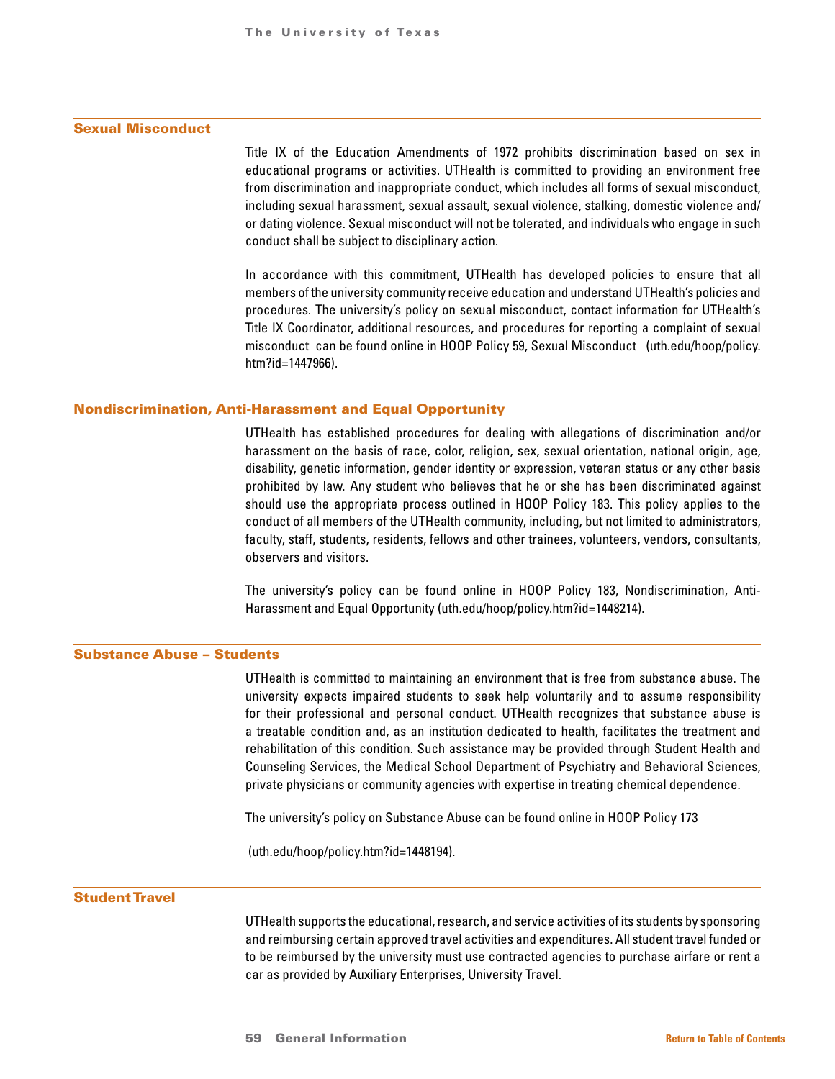## Sexual Misconduct

Title IX of the Education Amendments of 1972 prohibits discrimination based on sex in educational programs or activities. UTHealth is committed to providing an environment free from discrimination and inappropriate conduct, which includes all forms of sexual misconduct, including sexual harassment, sexual assault, sexual violence, stalking, domestic violence and/ or dating violence. Sexual misconduct will not be tolerated, and individuals who engage in such conduct shall be subject to disciplinary action.

In accordance with this commitment, UTHealth has developed policies to ensure that all members of the university community receive education and understand UTHealth's policies and procedures. The university's policy on sexual misconduct, contact information for UTHealth's Title IX Coordinator, additional resources, and procedures for reporting a complaint of sexual misconduct can be found online in HOOP Policy 59, Sexual Misconduct (uth.edu/hoop/policy. htm?id=1447966).

#### Nondiscrimination, Anti-Harassment and Equal Opportunity

UTHealth has established procedures for dealing with allegations of discrimination and/or harassment on the basis of race, color, religion, sex, sexual orientation, national origin, age, disability, genetic information, gender identity or expression, veteran status or any other basis prohibited by law. Any student who believes that he or she has been discriminated against should use the appropriate process outlined in HOOP Policy 183. This policy applies to the conduct of all members of the UTHealth community, including, but not limited to administrators, faculty, staff, students, residents, fellows and other trainees, volunteers, vendors, consultants, observers and visitors.

The university's policy can be found online in HOOP Policy 183, Nondiscrimination, Anti-Harassment and Equal Opportunity (uth.edu/hoop/policy.htm?id=1448214).

# Substance Abuse – Students

UTHealth is committed to maintaining an environment that is free from substance abuse. The university expects impaired students to seek help voluntarily and to assume responsibility for their professional and personal conduct. UTHealth recognizes that substance abuse is a treatable condition and, as an institution dedicated to health, facilitates the treatment and rehabilitation of this condition. Such assistance may be provided through Student Health and Counseling Services, the Medical School Department of Psychiatry and Behavioral Sciences, private physicians or community agencies with expertise in treating chemical dependence.

The university's policy on Substance Abuse can be found online in HOOP Policy 173

(uth.edu/hoop/policy.htm?id=1448194).

## Student Travel

UTHealth supports the educational, research, and service activities of its students by sponsoring and reimbursing certain approved travel activities and expenditures. All student travel funded or to be reimbursed by the university must use contracted agencies to purchase airfare or rent a car as provided by Auxiliary Enterprises, University Travel.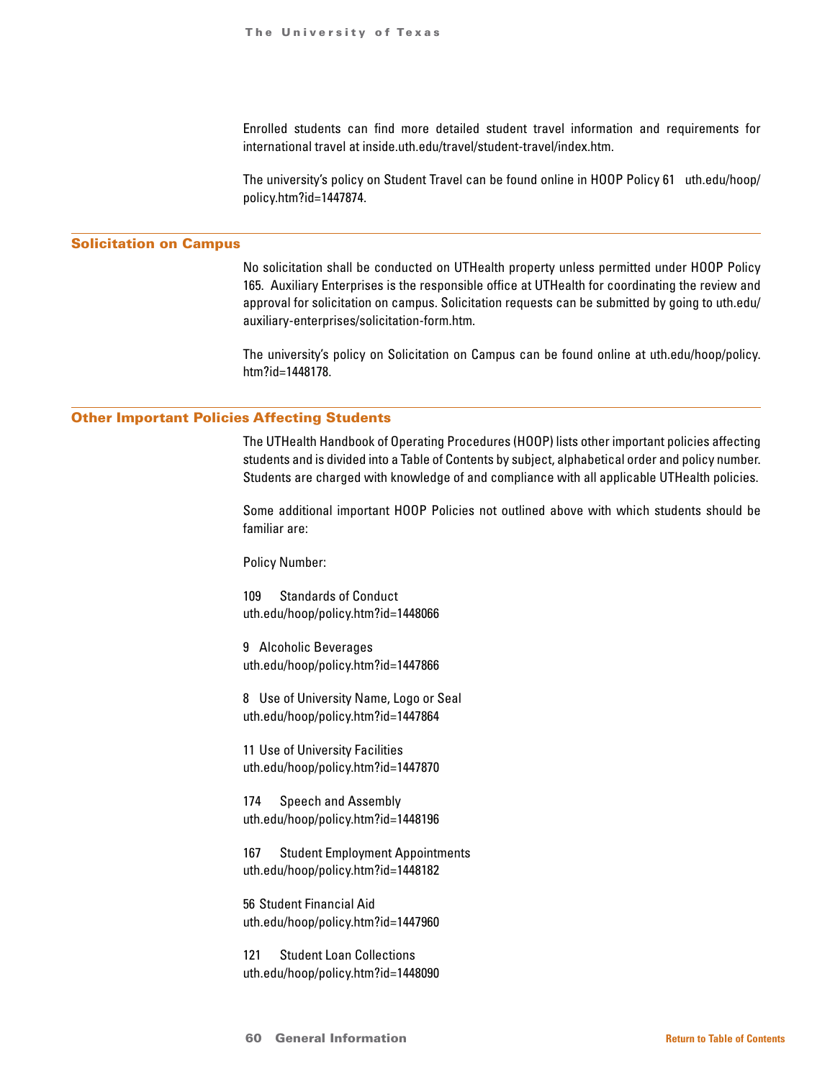Enrolled students can find more detailed student travel information and requirements for international travel at inside.uth.edu/travel/student-travel/index.htm.

The university's policy on Student Travel can be found online in HOOP Policy 61 uth.edu/hoop/ policy.htm?id=1447874.

#### Solicitation on Campus

No solicitation shall be conducted on UTHealth property unless permitted under HOOP Policy 165. Auxiliary Enterprises is the responsible office at UTHealth for coordinating the review and approval for solicitation on campus. Solicitation requests can be submitted by going to uth.edu/ auxiliary-enterprises/solicitation-form.htm.

The university's policy on Solicitation on Campus can be found online at uth.edu/hoop/policy. htm?id=1448178.

# Other Important Policies Affecting Students

The UTHealth Handbook of Operating Procedures (HOOP) lists other important policies affecting students and is divided into a Table of Contents by subject, alphabetical order and policy number. Students are charged with knowledge of and compliance with all applicable UTHealth policies.

Some additional important HOOP Policies not outlined above with which students should be familiar are:

Policy Number:

109 Standards of Conduct uth.edu/hoop/policy.htm?id=1448066

9 Alcoholic Beverages uth.edu/hoop/policy.htm?id=1447866

8 Use of University Name, Logo or Seal uth.edu/hoop/policy.htm?id=1447864

11 Use of University Facilities uth.edu/hoop/policy.htm?id=1447870

174 Speech and Assembly uth.edu/hoop/policy.htm?id=1448196

167 Student Employment Appointments uth.edu/hoop/policy.htm?id=1448182

56 Student Financial Aid uth.edu/hoop/policy.htm?id=1447960

121 Student Loan Collections uth.edu/hoop/policy.htm?id=1448090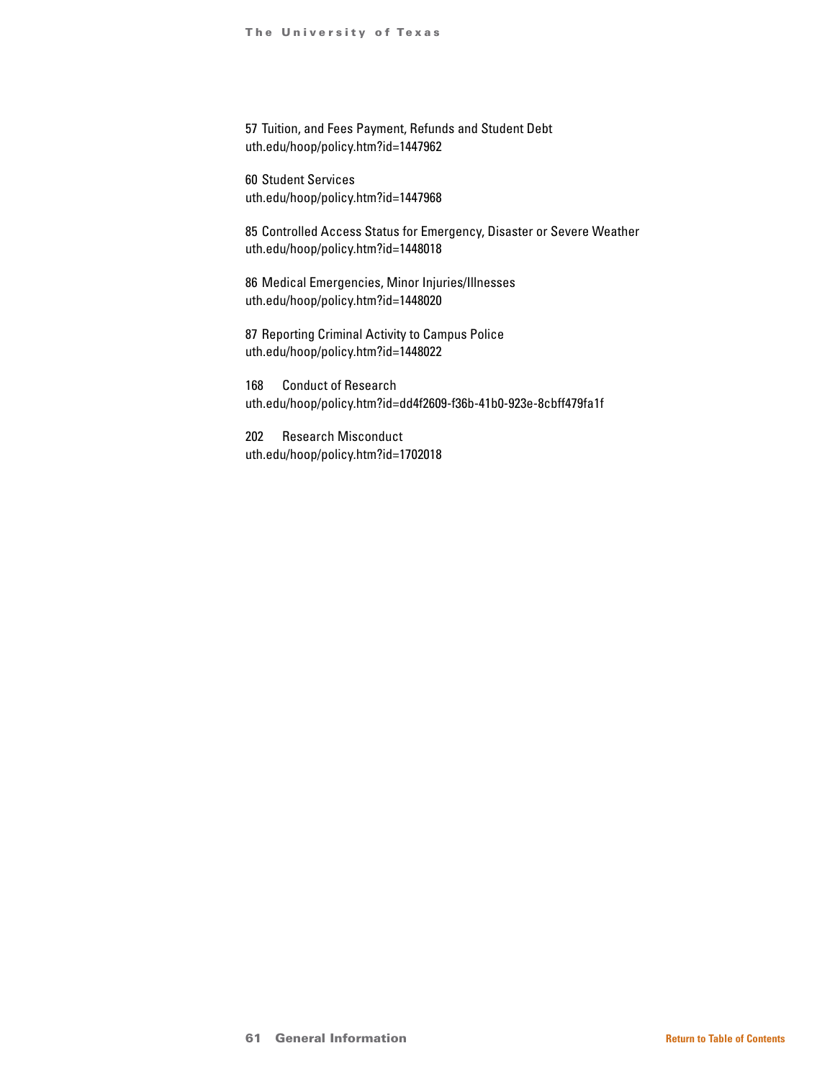57 Tuition, and Fees Payment, Refunds and Student Debt uth.edu/hoop/policy.htm?id=1447962

60 Student Services uth.edu/hoop/policy.htm?id=1447968

85 Controlled Access Status for Emergency, Disaster or Severe Weather uth.edu/hoop/policy.htm?id=1448018

86 Medical Emergencies, Minor Injuries/Illnesses uth.edu/hoop/policy.htm?id=1448020

87 Reporting Criminal Activity to Campus Police uth.edu/hoop/policy.htm?id=1448022

168 Conduct of Research uth.edu/hoop/policy.htm?id=dd4f2609-f36b-41b0-923e-8cbff479fa1f

202 Research Misconduct uth.edu/hoop/policy.htm?id=1702018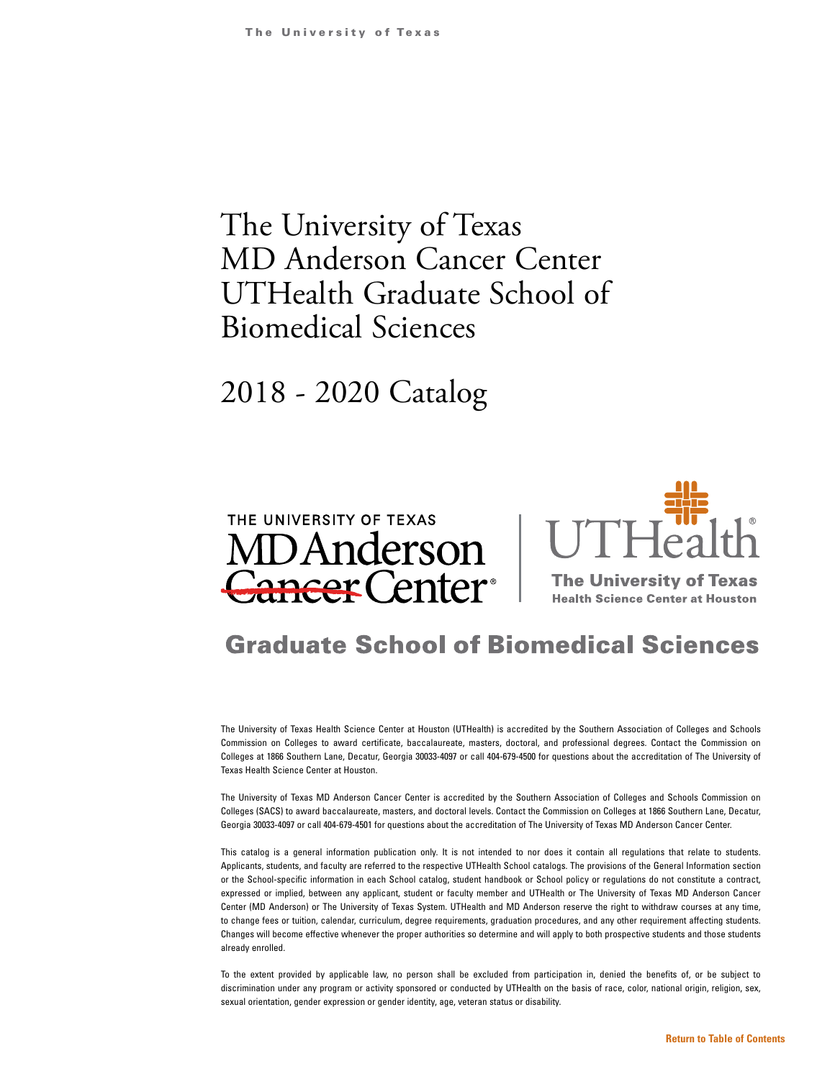# The University of Texas MD Anderson Cancer Center UTHealth Graduate School of Biomedical Sciences

# 2018 - 2020 Catalog



# **Graduate School of Biomedical Sciences**

The University of Texas Health Science Center at Houston (UTHealth) is accredited by the Southern Association of Colleges and Schools Commission on Colleges to award certificate, baccalaureate, masters, doctoral, and professional degrees. Contact the Commission on Colleges at 1866 Southern Lane, Decatur, Georgia 30033-4097 or call 404-679-4500 for questions about the accreditation of The University of Texas Health Science Center at Houston.

The University of Texas MD Anderson Cancer Center is accredited by the Southern Association of Colleges and Schools Commission on Colleges (SACS) to award baccalaureate, masters, and doctoral levels. Contact the Commission on Colleges at 1866 Southern Lane, Decatur, Georgia 30033-4097 or call 404-679-4501 for questions about the accreditation of The University of Texas MD Anderson Cancer Center.

This catalog is a general information publication only. It is not intended to nor does it contain all regulations that relate to students. Applicants, students, and faculty are referred to the respective UTHealth School catalogs. The provisions of the General Information section or the School-specific information in each School catalog, student handbook or School policy or regulations do not constitute a contract, expressed or implied, between any applicant, student or faculty member and UTHealth or The University of Texas MD Anderson Cancer Center (MD Anderson) or The University of Texas System. UTHealth and MD Anderson reserve the right to withdraw courses at any time, to change fees or tuition, calendar, curriculum, degree requirements, graduation procedures, and any other requirement affecting students. Changes will become effective whenever the proper authorities so determine and will apply to both prospective students and those students already enrolled.

To the extent provided by applicable law, no person shall be excluded from participation in, denied the benefits of, or be subject to discrimination under any program or activity sponsored or conducted by UTHealth on the basis of race, color, national origin, religion, sex, sexual orientation, gender expression or gender identity, age, veteran status or disability.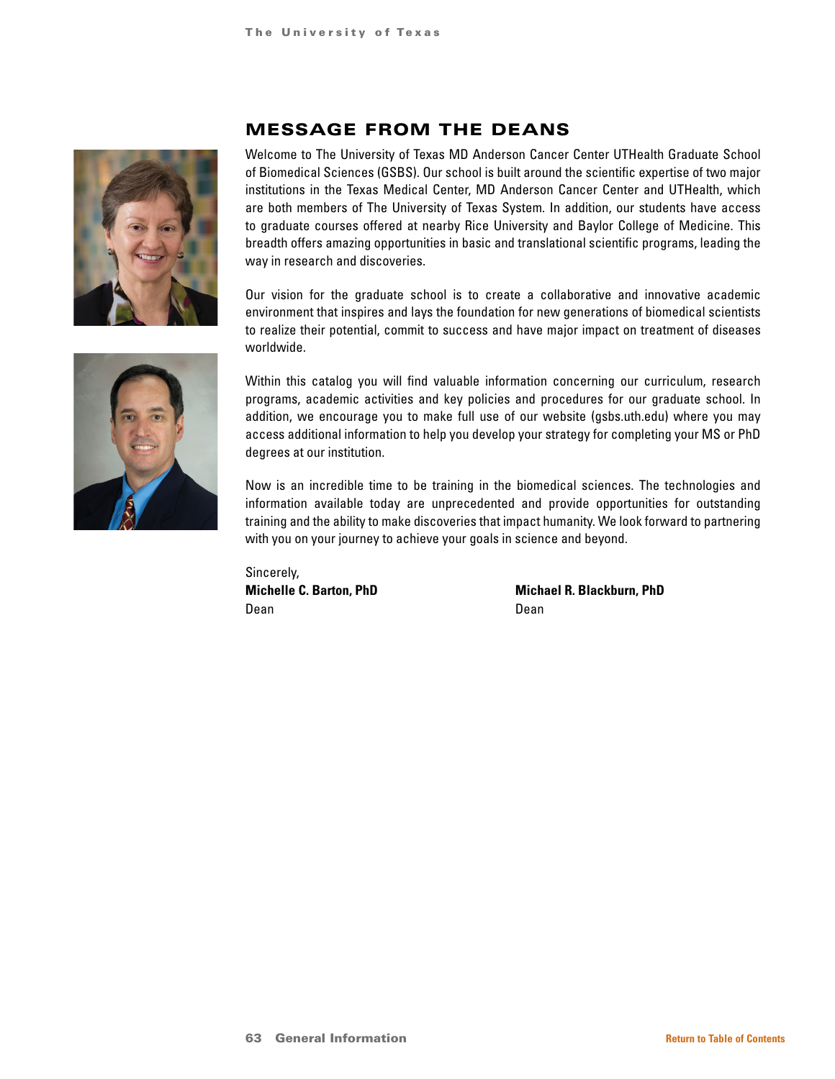

# MESSAGE FROM THE DEANS

Welcome to The University of Texas MD Anderson Cancer Center UTHealth Graduate School of Biomedical Sciences (GSBS). Our school is built around the scientific expertise of two major institutions in the Texas Medical Center, MD Anderson Cancer Center and UTHealth, which are both members of The University of Texas System. In addition, our students have access to graduate courses offered at nearby Rice University and Baylor College of Medicine. This breadth offers amazing opportunities in basic and translational scientific programs, leading the way in research and discoveries.

Our vision for the graduate school is to create a collaborative and innovative academic environment that inspires and lays the foundation for new generations of biomedical scientists to realize their potential, commit to success and have major impact on treatment of diseases worldwide.



Within this catalog you will find valuable information concerning our curriculum, research programs, academic activities and key policies and procedures for our graduate school. In addition, we encourage you to make full use of our website (gsbs.uth.edu) where you may access additional information to help you develop your strategy for completing your MS or PhD degrees at our institution.

Now is an incredible time to be training in the biomedical sciences. The technologies and information available today are unprecedented and provide opportunities for outstanding training and the ability to make discoveries that impact humanity. We look forward to partnering with you on your journey to achieve your goals in science and beyond.

Sincerely, Dean Dean

**Michelle C. Barton, PhD Michael R. Blackburn, PhD**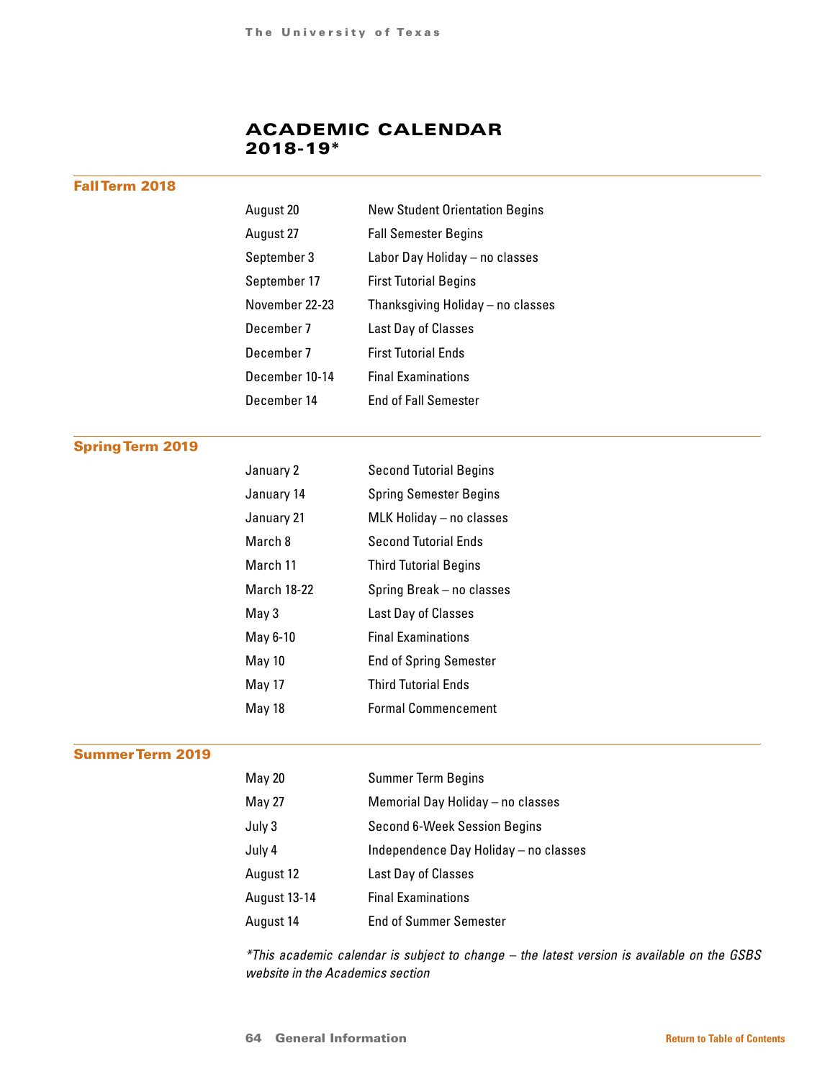# ACADEMIC CALENDAR 2018-19\*

# Fall Term 2018

| August 20      | <b>New Student Orientation Begins</b> |
|----------------|---------------------------------------|
| August 27      | <b>Fall Semester Begins</b>           |
| September 3    | Labor Day Holiday - no classes        |
| September 17   | <b>First Tutorial Begins</b>          |
| November 22-23 | Thanksgiving Holiday - no classes     |
| December 7     | Last Day of Classes                   |
| December 7     | <b>First Tutorial Ends</b>            |
| December 10-14 | <b>Final Examinations</b>             |
| December 14    | <b>End of Fall Semester</b>           |

# Spring Term 2019

| January 2   | <b>Second Tutorial Begins</b> |
|-------------|-------------------------------|
| January 14  | <b>Spring Semester Begins</b> |
| January 21  | MLK Holiday - no classes      |
| March 8     | <b>Second Tutorial Ends</b>   |
| March 11    | <b>Third Tutorial Begins</b>  |
| March 18-22 | Spring Break - no classes     |
| May 3       | Last Day of Classes           |
| May 6-10    | <b>Final Examinations</b>     |
| May 10      | <b>End of Spring Semester</b> |
| May 17      | <b>Third Tutorial Ends</b>    |
| May 18      | <b>Formal Commencement</b>    |

# Summer Term 2019

| <b>May 20</b> | <b>Summer Term Begins</b>             |
|---------------|---------------------------------------|
| <b>May 27</b> | Memorial Day Holiday - no classes     |
| July 3        | Second 6-Week Session Begins          |
| July 4        | Independence Day Holiday - no classes |
| August 12     | Last Day of Classes                   |
| August 13-14  | <b>Final Examinations</b>             |
| August 14     | <b>End of Summer Semester</b>         |

*\*This academic calendar is subject to change – the latest version is available on the GSBS website in the Academics section*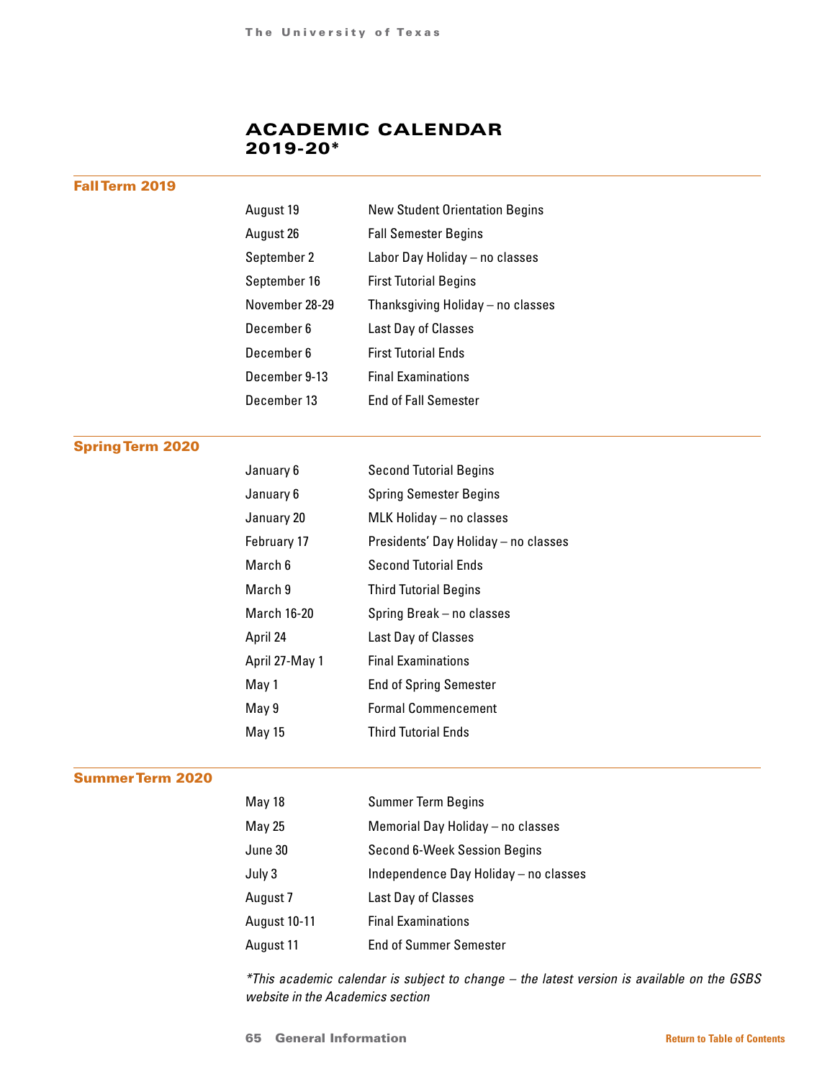# ACADEMIC CALENDAR 2019-20\*

# Fall Term 2019

| August 19      | <b>New Student Orientation Begins</b> |
|----------------|---------------------------------------|
| August 26      | <b>Fall Semester Begins</b>           |
| September 2    | Labor Day Holiday - no classes        |
| September 16   | <b>First Tutorial Begins</b>          |
| November 28-29 | Thanksgiving Holiday - no classes     |
| December 6     | Last Day of Classes                   |
| December 6     | <b>First Tutorial Ends</b>            |
| December 9-13  | <b>Final Examinations</b>             |
| December 13    | <b>End of Fall Semester</b>           |

# Spring Term 2020

| January 6      | <b>Second Tutorial Begins</b>        |
|----------------|--------------------------------------|
| January 6      | <b>Spring Semester Begins</b>        |
| January 20     | MLK Holiday - no classes             |
| February 17    | Presidents' Day Holiday - no classes |
| March 6        | <b>Second Tutorial Ends</b>          |
| March 9        | <b>Third Tutorial Begins</b>         |
| March 16-20    | Spring Break - no classes            |
| April 24       | Last Day of Classes                  |
| April 27-May 1 | <b>Final Examinations</b>            |
| May 1          | <b>End of Spring Semester</b>        |
| May 9          | <b>Formal Commencement</b>           |
| May 15         | <b>Third Tutorial Ends</b>           |

# Summer Term 2020

| May 18              | <b>Summer Term Begins</b>             |
|---------------------|---------------------------------------|
| May 25              | Memorial Day Holiday - no classes     |
| June 30             | Second 6-Week Session Begins          |
| July 3              | Independence Day Holiday - no classes |
| August 7            | Last Day of Classes                   |
| <b>August 10-11</b> | <b>Final Examinations</b>             |
| August 11           | <b>End of Summer Semester</b>         |

*\*This academic calendar is subject to change – the latest version is available on the GSBS website in the Academics section*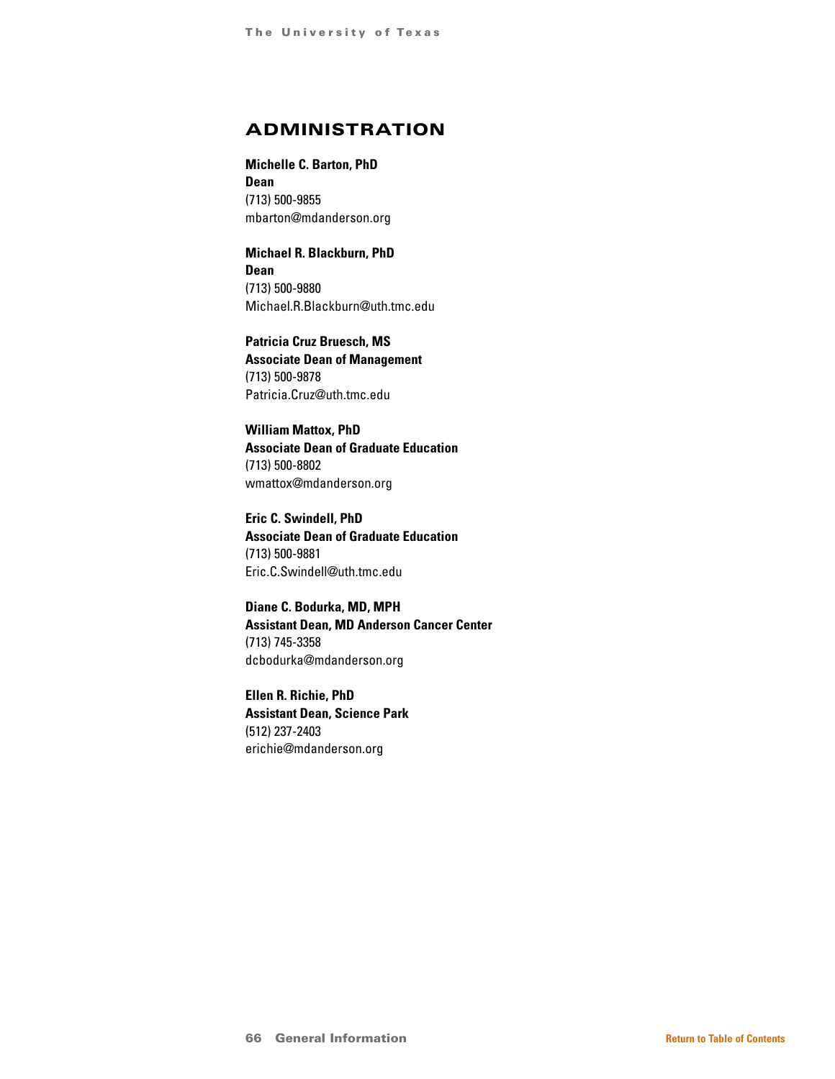# ADMINISTRATION

**Michelle C. Barton, PhD Dean** (713) 500-9855 mbarton@mdanderson.org

**Michael R. Blackburn, PhD Dean** (713) 500-9880 Michael.R.Blackburn@uth.tmc.edu

**Patricia Cruz Bruesch, MS Associate Dean of Management** (713) 500-9878 Patricia.Cruz@uth.tmc.edu

**William Mattox, PhD Associate Dean of Graduate Education** (713) 500-8802 wmattox@mdanderson.org

**Eric C. Swindell, PhD Associate Dean of Graduate Education** (713) 500-9881 Eric.C.Swindell@uth.tmc.edu

**Diane C. Bodurka, MD, MPH Assistant Dean, MD Anderson Cancer Center** (713) 745-3358 dcbodurka@mdanderson.org

**Ellen R. Richie, PhD Assistant Dean, Science Park** (512) 237-2403 erichie@mdanderson.org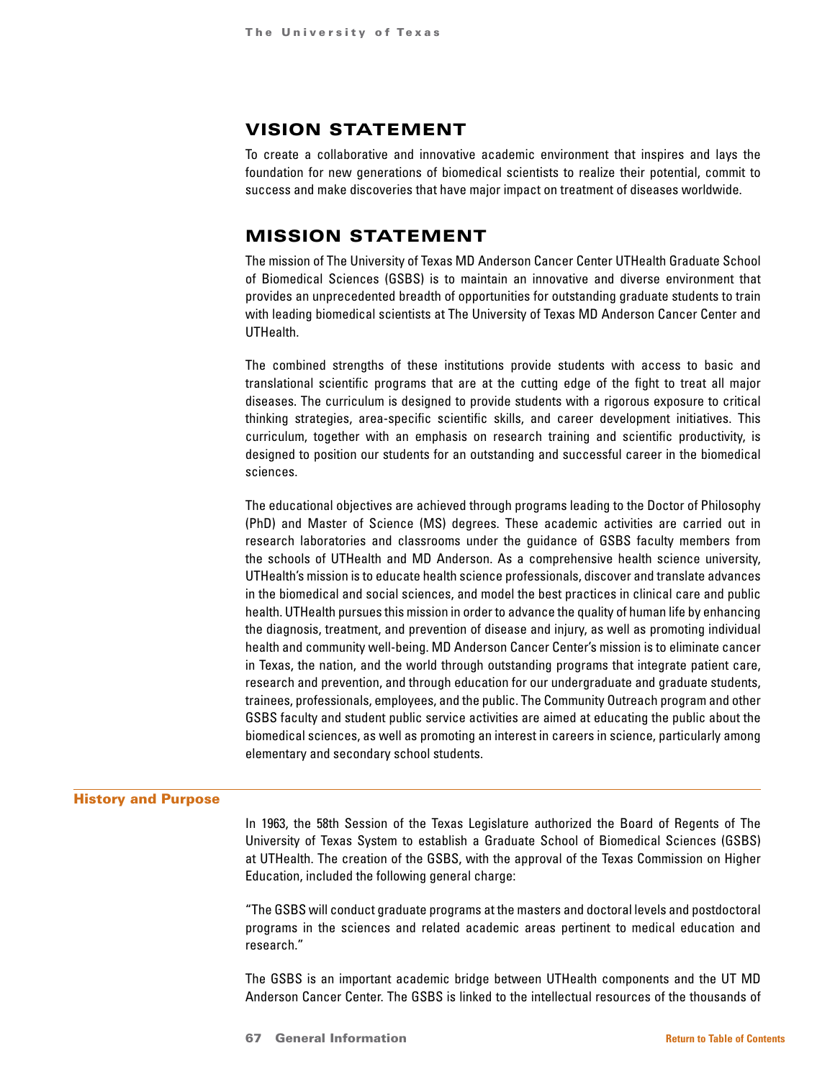# VISION STATEMENT

To create a collaborative and innovative academic environment that inspires and lays the foundation for new generations of biomedical scientists to realize their potential, commit to success and make discoveries that have major impact on treatment of diseases worldwide.

# MISSION STATEMENT

The mission of The University of Texas MD Anderson Cancer Center UTHealth Graduate School of Biomedical Sciences (GSBS) is to maintain an innovative and diverse environment that provides an unprecedented breadth of opportunities for outstanding graduate students to train with leading biomedical scientists at The University of Texas MD Anderson Cancer Center and UTHealth.

The combined strengths of these institutions provide students with access to basic and translational scientific programs that are at the cutting edge of the fight to treat all major diseases. The curriculum is designed to provide students with a rigorous exposure to critical thinking strategies, area-specific scientific skills, and career development initiatives. This curriculum, together with an emphasis on research training and scientific productivity, is designed to position our students for an outstanding and successful career in the biomedical sciences.

The educational objectives are achieved through programs leading to the Doctor of Philosophy (PhD) and Master of Science (MS) degrees. These academic activities are carried out in research laboratories and classrooms under the guidance of GSBS faculty members from the schools of UTHealth and MD Anderson. As a comprehensive health science university, UTHealth's mission is to educate health science professionals, discover and translate advances in the biomedical and social sciences, and model the best practices in clinical care and public health. UTHealth pursues this mission in order to advance the quality of human life by enhancing the diagnosis, treatment, and prevention of disease and injury, as well as promoting individual health and community well-being. MD Anderson Cancer Center's mission is to eliminate cancer in Texas, the nation, and the world through outstanding programs that integrate patient care, research and prevention, and through education for our undergraduate and graduate students, trainees, professionals, employees, and the public. The Community Outreach program and other GSBS faculty and student public service activities are aimed at educating the public about the biomedical sciences, as well as promoting an interest in careers in science, particularly among elementary and secondary school students.

#### History and Purpose

In 1963, the 58th Session of the Texas Legislature authorized the Board of Regents of The University of Texas System to establish a Graduate School of Biomedical Sciences (GSBS) at UTHealth. The creation of the GSBS, with the approval of the Texas Commission on Higher Education, included the following general charge:

"The GSBS will conduct graduate programs at the masters and doctoral levels and postdoctoral programs in the sciences and related academic areas pertinent to medical education and research."

The GSBS is an important academic bridge between UTHealth components and the UT MD Anderson Cancer Center. The GSBS is linked to the intellectual resources of the thousands of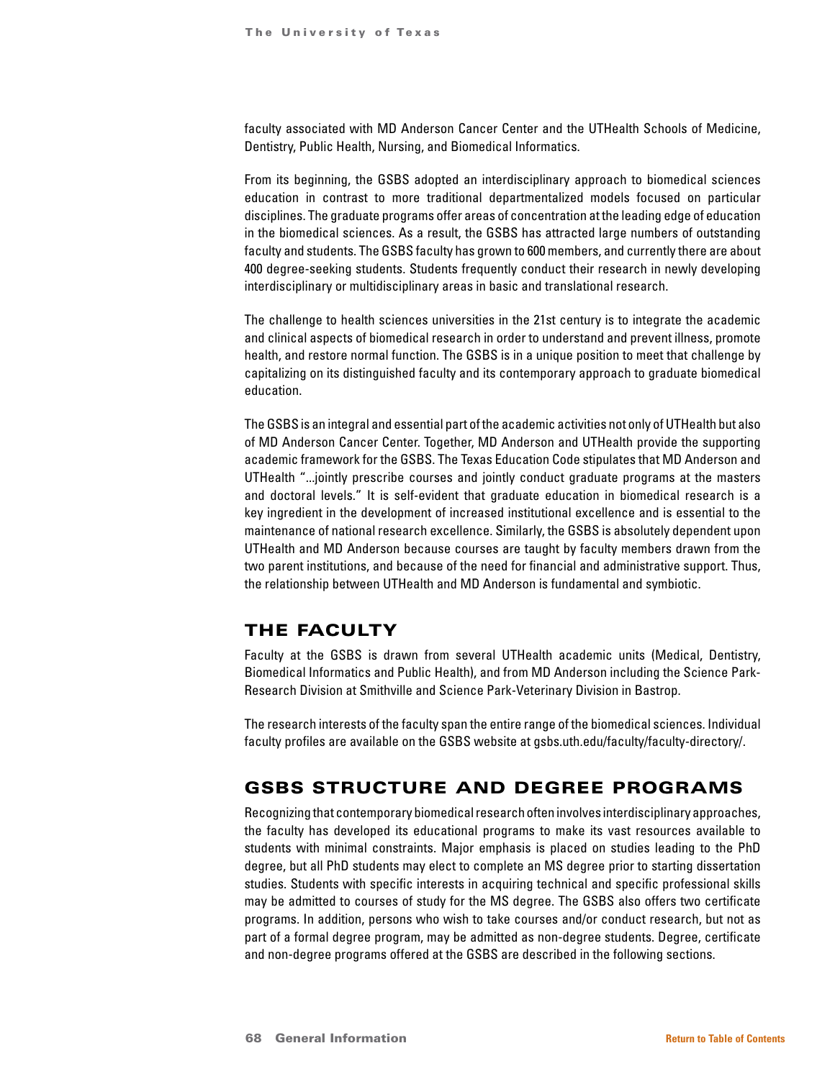faculty associated with MD Anderson Cancer Center and the UTHealth Schools of Medicine, Dentistry, Public Health, Nursing, and Biomedical Informatics.

From its beginning, the GSBS adopted an interdisciplinary approach to biomedical sciences education in contrast to more traditional departmentalized models focused on particular disciplines. The graduate programs offer areas of concentration at the leading edge of education in the biomedical sciences. As a result, the GSBS has attracted large numbers of outstanding faculty and students. The GSBS faculty has grown to 600 members, and currently there are about 400 degree-seeking students. Students frequently conduct their research in newly developing interdisciplinary or multidisciplinary areas in basic and translational research.

The challenge to health sciences universities in the 21st century is to integrate the academic and clinical aspects of biomedical research in order to understand and prevent illness, promote health, and restore normal function. The GSBS is in a unique position to meet that challenge by capitalizing on its distinguished faculty and its contemporary approach to graduate biomedical education.

The GSBS is an integral and essential part of the academic activities not only of UTHealth but also of MD Anderson Cancer Center. Together, MD Anderson and UTHealth provide the supporting academic framework for the GSBS. The Texas Education Code stipulates that MD Anderson and UTHealth "...jointly prescribe courses and jointly conduct graduate programs at the masters and doctoral levels." It is self-evident that graduate education in biomedical research is a key ingredient in the development of increased institutional excellence and is essential to the maintenance of national research excellence. Similarly, the GSBS is absolutely dependent upon UTHealth and MD Anderson because courses are taught by faculty members drawn from the two parent institutions, and because of the need for financial and administrative support. Thus, the relationship between UTHealth and MD Anderson is fundamental and symbiotic.

# THE FACULTY

Faculty at the GSBS is drawn from several UTHealth academic units (Medical, Dentistry, Biomedical Informatics and Public Health), and from MD Anderson including the Science Park-Research Division at Smithville and Science Park-Veterinary Division in Bastrop.

The research interests of the faculty span the entire range of the biomedical sciences. Individual faculty profiles are available on the GSBS website at gsbs.uth.edu/faculty/faculty-directory/.

# GSBS STRUCTURE AND DEGREE PROGRAMS

Recognizing that contemporary biomedical research often involves interdisciplinary approaches, the faculty has developed its educational programs to make its vast resources available to students with minimal constraints. Major emphasis is placed on studies leading to the PhD degree, but all PhD students may elect to complete an MS degree prior to starting dissertation studies. Students with specific interests in acquiring technical and specific professional skills may be admitted to courses of study for the MS degree. The GSBS also offers two certificate programs. In addition, persons who wish to take courses and/or conduct research, but not as part of a formal degree program, may be admitted as non-degree students. Degree, certificate and non-degree programs offered at the GSBS are described in the following sections.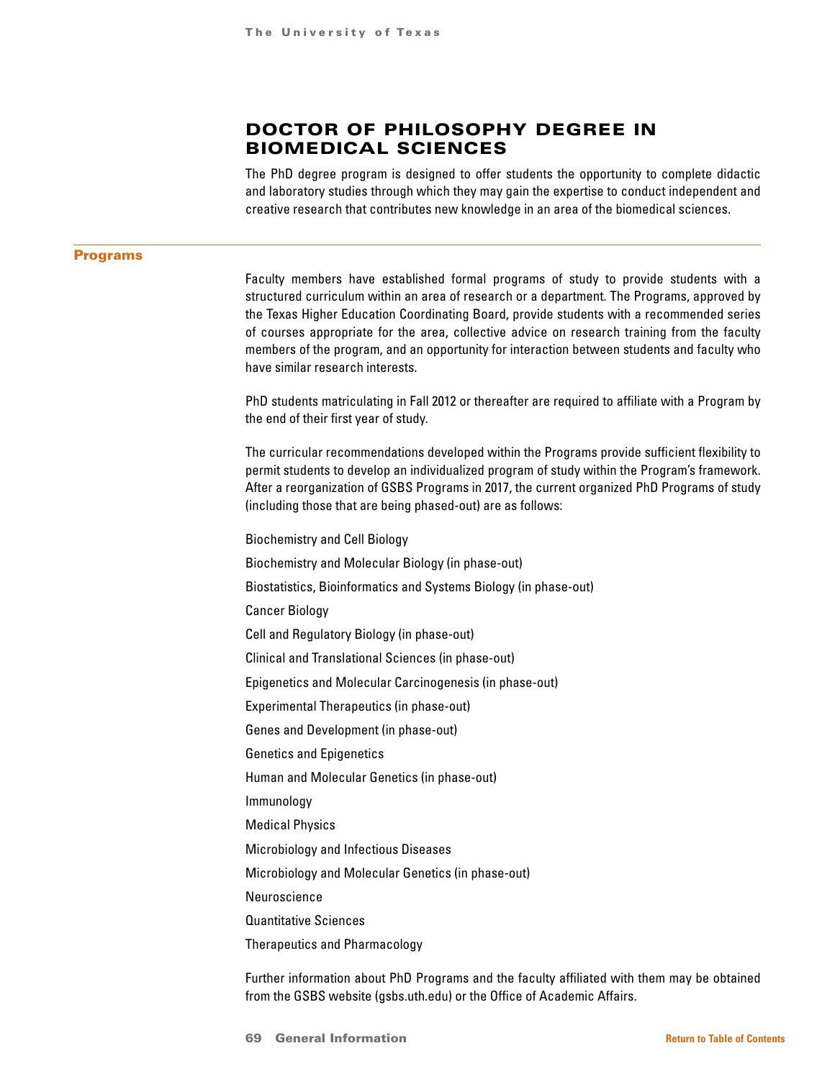# DOCTOR OF PHILOSOPHY DEGREE IN BIOMEDICAL SCIENCES

The PhD degree program is designed to offer students the opportunity to complete didactic and laboratory studies through which they may gain the expertise to conduct independent and creative research that contributes new knowledge in an area of the biomedical sciences.

#### Programs

Faculty members have established formal programs of study to provide students with a structured curriculum within an area of research or a department. The Programs, approved by the Texas Higher Education Coordinating Board, provide students with a recommended series of courses appropriate for the area, collective advice on research training from the faculty members of the program, and an opportunity for interaction between students and faculty who have similar research interests.

PhD students matriculating in Fall 2012 or thereafter are required to affiliate with a Program by the end of their first year of study.

The curricular recommendations developed within the Programs provide sufficient flexibility to permit students to develop an individualized program of study within the Program's framework. After a reorganization of GSBS Programs in 2017, the current organized PhD Programs of study (including those that are being phased-out) are as follows:

Biochemistry and Cell Biology Biochemistry and Molecular Biology (in phase-out) Biostatistics, Bioinformatics and Systems Biology (in phase-out) Cancer Biology Cell and Regulatory Biology (in phase-out) Clinical and Translational Sciences (in phase-out) Epigenetics and Molecular Carcinogenesis (in phase-out) Experimental Therapeutics (in phase-out) Genes and Development (in phase-out) Genetics and Epigenetics Human and Molecular Genetics (in phase-out) Immunology Medical Physics Microbiology and Infectious Diseases Microbiology and Molecular Genetics (in phase-out) Neuroscience Quantitative Sciences Therapeutics and Pharmacology

Further information about PhD Programs and the faculty affiliated with them may be obtained from the GSBS website (gsbs.uth.edu) or the Office of Academic Affairs.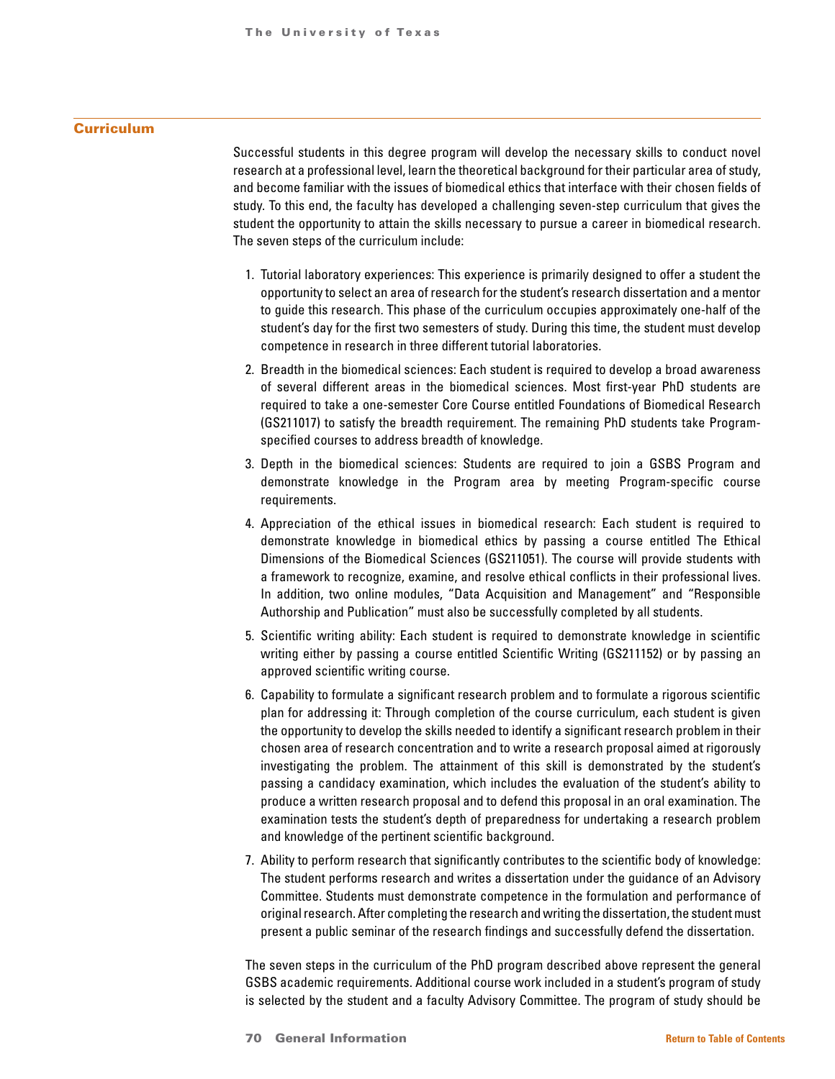## **Curriculum**

Successful students in this degree program will develop the necessary skills to conduct novel research at a professional level, learn the theoretical background for their particular area of study, and become familiar with the issues of biomedical ethics that interface with their chosen fields of study. To this end, the faculty has developed a challenging seven-step curriculum that gives the student the opportunity to attain the skills necessary to pursue a career in biomedical research. The seven steps of the curriculum include:

- 1. Tutorial laboratory experiences: This experience is primarily designed to offer a student the opportunity to select an area of research for the student's research dissertation and a mentor to guide this research. This phase of the curriculum occupies approximately one-half of the student's day for the first two semesters of study. During this time, the student must develop competence in research in three different tutorial laboratories.
- 2. Breadth in the biomedical sciences: Each student is required to develop a broad awareness of several different areas in the biomedical sciences. Most first-year PhD students are required to take a one-semester Core Course entitled Foundations of Biomedical Research (GS211017) to satisfy the breadth requirement. The remaining PhD students take Programspecified courses to address breadth of knowledge.
- 3. Depth in the biomedical sciences: Students are required to join a GSBS Program and demonstrate knowledge in the Program area by meeting Program-specific course requirements.
- 4. Appreciation of the ethical issues in biomedical research: Each student is required to demonstrate knowledge in biomedical ethics by passing a course entitled The Ethical Dimensions of the Biomedical Sciences (GS211051). The course will provide students with a framework to recognize, examine, and resolve ethical conflicts in their professional lives. In addition, two online modules, "Data Acquisition and Management" and "Responsible Authorship and Publication" must also be successfully completed by all students.
- 5. Scientific writing ability: Each student is required to demonstrate knowledge in scientific writing either by passing a course entitled Scientific Writing (GS211152) or by passing an approved scientific writing course.
- 6. Capability to formulate a significant research problem and to formulate a rigorous scientific plan for addressing it: Through completion of the course curriculum, each student is given the opportunity to develop the skills needed to identify a significant research problem in their chosen area of research concentration and to write a research proposal aimed at rigorously investigating the problem. The attainment of this skill is demonstrated by the student's passing a candidacy examination, which includes the evaluation of the student's ability to produce a written research proposal and to defend this proposal in an oral examination. The examination tests the student's depth of preparedness for undertaking a research problem and knowledge of the pertinent scientific background.
- 7. Ability to perform research that significantly contributes to the scientific body of knowledge: The student performs research and writes a dissertation under the guidance of an Advisory Committee. Students must demonstrate competence in the formulation and performance of original research. After completing the research and writing the dissertation, the student must present a public seminar of the research findings and successfully defend the dissertation.

The seven steps in the curriculum of the PhD program described above represent the general GSBS academic requirements. Additional course work included in a student's program of study is selected by the student and a faculty Advisory Committee. The program of study should be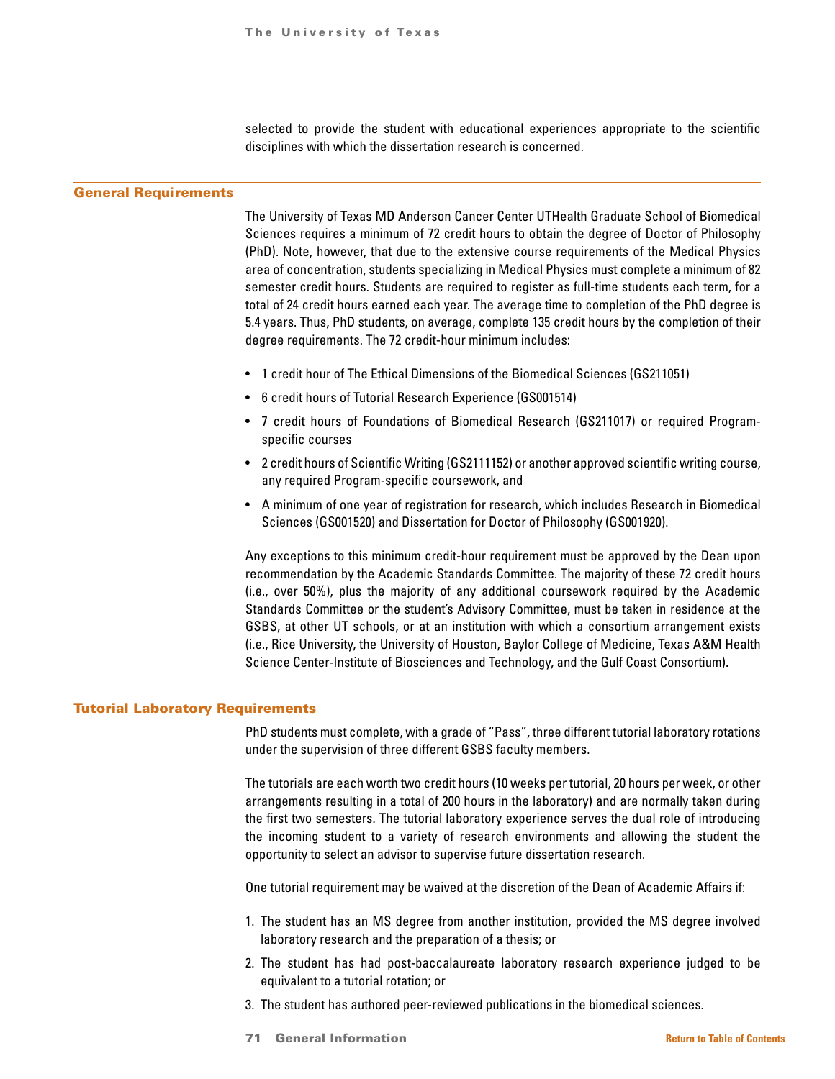selected to provide the student with educational experiences appropriate to the scientific disciplines with which the dissertation research is concerned.

#### General Requirements

The University of Texas MD Anderson Cancer Center UTHealth Graduate School of Biomedical Sciences requires a minimum of 72 credit hours to obtain the degree of Doctor of Philosophy (PhD). Note, however, that due to the extensive course requirements of the Medical Physics area of concentration, students specializing in Medical Physics must complete a minimum of 82 semester credit hours. Students are required to register as full-time students each term, for a total of 24 credit hours earned each year. The average time to completion of the PhD degree is 5.4 years. Thus, PhD students, on average, complete 135 credit hours by the completion of their degree requirements. The 72 credit-hour minimum includes:

- 1 credit hour of The Ethical Dimensions of the Biomedical Sciences (GS211051)
- 6 credit hours of Tutorial Research Experience (GS001514)
- 7 credit hours of Foundations of Biomedical Research (GS211017) or required Programspecific courses
- 2 credit hours of Scientific Writing (GS2111152) or another approved scientific writing course, any required Program-specific coursework, and
- A minimum of one year of registration for research, which includes Research in Biomedical Sciences (GS001520) and Dissertation for Doctor of Philosophy (GS001920).

Any exceptions to this minimum credit-hour requirement must be approved by the Dean upon recommendation by the Academic Standards Committee. The majority of these 72 credit hours (i.e., over 50%), plus the majority of any additional coursework required by the Academic Standards Committee or the student's Advisory Committee, must be taken in residence at the GSBS, at other UT schools, or at an institution with which a consortium arrangement exists (i.e., Rice University, the University of Houston, Baylor College of Medicine, Texas A&M Health Science Center-Institute of Biosciences and Technology, and the Gulf Coast Consortium).

#### Tutorial Laboratory Requirements

PhD students must complete, with a grade of "Pass", three different tutorial laboratory rotations under the supervision of three different GSBS faculty members.

The tutorials are each worth two credit hours (10 weeks per tutorial, 20 hours per week, or other arrangements resulting in a total of 200 hours in the laboratory) and are normally taken during the first two semesters. The tutorial laboratory experience serves the dual role of introducing the incoming student to a variety of research environments and allowing the student the opportunity to select an advisor to supervise future dissertation research.

One tutorial requirement may be waived at the discretion of the Dean of Academic Affairs if:

- 1. The student has an MS degree from another institution, provided the MS degree involved laboratory research and the preparation of a thesis; or
- 2. The student has had post-baccalaureate laboratory research experience judged to be equivalent to a tutorial rotation; or
- 3. The student has authored peer-reviewed publications in the biomedical sciences.
- 71 General Information **[Return to Table of Contents](#page-1-0)**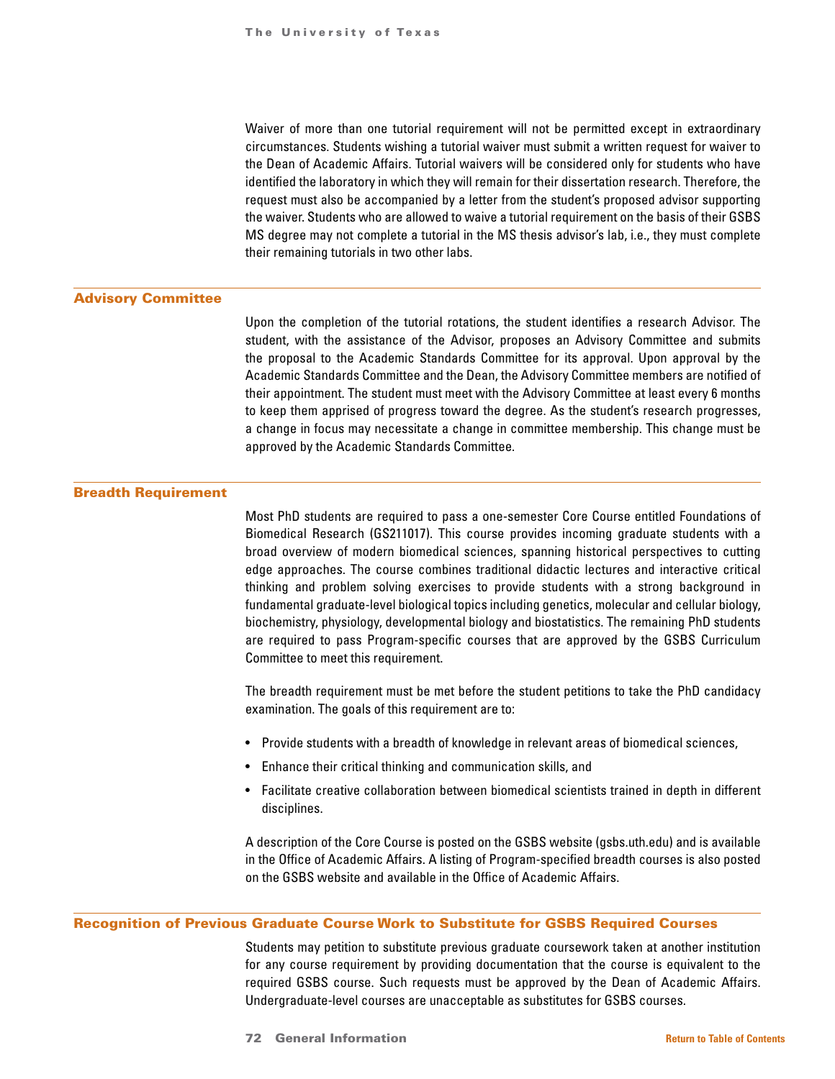Waiver of more than one tutorial requirement will not be permitted except in extraordinary circumstances. Students wishing a tutorial waiver must submit a written request for waiver to the Dean of Academic Affairs. Tutorial waivers will be considered only for students who have identified the laboratory in which they will remain for their dissertation research. Therefore, the request must also be accompanied by a letter from the student's proposed advisor supporting the waiver. Students who are allowed to waive a tutorial requirement on the basis of their GSBS MS degree may not complete a tutorial in the MS thesis advisor's lab, i.e., they must complete their remaining tutorials in two other labs.

## Advisory Committee

Upon the completion of the tutorial rotations, the student identifies a research Advisor. The student, with the assistance of the Advisor, proposes an Advisory Committee and submits the proposal to the Academic Standards Committee for its approval. Upon approval by the Academic Standards Committee and the Dean, the Advisory Committee members are notified of their appointment. The student must meet with the Advisory Committee at least every 6 months to keep them apprised of progress toward the degree. As the student's research progresses, a change in focus may necessitate a change in committee membership. This change must be approved by the Academic Standards Committee.

# Breadth Requirement

Most PhD students are required to pass a one-semester Core Course entitled Foundations of Biomedical Research (GS211017). This course provides incoming graduate students with a broad overview of modern biomedical sciences, spanning historical perspectives to cutting edge approaches. The course combines traditional didactic lectures and interactive critical thinking and problem solving exercises to provide students with a strong background in fundamental graduate-level biological topics including genetics, molecular and cellular biology, biochemistry, physiology, developmental biology and biostatistics. The remaining PhD students are required to pass Program-specific courses that are approved by the GSBS Curriculum Committee to meet this requirement.

The breadth requirement must be met before the student petitions to take the PhD candidacy examination. The goals of this requirement are to:

- Provide students with a breadth of knowledge in relevant areas of biomedical sciences,
- Enhance their critical thinking and communication skills, and
- Facilitate creative collaboration between biomedical scientists trained in depth in different disciplines.

A description of the Core Course is posted on the GSBS website (gsbs.uth.edu) and is available in the Office of Academic Affairs. A listing of Program-specified breadth courses is also posted on the GSBS website and available in the Office of Academic Affairs.

#### Recognition of Previous Graduate Course Work to Substitute for GSBS Required Courses

Students may petition to substitute previous graduate coursework taken at another institution for any course requirement by providing documentation that the course is equivalent to the required GSBS course. Such requests must be approved by the Dean of Academic Affairs. Undergraduate-level courses are unacceptable as substitutes for GSBS courses.

72 General Information **[Return to Table of Contents](#page-1-0)**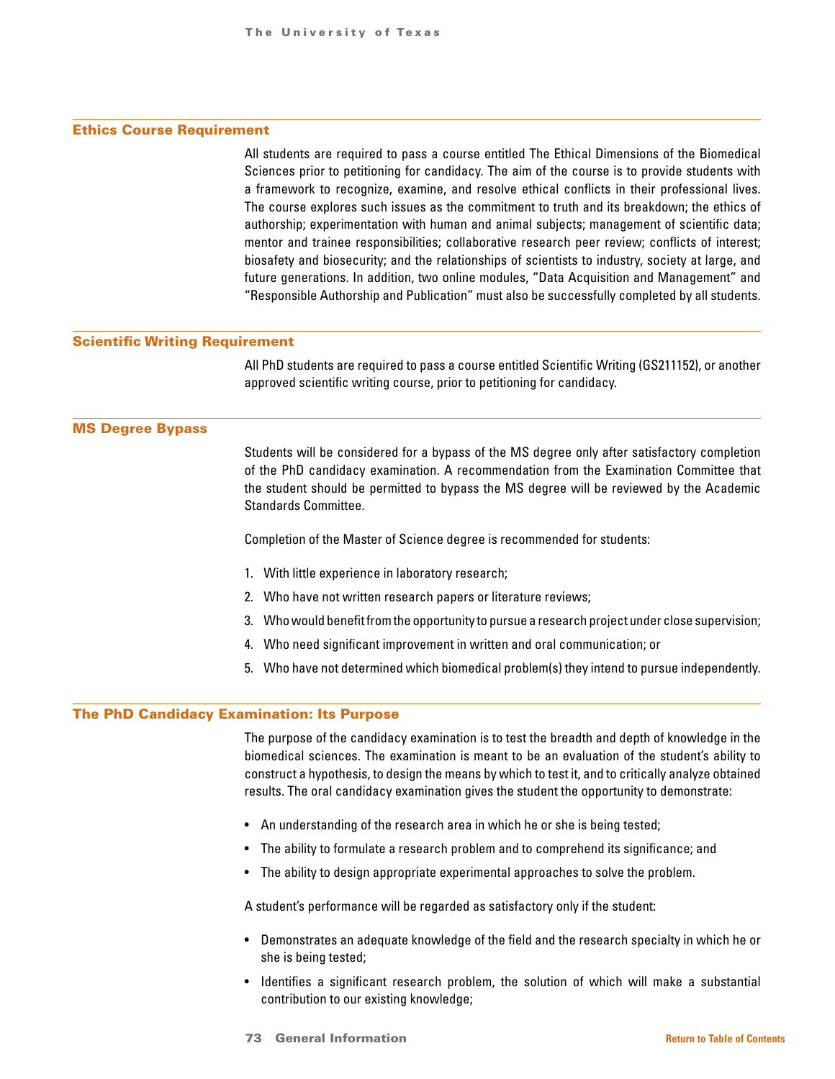# Ethics Course Requirement

All students are required to pass a course entitled The Ethical Dimensions of the Biomedical Sciences prior to petitioning for candidacy. The aim of the course is to provide students with a framework to recognize, examine, and resolve ethical conflicts in their professional lives. The course explores such issues as the commitment to truth and its breakdown; the ethics of authorship; experimentation with human and animal subjects; management of scientific data; mentor and trainee responsibilities; collaborative research peer review; conflicts of interest; biosafety and biosecurity; and the relationships of scientists to industry, society at large, and future generations. In addition, two online modules, "Data Acquisition and Management" and "Responsible Authorship and Publication" must also be successfully completed by all students.

#### Scientific Writing Requirement

All PhD students are required to pass a course entitled Scientific Writing (GS211152), or another approved scientific writing course, prior to petitioning for candidacy.

### MS Degree Bypass

Students will be considered for a bypass of the MS degree only after satisfactory completion of the PhD candidacy examination. A recommendation from the Examination Committee that the student should be permitted to bypass the MS degree will be reviewed by the Academic Standards Committee.

Completion of the Master of Science degree is recommended for students:

- 1. With little experience in laboratory research;
- 2. Who have not written research papers or literature reviews;
- 3. Who would benefit from the opportunity to pursue a research project under close supervision;
- 4. Who need significant improvement in written and oral communication; or
- 5. Who have not determined which biomedical problem(s) they intend to pursue independently.

# The PhD Candidacy Examination: Its Purpose

The purpose of the candidacy examination is to test the breadth and depth of knowledge in the biomedical sciences. The examination is meant to be an evaluation of the student's ability to construct a hypothesis, to design the means by which to test it, and to critically analyze obtained results. The oral candidacy examination gives the student the opportunity to demonstrate:

- An understanding of the research area in which he or she is being tested;
- The ability to formulate a research problem and to comprehend its significance; and
- The ability to design appropriate experimental approaches to solve the problem.

A student's performance will be regarded as satisfactory only if the student:

- Demonstrates an adequate knowledge of the field and the research specialty in which he or she is being tested;
- Identifies a significant research problem, the solution of which will make a substantial contribution to our existing knowledge;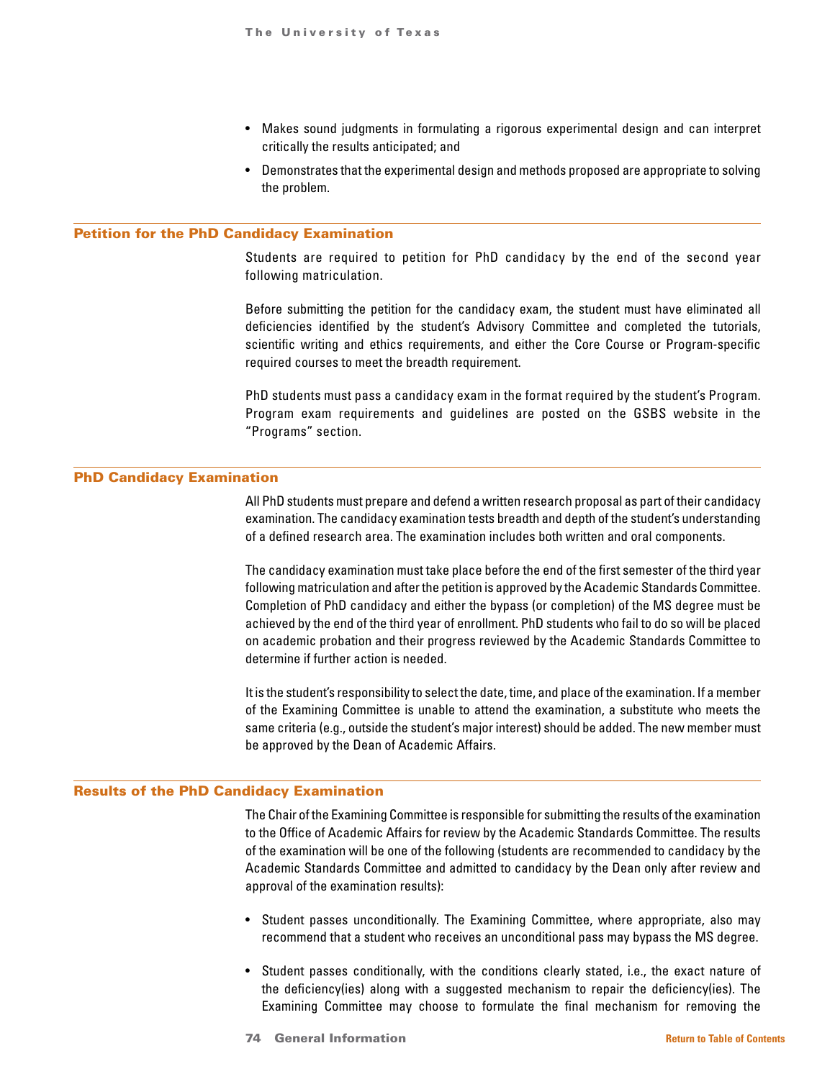- Makes sound judgments in formulating a rigorous experimental design and can interpret critically the results anticipated; and
- Demonstrates that the experimental design and methods proposed are appropriate to solving the problem.

### Petition for the PhD Candidacy Examination

Students are required to petition for PhD candidacy by the end of the second year following matriculation.

Before submitting the petition for the candidacy exam, the student must have eliminated all deficiencies identified by the student's Advisory Committee and completed the tutorials, scientific writing and ethics requirements, and either the Core Course or Program-specific required courses to meet the breadth requirement.

PhD students must pass a candidacy exam in the format required by the student's Program. Program exam requirements and guidelines are posted on the GSBS website in the "Programs" section.

#### PhD Candidacy Examination

All PhD students must prepare and defend a written research proposal as part of their candidacy examination. The candidacy examination tests breadth and depth of the student's understanding of a defined research area. The examination includes both written and oral components.

The candidacy examination must take place before the end of the first semester of the third year following matriculation and after the petition is approved by the Academic Standards Committee. Completion of PhD candidacy and either the bypass (or completion) of the MS degree must be achieved by the end of the third year of enrollment. PhD students who fail to do so will be placed on academic probation and their progress reviewed by the Academic Standards Committee to determine if further action is needed.

It is the student's responsibility to select the date, time, and place of the examination. If a member of the Examining Committee is unable to attend the examination, a substitute who meets the same criteria (e.g., outside the student's major interest) should be added. The new member must be approved by the Dean of Academic Affairs.

# Results of the PhD Candidacy Examination

The Chair of the Examining Committee is responsible for submitting the results of the examination to the Office of Academic Affairs for review by the Academic Standards Committee. The results of the examination will be one of the following (students are recommended to candidacy by the Academic Standards Committee and admitted to candidacy by the Dean only after review and approval of the examination results):

- Student passes unconditionally. The Examining Committee, where appropriate, also may recommend that a student who receives an unconditional pass may bypass the MS degree.
- Student passes conditionally, with the conditions clearly stated, i.e., the exact nature of the deficiency(ies) along with a suggested mechanism to repair the deficiency(ies). The Examining Committee may choose to formulate the final mechanism for removing the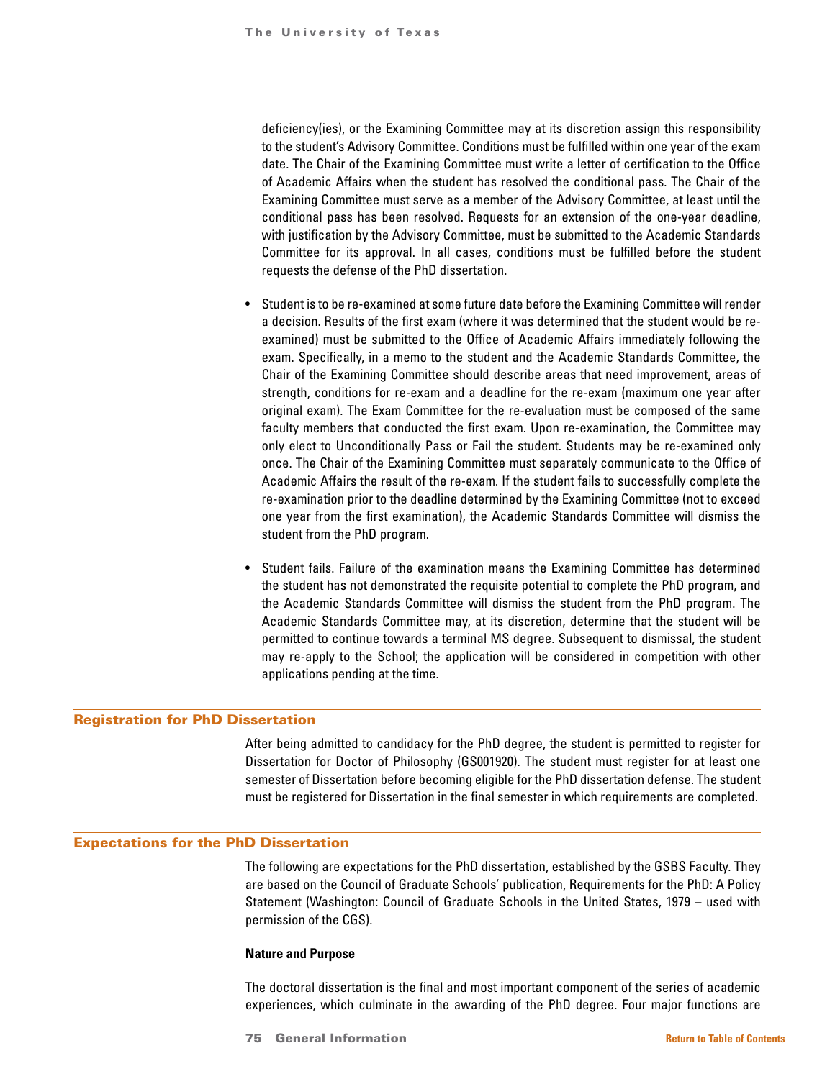deficiency(ies), or the Examining Committee may at its discretion assign this responsibility to the student's Advisory Committee. Conditions must be fulfilled within one year of the exam date. The Chair of the Examining Committee must write a letter of certification to the Office of Academic Affairs when the student has resolved the conditional pass. The Chair of the Examining Committee must serve as a member of the Advisory Committee, at least until the conditional pass has been resolved. Requests for an extension of the one-year deadline, with justification by the Advisory Committee, must be submitted to the Academic Standards Committee for its approval. In all cases, conditions must be fulfilled before the student requests the defense of the PhD dissertation.

- Student is to be re-examined at some future date before the Examining Committee will render a decision. Results of the first exam (where it was determined that the student would be reexamined) must be submitted to the Office of Academic Affairs immediately following the exam. Specifically, in a memo to the student and the Academic Standards Committee, the Chair of the Examining Committee should describe areas that need improvement, areas of strength, conditions for re-exam and a deadline for the re-exam (maximum one year after original exam). The Exam Committee for the re-evaluation must be composed of the same faculty members that conducted the first exam. Upon re-examination, the Committee may only elect to Unconditionally Pass or Fail the student. Students may be re-examined only once. The Chair of the Examining Committee must separately communicate to the Office of Academic Affairs the result of the re-exam. If the student fails to successfully complete the re-examination prior to the deadline determined by the Examining Committee (not to exceed one year from the first examination), the Academic Standards Committee will dismiss the student from the PhD program.
- Student fails. Failure of the examination means the Examining Committee has determined the student has not demonstrated the requisite potential to complete the PhD program, and the Academic Standards Committee will dismiss the student from the PhD program. The Academic Standards Committee may, at its discretion, determine that the student will be permitted to continue towards a terminal MS degree. Subsequent to dismissal, the student may re-apply to the School; the application will be considered in competition with other applications pending at the time.

## Registration for PhD Dissertation

After being admitted to candidacy for the PhD degree, the student is permitted to register for Dissertation for Doctor of Philosophy (GS001920). The student must register for at least one semester of Dissertation before becoming eligible for the PhD dissertation defense. The student must be registered for Dissertation in the final semester in which requirements are completed.

# Expectations for the PhD Dissertation

The following are expectations for the PhD dissertation, established by the GSBS Faculty. They are based on the Council of Graduate Schools' publication, Requirements for the PhD: A Policy Statement (Washington: Council of Graduate Schools in the United States, 1979 – used with permission of the CGS).

#### **Nature and Purpose**

The doctoral dissertation is the final and most important component of the series of academic experiences, which culminate in the awarding of the PhD degree. Four major functions are

75 General Information **[Return to Table of Contents](#page-1-0)**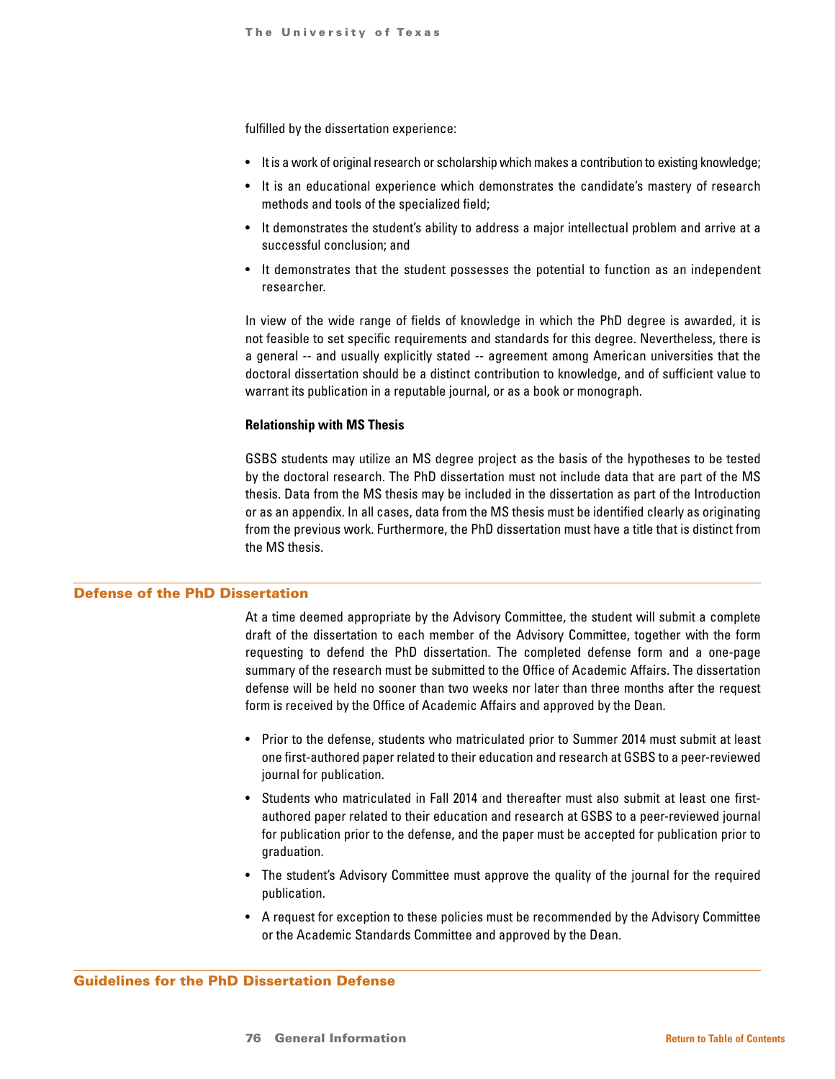fulfilled by the dissertation experience:

- It is a work of original research or scholarship which makes a contribution to existing knowledge;
- It is an educational experience which demonstrates the candidate's mastery of research methods and tools of the specialized field;
- It demonstrates the student's ability to address a major intellectual problem and arrive at a successful conclusion; and
- It demonstrates that the student possesses the potential to function as an independent researcher.

In view of the wide range of fields of knowledge in which the PhD degree is awarded, it is not feasible to set specific requirements and standards for this degree. Nevertheless, there is a general -- and usually explicitly stated -- agreement among American universities that the doctoral dissertation should be a distinct contribution to knowledge, and of sufficient value to warrant its publication in a reputable journal, or as a book or monograph.

# **Relationship with MS Thesis**

GSBS students may utilize an MS degree project as the basis of the hypotheses to be tested by the doctoral research. The PhD dissertation must not include data that are part of the MS thesis. Data from the MS thesis may be included in the dissertation as part of the Introduction or as an appendix. In all cases, data from the MS thesis must be identified clearly as originating from the previous work. Furthermore, the PhD dissertation must have a title that is distinct from the MS thesis.

# Defense of the PhD Dissertation

At a time deemed appropriate by the Advisory Committee, the student will submit a complete draft of the dissertation to each member of the Advisory Committee, together with the form requesting to defend the PhD dissertation. The completed defense form and a one-page summary of the research must be submitted to the Office of Academic Affairs. The dissertation defense will be held no sooner than two weeks nor later than three months after the request form is received by the Office of Academic Affairs and approved by the Dean.

- Prior to the defense, students who matriculated prior to Summer 2014 must submit at least one first-authored paper related to their education and research at GSBS to a peer-reviewed journal for publication.
- Students who matriculated in Fall 2014 and thereafter must also submit at least one firstauthored paper related to their education and research at GSBS to a peer-reviewed journal for publication prior to the defense, and the paper must be accepted for publication prior to graduation.
- The student's Advisory Committee must approve the quality of the journal for the required publication.
- A request for exception to these policies must be recommended by the Advisory Committee or the Academic Standards Committee and approved by the Dean.

Guidelines for the PhD Dissertation Defense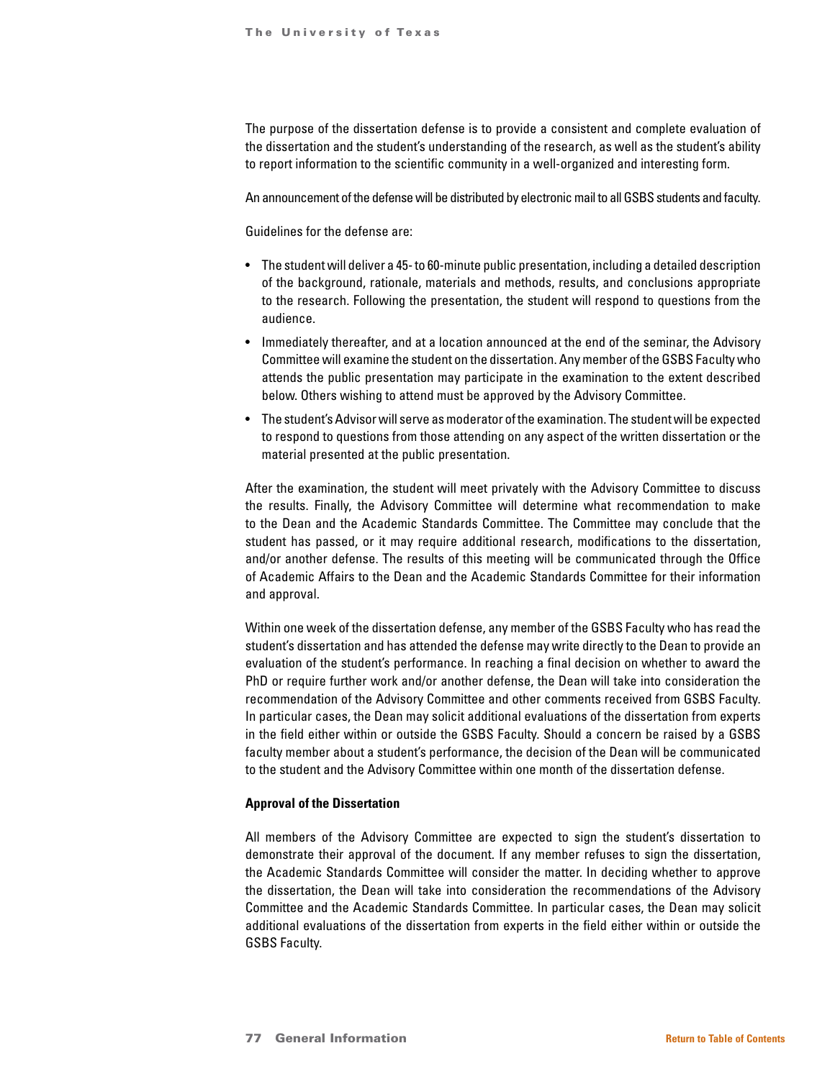The purpose of the dissertation defense is to provide a consistent and complete evaluation of the dissertation and the student's understanding of the research, as well as the student's ability to report information to the scientific community in a well-organized and interesting form.

An announcement of the defense will be distributed by electronic mail to all GSBS students and faculty.

Guidelines for the defense are:

- The student will deliver a 45- to 60-minute public presentation, including a detailed description of the background, rationale, materials and methods, results, and conclusions appropriate to the research. Following the presentation, the student will respond to questions from the audience.
- Immediately thereafter, and at a location announced at the end of the seminar, the Advisory Committee will examine the student on the dissertation. Any member of the GSBS Faculty who attends the public presentation may participate in the examination to the extent described below. Others wishing to attend must be approved by the Advisory Committee.
- The student's Advisor will serve as moderator of the examination. The student will be expected to respond to questions from those attending on any aspect of the written dissertation or the material presented at the public presentation.

After the examination, the student will meet privately with the Advisory Committee to discuss the results. Finally, the Advisory Committee will determine what recommendation to make to the Dean and the Academic Standards Committee. The Committee may conclude that the student has passed, or it may require additional research, modifications to the dissertation, and/or another defense. The results of this meeting will be communicated through the Office of Academic Affairs to the Dean and the Academic Standards Committee for their information and approval.

Within one week of the dissertation defense, any member of the GSBS Faculty who has read the student's dissertation and has attended the defense may write directly to the Dean to provide an evaluation of the student's performance. In reaching a final decision on whether to award the PhD or require further work and/or another defense, the Dean will take into consideration the recommendation of the Advisory Committee and other comments received from GSBS Faculty. In particular cases, the Dean may solicit additional evaluations of the dissertation from experts in the field either within or outside the GSBS Faculty. Should a concern be raised by a GSBS faculty member about a student's performance, the decision of the Dean will be communicated to the student and the Advisory Committee within one month of the dissertation defense.

#### **Approval of the Dissertation**

All members of the Advisory Committee are expected to sign the student's dissertation to demonstrate their approval of the document. If any member refuses to sign the dissertation, the Academic Standards Committee will consider the matter. In deciding whether to approve the dissertation, the Dean will take into consideration the recommendations of the Advisory Committee and the Academic Standards Committee. In particular cases, the Dean may solicit additional evaluations of the dissertation from experts in the field either within or outside the GSBS Faculty.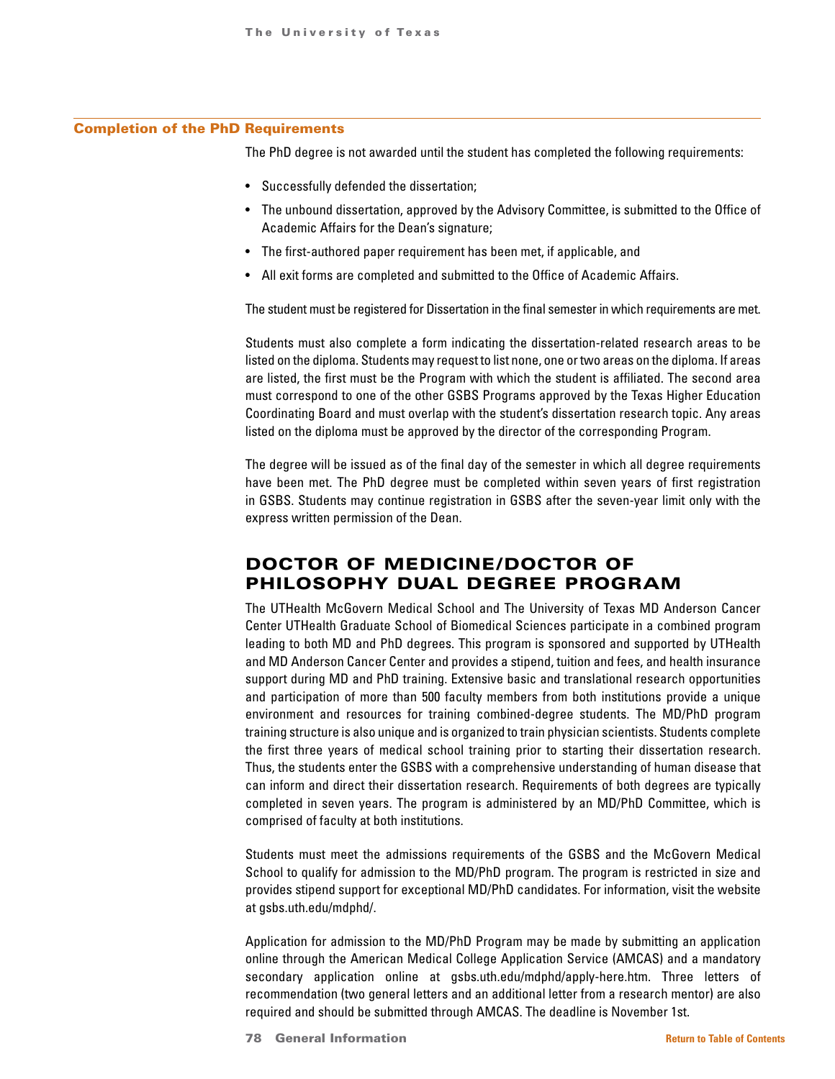#### Completion of the PhD Requirements

The PhD degree is not awarded until the student has completed the following requirements:

- Successfully defended the dissertation;
- The unbound dissertation, approved by the Advisory Committee, is submitted to the Office of Academic Affairs for the Dean's signature;
- The first-authored paper requirement has been met, if applicable, and
- All exit forms are completed and submitted to the Office of Academic Affairs.

The student must be registered for Dissertation in the final semester in which requirements are met.

Students must also complete a form indicating the dissertation-related research areas to be listed on the diploma. Students may request to list none, one or two areas on the diploma. If areas are listed, the first must be the Program with which the student is affiliated. The second area must correspond to one of the other GSBS Programs approved by the Texas Higher Education Coordinating Board and must overlap with the student's dissertation research topic. Any areas listed on the diploma must be approved by the director of the corresponding Program.

The degree will be issued as of the final day of the semester in which all degree requirements have been met. The PhD degree must be completed within seven years of first registration in GSBS. Students may continue registration in GSBS after the seven-year limit only with the express written permission of the Dean.

# DOCTOR OF MEDICINE/DOCTOR OF PHILOSOPHY DUAL DEGREE PROGRAM

The UTHealth McGovern Medical School and The University of Texas MD Anderson Cancer Center UTHealth Graduate School of Biomedical Sciences participate in a combined program leading to both MD and PhD degrees. This program is sponsored and supported by UTHealth and MD Anderson Cancer Center and provides a stipend, tuition and fees, and health insurance support during MD and PhD training. Extensive basic and translational research opportunities and participation of more than 500 faculty members from both institutions provide a unique environment and resources for training combined-degree students. The MD/PhD program training structure is also unique and is organized to train physician scientists. Students complete the first three years of medical school training prior to starting their dissertation research. Thus, the students enter the GSBS with a comprehensive understanding of human disease that can inform and direct their dissertation research. Requirements of both degrees are typically completed in seven years. The program is administered by an MD/PhD Committee, which is comprised of faculty at both institutions.

Students must meet the admissions requirements of the GSBS and the McGovern Medical School to qualify for admission to the MD/PhD program. The program is restricted in size and provides stipend support for exceptional MD/PhD candidates. For information, visit the website at gsbs.uth.edu/mdphd/.

Application for admission to the MD/PhD Program may be made by submitting an application online through the American Medical College Application Service (AMCAS) and a mandatory secondary application online at gsbs.uth.edu/mdphd/apply-here.htm. Three letters of recommendation (two general letters and an additional letter from a research mentor) are also required and should be submitted through AMCAS. The deadline is November 1st.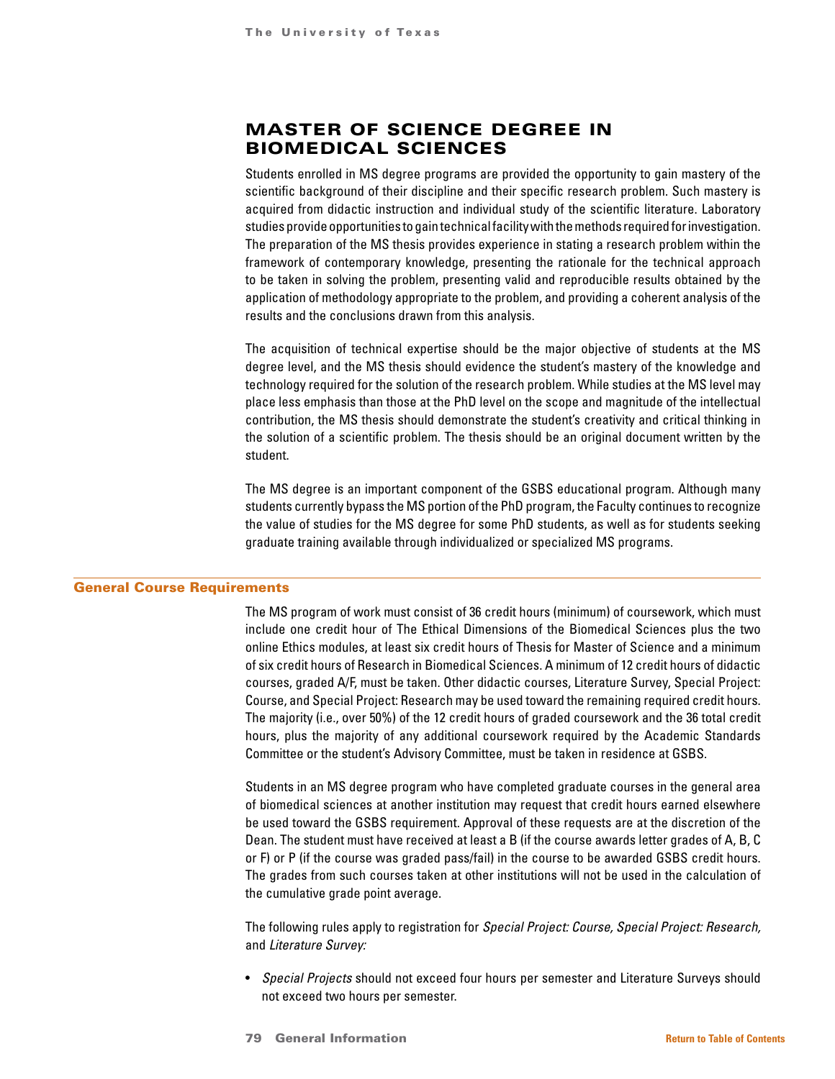# MASTER OF SCIENCE DEGREE IN BIOMEDICAL SCIENCES

Students enrolled in MS degree programs are provided the opportunity to gain mastery of the scientific background of their discipline and their specific research problem. Such mastery is acquired from didactic instruction and individual study of the scientific literature. Laboratory studies provide opportunities to gain technical facility with the methods required for investigation. The preparation of the MS thesis provides experience in stating a research problem within the framework of contemporary knowledge, presenting the rationale for the technical approach to be taken in solving the problem, presenting valid and reproducible results obtained by the application of methodology appropriate to the problem, and providing a coherent analysis of the results and the conclusions drawn from this analysis.

The acquisition of technical expertise should be the major objective of students at the MS degree level, and the MS thesis should evidence the student's mastery of the knowledge and technology required for the solution of the research problem. While studies at the MS level may place less emphasis than those at the PhD level on the scope and magnitude of the intellectual contribution, the MS thesis should demonstrate the student's creativity and critical thinking in the solution of a scientific problem. The thesis should be an original document written by the student.

The MS degree is an important component of the GSBS educational program. Although many students currently bypass the MS portion of the PhD program, the Faculty continues to recognize the value of studies for the MS degree for some PhD students, as well as for students seeking graduate training available through individualized or specialized MS programs.

#### General Course Requirements

The MS program of work must consist of 36 credit hours (minimum) of coursework, which must include one credit hour of The Ethical Dimensions of the Biomedical Sciences plus the two online Ethics modules, at least six credit hours of Thesis for Master of Science and a minimum of six credit hours of Research in Biomedical Sciences. A minimum of 12 credit hours of didactic courses, graded A/F, must be taken. Other didactic courses, Literature Survey, Special Project: Course, and Special Project: Research may be used toward the remaining required credit hours. The majority (i.e., over 50%) of the 12 credit hours of graded coursework and the 36 total credit hours, plus the majority of any additional coursework required by the Academic Standards Committee or the student's Advisory Committee, must be taken in residence at GSBS.

Students in an MS degree program who have completed graduate courses in the general area of biomedical sciences at another institution may request that credit hours earned elsewhere be used toward the GSBS requirement. Approval of these requests are at the discretion of the Dean. The student must have received at least a B (if the course awards letter grades of A, B, C or F) or P (if the course was graded pass/fail) in the course to be awarded GSBS credit hours. The grades from such courses taken at other institutions will not be used in the calculation of the cumulative grade point average.

The following rules apply to registration for *Special Project: Course, Special Project: Research,*  and *Literature Survey:*

- *Special Projects* should not exceed four hours per semester and Literature Surveys should not exceed two hours per semester.
- 79 General Information **[Return to Table of Contents](#page-1-0)**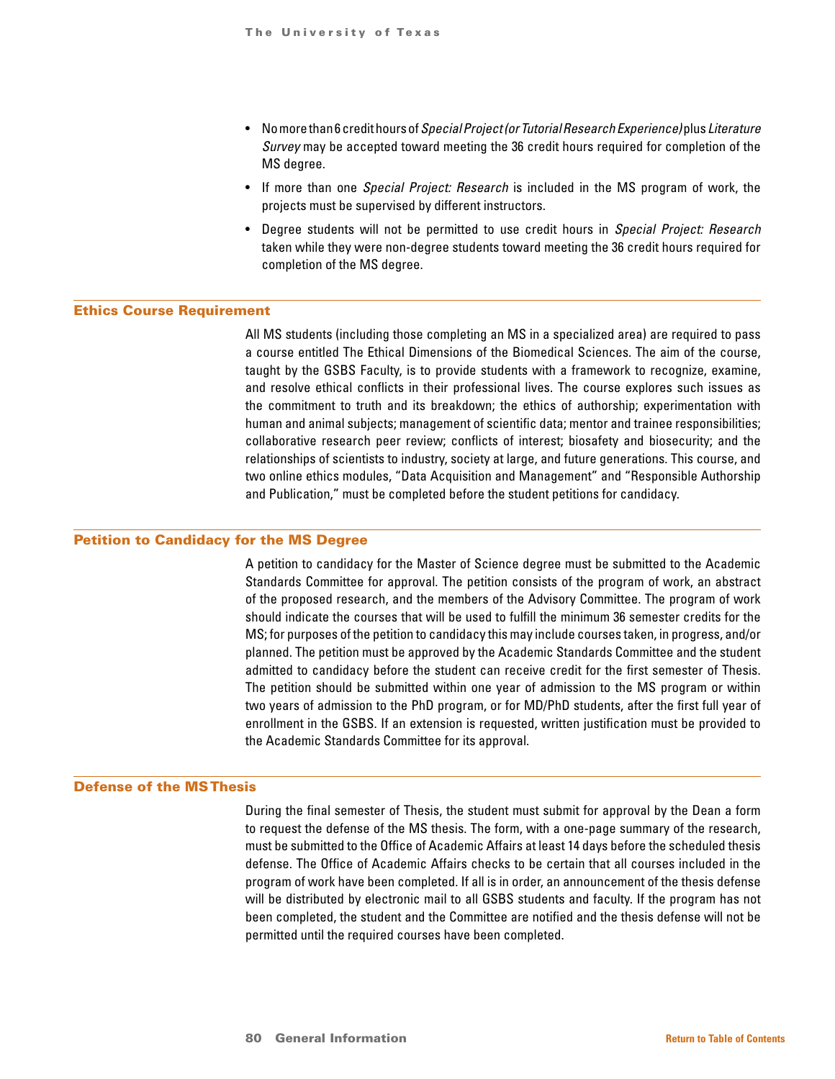- No more than 6 credit hours of *Special Project (or Tutorial Research Experience)* plus *Literature Survey* may be accepted toward meeting the 36 credit hours required for completion of the MS degree.
- If more than one *Special Project: Research* is included in the MS program of work, the projects must be supervised by different instructors.
- Degree students will not be permitted to use credit hours in *Special Project: Research*  taken while they were non-degree students toward meeting the 36 credit hours required for completion of the MS degree.

#### Ethics Course Requirement

All MS students (including those completing an MS in a specialized area) are required to pass a course entitled The Ethical Dimensions of the Biomedical Sciences. The aim of the course, taught by the GSBS Faculty, is to provide students with a framework to recognize, examine, and resolve ethical conflicts in their professional lives. The course explores such issues as the commitment to truth and its breakdown; the ethics of authorship; experimentation with human and animal subjects; management of scientific data; mentor and trainee responsibilities; collaborative research peer review; conflicts of interest; biosafety and biosecurity; and the relationships of scientists to industry, society at large, and future generations. This course, and two online ethics modules, "Data Acquisition and Management" and "Responsible Authorship and Publication," must be completed before the student petitions for candidacy.

# Petition to Candidacy for the MS Degree

A petition to candidacy for the Master of Science degree must be submitted to the Academic Standards Committee for approval. The petition consists of the program of work, an abstract of the proposed research, and the members of the Advisory Committee. The program of work should indicate the courses that will be used to fulfill the minimum 36 semester credits for the MS; for purposes of the petition to candidacy this may include courses taken, in progress, and/or planned. The petition must be approved by the Academic Standards Committee and the student admitted to candidacy before the student can receive credit for the first semester of Thesis. The petition should be submitted within one year of admission to the MS program or within two years of admission to the PhD program, or for MD/PhD students, after the first full year of enrollment in the GSBS. If an extension is requested, written justification must be provided to the Academic Standards Committee for its approval.

#### Defense of the MS Thesis

During the final semester of Thesis, the student must submit for approval by the Dean a form to request the defense of the MS thesis. The form, with a one-page summary of the research, must be submitted to the Office of Academic Affairs at least 14 days before the scheduled thesis defense. The Office of Academic Affairs checks to be certain that all courses included in the program of work have been completed. If all is in order, an announcement of the thesis defense will be distributed by electronic mail to all GSBS students and faculty. If the program has not been completed, the student and the Committee are notified and the thesis defense will not be permitted until the required courses have been completed.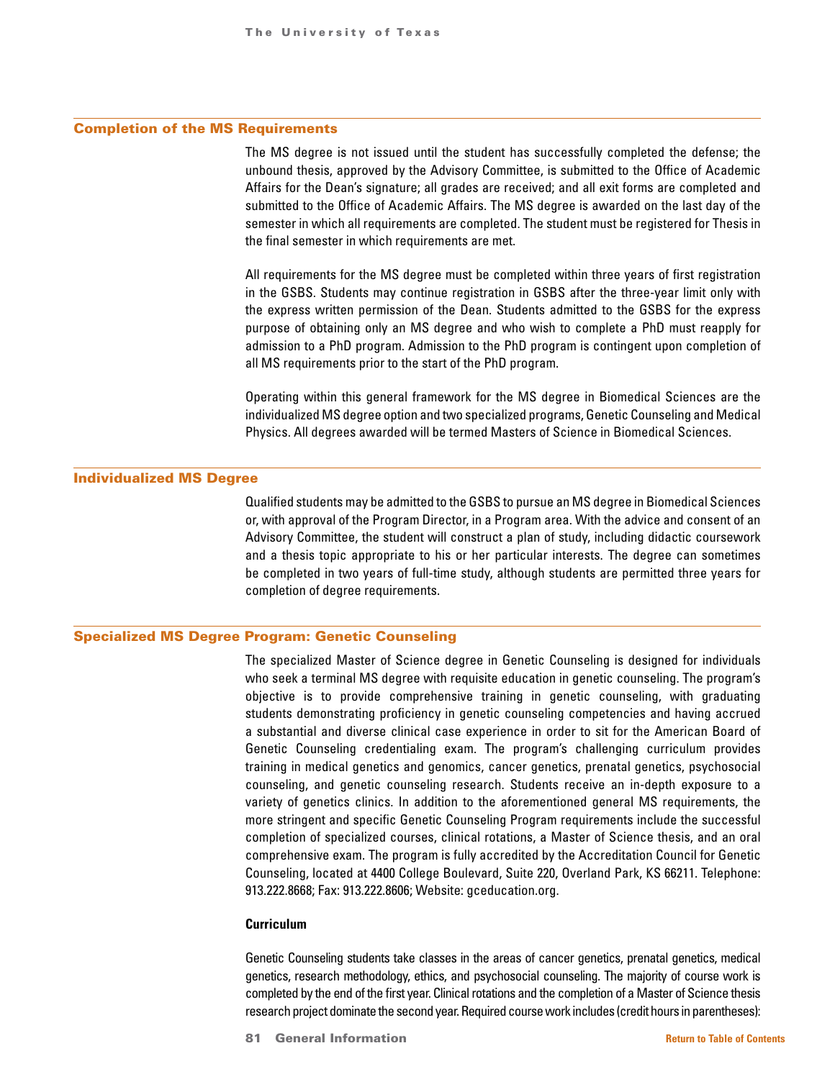#### Completion of the MS Requirements

The MS degree is not issued until the student has successfully completed the defense; the unbound thesis, approved by the Advisory Committee, is submitted to the Office of Academic Affairs for the Dean's signature; all grades are received; and all exit forms are completed and submitted to the Office of Academic Affairs. The MS degree is awarded on the last day of the semester in which all requirements are completed. The student must be registered for Thesis in the final semester in which requirements are met.

All requirements for the MS degree must be completed within three years of first registration in the GSBS. Students may continue registration in GSBS after the three-year limit only with the express written permission of the Dean. Students admitted to the GSBS for the express purpose of obtaining only an MS degree and who wish to complete a PhD must reapply for admission to a PhD program. Admission to the PhD program is contingent upon completion of all MS requirements prior to the start of the PhD program.

Operating within this general framework for the MS degree in Biomedical Sciences are the individualized MS degree option and two specialized programs, Genetic Counseling and Medical Physics. All degrees awarded will be termed Masters of Science in Biomedical Sciences.

## Individualized MS Degree

Qualified students may be admitted to the GSBS to pursue an MS degree in Biomedical Sciences or, with approval of the Program Director, in a Program area. With the advice and consent of an Advisory Committee, the student will construct a plan of study, including didactic coursework and a thesis topic appropriate to his or her particular interests. The degree can sometimes be completed in two years of full-time study, although students are permitted three years for completion of degree requirements.

# Specialized MS Degree Program: Genetic Counseling

The specialized Master of Science degree in Genetic Counseling is designed for individuals who seek a terminal MS degree with requisite education in genetic counseling. The program's objective is to provide comprehensive training in genetic counseling, with graduating students demonstrating proficiency in genetic counseling competencies and having accrued a substantial and diverse clinical case experience in order to sit for the American Board of Genetic Counseling credentialing exam. The program's challenging curriculum provides training in medical genetics and genomics, cancer genetics, prenatal genetics, psychosocial counseling, and genetic counseling research. Students receive an in-depth exposure to a variety of genetics clinics. In addition to the aforementioned general MS requirements, the more stringent and specific Genetic Counseling Program requirements include the successful completion of specialized courses, clinical rotations, a Master of Science thesis, and an oral comprehensive exam. The program is fully accredited by the Accreditation Council for Genetic Counseling, located at 4400 College Boulevard, Suite 220, Overland Park, KS 66211. Telephone: 913.222.8668; Fax: 913.222.8606; Website: gceducation.org.

#### **Curriculum**

Genetic Counseling students take classes in the areas of cancer genetics, prenatal genetics, medical genetics, research methodology, ethics, and psychosocial counseling. The majority of course work is completed by the end of the first year. Clinical rotations and the completion of a Master of Science thesis research project dominate the second year. Required course work includes (credit hours in parentheses):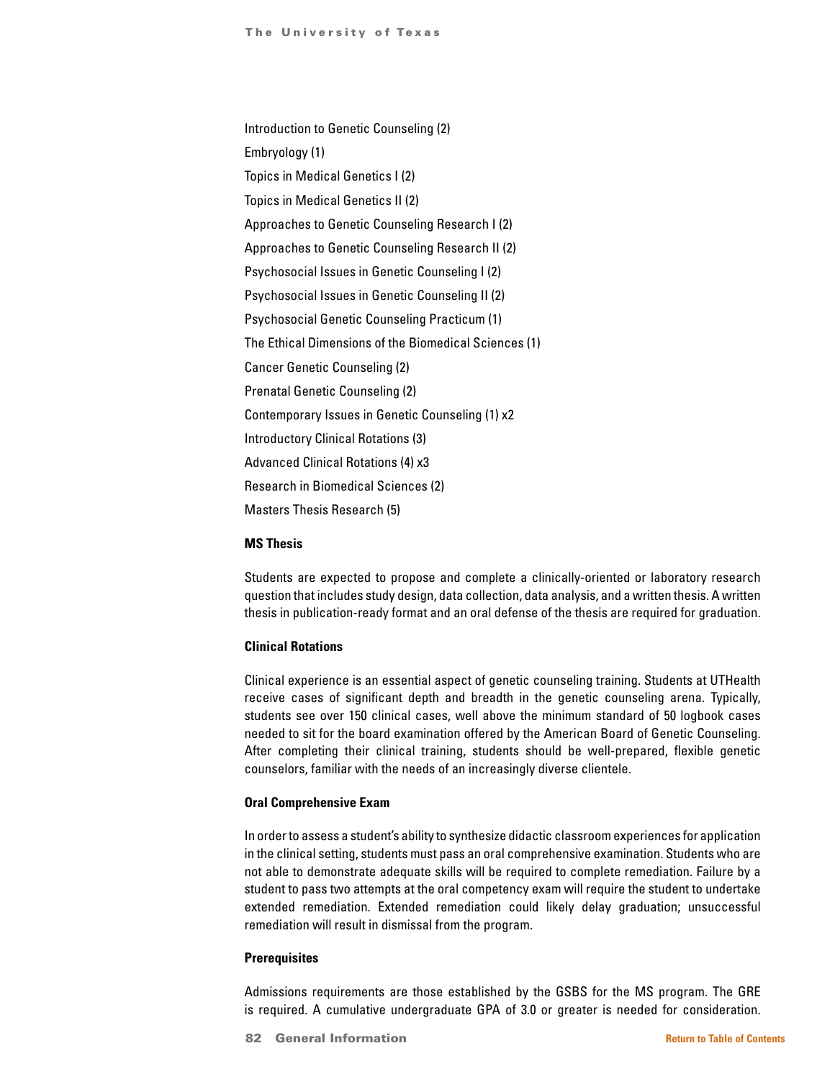Introduction to Genetic Counseling (2) Embryology (1) Topics in Medical Genetics I (2) Topics in Medical Genetics II (2) Approaches to Genetic Counseling Research I (2) Approaches to Genetic Counseling Research II (2) Psychosocial Issues in Genetic Counseling I (2) Psychosocial Issues in Genetic Counseling II (2) Psychosocial Genetic Counseling Practicum (1) The Ethical Dimensions of the Biomedical Sciences (1) Cancer Genetic Counseling (2) Prenatal Genetic Counseling (2) Contemporary Issues in Genetic Counseling (1) x2 Introductory Clinical Rotations (3) Advanced Clinical Rotations (4) x3 Research in Biomedical Sciences (2) Masters Thesis Research (5)

#### **MS Thesis**

Students are expected to propose and complete a clinically-oriented or laboratory research question that includes study design, data collection, data analysis, and a written thesis. A written thesis in publication-ready format and an oral defense of the thesis are required for graduation.

# **Clinical Rotations**

Clinical experience is an essential aspect of genetic counseling training. Students at UTHealth receive cases of significant depth and breadth in the genetic counseling arena. Typically, students see over 150 clinical cases, well above the minimum standard of 50 logbook cases needed to sit for the board examination offered by the American Board of Genetic Counseling. After completing their clinical training, students should be well-prepared, flexible genetic counselors, familiar with the needs of an increasingly diverse clientele.

## **Oral Comprehensive Exam**

In order to assess a student's ability to synthesize didactic classroom experiences for application in the clinical setting, students must pass an oral comprehensive examination. Students who are not able to demonstrate adequate skills will be required to complete remediation. Failure by a student to pass two attempts at the oral competency exam will require the student to undertake extended remediation. Extended remediation could likely delay graduation; unsuccessful remediation will result in dismissal from the program.

#### **Prerequisites**

Admissions requirements are those established by the GSBS for the MS program. The GRE is required. A cumulative undergraduate GPA of 3.0 or greater is needed for consideration.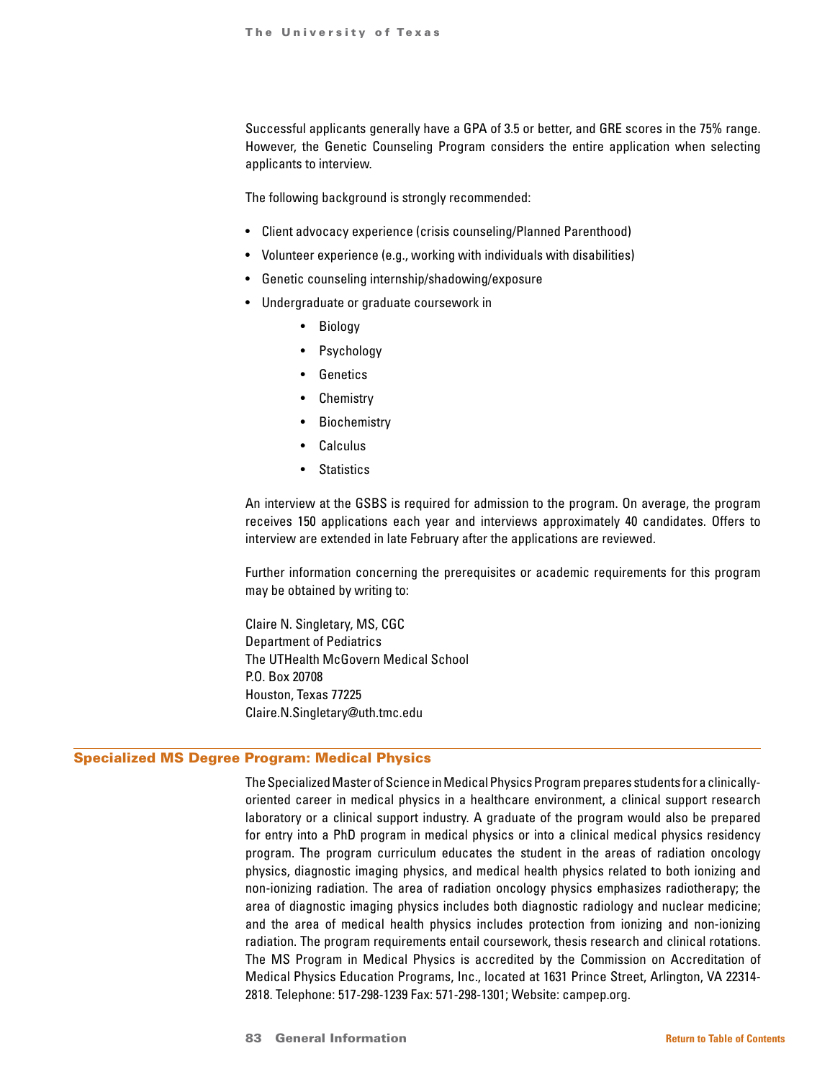Successful applicants generally have a GPA of 3.5 or better, and GRE scores in the 75% range. However, the Genetic Counseling Program considers the entire application when selecting applicants to interview.

The following background is strongly recommended:

- Client advocacy experience (crisis counseling/Planned Parenthood)
- Volunteer experience (e.g., working with individuals with disabilities)
- Genetic counseling internship/shadowing/exposure
- Undergraduate or graduate coursework in
	- Biology
	- Psychology
	- Genetics
	- **Chemistry**
	- **Biochemistry**
	- Calculus
	- Statistics

An interview at the GSBS is required for admission to the program. On average, the program receives 150 applications each year and interviews approximately 40 candidates. Offers to interview are extended in late February after the applications are reviewed.

Further information concerning the prerequisites or academic requirements for this program may be obtained by writing to:

Claire N. Singletary, MS, CGC Department of Pediatrics The UTHealth McGovern Medical School P.O. Box 20708 Houston, Texas 77225 Claire.N.Singletary@uth.tmc.edu

#### Specialized MS Degree Program: Medical Physics

The Specialized Master of Science in Medical Physics Program prepares students for a clinicallyoriented career in medical physics in a healthcare environment, a clinical support research laboratory or a clinical support industry. A graduate of the program would also be prepared for entry into a PhD program in medical physics or into a clinical medical physics residency program. The program curriculum educates the student in the areas of radiation oncology physics, diagnostic imaging physics, and medical health physics related to both ionizing and non-ionizing radiation. The area of radiation oncology physics emphasizes radiotherapy; the area of diagnostic imaging physics includes both diagnostic radiology and nuclear medicine; and the area of medical health physics includes protection from ionizing and non-ionizing radiation. The program requirements entail coursework, thesis research and clinical rotations. The MS Program in Medical Physics is accredited by the Commission on Accreditation of Medical Physics Education Programs, Inc., located at 1631 Prince Street, Arlington, VA 22314- 2818. Telephone: 517-298-1239 Fax: 571-298-1301; Website: campep.org.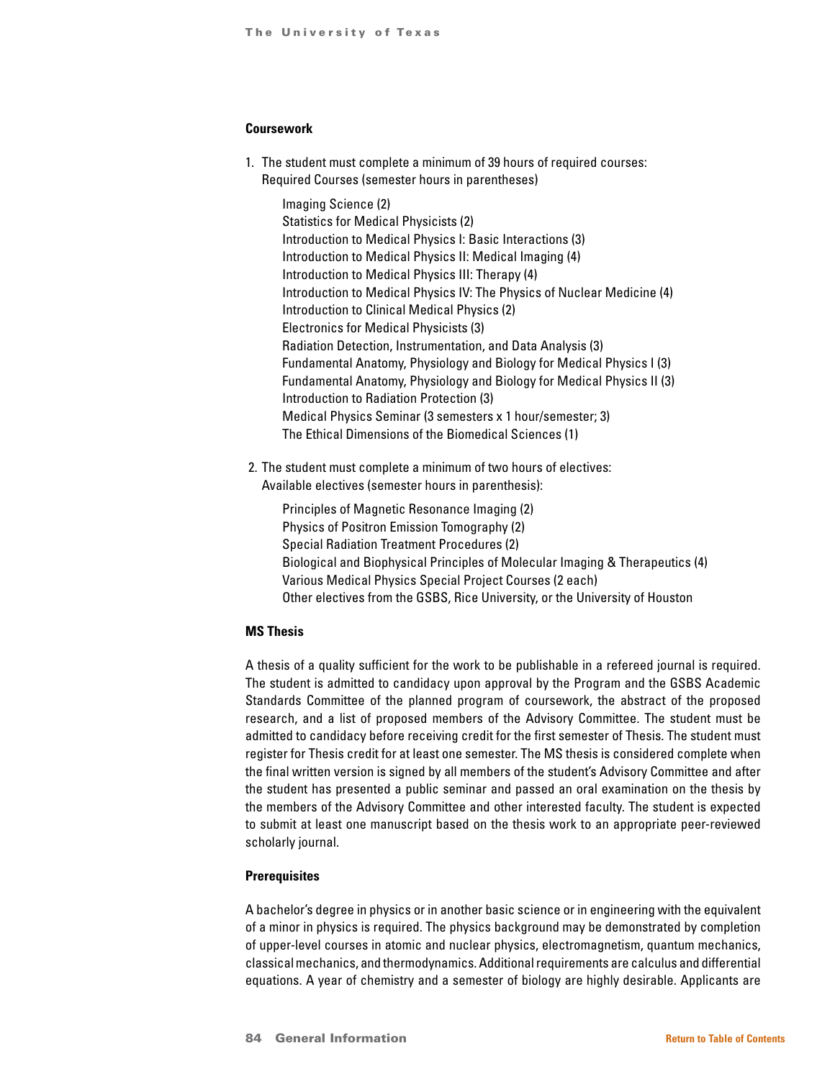## **Coursework**

1. The student must complete a minimum of 39 hours of required courses: Required Courses (semester hours in parentheses)

 Imaging Science (2) Statistics for Medical Physicists (2) Introduction to Medical Physics I: Basic Interactions (3) Introduction to Medical Physics II: Medical Imaging (4) Introduction to Medical Physics III: Therapy (4) Introduction to Medical Physics IV: The Physics of Nuclear Medicine (4) Introduction to Clinical Medical Physics (2) Electronics for Medical Physicists (3) Radiation Detection, Instrumentation, and Data Analysis (3) Fundamental Anatomy, Physiology and Biology for Medical Physics I (3) Fundamental Anatomy, Physiology and Biology for Medical Physics II (3) Introduction to Radiation Protection (3) Medical Physics Seminar (3 semesters x 1 hour/semester; 3) The Ethical Dimensions of the Biomedical Sciences (1)

 2. The student must complete a minimum of two hours of electives: Available electives (semester hours in parenthesis):

 Principles of Magnetic Resonance Imaging (2) Physics of Positron Emission Tomography (2) Special Radiation Treatment Procedures (2) Biological and Biophysical Principles of Molecular Imaging & Therapeutics (4) Various Medical Physics Special Project Courses (2 each) Other electives from the GSBS, Rice University, or the University of Houston

### **MS Thesis**

A thesis of a quality sufficient for the work to be publishable in a refereed journal is required. The student is admitted to candidacy upon approval by the Program and the GSBS Academic Standards Committee of the planned program of coursework, the abstract of the proposed research, and a list of proposed members of the Advisory Committee. The student must be admitted to candidacy before receiving credit for the first semester of Thesis. The student must register for Thesis credit for at least one semester. The MS thesis is considered complete when the final written version is signed by all members of the student's Advisory Committee and after the student has presented a public seminar and passed an oral examination on the thesis by the members of the Advisory Committee and other interested faculty. The student is expected to submit at least one manuscript based on the thesis work to an appropriate peer-reviewed scholarly journal.

#### **Prerequisites**

A bachelor's degree in physics or in another basic science or in engineering with the equivalent of a minor in physics is required. The physics background may be demonstrated by completion of upper-level courses in atomic and nuclear physics, electromagnetism, quantum mechanics, classical mechanics, and thermodynamics. Additional requirements are calculus and differential equations. A year of chemistry and a semester of biology are highly desirable. Applicants are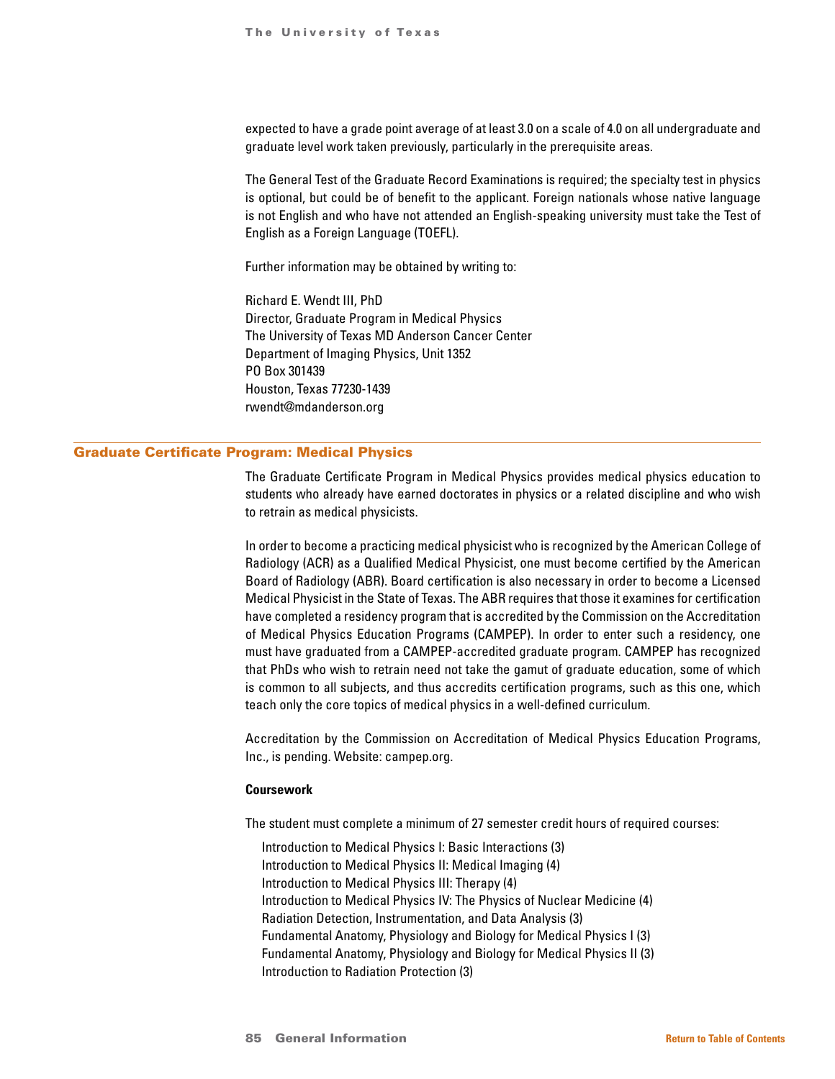expected to have a grade point average of at least 3.0 on a scale of 4.0 on all undergraduate and graduate level work taken previously, particularly in the prerequisite areas.

The General Test of the Graduate Record Examinations is required; the specialty test in physics is optional, but could be of benefit to the applicant. Foreign nationals whose native language is not English and who have not attended an English-speaking university must take the Test of English as a Foreign Language (TOEFL).

Further information may be obtained by writing to:

Richard E. Wendt III, PhD Director, Graduate Program in Medical Physics The University of Texas MD Anderson Cancer Center Department of Imaging Physics, Unit 1352 PO Box 301439 Houston, Texas 77230-1439 rwendt@mdanderson.org

#### Graduate Certificate Program: Medical Physics

The Graduate Certificate Program in Medical Physics provides medical physics education to students who already have earned doctorates in physics or a related discipline and who wish to retrain as medical physicists.

In order to become a practicing medical physicist who is recognized by the American College of Radiology (ACR) as a Qualified Medical Physicist, one must become certified by the American Board of Radiology (ABR). Board certification is also necessary in order to become a Licensed Medical Physicist in the State of Texas. The ABR requires that those it examines for certification have completed a residency program that is accredited by the Commission on the Accreditation of Medical Physics Education Programs (CAMPEP). In order to enter such a residency, one must have graduated from a CAMPEP-accredited graduate program. CAMPEP has recognized that PhDs who wish to retrain need not take the gamut of graduate education, some of which is common to all subjects, and thus accredits certification programs, such as this one, which teach only the core topics of medical physics in a well-defined curriculum.

Accreditation by the Commission on Accreditation of Medical Physics Education Programs, Inc., is pending. Website: campep.org.

## **Coursework**

The student must complete a minimum of 27 semester credit hours of required courses:

Introduction to Medical Physics I: Basic Interactions (3) Introduction to Medical Physics II: Medical Imaging (4) Introduction to Medical Physics III: Therapy (4) Introduction to Medical Physics IV: The Physics of Nuclear Medicine (4) Radiation Detection, Instrumentation, and Data Analysis (3) Fundamental Anatomy, Physiology and Biology for Medical Physics I (3) Fundamental Anatomy, Physiology and Biology for Medical Physics II (3) Introduction to Radiation Protection (3)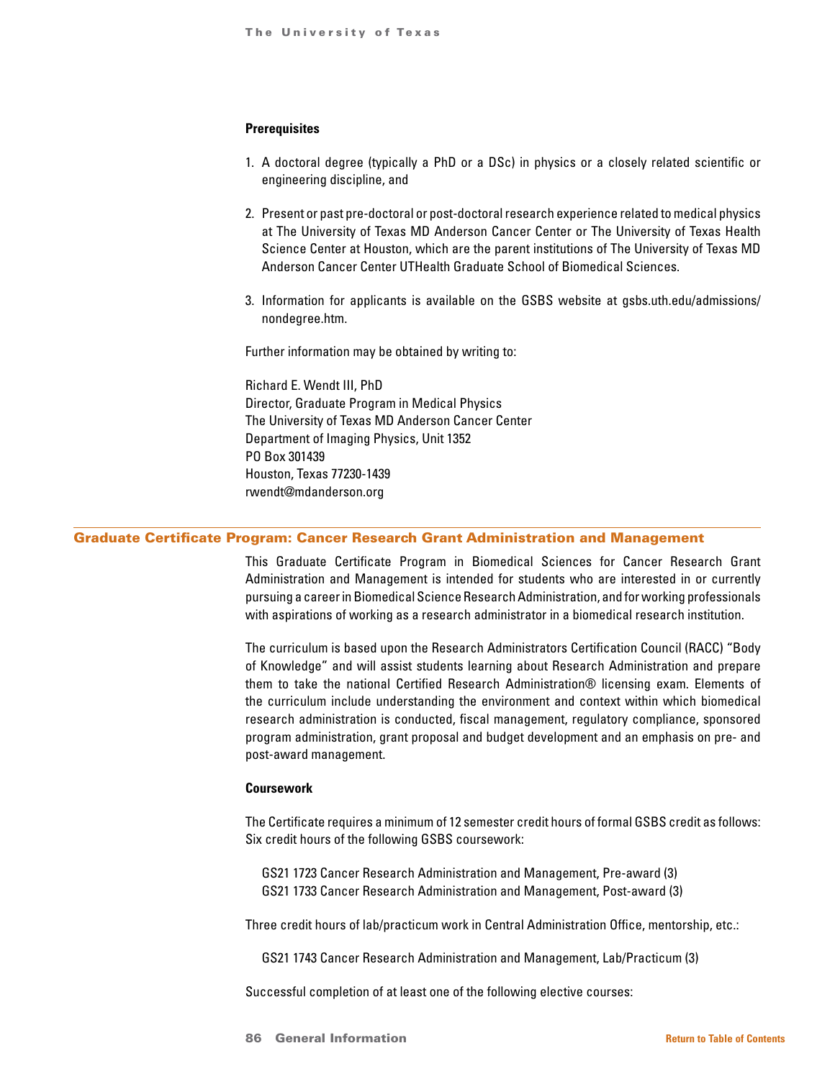# **Prerequisites**

- 1. A doctoral degree (typically a PhD or a DSc) in physics or a closely related scientific or engineering discipline, and
- 2. Present or past pre-doctoral or post-doctoral research experience related to medical physics at The University of Texas MD Anderson Cancer Center or The University of Texas Health Science Center at Houston, which are the parent institutions of The University of Texas MD Anderson Cancer Center UTHealth Graduate School of Biomedical Sciences.
- 3. Information for applicants is available on the GSBS website at gsbs.uth.edu/admissions/ nondegree.htm.

Further information may be obtained by writing to:

Richard E. Wendt III, PhD Director, Graduate Program in Medical Physics The University of Texas MD Anderson Cancer Center Department of Imaging Physics, Unit 1352 PO Box 301439 Houston, Texas 77230-1439 rwendt@mdanderson.org

## Graduate Certificate Program: Cancer Research Grant Administration and Management

This Graduate Certificate Program in Biomedical Sciences for Cancer Research Grant Administration and Management is intended for students who are interested in or currently pursuing a career in Biomedical Science Research Administration, and for working professionals with aspirations of working as a research administrator in a biomedical research institution.

The curriculum is based upon the Research Administrators Certification Council (RACC) "Body of Knowledge" and will assist students learning about Research Administration and prepare them to take the national Certified Research Administration® licensing exam. Elements of the curriculum include understanding the environment and context within which biomedical research administration is conducted, fiscal management, regulatory compliance, sponsored program administration, grant proposal and budget development and an emphasis on pre- and post-award management.

#### **Coursework**

The Certificate requires a minimum of 12 semester credit hours of formal GSBS credit as follows: Six credit hours of the following GSBS coursework:

GS21 1723 Cancer Research Administration and Management, Pre-award (3) GS21 1733 Cancer Research Administration and Management, Post-award (3)

Three credit hours of lab/practicum work in Central Administration Office, mentorship, etc.:

GS21 1743 Cancer Research Administration and Management, Lab/Practicum (3)

Successful completion of at least one of the following elective courses: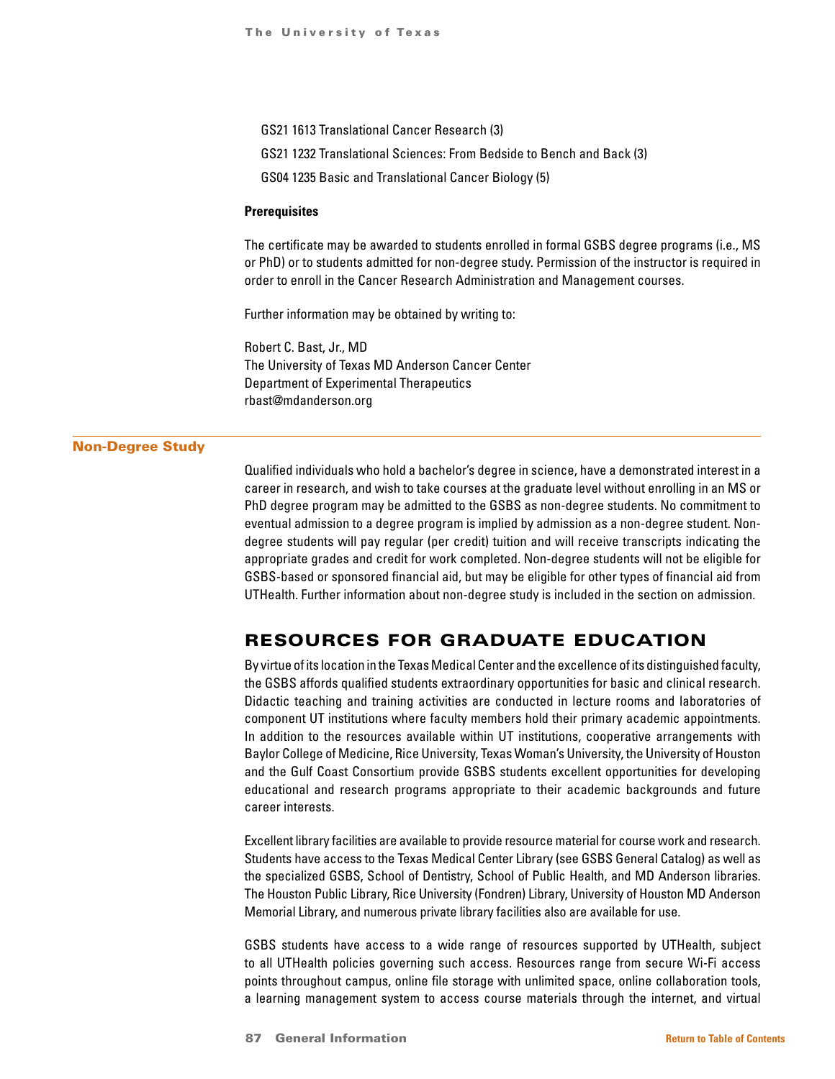- GS21 1613 Translational Cancer Research (3)
- GS21 1232 Translational Sciences: From Bedside to Bench and Back (3)
- GS04 1235 Basic and Translational Cancer Biology (5)

#### **Prerequisites**

The certificate may be awarded to students enrolled in formal GSBS degree programs (i.e., MS or PhD) or to students admitted for non-degree study. Permission of the instructor is required in order to enroll in the Cancer Research Administration and Management courses.

Further information may be obtained by writing to:

Robert C. Bast, Jr., MD The University of Texas MD Anderson Cancer Center Department of Experimental Therapeutics rbast@mdanderson.org

#### Non-Degree Study

Qualified individuals who hold a bachelor's degree in science, have a demonstrated interest in a career in research, and wish to take courses at the graduate level without enrolling in an MS or PhD degree program may be admitted to the GSBS as non-degree students. No commitment to eventual admission to a degree program is implied by admission as a non-degree student. Nondegree students will pay regular (per credit) tuition and will receive transcripts indicating the appropriate grades and credit for work completed. Non-degree students will not be eligible for GSBS-based or sponsored financial aid, but may be eligible for other types of financial aid from UTHealth. Further information about non-degree study is included in the section on admission.

# RESOURCES FOR GRADUATE EDUCATION

By virtue of its location in the Texas Medical Center and the excellence of its distinguished faculty, the GSBS affords qualified students extraordinary opportunities for basic and clinical research. Didactic teaching and training activities are conducted in lecture rooms and laboratories of component UT institutions where faculty members hold their primary academic appointments. In addition to the resources available within UT institutions, cooperative arrangements with Baylor College of Medicine, Rice University, Texas Woman's University, the University of Houston and the Gulf Coast Consortium provide GSBS students excellent opportunities for developing educational and research programs appropriate to their academic backgrounds and future career interests.

Excellent library facilities are available to provide resource material for course work and research. Students have access to the Texas Medical Center Library (see GSBS General Catalog) as well as the specialized GSBS, School of Dentistry, School of Public Health, and MD Anderson libraries. The Houston Public Library, Rice University (Fondren) Library, University of Houston MD Anderson Memorial Library, and numerous private library facilities also are available for use.

GSBS students have access to a wide range of resources supported by UTHealth, subject to all UTHealth policies governing such access. Resources range from secure Wi-Fi access points throughout campus, online file storage with unlimited space, online collaboration tools, a learning management system to access course materials through the internet, and virtual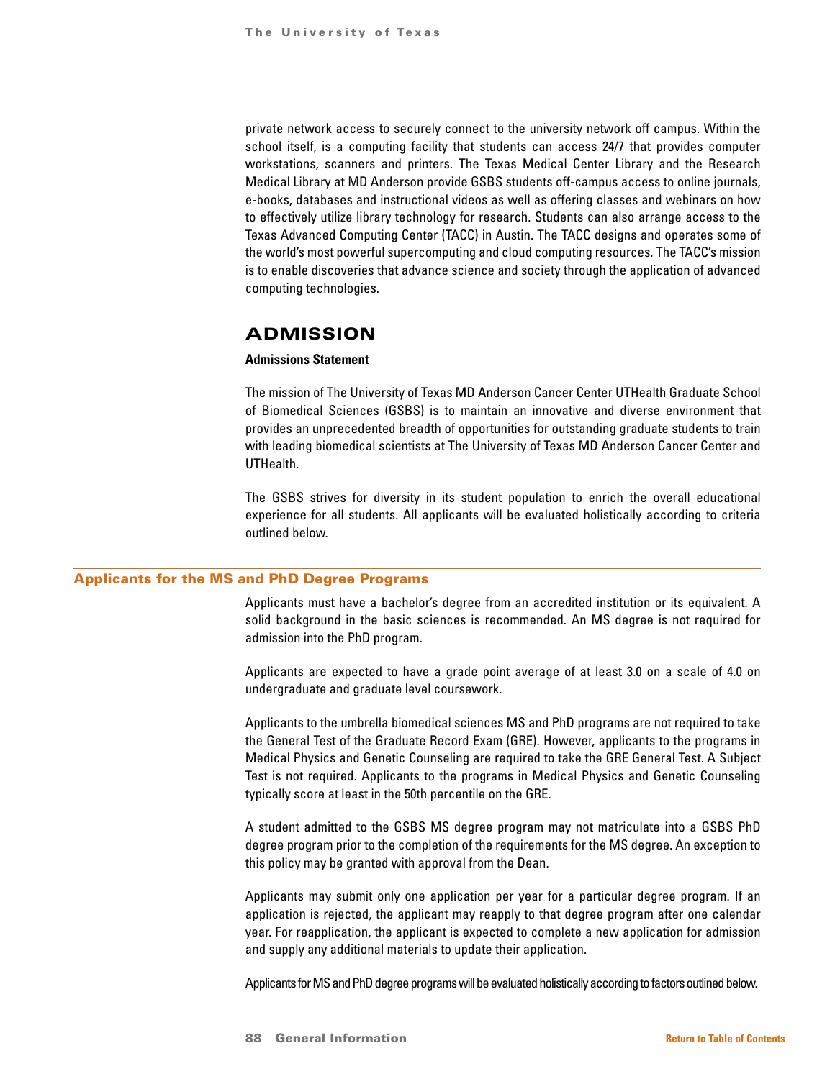private network access to securely connect to the university network off campus. Within the school itself, is a computing facility that students can access 24/7 that provides computer workstations, scanners and printers. The Texas Medical Center Library and the Research Medical Library at MD Anderson provide GSBS students off-campus access to online journals, e-books, databases and instructional videos as well as offering classes and webinars on how to effectively utilize library technology for research. Students can also arrange access to the Texas Advanced Computing Center (TACC) in Austin. The TACC designs and operates some of the world's most powerful supercomputing and cloud computing resources. The TACC's mission is to enable discoveries that advance science and society through the application of advanced computing technologies.

# ADMISSION

# **Admissions Statement**

The mission of The University of Texas MD Anderson Cancer Center UTHealth Graduate School of Biomedical Sciences (GSBS) is to maintain an innovative and diverse environment that provides an unprecedented breadth of opportunities for outstanding graduate students to train with leading biomedical scientists at The University of Texas MD Anderson Cancer Center and UTHealth.

The GSBS strives for diversity in its student population to enrich the overall educational experience for all students. All applicants will be evaluated holistically according to criteria outlined below.

#### Applicants for the MS and PhD Degree Programs

Applicants must have a bachelor's degree from an accredited institution or its equivalent. A solid background in the basic sciences is recommended. An MS degree is not required for admission into the PhD program.

Applicants are expected to have a grade point average of at least 3.0 on a scale of 4.0 on undergraduate and graduate level coursework.

Applicants to the umbrella biomedical sciences MS and PhD programs are not required to take the General Test of the Graduate Record Exam (GRE). However, applicants to the programs in Medical Physics and Genetic Counseling are required to take the GRE General Test. A Subject Test is not required. Applicants to the programs in Medical Physics and Genetic Counseling typically score at least in the 50th percentile on the GRE.

A student admitted to the GSBS MS degree program may not matriculate into a GSBS PhD degree program prior to the completion of the requirements for the MS degree. An exception to this policy may be granted with approval from the Dean.

Applicants may submit only one application per year for a particular degree program. If an application is rejected, the applicant may reapply to that degree program after one calendar year. For reapplication, the applicant is expected to complete a new application for admission and supply any additional materials to update their application.

Applicants for MS and PhD degree programs will be evaluated holistically according to factors outlined below.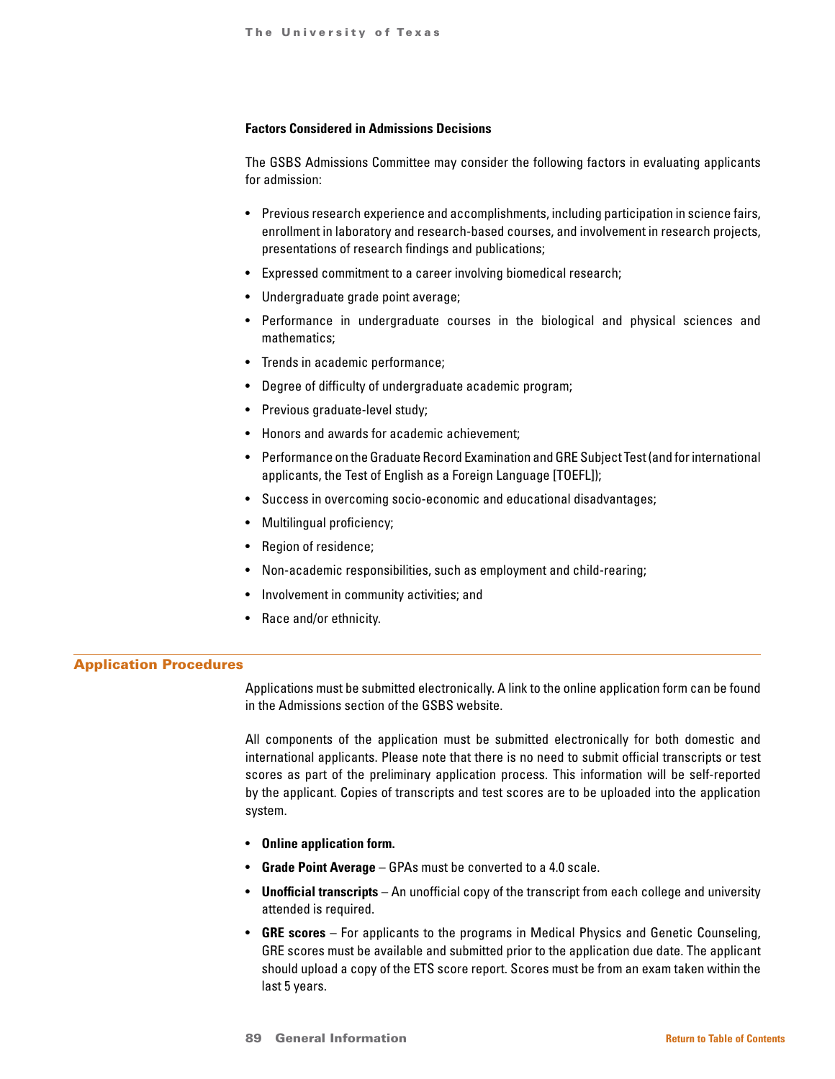#### **Factors Considered in Admissions Decisions**

The GSBS Admissions Committee may consider the following factors in evaluating applicants for admission:

- Previous research experience and accomplishments, including participation in science fairs, enrollment in laboratory and research-based courses, and involvement in research projects, presentations of research findings and publications;
- Expressed commitment to a career involving biomedical research;
- Undergraduate grade point average;
- Performance in undergraduate courses in the biological and physical sciences and mathematics;
- Trends in academic performance;
- Degree of difficulty of undergraduate academic program;
- Previous graduate-level study;
- Honors and awards for academic achievement;
- Performance on the Graduate Record Examination and GRE Subject Test (and for international applicants, the Test of English as a Foreign Language [TOEFL]);
- Success in overcoming socio-economic and educational disadvantages;
- Multilingual proficiency;
- Region of residence;
- Non-academic responsibilities, such as employment and child-rearing;
- Involvement in community activities; and
- Race and/or ethnicity.

### Application Procedures

Applications must be submitted electronically. A link to the online application form can be found in the Admissions section of the GSBS website.

All components of the application must be submitted electronically for both domestic and international applicants. Please note that there is no need to submit official transcripts or test scores as part of the preliminary application process. This information will be self-reported by the applicant. Copies of transcripts and test scores are to be uploaded into the application system.

- **Online application form.**
- **Grade Point Average** GPAs must be converted to a 4.0 scale.
- **Unofficial transcripts** An unofficial copy of the transcript from each college and university attended is required.
- **GRE scores** For applicants to the programs in Medical Physics and Genetic Counseling, GRE scores must be available and submitted prior to the application due date. The applicant should upload a copy of the ETS score report. Scores must be from an exam taken within the last 5 years.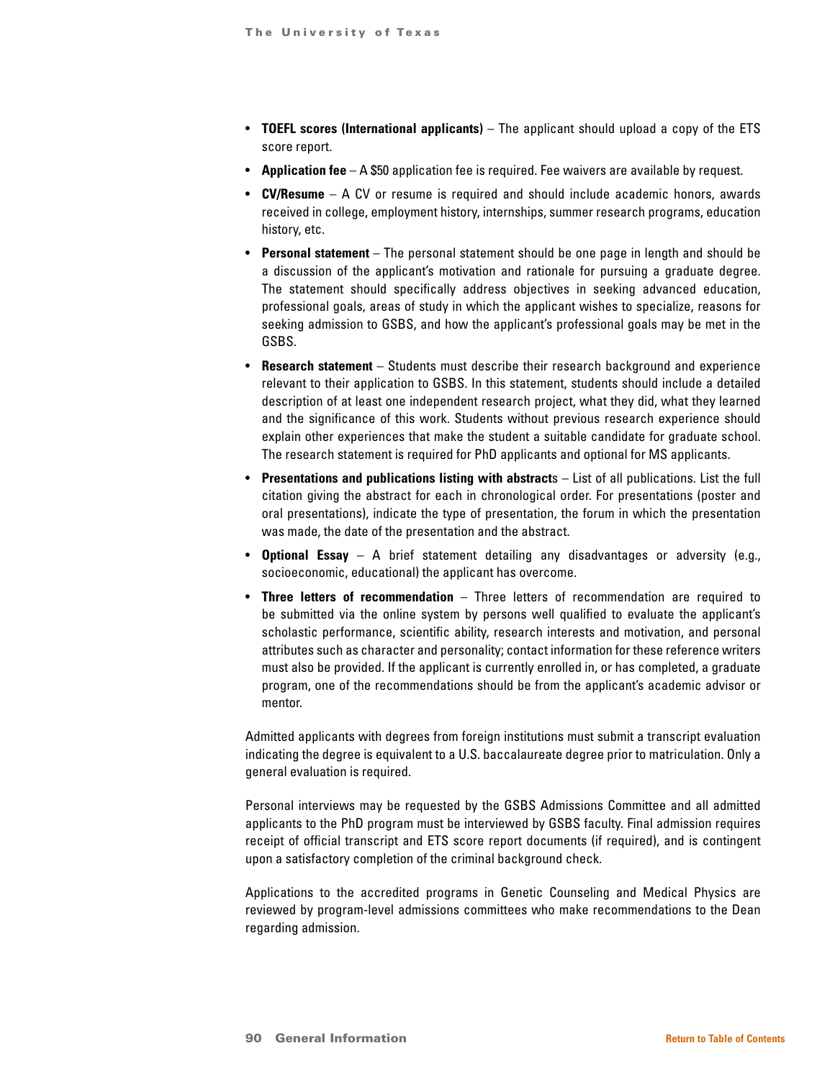- **TOEFL scores (International applicants)** The applicant should upload a copy of the ETS score report.
- **Application fee** A \$50 application fee is required. Fee waivers are available by request.
- **CV/Resume**  A CV or resume is required and should include academic honors, awards received in college, employment history, internships, summer research programs, education history, etc.
- **Personal statement** The personal statement should be one page in length and should be a discussion of the applicant's motivation and rationale for pursuing a graduate degree. The statement should specifically address objectives in seeking advanced education, professional goals, areas of study in which the applicant wishes to specialize, reasons for seeking admission to GSBS, and how the applicant's professional goals may be met in the GSBS.
- **Research statement** Students must describe their research background and experience relevant to their application to GSBS. In this statement, students should include a detailed description of at least one independent research project, what they did, what they learned and the significance of this work. Students without previous research experience should explain other experiences that make the student a suitable candidate for graduate school. The research statement is required for PhD applicants and optional for MS applicants.
- **Presentations and publications listing with abstract**s List of all publications. List the full citation giving the abstract for each in chronological order. For presentations (poster and oral presentations), indicate the type of presentation, the forum in which the presentation was made, the date of the presentation and the abstract.
- **Optional Essay** A brief statement detailing any disadvantages or adversity (e.g., socioeconomic, educational) the applicant has overcome.
- **Three letters of recommendation** Three letters of recommendation are required to be submitted via the online system by persons well qualified to evaluate the applicant's scholastic performance, scientific ability, research interests and motivation, and personal attributes such as character and personality; contact information for these reference writers must also be provided. If the applicant is currently enrolled in, or has completed, a graduate program, one of the recommendations should be from the applicant's academic advisor or mentor.

Admitted applicants with degrees from foreign institutions must submit a transcript evaluation indicating the degree is equivalent to a U.S. baccalaureate degree prior to matriculation. Only a general evaluation is required.

Personal interviews may be requested by the GSBS Admissions Committee and all admitted applicants to the PhD program must be interviewed by GSBS faculty. Final admission requires receipt of official transcript and ETS score report documents (if required), and is contingent upon a satisfactory completion of the criminal background check.

Applications to the accredited programs in Genetic Counseling and Medical Physics are reviewed by program-level admissions committees who make recommendations to the Dean regarding admission.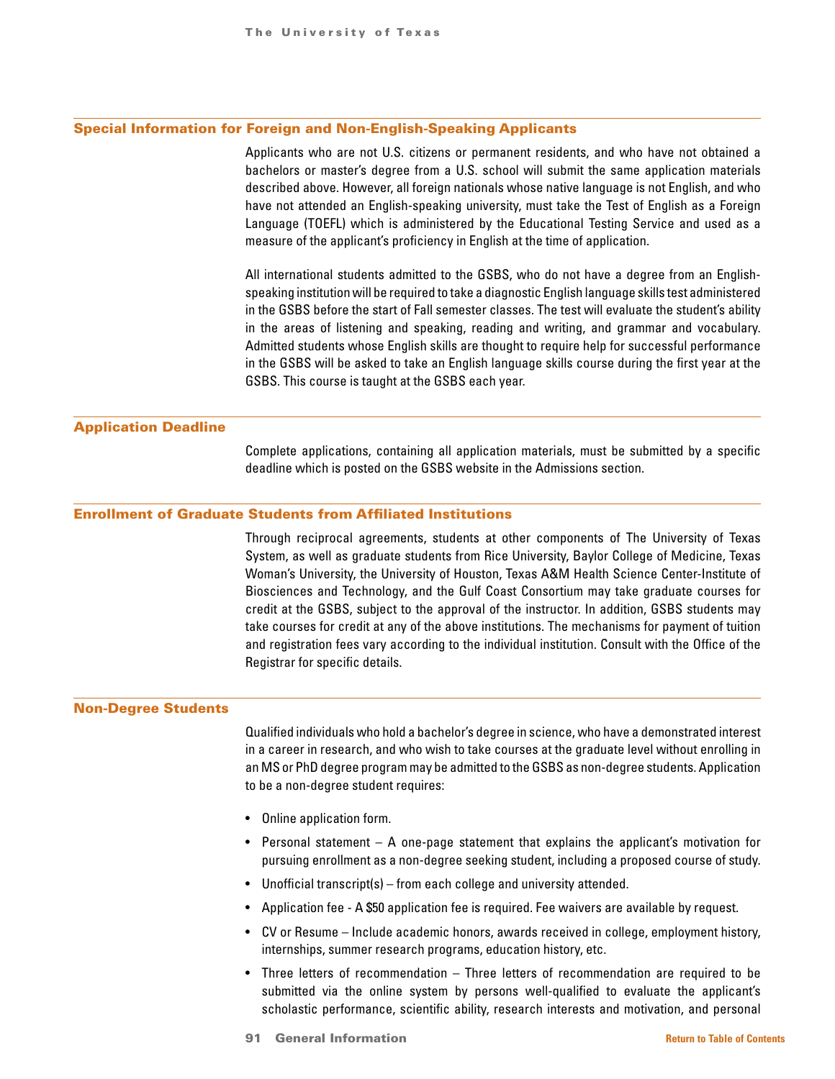#### Special Information for Foreign and Non-English-Speaking Applicants

Applicants who are not U.S. citizens or permanent residents, and who have not obtained a bachelors or master's degree from a U.S. school will submit the same application materials described above. However, all foreign nationals whose native language is not English, and who have not attended an English-speaking university, must take the Test of English as a Foreign Language (TOEFL) which is administered by the Educational Testing Service and used as a measure of the applicant's proficiency in English at the time of application.

All international students admitted to the GSBS, who do not have a degree from an Englishspeaking institution will be required to take a diagnostic English language skills test administered in the GSBS before the start of Fall semester classes. The test will evaluate the student's ability in the areas of listening and speaking, reading and writing, and grammar and vocabulary. Admitted students whose English skills are thought to require help for successful performance in the GSBS will be asked to take an English language skills course during the first year at the GSBS. This course is taught at the GSBS each year.

### Application Deadline

Complete applications, containing all application materials, must be submitted by a specific deadline which is posted on the GSBS website in the Admissions section.

#### Enrollment of Graduate Students from Affiliated Institutions

Through reciprocal agreements, students at other components of The University of Texas System, as well as graduate students from Rice University, Baylor College of Medicine, Texas Woman's University, the University of Houston, Texas A&M Health Science Center-Institute of Biosciences and Technology, and the Gulf Coast Consortium may take graduate courses for credit at the GSBS, subject to the approval of the instructor. In addition, GSBS students may take courses for credit at any of the above institutions. The mechanisms for payment of tuition and registration fees vary according to the individual institution. Consult with the Office of the Registrar for specific details.

#### Non-Degree Students

Qualified individuals who hold a bachelor's degree in science, who have a demonstrated interest in a career in research, and who wish to take courses at the graduate level without enrolling in an MS or PhD degree program may be admitted to the GSBS as non-degree students. Application to be a non-degree student requires:

- Online application form.
- Personal statement A one-page statement that explains the applicant's motivation for pursuing enrollment as a non-degree seeking student, including a proposed course of study.
- Unofficial transcript(s) from each college and university attended.
- Application fee A \$50 application fee is required. Fee waivers are available by request.
- CV or Resume Include academic honors, awards received in college, employment history, internships, summer research programs, education history, etc.
- Three letters of recommendation Three letters of recommendation are required to be submitted via the online system by persons well-qualified to evaluate the applicant's scholastic performance, scientific ability, research interests and motivation, and personal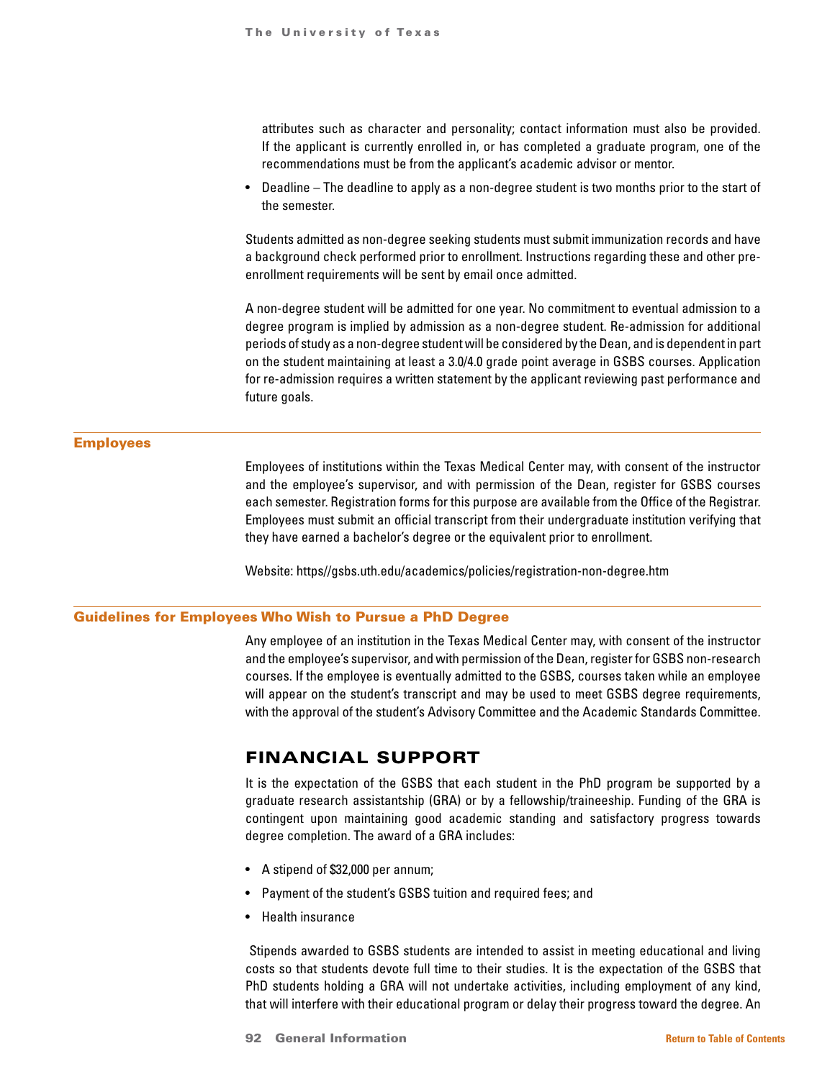attributes such as character and personality; contact information must also be provided. If the applicant is currently enrolled in, or has completed a graduate program, one of the recommendations must be from the applicant's academic advisor or mentor.

• Deadline – The deadline to apply as a non-degree student is two months prior to the start of the semester.

Students admitted as non-degree seeking students must submit immunization records and have a background check performed prior to enrollment. Instructions regarding these and other preenrollment requirements will be sent by email once admitted.

A non-degree student will be admitted for one year. No commitment to eventual admission to a degree program is implied by admission as a non-degree student. Re-admission for additional periods of study as a non-degree student will be considered by the Dean, and is dependent in part on the student maintaining at least a 3.0/4.0 grade point average in GSBS courses. Application for re-admission requires a written statement by the applicant reviewing past performance and future goals.

## Employees

Employees of institutions within the Texas Medical Center may, with consent of the instructor and the employee's supervisor, and with permission of the Dean, register for GSBS courses each semester. Registration forms for this purpose are available from the Office of the Registrar. Employees must submit an official transcript from their undergraduate institution verifying that they have earned a bachelor's degree or the equivalent prior to enrollment.

Website: https//gsbs.uth.edu/academics/policies/registration-non-degree.htm

## Guidelines for Employees Who Wish to Pursue a PhD Degree

Any employee of an institution in the Texas Medical Center may, with consent of the instructor and the employee's supervisor, and with permission of the Dean, register for GSBS non-research courses. If the employee is eventually admitted to the GSBS, courses taken while an employee will appear on the student's transcript and may be used to meet GSBS degree requirements, with the approval of the student's Advisory Committee and the Academic Standards Committee.

# FINANCIAL SUPPORT

It is the expectation of the GSBS that each student in the PhD program be supported by a graduate research assistantship (GRA) or by a fellowship/traineeship. Funding of the GRA is contingent upon maintaining good academic standing and satisfactory progress towards degree completion. The award of a GRA includes:

- A stipend of \$32,000 per annum;
- Payment of the student's GSBS tuition and required fees; and
- Health insurance

 Stipends awarded to GSBS students are intended to assist in meeting educational and living costs so that students devote full time to their studies. It is the expectation of the GSBS that PhD students holding a GRA will not undertake activities, including employment of any kind, that will interfere with their educational program or delay their progress toward the degree. An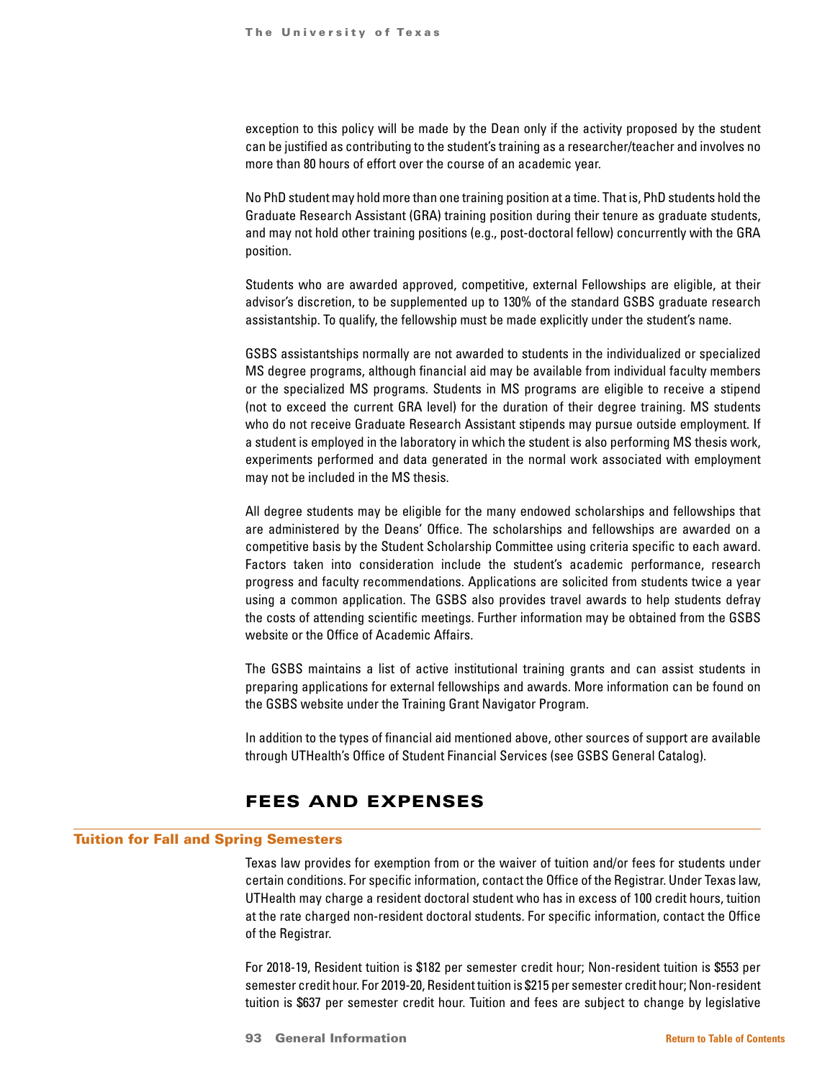exception to this policy will be made by the Dean only if the activity proposed by the student can be justified as contributing to the student's training as a researcher/teacher and involves no more than 80 hours of effort over the course of an academic year.

No PhD student may hold more than one training position at a time. That is, PhD students hold the Graduate Research Assistant (GRA) training position during their tenure as graduate students, and may not hold other training positions (e.g., post-doctoral fellow) concurrently with the GRA position.

Students who are awarded approved, competitive, external Fellowships are eligible, at their advisor's discretion, to be supplemented up to 130% of the standard GSBS graduate research assistantship. To qualify, the fellowship must be made explicitly under the student's name.

GSBS assistantships normally are not awarded to students in the individualized or specialized MS degree programs, although financial aid may be available from individual faculty members or the specialized MS programs. Students in MS programs are eligible to receive a stipend (not to exceed the current GRA level) for the duration of their degree training. MS students who do not receive Graduate Research Assistant stipends may pursue outside employment. If a student is employed in the laboratory in which the student is also performing MS thesis work, experiments performed and data generated in the normal work associated with employment may not be included in the MS thesis.

All degree students may be eligible for the many endowed scholarships and fellowships that are administered by the Deans' Office. The scholarships and fellowships are awarded on a competitive basis by the Student Scholarship Committee using criteria specific to each award. Factors taken into consideration include the student's academic performance, research progress and faculty recommendations. Applications are solicited from students twice a year using a common application. The GSBS also provides travel awards to help students defray the costs of attending scientific meetings. Further information may be obtained from the GSBS website or the Office of Academic Affairs.

The GSBS maintains a list of active institutional training grants and can assist students in preparing applications for external fellowships and awards. More information can be found on the GSBS website under the Training Grant Navigator Program.

In addition to the types of financial aid mentioned above, other sources of support are available through UTHealth's Office of Student Financial Services (see GSBS General Catalog).

# FEES AND EXPENSES

# Tuition for Fall and Spring Semesters

Texas law provides for exemption from or the waiver of tuition and/or fees for students under certain conditions. For specific information, contact the Office of the Registrar. Under Texas law, UTHealth may charge a resident doctoral student who has in excess of 100 credit hours, tuition at the rate charged non-resident doctoral students. For specific information, contact the Office of the Registrar.

For 2018-19, Resident tuition is \$182 per semester credit hour; Non-resident tuition is \$553 per semester credit hour. For 2019-20, Resident tuition is \$215 per semester credit hour; Non-resident tuition is \$637 per semester credit hour. Tuition and fees are subject to change by legislative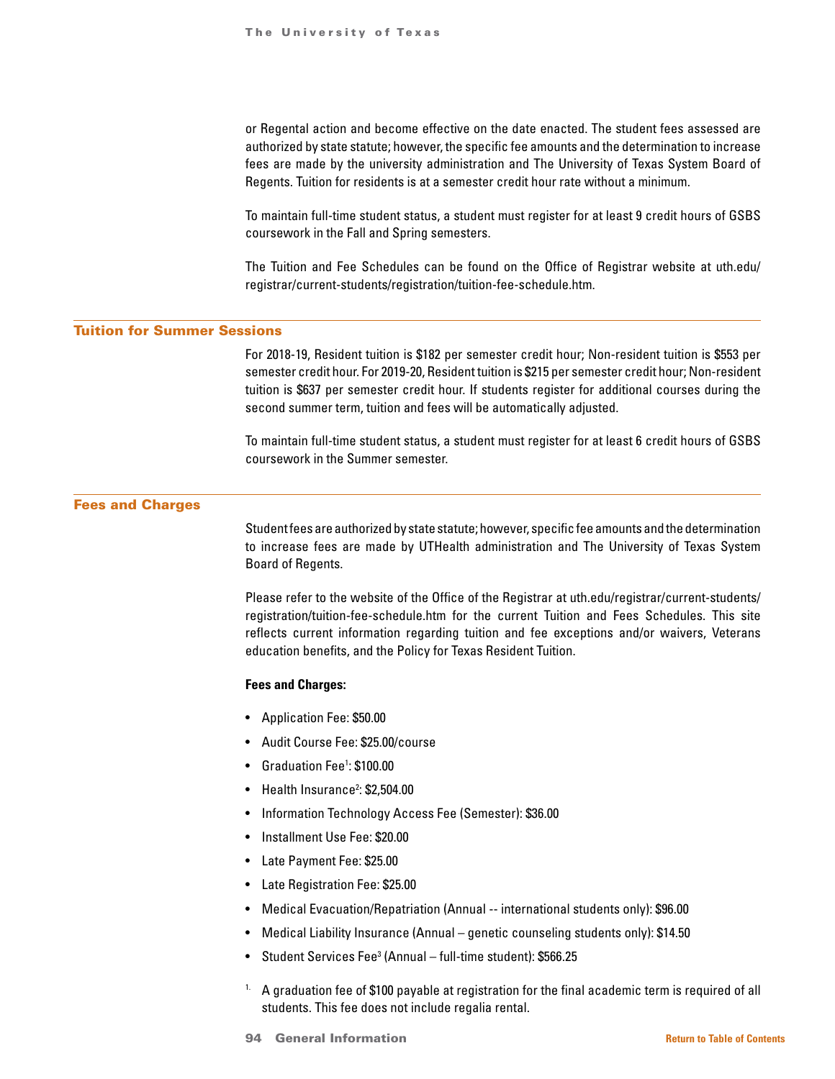or Regental action and become effective on the date enacted. The student fees assessed are authorized by state statute; however, the specific fee amounts and the determination to increase fees are made by the university administration and The University of Texas System Board of Regents. Tuition for residents is at a semester credit hour rate without a minimum.

To maintain full-time student status, a student must register for at least 9 credit hours of GSBS coursework in the Fall and Spring semesters.

The Tuition and Fee Schedules can be found on the Office of Registrar website at uth.edu/ registrar/current-students/registration/tuition-fee-schedule.htm.

# Tuition for Summer Sessions

For 2018-19, Resident tuition is \$182 per semester credit hour; Non-resident tuition is \$553 per semester credit hour. For 2019-20, Resident tuition is \$215 per semester credit hour; Non-resident tuition is \$637 per semester credit hour. If students register for additional courses during the second summer term, tuition and fees will be automatically adjusted.

To maintain full-time student status, a student must register for at least 6 credit hours of GSBS coursework in the Summer semester.

# Fees and Charges

Student fees are authorized by state statute; however, specific fee amounts and the determination to increase fees are made by UTHealth administration and The University of Texas System Board of Regents.

Please refer to the website of the Office of the Registrar at uth.edu/registrar/current-students/ registration/tuition-fee-schedule.htm for the current Tuition and Fees Schedules. This site reflects current information regarding tuition and fee exceptions and/or waivers, Veterans education benefits, and the Policy for Texas Resident Tuition.

# **Fees and Charges:**

- Application Fee: \$50.00
- Audit Course Fee: \$25.00/course
- Graduation Fee<sup>1</sup>: \$100.00
- Health Insurance<sup>2</sup>: \$2,504.00
- Information Technology Access Fee (Semester): \$36.00
- Installment Use Fee: \$20.00
- Late Payment Fee: \$25.00
- Late Registration Fee: \$25.00
- Medical Evacuation/Repatriation (Annual -- international students only): \$96.00
- Medical Liability Insurance (Annual genetic counseling students only): \$14.50
- Student Services Fee3 (Annual full-time student): \$566.25
- <sup>1.</sup> A graduation fee of \$100 payable at registration for the final academic term is required of all students. This fee does not include regalia rental.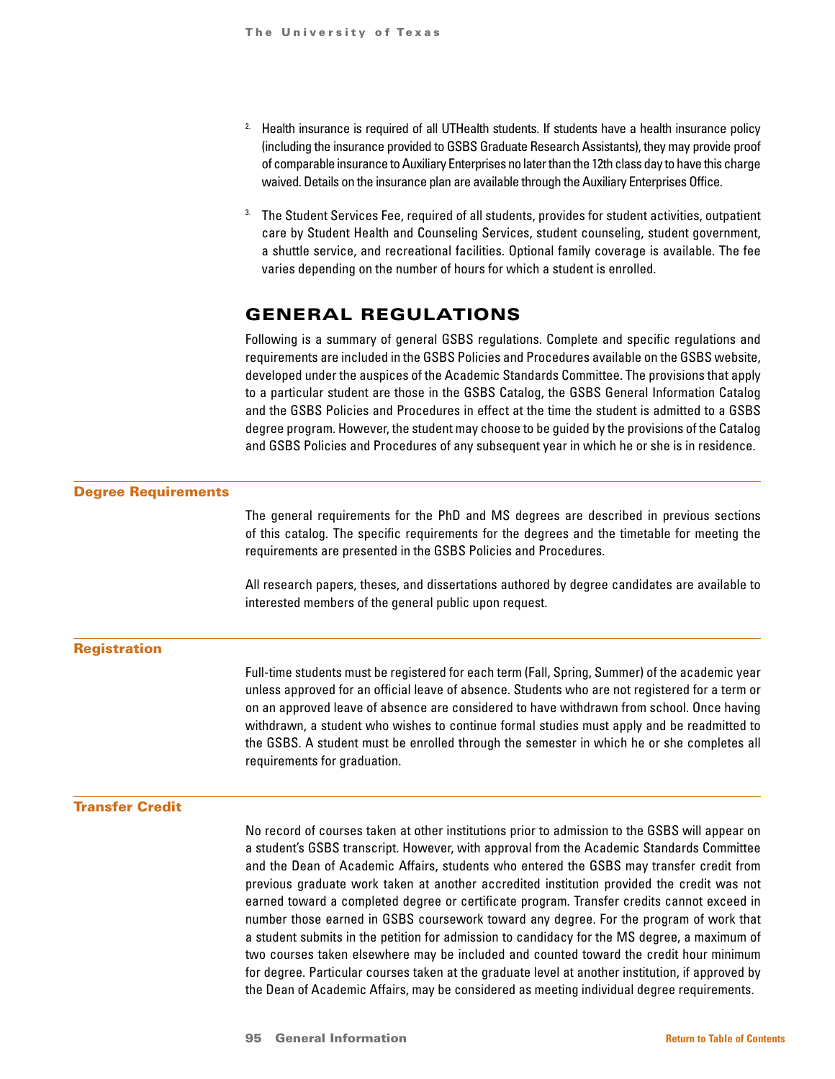- <sup>2</sup> Health insurance is required of all UTHealth students. If students have a health insurance policy (including the insurance provided to GSBS Graduate Research Assistants), they may provide proof of comparable insurance to Auxiliary Enterprises no later than the 12th class day to have this charge waived. Details on the insurance plan are available through the Auxiliary Enterprises Office.
- 3. The Student Services Fee, required of all students, provides for student activities, outpatient care by Student Health and Counseling Services, student counseling, student government, a shuttle service, and recreational facilities. Optional family coverage is available. The fee varies depending on the number of hours for which a student is enrolled.

# GENERAL REGULATIONS

Following is a summary of general GSBS regulations. Complete and specific regulations and requirements are included in the GSBS Policies and Procedures available on the GSBS website, developed under the auspices of the Academic Standards Committee. The provisions that apply to a particular student are those in the GSBS Catalog, the GSBS General Information Catalog and the GSBS Policies and Procedures in effect at the time the student is admitted to a GSBS degree program. However, the student may choose to be guided by the provisions of the Catalog and GSBS Policies and Procedures of any subsequent year in which he or she is in residence.

two courses taken elsewhere may be included and counted toward the credit hour minimum for degree. Particular courses taken at the graduate level at another institution, if approved by the Dean of Academic Affairs, may be considered as meeting individual degree requirements.

| <b>Degree Requirements</b> |                                                                                                                                                                                                                                                                                                                                                                                                                                                                                                                                                                                                                                                                               |
|----------------------------|-------------------------------------------------------------------------------------------------------------------------------------------------------------------------------------------------------------------------------------------------------------------------------------------------------------------------------------------------------------------------------------------------------------------------------------------------------------------------------------------------------------------------------------------------------------------------------------------------------------------------------------------------------------------------------|
|                            | The general requirements for the PhD and MS degrees are described in previous sections<br>of this catalog. The specific requirements for the degrees and the timetable for meeting the<br>requirements are presented in the GSBS Policies and Procedures.                                                                                                                                                                                                                                                                                                                                                                                                                     |
|                            | All research papers, theses, and dissertations authored by degree candidates are available to<br>interested members of the general public upon request.                                                                                                                                                                                                                                                                                                                                                                                                                                                                                                                       |
| <b>Registration</b>        |                                                                                                                                                                                                                                                                                                                                                                                                                                                                                                                                                                                                                                                                               |
|                            | Full-time students must be registered for each term (Fall, Spring, Summer) of the academic year<br>unless approved for an official leave of absence. Students who are not registered for a term or<br>on an approved leave of absence are considered to have withdrawn from school. Once having<br>withdrawn, a student who wishes to continue formal studies must apply and be readmitted to<br>the GSBS. A student must be enrolled through the semester in which he or she completes all<br>requirements for graduation.                                                                                                                                                   |
| <b>Transfer Credit</b>     |                                                                                                                                                                                                                                                                                                                                                                                                                                                                                                                                                                                                                                                                               |
|                            | No record of courses taken at other institutions prior to admission to the GSBS will appear on<br>a student's GSBS transcript. However, with approval from the Academic Standards Committee<br>and the Dean of Academic Affairs, students who entered the GSBS may transfer credit from<br>previous graduate work taken at another accredited institution provided the credit was not<br>earned toward a completed degree or certificate program. Transfer credits cannot exceed in<br>number those earned in GSBS coursework toward any degree. For the program of work that<br>a student submits in the petition for admission to candidacy for the MS degree, a maximum of |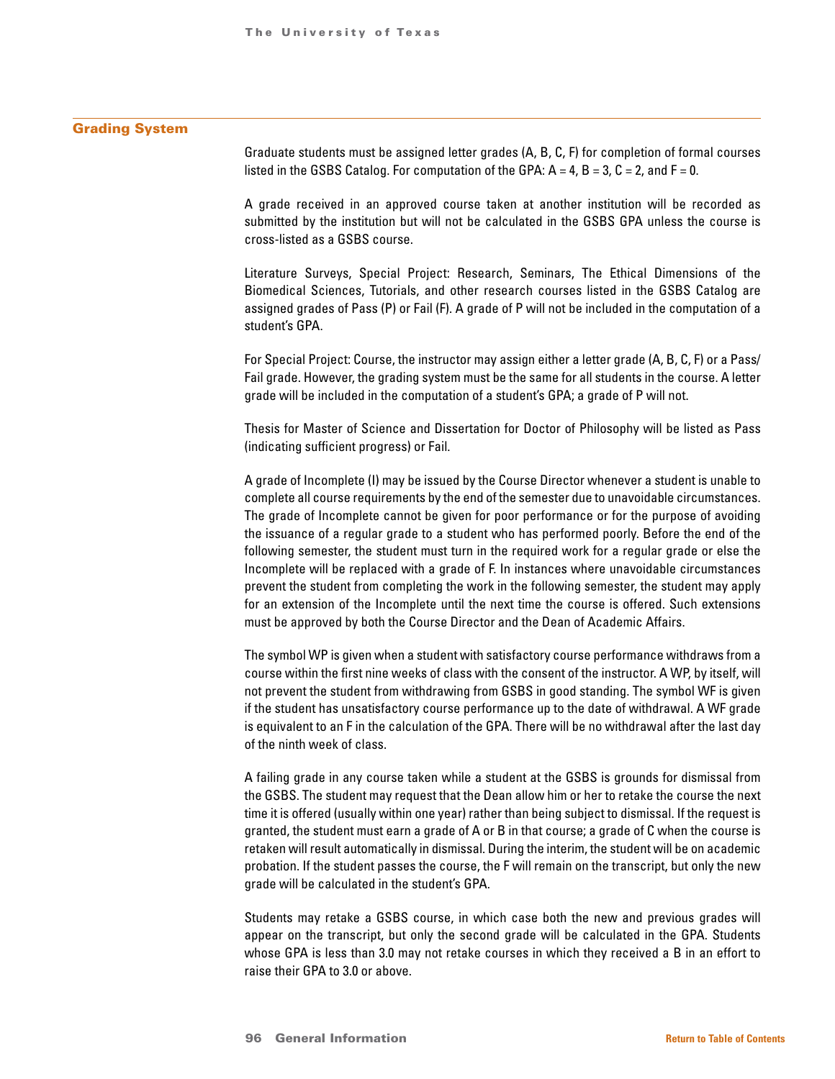### Grading System

Graduate students must be assigned letter grades (A, B, C, F) for completion of formal courses listed in the GSBS Catalog. For computation of the GPA:  $A = 4$ ,  $B = 3$ ,  $C = 2$ , and  $F = 0$ .

A grade received in an approved course taken at another institution will be recorded as submitted by the institution but will not be calculated in the GSBS GPA unless the course is cross-listed as a GSBS course.

Literature Surveys, Special Project: Research, Seminars, The Ethical Dimensions of the Biomedical Sciences, Tutorials, and other research courses listed in the GSBS Catalog are assigned grades of Pass (P) or Fail (F). A grade of P will not be included in the computation of a student's GPA.

For Special Project: Course, the instructor may assign either a letter grade (A, B, C, F) or a Pass/ Fail grade. However, the grading system must be the same for all students in the course. A letter grade will be included in the computation of a student's GPA; a grade of P will not.

Thesis for Master of Science and Dissertation for Doctor of Philosophy will be listed as Pass (indicating sufficient progress) or Fail.

A grade of Incomplete (I) may be issued by the Course Director whenever a student is unable to complete all course requirements by the end of the semester due to unavoidable circumstances. The grade of Incomplete cannot be given for poor performance or for the purpose of avoiding the issuance of a regular grade to a student who has performed poorly. Before the end of the following semester, the student must turn in the required work for a regular grade or else the Incomplete will be replaced with a grade of F. In instances where unavoidable circumstances prevent the student from completing the work in the following semester, the student may apply for an extension of the Incomplete until the next time the course is offered. Such extensions must be approved by both the Course Director and the Dean of Academic Affairs.

The symbol WP is given when a student with satisfactory course performance withdraws from a course within the first nine weeks of class with the consent of the instructor. A WP, by itself, will not prevent the student from withdrawing from GSBS in good standing. The symbol WF is given if the student has unsatisfactory course performance up to the date of withdrawal. A WF grade is equivalent to an F in the calculation of the GPA. There will be no withdrawal after the last day of the ninth week of class.

A failing grade in any course taken while a student at the GSBS is grounds for dismissal from the GSBS. The student may request that the Dean allow him or her to retake the course the next time it is offered (usually within one year) rather than being subject to dismissal. If the request is granted, the student must earn a grade of A or B in that course; a grade of C when the course is retaken will result automatically in dismissal. During the interim, the student will be on academic probation. If the student passes the course, the F will remain on the transcript, but only the new grade will be calculated in the student's GPA.

Students may retake a GSBS course, in which case both the new and previous grades will appear on the transcript, but only the second grade will be calculated in the GPA. Students whose GPA is less than 3.0 may not retake courses in which they received a B in an effort to raise their GPA to 3.0 or above.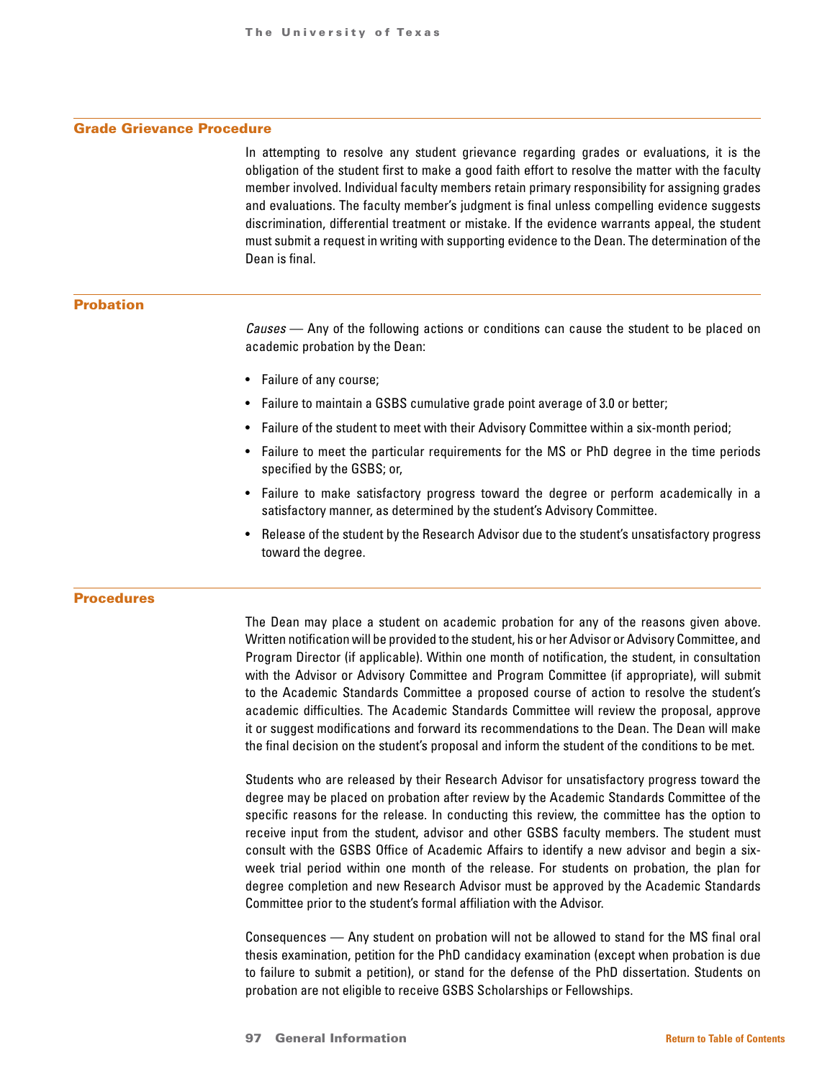## Grade Grievance Procedure

In attempting to resolve any student grievance regarding grades or evaluations, it is the obligation of the student first to make a good faith effort to resolve the matter with the faculty member involved. Individual faculty members retain primary responsibility for assigning grades and evaluations. The faculty member's judgment is final unless compelling evidence suggests discrimination, differential treatment or mistake. If the evidence warrants appeal, the student must submit a request in writing with supporting evidence to the Dean. The determination of the Dean is final.

#### Probation

*Causes* — Any of the following actions or conditions can cause the student to be placed on academic probation by the Dean:

- Failure of any course;
- Failure to maintain a GSBS cumulative grade point average of 3.0 or better;
- Failure of the student to meet with their Advisory Committee within a six-month period;
- Failure to meet the particular requirements for the MS or PhD degree in the time periods specified by the GSBS; or,
- Failure to make satisfactory progress toward the degree or perform academically in a satisfactory manner, as determined by the student's Advisory Committee.
- Release of the student by the Research Advisor due to the student's unsatisfactory progress toward the degree.

### Procedures

The Dean may place a student on academic probation for any of the reasons given above. Written notification will be provided to the student, his or her Advisor or Advisory Committee, and Program Director (if applicable). Within one month of notification, the student, in consultation with the Advisor or Advisory Committee and Program Committee (if appropriate), will submit to the Academic Standards Committee a proposed course of action to resolve the student's academic difficulties. The Academic Standards Committee will review the proposal, approve it or suggest modifications and forward its recommendations to the Dean. The Dean will make the final decision on the student's proposal and inform the student of the conditions to be met.

Students who are released by their Research Advisor for unsatisfactory progress toward the degree may be placed on probation after review by the Academic Standards Committee of the specific reasons for the release. In conducting this review, the committee has the option to receive input from the student, advisor and other GSBS faculty members. The student must consult with the GSBS Office of Academic Affairs to identify a new advisor and begin a sixweek trial period within one month of the release. For students on probation, the plan for degree completion and new Research Advisor must be approved by the Academic Standards Committee prior to the student's formal affiliation with the Advisor.

Consequences — Any student on probation will not be allowed to stand for the MS final oral thesis examination, petition for the PhD candidacy examination (except when probation is due to failure to submit a petition), or stand for the defense of the PhD dissertation. Students on probation are not eligible to receive GSBS Scholarships or Fellowships.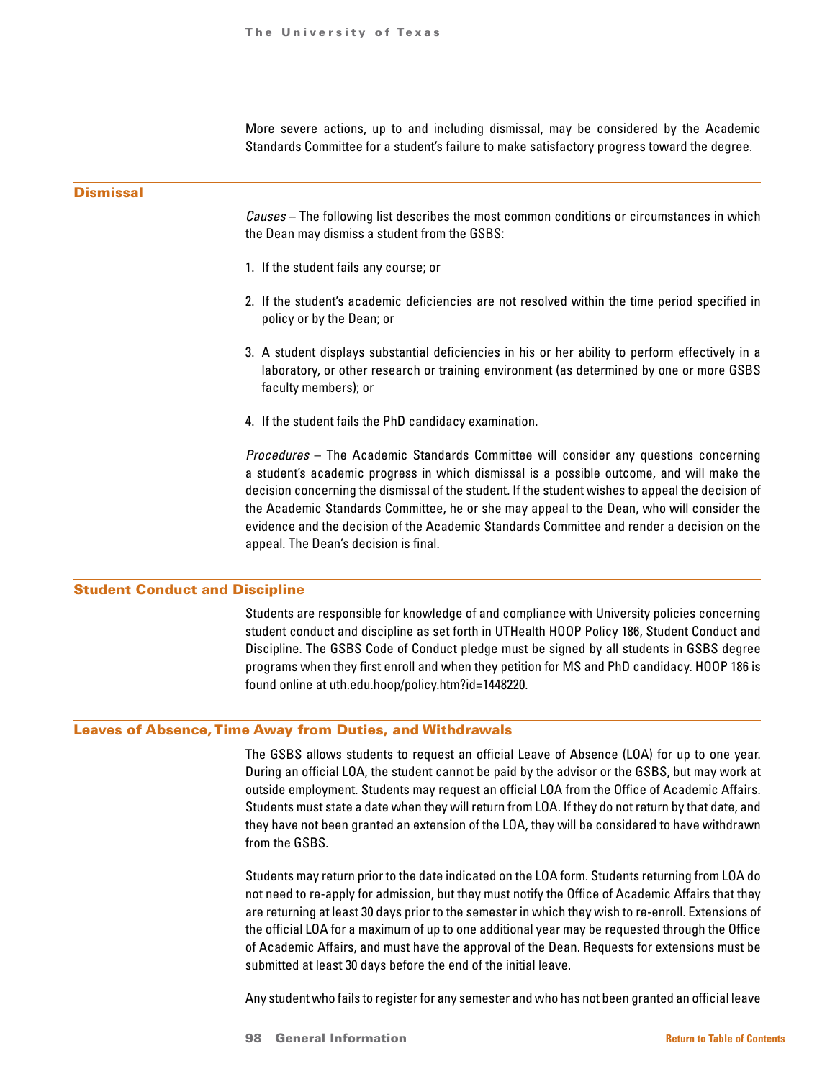More severe actions, up to and including dismissal, may be considered by the Academic Standards Committee for a student's failure to make satisfactory progress toward the degree.

# **Dismissal**

*Causes* – The following list describes the most common conditions or circumstances in which the Dean may dismiss a student from the GSBS:

- 1. If the student fails any course; or
- 2. If the student's academic deficiencies are not resolved within the time period specified in policy or by the Dean; or
- 3. A student displays substantial deficiencies in his or her ability to perform effectively in a laboratory, or other research or training environment (as determined by one or more GSBS faculty members); or
- 4. If the student fails the PhD candidacy examination.

*Procedures* – The Academic Standards Committee will consider any questions concerning a student's academic progress in which dismissal is a possible outcome, and will make the decision concerning the dismissal of the student. If the student wishes to appeal the decision of the Academic Standards Committee, he or she may appeal to the Dean, who will consider the evidence and the decision of the Academic Standards Committee and render a decision on the appeal. The Dean's decision is final.

#### Student Conduct and Discipline

Students are responsible for knowledge of and compliance with University policies concerning student conduct and discipline as set forth in UTHealth HOOP Policy 186, Student Conduct and Discipline. The GSBS Code of Conduct pledge must be signed by all students in GSBS degree programs when they first enroll and when they petition for MS and PhD candidacy. HOOP 186 is found online at uth.edu.hoop/policy.htm?id=1448220.

#### Leaves of Absence, Time Away from Duties, and Withdrawals

The GSBS allows students to request an official Leave of Absence (LOA) for up to one year. During an official LOA, the student cannot be paid by the advisor or the GSBS, but may work at outside employment. Students may request an official LOA from the Office of Academic Affairs. Students must state a date when they will return from LOA. If they do not return by that date, and they have not been granted an extension of the LOA, they will be considered to have withdrawn from the GSBS.

Students may return prior to the date indicated on the LOA form. Students returning from LOA do not need to re-apply for admission, but they must notify the Office of Academic Affairs that they are returning at least 30 days prior to the semester in which they wish to re-enroll. Extensions of the official LOA for a maximum of up to one additional year may be requested through the Office of Academic Affairs, and must have the approval of the Dean. Requests for extensions must be submitted at least 30 days before the end of the initial leave.

Any student who fails to register for any semester and who has not been granted an official leave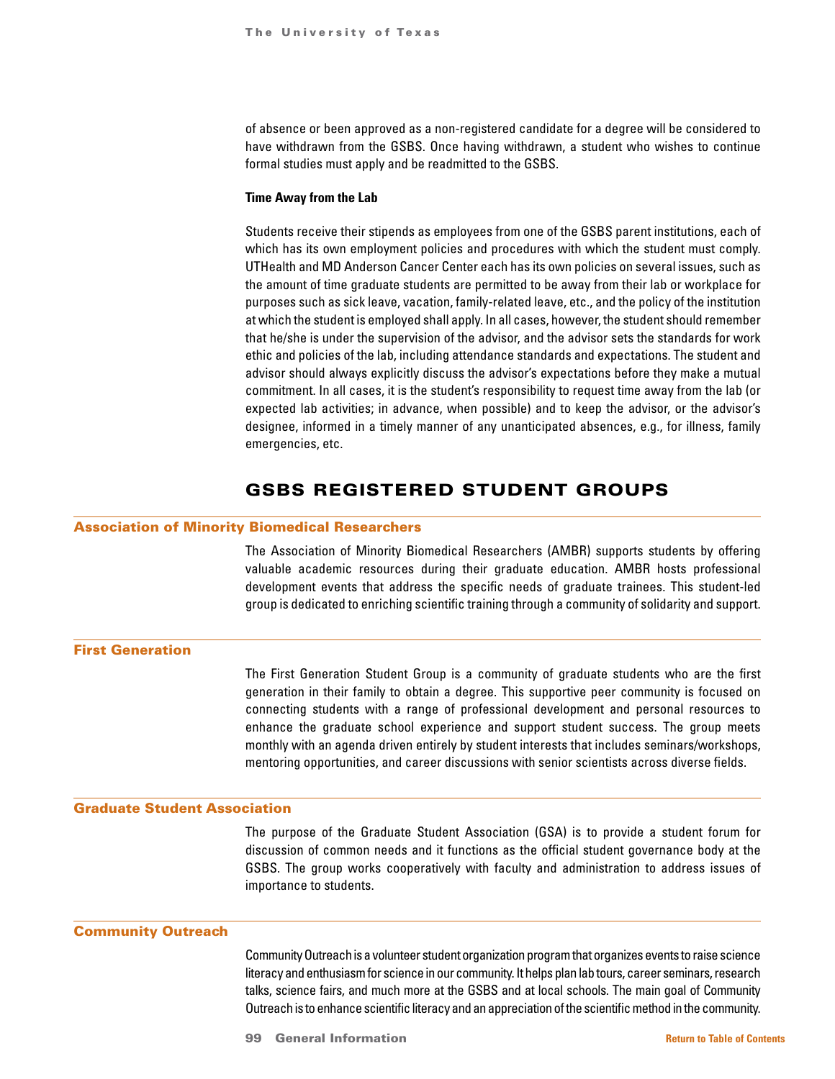of absence or been approved as a non-registered candidate for a degree will be considered to have withdrawn from the GSBS. Once having withdrawn, a student who wishes to continue formal studies must apply and be readmitted to the GSBS.

#### **Time Away from the Lab**

Students receive their stipends as employees from one of the GSBS parent institutions, each of which has its own employment policies and procedures with which the student must comply. UTHealth and MD Anderson Cancer Center each has its own policies on several issues, such as the amount of time graduate students are permitted to be away from their lab or workplace for purposes such as sick leave, vacation, family-related leave, etc., and the policy of the institution at which the student is employed shall apply. In all cases, however, the student should remember that he/she is under the supervision of the advisor, and the advisor sets the standards for work ethic and policies of the lab, including attendance standards and expectations. The student and advisor should always explicitly discuss the advisor's expectations before they make a mutual commitment. In all cases, it is the student's responsibility to request time away from the lab (or expected lab activities; in advance, when possible) and to keep the advisor, or the advisor's designee, informed in a timely manner of any unanticipated absences, e.g., for illness, family emergencies, etc.

# GSBS REGISTERED STUDENT GROUPS

#### Association of Minority Biomedical Researchers

The Association of Minority Biomedical Researchers (AMBR) supports students by offering valuable academic resources during their graduate education. AMBR hosts professional development events that address the specific needs of graduate trainees. This student-led group is dedicated to enriching scientific training through a community of solidarity and support.

# First Generation

The First Generation Student Group is a community of graduate students who are the first generation in their family to obtain a degree. This supportive peer community is focused on connecting students with a range of professional development and personal resources to enhance the graduate school experience and support student success. The group meets monthly with an agenda driven entirely by student interests that includes seminars/workshops, mentoring opportunities, and career discussions with senior scientists across diverse fields.

# Graduate Student Association

The purpose of the Graduate Student Association (GSA) is to provide a student forum for discussion of common needs and it functions as the official student governance body at the GSBS. The group works cooperatively with faculty and administration to address issues of importance to students.

#### Community Outreach

Community Outreach is a volunteer student organization program that organizes events to raise science literacy and enthusiasm for science in our community. It helps plan lab tours, career seminars, research talks, science fairs, and much more at the GSBS and at local schools. The main goal of Community Outreach is to enhance scientific literacy and an appreciation of the scientific method in the community.

99 General Information **[Return to Table of Contents](#page-1-0)**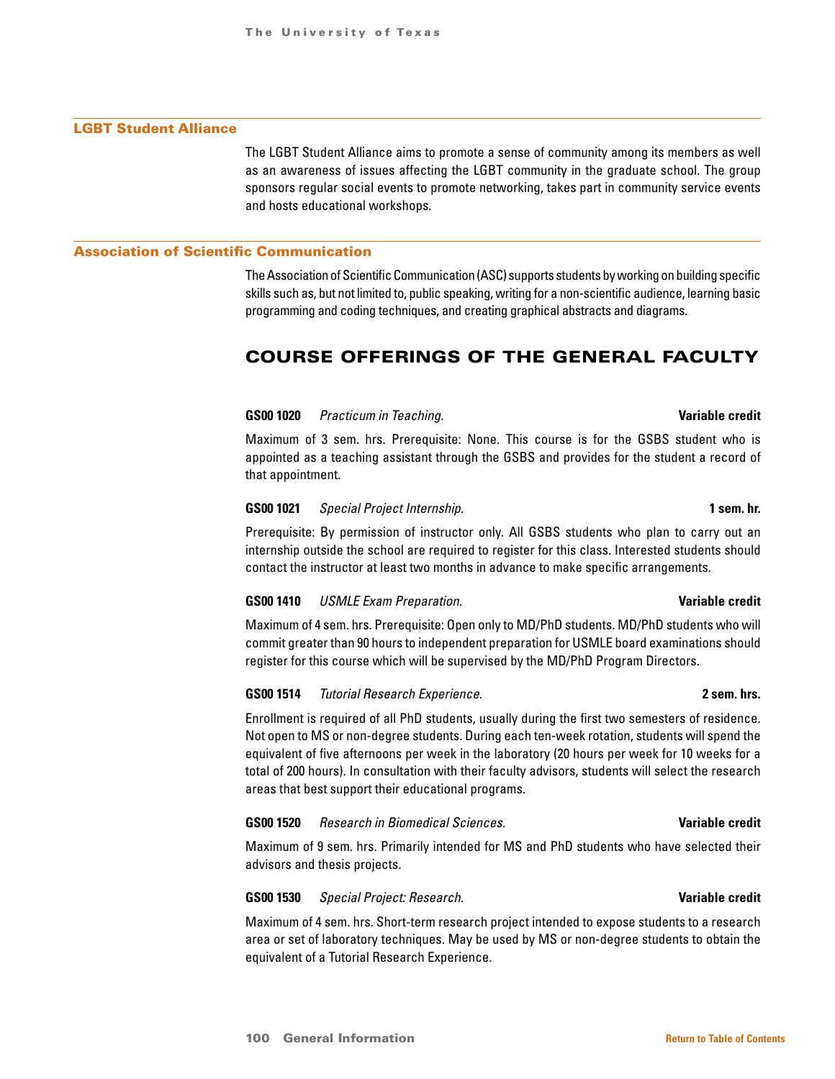# LGBT Student Alliance

The LGBT Student Alliance aims to promote a sense of community among its members as well as an awareness of issues affecting the LGBT community in the graduate school. The group sponsors regular social events to promote networking, takes part in community service events and hosts educational workshops.

#### Association of Scientific Communication

The Association of Scientific Communication (ASC) supports students by working on building specific skills such as, but not limited to, public speaking, writing for a non-scientific audience, learning basic programming and coding techniques, and creating graphical abstracts and diagrams.

# COURSE OFFERINGS OF THE GENERAL FACULTY

#### **GS00 1020** *Practicum in Teaching.* **Variable credit**

Maximum of 3 sem. hrs. Prerequisite: None. This course is for the GSBS student who is appointed as a teaching assistant through the GSBS and provides for the student a record of that appointment.

## **GS00 1021** *Special Project Internship.* **1 sem. hr.**

Prerequisite: By permission of instructor only. All GSBS students who plan to carry out an internship outside the school are required to register for this class. Interested students should contact the instructor at least two months in advance to make specific arrangements.

# **GS00 1410** *USMLE Exam Preparation.* **Variable credit**

Maximum of 4 sem. hrs. Prerequisite: Open only to MD/PhD students. MD/PhD students who will commit greater than 90 hours to independent preparation for USMLE board examinations should register for this course which will be supervised by the MD/PhD Program Directors.

### **GS00 1514** *Tutorial Research Experience.* **2 sem. hrs.**

Enrollment is required of all PhD students, usually during the first two semesters of residence. Not open to MS or non-degree students. During each ten-week rotation, students will spend the equivalent of five afternoons per week in the laboratory (20 hours per week for 10 weeks for a total of 200 hours). In consultation with their faculty advisors, students will select the research areas that best support their educational programs.

#### **GS00 1520** *Research in Biomedical Sciences.* **Variable credit**

Maximum of 9 sem. hrs. Primarily intended for MS and PhD students who have selected their advisors and thesis projects.

### **GS00 1530** *Special Project: Research.* **Variable credit**

Maximum of 4 sem. hrs. Short-term research project intended to expose students to a research area or set of laboratory techniques. May be used by MS or non-degree students to obtain the equivalent of a Tutorial Research Experience.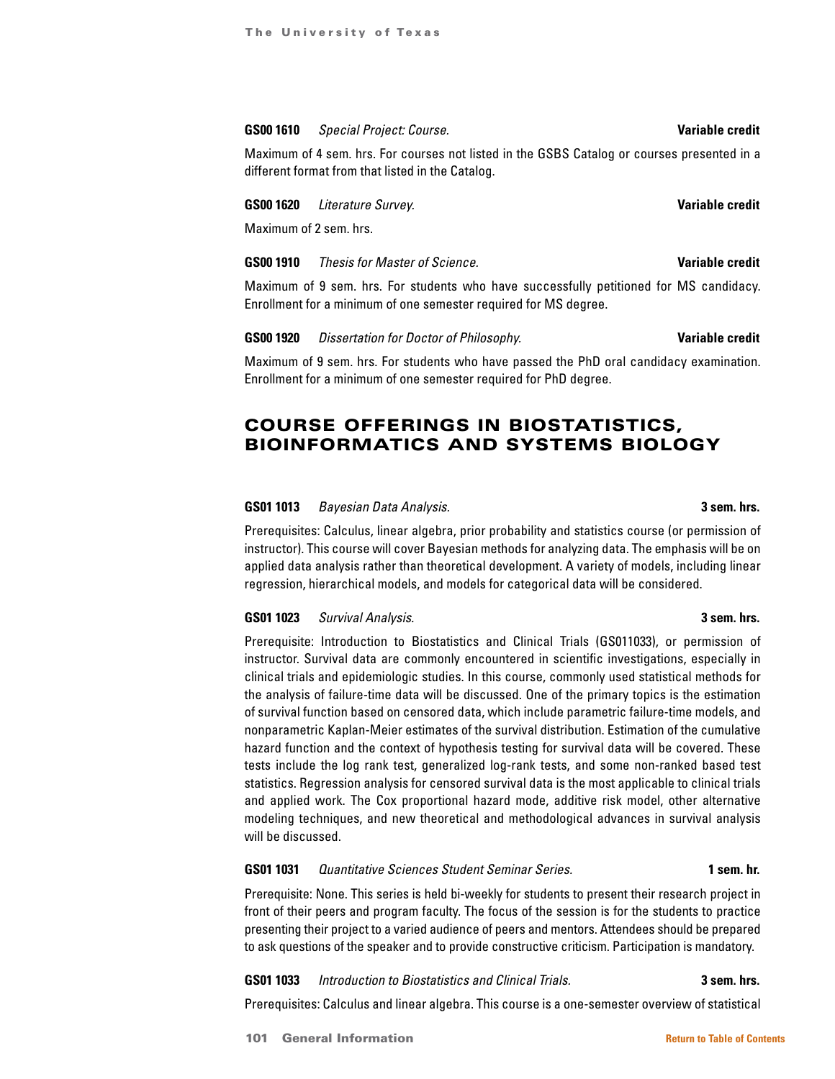#### **GS00 1610 Special Project: Course.** *Variable credit* **Variable credit**

Maximum of 4 sem. hrs. For courses not listed in the GSBS Catalog or courses presented in a different format from that listed in the Catalog.

#### **GS00 1620** *Literature Survey.* **Variable credit**

Maximum of 2 sem. hrs.

## **GS00 1910** *Thesis for Master of Science.* **Variable credit**

Maximum of 9 sem. hrs. For students who have successfully petitioned for MS candidacy. Enrollment for a minimum of one semester required for MS degree.

**GS00 1920** *Dissertation for Doctor of Philosophy.* **Variable credit**

Maximum of 9 sem. hrs. For students who have passed the PhD oral candidacy examination. Enrollment for a minimum of one semester required for PhD degree.

# COURSE OFFERINGS IN BIOSTATISTICS, BIOINFORMATICS AND SYSTEMS BIOLOGY

#### **GS01 1013** *Bayesian Data Analysis.* **3 sem. hrs.**

Prerequisites: Calculus, linear algebra, prior probability and statistics course (or permission of instructor). This course will cover Bayesian methods for analyzing data. The emphasis will be on applied data analysis rather than theoretical development. A variety of models, including linear regression, hierarchical models, and models for categorical data will be considered.

## **GS01 1023** *Survival Analysis.* **3 sem. hrs.**

Prerequisite: Introduction to Biostatistics and Clinical Trials (GS011033), or permission of instructor. Survival data are commonly encountered in scientific investigations, especially in clinical trials and epidemiologic studies. In this course, commonly used statistical methods for the analysis of failure-time data will be discussed. One of the primary topics is the estimation of survival function based on censored data, which include parametric failure-time models, and nonparametric Kaplan-Meier estimates of the survival distribution. Estimation of the cumulative hazard function and the context of hypothesis testing for survival data will be covered. These tests include the log rank test, generalized log-rank tests, and some non-ranked based test statistics. Regression analysis for censored survival data is the most applicable to clinical trials and applied work. The Cox proportional hazard mode, additive risk model, other alternative modeling techniques, and new theoretical and methodological advances in survival analysis will be discussed.

#### **GS01 1031** *Quantitative Sciences Student Seminar Series.* **1 sem. hr.**

Prerequisite: None. This series is held bi-weekly for students to present their research project in front of their peers and program faculty. The focus of the session is for the students to practice presenting their project to a varied audience of peers and mentors. Attendees should be prepared to ask questions of the speaker and to provide constructive criticism. Participation is mandatory.

**GS01 1033** *Introduction to Biostatistics and Clinical Trials.* **3 sem. hrs.**

Prerequisites: Calculus and linear algebra. This course is a one-semester overview of statistical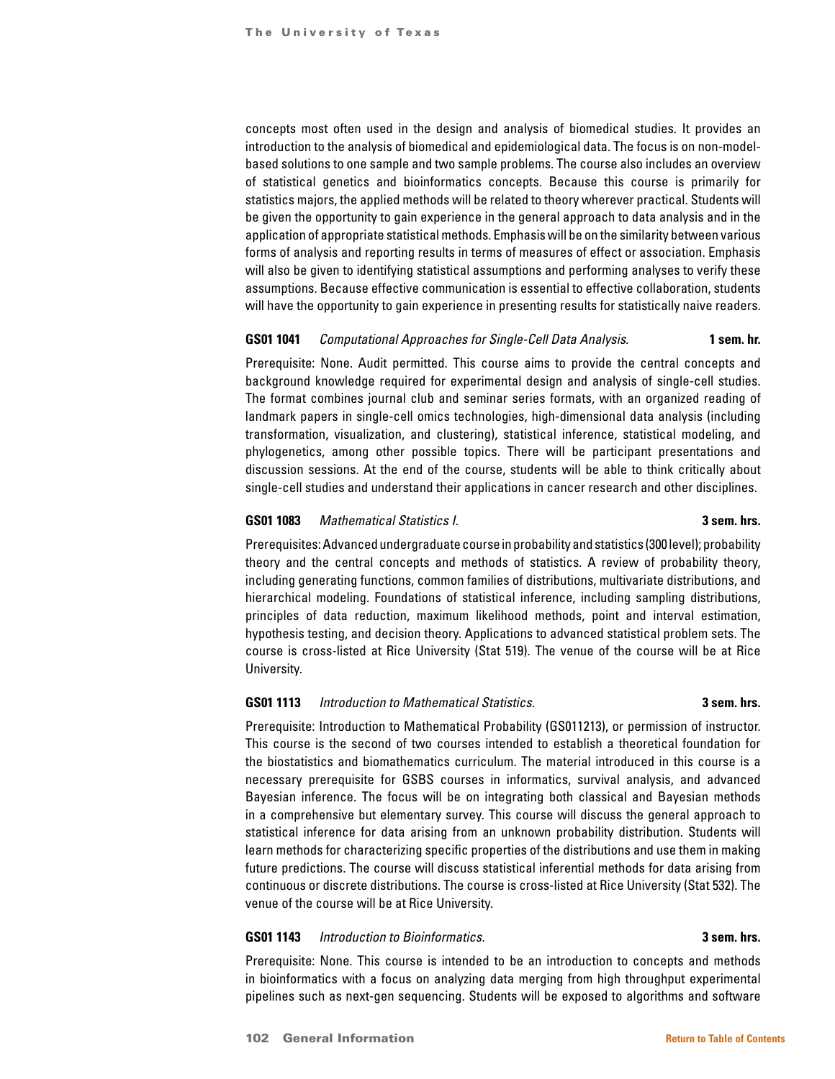concepts most often used in the design and analysis of biomedical studies. It provides an introduction to the analysis of biomedical and epidemiological data. The focus is on non-modelbased solutions to one sample and two sample problems. The course also includes an overview of statistical genetics and bioinformatics concepts. Because this course is primarily for statistics majors, the applied methods will be related to theory wherever practical. Students will be given the opportunity to gain experience in the general approach to data analysis and in the application of appropriate statistical methods. Emphasis will be on the similarity between various forms of analysis and reporting results in terms of measures of effect or association. Emphasis will also be given to identifying statistical assumptions and performing analyses to verify these assumptions. Because effective communication is essential to effective collaboration, students will have the opportunity to gain experience in presenting results for statistically naive readers.

#### **GS01 1041** *Computational Approaches for Single-Cell Data Analysis.* **1 sem. hr.**

Prerequisite: None. Audit permitted. This course aims to provide the central concepts and background knowledge required for experimental design and analysis of single-cell studies. The format combines journal club and seminar series formats, with an organized reading of landmark papers in single-cell omics technologies, high-dimensional data analysis (including transformation, visualization, and clustering), statistical inference, statistical modeling, and phylogenetics, among other possible topics. There will be participant presentations and discussion sessions. At the end of the course, students will be able to think critically about single-cell studies and understand their applications in cancer research and other disciplines.

#### **GS01 1083** *Mathematical Statistics I.* **3 sem. hrs.**

Prerequisites: Advanced undergraduate course in probability and statistics (300 level); probability theory and the central concepts and methods of statistics. A review of probability theory, including generating functions, common families of distributions, multivariate distributions, and hierarchical modeling. Foundations of statistical inference, including sampling distributions, principles of data reduction, maximum likelihood methods, point and interval estimation, hypothesis testing, and decision theory. Applications to advanced statistical problem sets. The course is cross-listed at Rice University (Stat 519). The venue of the course will be at Rice University.

#### **GS01 1113** *Introduction to Mathematical Statistics.* **3 sem. hrs.**

Prerequisite: Introduction to Mathematical Probability (GS011213), or permission of instructor. This course is the second of two courses intended to establish a theoretical foundation for the biostatistics and biomathematics curriculum. The material introduced in this course is a necessary prerequisite for GSBS courses in informatics, survival analysis, and advanced Bayesian inference. The focus will be on integrating both classical and Bayesian methods in a comprehensive but elementary survey. This course will discuss the general approach to statistical inference for data arising from an unknown probability distribution. Students will learn methods for characterizing specific properties of the distributions and use them in making future predictions. The course will discuss statistical inferential methods for data arising from continuous or discrete distributions. The course is cross-listed at Rice University (Stat 532). The venue of the course will be at Rice University.

### **GS01 1143** *Introduction to Bioinformatics.* **3 sem. hrs.**

Prerequisite: None. This course is intended to be an introduction to concepts and methods in bioinformatics with a focus on analyzing data merging from high throughput experimental pipelines such as next-gen sequencing. Students will be exposed to algorithms and software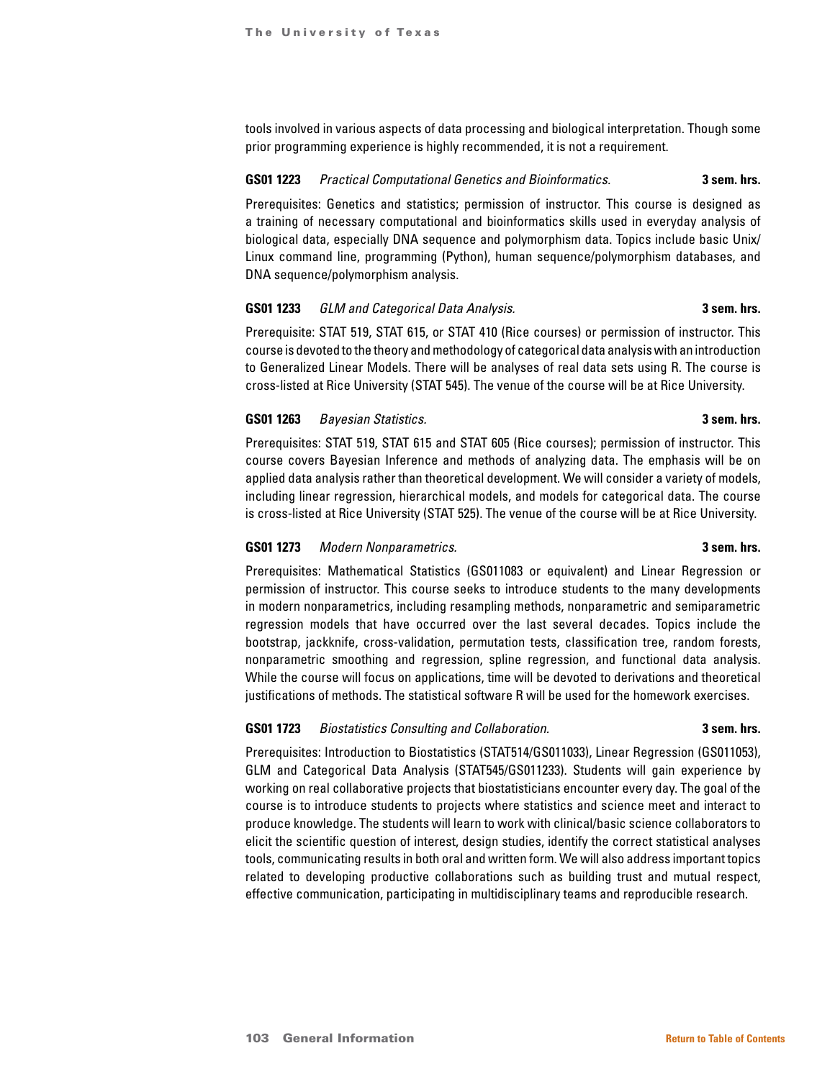tools involved in various aspects of data processing and biological interpretation. Though some prior programming experience is highly recommended, it is not a requirement.

# **GS01 1223** *Practical Computational Genetics and Bioinformatics.* **3 sem. hrs.**

Prerequisites: Genetics and statistics; permission of instructor. This course is designed as a training of necessary computational and bioinformatics skills used in everyday analysis of biological data, especially DNA sequence and polymorphism data. Topics include basic Unix/ Linux command line, programming (Python), human sequence/polymorphism databases, and DNA sequence/polymorphism analysis.

#### **GS01 1233** *GLM and Categorical Data Analysis.* **3 sem. hrs.**

Prerequisite: STAT 519, STAT 615, or STAT 410 (Rice courses) or permission of instructor. This course is devoted to the theory and methodology of categorical data analysis with an introduction to Generalized Linear Models. There will be analyses of real data sets using R. The course is cross-listed at Rice University (STAT 545). The venue of the course will be at Rice University.

# **GS01 1263** *Bayesian Statistics.* **3 sem. hrs.**

Prerequisites: STAT 519, STAT 615 and STAT 605 (Rice courses); permission of instructor. This course covers Bayesian Inference and methods of analyzing data. The emphasis will be on applied data analysis rather than theoretical development. We will consider a variety of models, including linear regression, hierarchical models, and models for categorical data. The course is cross-listed at Rice University (STAT 525). The venue of the course will be at Rice University.

# **GS01 1273** *Modern Nonparametrics.* **3 sem. hrs.**

Prerequisites: Mathematical Statistics (GS011083 or equivalent) and Linear Regression or permission of instructor. This course seeks to introduce students to the many developments in modern nonparametrics, including resampling methods, nonparametric and semiparametric regression models that have occurred over the last several decades. Topics include the bootstrap, jackknife, cross-validation, permutation tests, classification tree, random forests, nonparametric smoothing and regression, spline regression, and functional data analysis. While the course will focus on applications, time will be devoted to derivations and theoretical justifications of methods. The statistical software R will be used for the homework exercises.

# **GS01 1723** *Biostatistics Consulting and Collaboration.* **3 sem. hrs.**

Prerequisites: Introduction to Biostatistics (STAT514/GS011033), Linear Regression (GS011053), GLM and Categorical Data Analysis (STAT545/GS011233). Students will gain experience by working on real collaborative projects that biostatisticians encounter every day. The goal of the course is to introduce students to projects where statistics and science meet and interact to produce knowledge. The students will learn to work with clinical/basic science collaborators to elicit the scientific question of interest, design studies, identify the correct statistical analyses tools, communicating results in both oral and written form. We will also address important topics related to developing productive collaborations such as building trust and mutual respect, effective communication, participating in multidisciplinary teams and reproducible research.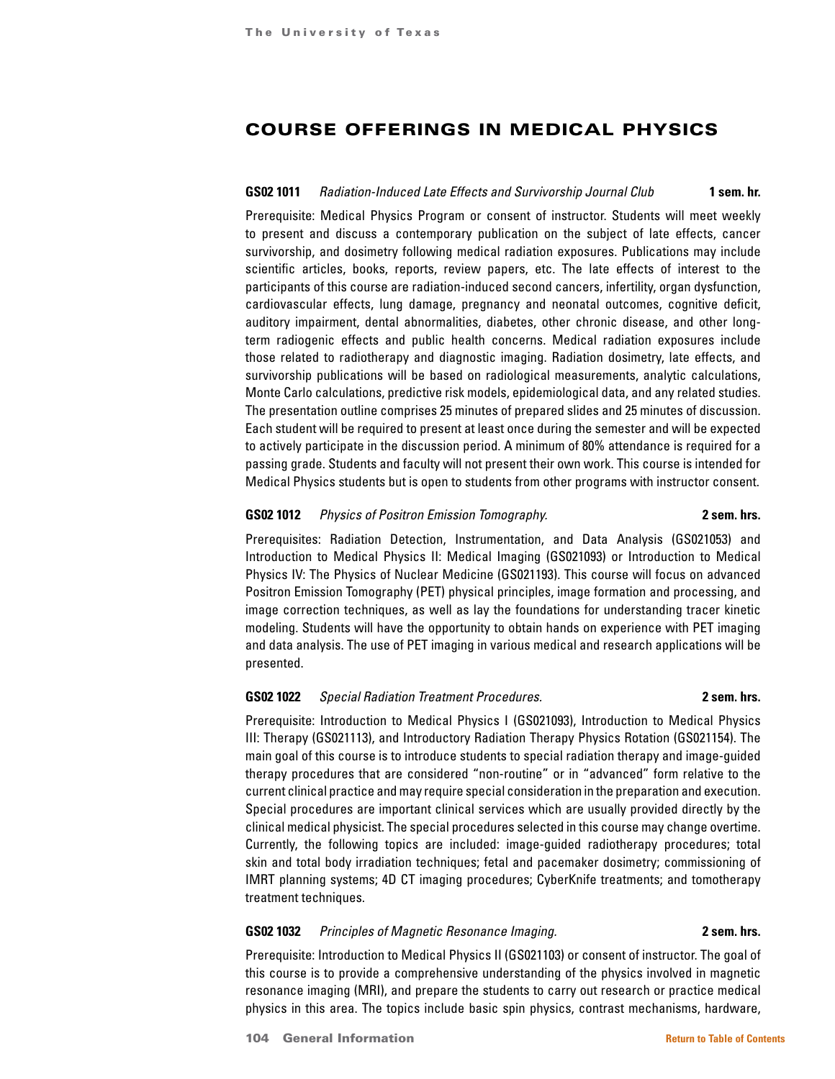# COURSE OFFERINGS IN MEDICAL PHYSICS

### **GS02 1011** *Radiation-Induced Late Effects and Survivorship Journal Club* **1 sem. hr.**

Prerequisite: Medical Physics Program or consent of instructor. Students will meet weekly to present and discuss a contemporary publication on the subject of late effects, cancer survivorship, and dosimetry following medical radiation exposures. Publications may include scientific articles, books, reports, review papers, etc. The late effects of interest to the participants of this course are radiation-induced second cancers, infertility, organ dysfunction, cardiovascular effects, lung damage, pregnancy and neonatal outcomes, cognitive deficit, auditory impairment, dental abnormalities, diabetes, other chronic disease, and other longterm radiogenic effects and public health concerns. Medical radiation exposures include those related to radiotherapy and diagnostic imaging. Radiation dosimetry, late effects, and survivorship publications will be based on radiological measurements, analytic calculations, Monte Carlo calculations, predictive risk models, epidemiological data, and any related studies. The presentation outline comprises 25 minutes of prepared slides and 25 minutes of discussion. Each student will be required to present at least once during the semester and will be expected to actively participate in the discussion period. A minimum of 80% attendance is required for a passing grade. Students and faculty will not present their own work. This course is intended for Medical Physics students but is open to students from other programs with instructor consent.

## **GS02 1012** *Physics of Positron Emission Tomography.* **2 sem. hrs.**

Prerequisites: Radiation Detection, Instrumentation, and Data Analysis (GS021053) and Introduction to Medical Physics II: Medical Imaging (GS021093) or Introduction to Medical Physics IV: The Physics of Nuclear Medicine (GS021193). This course will focus on advanced Positron Emission Tomography (PET) physical principles, image formation and processing, and image correction techniques, as well as lay the foundations for understanding tracer kinetic modeling. Students will have the opportunity to obtain hands on experience with PET imaging and data analysis. The use of PET imaging in various medical and research applications will be presented.

### **GS02 1022** *Special Radiation Treatment Procedures.* **2 sem. hrs.**

Prerequisite: Introduction to Medical Physics I (GS021093), Introduction to Medical Physics III: Therapy (GS021113), and Introductory Radiation Therapy Physics Rotation (GS021154). The main goal of this course is to introduce students to special radiation therapy and image-guided therapy procedures that are considered "non-routine" or in "advanced" form relative to the current clinical practice and may require special consideration in the preparation and execution. Special procedures are important clinical services which are usually provided directly by the clinical medical physicist. The special procedures selected in this course may change overtime. Currently, the following topics are included: image-guided radiotherapy procedures; total skin and total body irradiation techniques; fetal and pacemaker dosimetry; commissioning of IMRT planning systems; 4D CT imaging procedures; CyberKnife treatments; and tomotherapy treatment techniques.

### **GS02 1032** *Principles of Magnetic Resonance Imaging.* **2 sem. hrs.**

Prerequisite: Introduction to Medical Physics II (GS021103) or consent of instructor. The goal of this course is to provide a comprehensive understanding of the physics involved in magnetic resonance imaging (MRI), and prepare the students to carry out research or practice medical physics in this area. The topics include basic spin physics, contrast mechanisms, hardware,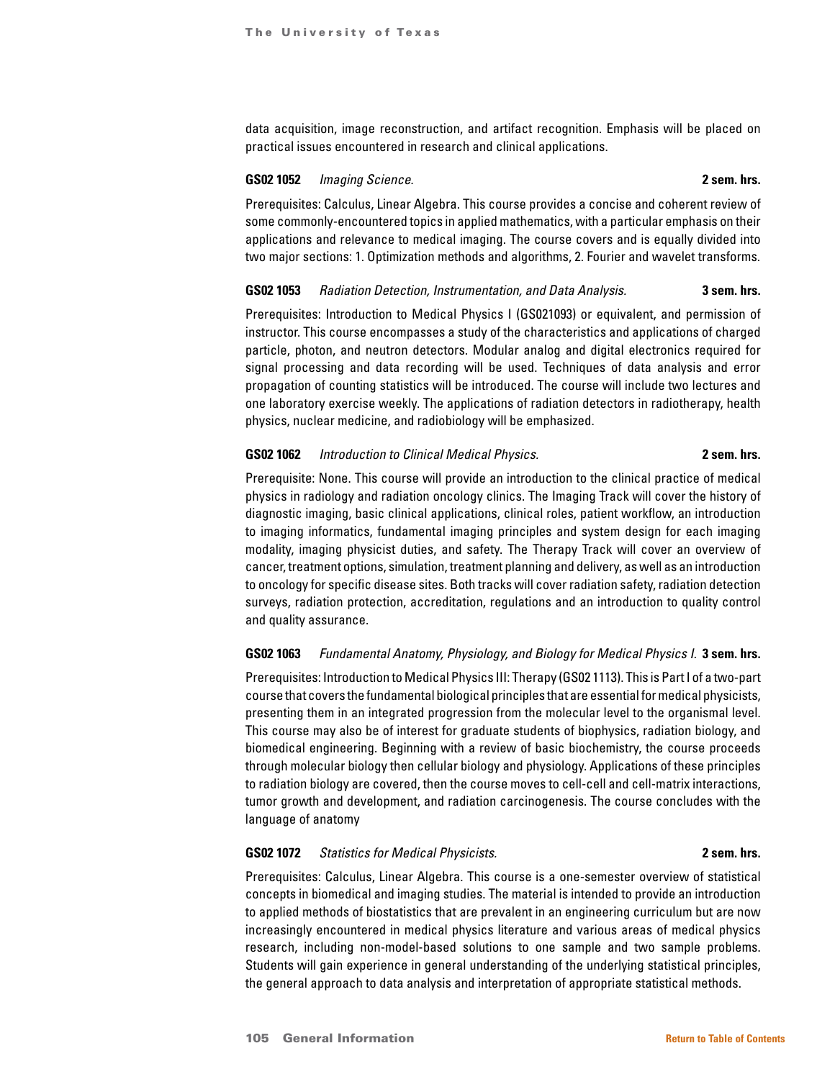data acquisition, image reconstruction, and artifact recognition. Emphasis will be placed on practical issues encountered in research and clinical applications.

## **GS02 1052** *Imaging Science.* **2 sem. hrs.**

Prerequisites: Calculus, Linear Algebra. This course provides a concise and coherent review of some commonly-encountered topics in applied mathematics, with a particular emphasis on their applications and relevance to medical imaging. The course covers and is equally divided into two major sections: 1. Optimization methods and algorithms, 2. Fourier and wavelet transforms.

# **GS02 1053** *Radiation Detection, Instrumentation, and Data Analysis.* **3 sem. hrs.**

Prerequisites: Introduction to Medical Physics I (GS021093) or equivalent, and permission of instructor. This course encompasses a study of the characteristics and applications of charged particle, photon, and neutron detectors. Modular analog and digital electronics required for signal processing and data recording will be used. Techniques of data analysis and error propagation of counting statistics will be introduced. The course will include two lectures and one laboratory exercise weekly. The applications of radiation detectors in radiotherapy, health physics, nuclear medicine, and radiobiology will be emphasized.

### **GS02 1062** *Introduction to Clinical Medical Physics.* **2 sem. hrs.**

Prerequisite: None. This course will provide an introduction to the clinical practice of medical physics in radiology and radiation oncology clinics. The Imaging Track will cover the history of diagnostic imaging, basic clinical applications, clinical roles, patient workflow, an introduction to imaging informatics, fundamental imaging principles and system design for each imaging modality, imaging physicist duties, and safety. The Therapy Track will cover an overview of cancer, treatment options, simulation, treatment planning and delivery, as well as an introduction to oncology for specific disease sites. Both tracks will cover radiation safety, radiation detection surveys, radiation protection, accreditation, regulations and an introduction to quality control and quality assurance.

### **GS02 1063** *Fundamental Anatomy, Physiology, and Biology for Medical Physics I.* **3 sem. hrs.**

Prerequisites: Introduction to Medical Physics III: Therapy (GS02 1113). This is Part I of a two-part course that covers the fundamental biological principles that are essential for medical physicists, presenting them in an integrated progression from the molecular level to the organismal level. This course may also be of interest for graduate students of biophysics, radiation biology, and biomedical engineering. Beginning with a review of basic biochemistry, the course proceeds through molecular biology then cellular biology and physiology. Applications of these principles to radiation biology are covered, then the course moves to cell-cell and cell-matrix interactions, tumor growth and development, and radiation carcinogenesis. The course concludes with the language of anatomy

#### **GS02 1072** *Statistics for Medical Physicists.* **2 sem. hrs.**

Prerequisites: Calculus, Linear Algebra. This course is a one-semester overview of statistical concepts in biomedical and imaging studies. The material is intended to provide an introduction to applied methods of biostatistics that are prevalent in an engineering curriculum but are now increasingly encountered in medical physics literature and various areas of medical physics research, including non-model-based solutions to one sample and two sample problems. Students will gain experience in general understanding of the underlying statistical principles, the general approach to data analysis and interpretation of appropriate statistical methods.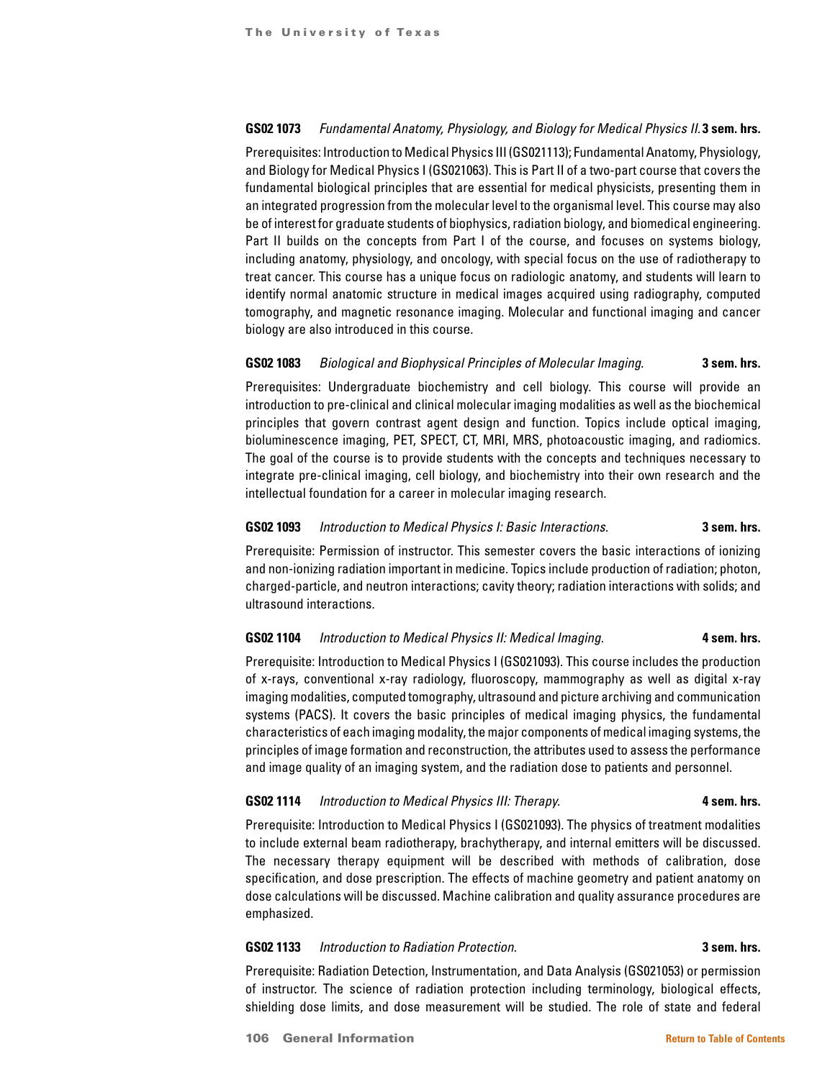# **GS02 1073** *Fundamental Anatomy, Physiology, and Biology for Medical Physics II.* **3 sem. hrs.**

Prerequisites: Introduction to Medical Physics III (GS021113); Fundamental Anatomy, Physiology, and Biology for Medical Physics I (GS021063). This is Part II of a two-part course that covers the fundamental biological principles that are essential for medical physicists, presenting them in an integrated progression from the molecular level to the organismal level. This course may also be of interest for graduate students of biophysics, radiation biology, and biomedical engineering. Part II builds on the concepts from Part I of the course, and focuses on systems biology, including anatomy, physiology, and oncology, with special focus on the use of radiotherapy to treat cancer. This course has a unique focus on radiologic anatomy, and students will learn to identify normal anatomic structure in medical images acquired using radiography, computed tomography, and magnetic resonance imaging. Molecular and functional imaging and cancer biology are also introduced in this course.

### **GS02 1083** *Biological and Biophysical Principles of Molecular Imaging.* **3 sem. hrs.**

Prerequisites: Undergraduate biochemistry and cell biology. This course will provide an introduction to pre-clinical and clinical molecular imaging modalities as well as the biochemical principles that govern contrast agent design and function. Topics include optical imaging, bioluminescence imaging, PET, SPECT, CT, MRI, MRS, photoacoustic imaging, and radiomics. The goal of the course is to provide students with the concepts and techniques necessary to integrate pre-clinical imaging, cell biology, and biochemistry into their own research and the intellectual foundation for a career in molecular imaging research.

# **GS02 1093** *Introduction to Medical Physics I: Basic Interactions.* **3 sem. hrs.**

Prerequisite: Permission of instructor. This semester covers the basic interactions of ionizing and non-ionizing radiation important in medicine. Topics include production of radiation; photon, charged-particle, and neutron interactions; cavity theory; radiation interactions with solids; and ultrasound interactions.

# **GS02 1104** *Introduction to Medical Physics II: Medical Imaging.* **4 sem. hrs.**

Prerequisite: Introduction to Medical Physics I (GS021093). This course includes the production of x-rays, conventional x-ray radiology, fluoroscopy, mammography as well as digital x-ray imaging modalities, computed tomography, ultrasound and picture archiving and communication systems (PACS). It covers the basic principles of medical imaging physics, the fundamental characteristics of each imaging modality, the major components of medical imaging systems, the principles of image formation and reconstruction, the attributes used to assess the performance and image quality of an imaging system, and the radiation dose to patients and personnel.

### **GS02 1114** *Introduction to Medical Physics III: Therapy.* **4 sem. hrs. 4 sem. hrs.**

Prerequisite: Introduction to Medical Physics I (GS021093). The physics of treatment modalities to include external beam radiotherapy, brachytherapy, and internal emitters will be discussed. The necessary therapy equipment will be described with methods of calibration, dose specification, and dose prescription. The effects of machine geometry and patient anatomy on dose calculations will be discussed. Machine calibration and quality assurance procedures are emphasized.

# **GS02 1133** *Introduction to Radiation Protection.* **3 sem. hrs.**

Prerequisite: Radiation Detection, Instrumentation, and Data Analysis (GS021053) or permission of instructor. The science of radiation protection including terminology, biological effects, shielding dose limits, and dose measurement will be studied. The role of state and federal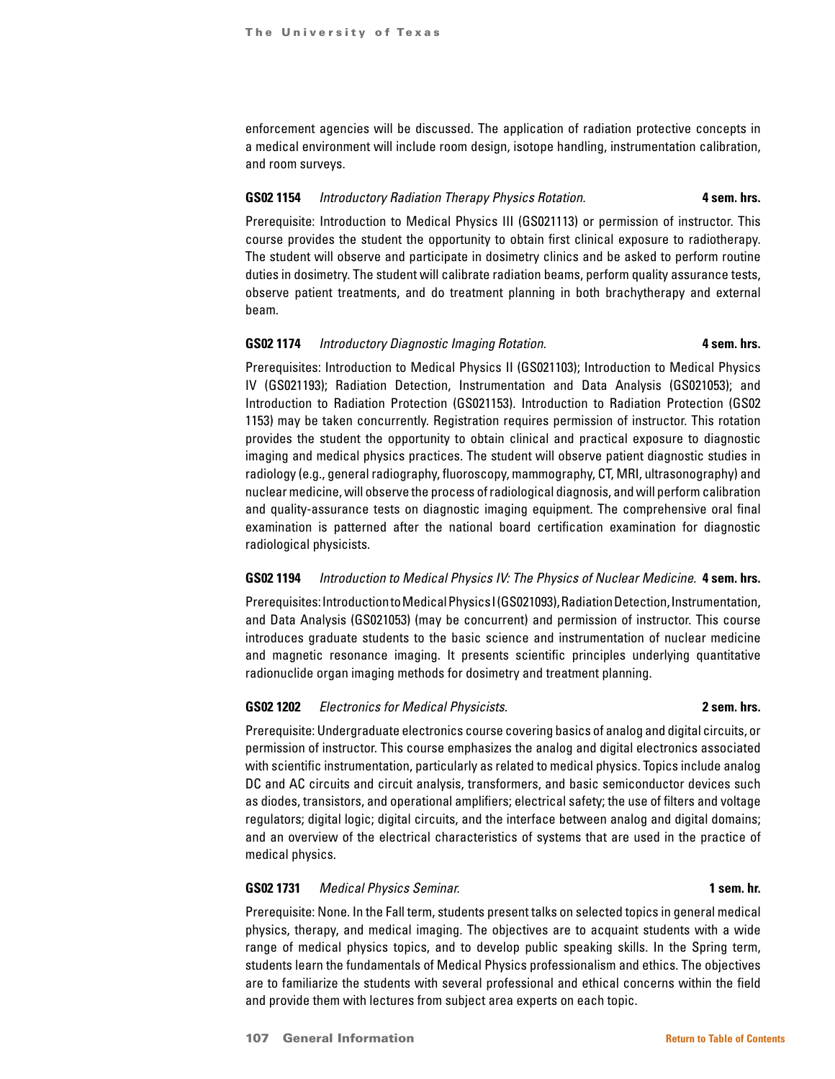enforcement agencies will be discussed. The application of radiation protective concepts in a medical environment will include room design, isotope handling, instrumentation calibration, and room surveys.

#### **GS02 1154** *Introductory Radiation Therapy Physics Rotation.* **4 sem. hrs.**

Prerequisite: Introduction to Medical Physics III (GS021113) or permission of instructor. This course provides the student the opportunity to obtain first clinical exposure to radiotherapy. The student will observe and participate in dosimetry clinics and be asked to perform routine duties in dosimetry. The student will calibrate radiation beams, perform quality assurance tests, observe patient treatments, and do treatment planning in both brachytherapy and external beam.

# **GS02 1174** *Introductory Diagnostic Imaging Rotation.* **1988 4 sem. hrs.**

Prerequisites: Introduction to Medical Physics II (GS021103); Introduction to Medical Physics IV (GS021193); Radiation Detection, Instrumentation and Data Analysis (GS021053); and Introduction to Radiation Protection (GS021153). Introduction to Radiation Protection (GS02 1153) may be taken concurrently. Registration requires permission of instructor. This rotation provides the student the opportunity to obtain clinical and practical exposure to diagnostic imaging and medical physics practices. The student will observe patient diagnostic studies in radiology (e.g., general radiography, fluoroscopy, mammography, CT, MRI, ultrasonography) and nuclear medicine, will observe the process of radiological diagnosis, and will perform calibration and quality-assurance tests on diagnostic imaging equipment. The comprehensive oral final examination is patterned after the national board certification examination for diagnostic radiological physicists.

### **GS02 1194** *Introduction to Medical Physics IV: The Physics of Nuclear Medicine.* **4 sem. hrs.**

Prerequisites: Introduction to Medical Physics I (GS021093), Radiation Detection, Instrumentation, and Data Analysis (GS021053) (may be concurrent) and permission of instructor. This course introduces graduate students to the basic science and instrumentation of nuclear medicine and magnetic resonance imaging. It presents scientific principles underlying quantitative radionuclide organ imaging methods for dosimetry and treatment planning.

# **GS02 1202** *Electronics for Medical Physicists.* **2 sem. hrs.**

Prerequisite: Undergraduate electronics course covering basics of analog and digital circuits, or permission of instructor. This course emphasizes the analog and digital electronics associated with scientific instrumentation, particularly as related to medical physics. Topics include analog DC and AC circuits and circuit analysis, transformers, and basic semiconductor devices such as diodes, transistors, and operational amplifiers; electrical safety; the use of filters and voltage regulators; digital logic; digital circuits, and the interface between analog and digital domains; and an overview of the electrical characteristics of systems that are used in the practice of medical physics.

### **GS02 1731** *Medical Physics Seminar.* **1 sem. hr.**

Prerequisite: None. In the Fall term, students present talks on selected topics in general medical physics, therapy, and medical imaging. The objectives are to acquaint students with a wide range of medical physics topics, and to develop public speaking skills. In the Spring term, students learn the fundamentals of Medical Physics professionalism and ethics. The objectives are to familiarize the students with several professional and ethical concerns within the field and provide them with lectures from subject area experts on each topic.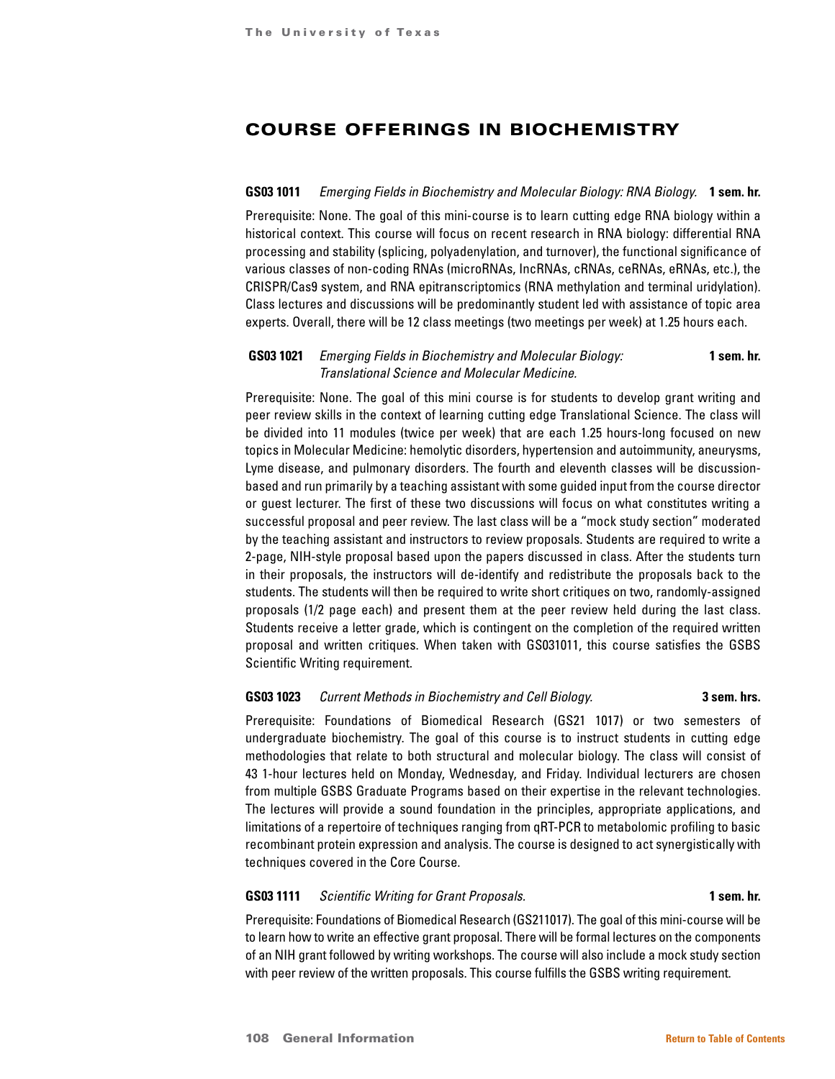# COURSE OFFERINGS IN BIOCHEMISTRY

#### **GS03 1011** *Emerging Fields in Biochemistry and Molecular Biology: RNA Biology.* **1 sem. hr.**

Prerequisite: None. The goal of this mini-course is to learn cutting edge RNA biology within a historical context. This course will focus on recent research in RNA biology: differential RNA processing and stability (splicing, polyadenylation, and turnover), the functional significance of various classes of non-coding RNAs (microRNAs, IncRNAs, cRNAs, ceRNAs, eRNAs, etc.), the CRISPR/Cas9 system, and RNA epitranscriptomics (RNA methylation and terminal uridylation). Class lectures and discussions will be predominantly student led with assistance of topic area experts. Overall, there will be 12 class meetings (two meetings per week) at 1.25 hours each.

# **GS03 1021** *Emerging Fields in Biochemistry and Molecular Biology:* **1 sem. hr.** *Translational Science and Molecular Medicine.*

Prerequisite: None. The goal of this mini course is for students to develop grant writing and peer review skills in the context of learning cutting edge Translational Science. The class will be divided into 11 modules (twice per week) that are each 1.25 hours-long focused on new topics in Molecular Medicine: hemolytic disorders, hypertension and autoimmunity, aneurysms, Lyme disease, and pulmonary disorders. The fourth and eleventh classes will be discussionbased and run primarily by a teaching assistant with some guided input from the course director or guest lecturer. The first of these two discussions will focus on what constitutes writing a successful proposal and peer review. The last class will be a "mock study section" moderated by the teaching assistant and instructors to review proposals. Students are required to write a 2-page, NIH-style proposal based upon the papers discussed in class. After the students turn in their proposals, the instructors will de-identify and redistribute the proposals back to the students. The students will then be required to write short critiques on two, randomly-assigned proposals (1/2 page each) and present them at the peer review held during the last class. Students receive a letter grade, which is contingent on the completion of the required written proposal and written critiques. When taken with GS031011, this course satisfies the GSBS Scientific Writing requirement.

# **GS03 1023** *Current Methods in Biochemistry and Cell Biology.* **3 sem. hrs.**

Prerequisite: Foundations of Biomedical Research (GS21 1017) or two semesters of undergraduate biochemistry. The goal of this course is to instruct students in cutting edge methodologies that relate to both structural and molecular biology. The class will consist of 43 1-hour lectures held on Monday, Wednesday, and Friday. Individual lecturers are chosen from multiple GSBS Graduate Programs based on their expertise in the relevant technologies. The lectures will provide a sound foundation in the principles, appropriate applications, and limitations of a repertoire of techniques ranging from qRT-PCR to metabolomic profiling to basic recombinant protein expression and analysis. The course is designed to act synergistically with techniques covered in the Core Course.

#### **GS03 1111** *Scientific Writing for Grant Proposals.* **1 sem. hr.**

Prerequisite: Foundations of Biomedical Research (GS211017). The goal of this mini-course will be to learn how to write an effective grant proposal. There will be formal lectures on the components of an NIH grant followed by writing workshops. The course will also include a mock study section with peer review of the written proposals. This course fulfills the GSBS writing requirement.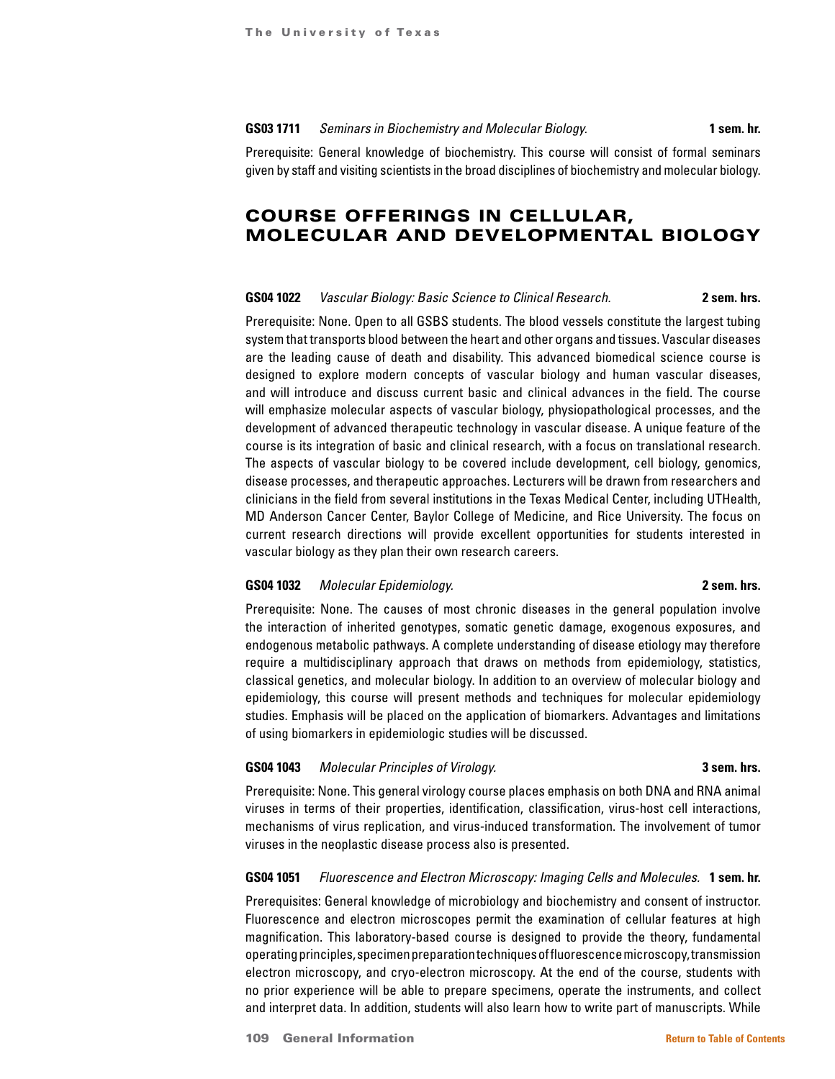#### **GS03 1711** *Seminars in Biochemistry and Molecular Biology.* **1 sem. hr.**

Prerequisite: General knowledge of biochemistry. This course will consist of formal seminars given by staff and visiting scientists in the broad disciplines of biochemistry and molecular biology.

# COURSE OFFERINGS IN CELLULAR, MOLECULAR AND DEVELOPMENTAL BIOLOGY

#### **GS04 1022** *Vascular Biology: Basic Science to Clinical Research.* **2 sem. hrs.**

Prerequisite: None. Open to all GSBS students. The blood vessels constitute the largest tubing system that transports blood between the heart and other organs and tissues. Vascular diseases are the leading cause of death and disability. This advanced biomedical science course is designed to explore modern concepts of vascular biology and human vascular diseases, and will introduce and discuss current basic and clinical advances in the field. The course will emphasize molecular aspects of vascular biology, physiopathological processes, and the development of advanced therapeutic technology in vascular disease. A unique feature of the course is its integration of basic and clinical research, with a focus on translational research. The aspects of vascular biology to be covered include development, cell biology, genomics, disease processes, and therapeutic approaches. Lecturers will be drawn from researchers and clinicians in the field from several institutions in the Texas Medical Center, including UTHealth, MD Anderson Cancer Center, Baylor College of Medicine, and Rice University. The focus on current research directions will provide excellent opportunities for students interested in vascular biology as they plan their own research careers.

#### **GS04 1032** *Molecular Epidemiology.* **2 sem. hrs.**

Prerequisite: None. The causes of most chronic diseases in the general population involve the interaction of inherited genotypes, somatic genetic damage, exogenous exposures, and endogenous metabolic pathways. A complete understanding of disease etiology may therefore require a multidisciplinary approach that draws on methods from epidemiology, statistics, classical genetics, and molecular biology. In addition to an overview of molecular biology and epidemiology, this course will present methods and techniques for molecular epidemiology studies. Emphasis will be placed on the application of biomarkers. Advantages and limitations of using biomarkers in epidemiologic studies will be discussed.

#### **GS04 1043** *Molecular Principles of Virology.* **3 sem. hrs.**

Prerequisite: None. This general virology course places emphasis on both DNA and RNA animal viruses in terms of their properties, identification, classification, virus-host cell interactions, mechanisms of virus replication, and virus-induced transformation. The involvement of tumor viruses in the neoplastic disease process also is presented.

#### **GS04 1051** *Fluorescence and Electron Microscopy: Imaging Cells and Molecules.* **1 sem. hr.**

Prerequisites: General knowledge of microbiology and biochemistry and consent of instructor. Fluorescence and electron microscopes permit the examination of cellular features at high magnification. This laboratory-based course is designed to provide the theory, fundamental operating principles, specimen preparation techniques of fluorescence microscopy, transmission electron microscopy, and cryo-electron microscopy. At the end of the course, students with no prior experience will be able to prepare specimens, operate the instruments, and collect and interpret data. In addition, students will also learn how to write part of manuscripts. While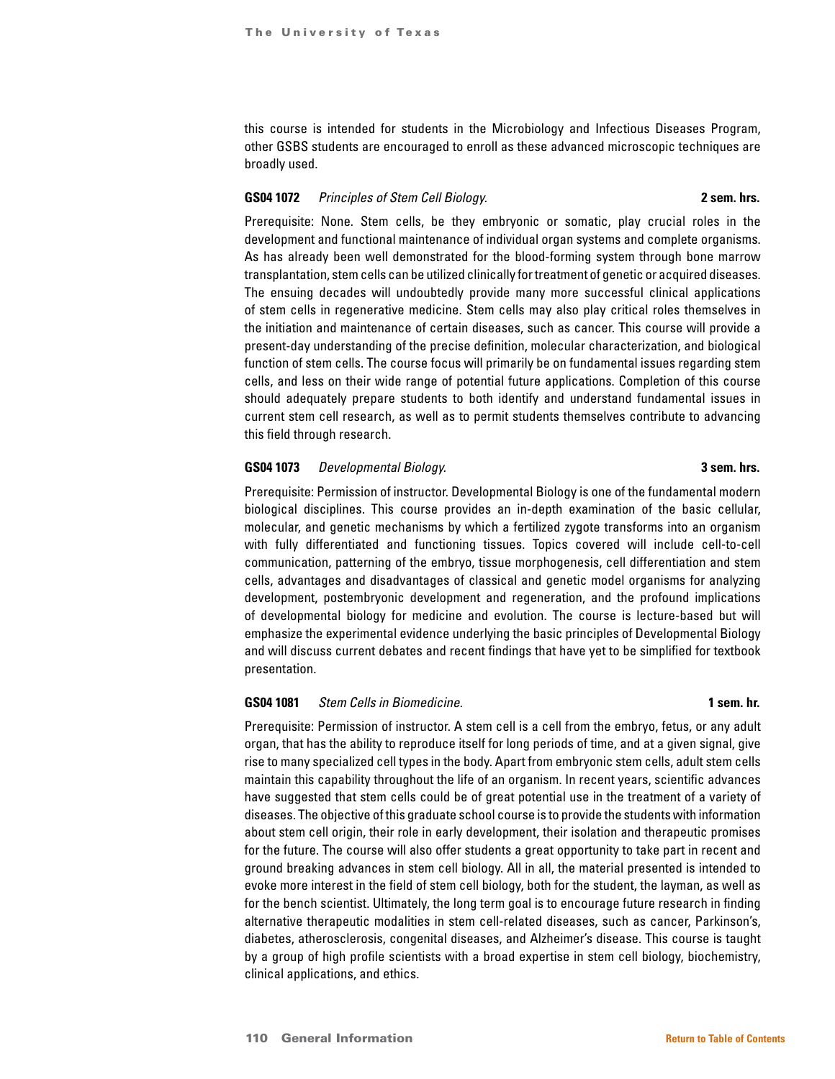this course is intended for students in the Microbiology and Infectious Diseases Program, other GSBS students are encouraged to enroll as these advanced microscopic techniques are broadly used.

#### **GS04 1072** *Principles of Stem Cell Biology.* **2 sem. hrs.**

Prerequisite: None. Stem cells, be they embryonic or somatic, play crucial roles in the development and functional maintenance of individual organ systems and complete organisms. As has already been well demonstrated for the blood-forming system through bone marrow transplantation, stem cells can be utilized clinically for treatment of genetic or acquired diseases. The ensuing decades will undoubtedly provide many more successful clinical applications of stem cells in regenerative medicine. Stem cells may also play critical roles themselves in the initiation and maintenance of certain diseases, such as cancer. This course will provide a present-day understanding of the precise definition, molecular characterization, and biological function of stem cells. The course focus will primarily be on fundamental issues regarding stem cells, and less on their wide range of potential future applications. Completion of this course should adequately prepare students to both identify and understand fundamental issues in current stem cell research, as well as to permit students themselves contribute to advancing this field through research.

### **GS04 1073** *Developmental Biology.* **3 sem. hrs.**

Prerequisite: Permission of instructor. Developmental Biology is one of the fundamental modern biological disciplines. This course provides an in-depth examination of the basic cellular, molecular, and genetic mechanisms by which a fertilized zygote transforms into an organism with fully differentiated and functioning tissues. Topics covered will include cell-to-cell communication, patterning of the embryo, tissue morphogenesis, cell differentiation and stem cells, advantages and disadvantages of classical and genetic model organisms for analyzing development, postembryonic development and regeneration, and the profound implications of developmental biology for medicine and evolution. The course is lecture-based but will emphasize the experimental evidence underlying the basic principles of Developmental Biology and will discuss current debates and recent findings that have yet to be simplified for textbook presentation.

### **GS04 1081** *Stem Cells in Biomedicine.* **1 sem. hr.**

Prerequisite: Permission of instructor. A stem cell is a cell from the embryo, fetus, or any adult organ, that has the ability to reproduce itself for long periods of time, and at a given signal, give rise to many specialized cell types in the body. Apart from embryonic stem cells, adult stem cells maintain this capability throughout the life of an organism. In recent years, scientific advances have suggested that stem cells could be of great potential use in the treatment of a variety of diseases. The objective of this graduate school course is to provide the students with information about stem cell origin, their role in early development, their isolation and therapeutic promises for the future. The course will also offer students a great opportunity to take part in recent and ground breaking advances in stem cell biology. All in all, the material presented is intended to evoke more interest in the field of stem cell biology, both for the student, the layman, as well as for the bench scientist. Ultimately, the long term goal is to encourage future research in finding alternative therapeutic modalities in stem cell-related diseases, such as cancer, Parkinson's, diabetes, atherosclerosis, congenital diseases, and Alzheimer's disease. This course is taught by a group of high profile scientists with a broad expertise in stem cell biology, biochemistry, clinical applications, and ethics.

# 110 General Information **[Return to Table of Contents](#page-1-0)**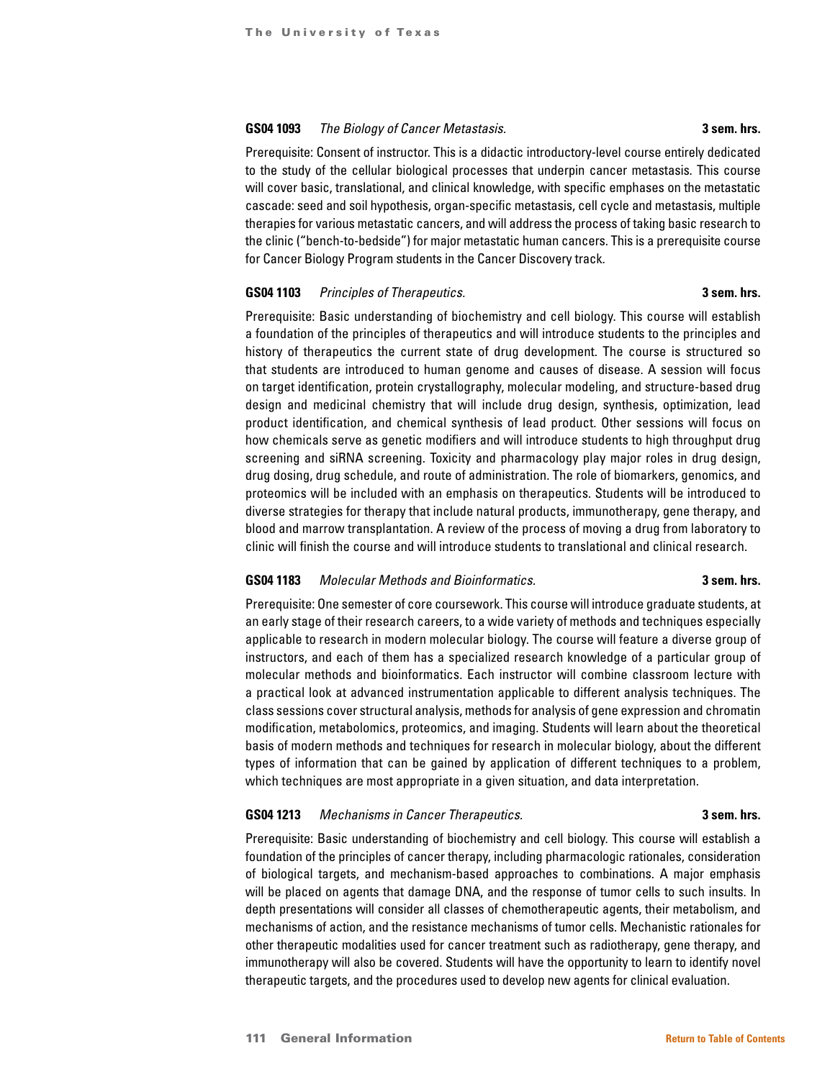### **GS04 1093** *The Biology of Cancer Metastasis.* **3 sem. hrs.**

Prerequisite: Consent of instructor. This is a didactic introductory-level course entirely dedicated to the study of the cellular biological processes that underpin cancer metastasis. This course will cover basic, translational, and clinical knowledge, with specific emphases on the metastatic cascade: seed and soil hypothesis, organ-specific metastasis, cell cycle and metastasis, multiple therapies for various metastatic cancers, and will address the process of taking basic research to the clinic ("bench-to-bedside") for major metastatic human cancers. This is a prerequisite course for Cancer Biology Program students in the Cancer Discovery track.

### **GS04 1103** *Principles of Therapeutics.* **3 sem. hrs.**

Prerequisite: Basic understanding of biochemistry and cell biology. This course will establish a foundation of the principles of therapeutics and will introduce students to the principles and history of therapeutics the current state of drug development. The course is structured so that students are introduced to human genome and causes of disease. A session will focus on target identification, protein crystallography, molecular modeling, and structure-based drug design and medicinal chemistry that will include drug design, synthesis, optimization, lead product identification, and chemical synthesis of lead product. Other sessions will focus on how chemicals serve as genetic modifiers and will introduce students to high throughput drug screening and siRNA screening. Toxicity and pharmacology play major roles in drug design, drug dosing, drug schedule, and route of administration. The role of biomarkers, genomics, and proteomics will be included with an emphasis on therapeutics. Students will be introduced to diverse strategies for therapy that include natural products, immunotherapy, gene therapy, and blood and marrow transplantation. A review of the process of moving a drug from laboratory to clinic will finish the course and will introduce students to translational and clinical research.

#### **GS04 1183** *Molecular Methods and Bioinformatics.* **3 sem. hrs.**

Prerequisite: One semester of core coursework. This course will introduce graduate students, at an early stage of their research careers, to a wide variety of methods and techniques especially applicable to research in modern molecular biology. The course will feature a diverse group of instructors, and each of them has a specialized research knowledge of a particular group of molecular methods and bioinformatics. Each instructor will combine classroom lecture with a practical look at advanced instrumentation applicable to different analysis techniques. The class sessions cover structural analysis, methods for analysis of gene expression and chromatin modification, metabolomics, proteomics, and imaging. Students will learn about the theoretical basis of modern methods and techniques for research in molecular biology, about the different types of information that can be gained by application of different techniques to a problem, which techniques are most appropriate in a given situation, and data interpretation.

# **GS04 1213** *Mechanisms in Cancer Therapeutics.* **3 sem. hrs.**

# Prerequisite: Basic understanding of biochemistry and cell biology. This course will establish a foundation of the principles of cancer therapy, including pharmacologic rationales, consideration of biological targets, and mechanism-based approaches to combinations. A major emphasis will be placed on agents that damage DNA, and the response of tumor cells to such insults. In depth presentations will consider all classes of chemotherapeutic agents, their metabolism, and mechanisms of action, and the resistance mechanisms of tumor cells. Mechanistic rationales for other therapeutic modalities used for cancer treatment such as radiotherapy, gene therapy, and immunotherapy will also be covered. Students will have the opportunity to learn to identify novel therapeutic targets, and the procedures used to develop new agents for clinical evaluation.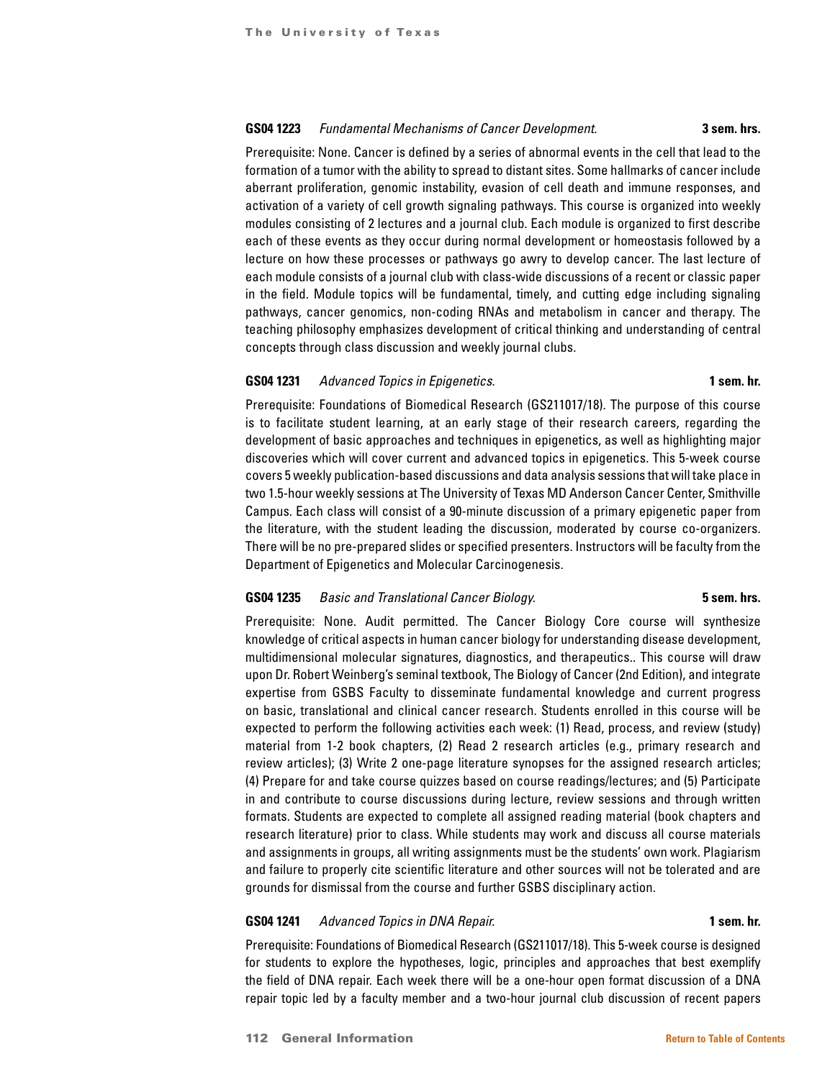#### **GS04 1223** *Fundamental Mechanisms of Cancer Development.* **3 sem. hrs.**

Prerequisite: None. Cancer is defined by a series of abnormal events in the cell that lead to the formation of a tumor with the ability to spread to distant sites. Some hallmarks of cancer include aberrant proliferation, genomic instability, evasion of cell death and immune responses, and activation of a variety of cell growth signaling pathways. This course is organized into weekly modules consisting of 2 lectures and a journal club. Each module is organized to first describe each of these events as they occur during normal development or homeostasis followed by a lecture on how these processes or pathways go awry to develop cancer. The last lecture of each module consists of a journal club with class-wide discussions of a recent or classic paper in the field. Module topics will be fundamental, timely, and cutting edge including signaling pathways, cancer genomics, non-coding RNAs and metabolism in cancer and therapy. The teaching philosophy emphasizes development of critical thinking and understanding of central concepts through class discussion and weekly journal clubs.

### **GS04 1231** *Advanced Topics in Epigenetics.* **1 sem. hr.**

Prerequisite: Foundations of Biomedical Research (GS211017/18). The purpose of this course is to facilitate student learning, at an early stage of their research careers, regarding the development of basic approaches and techniques in epigenetics, as well as highlighting major discoveries which will cover current and advanced topics in epigenetics. This 5-week course covers 5 weekly publication-based discussions and data analysis sessions that will take place in two 1.5-hour weekly sessions at The University of Texas MD Anderson Cancer Center, Smithville Campus. Each class will consist of a 90-minute discussion of a primary epigenetic paper from the literature, with the student leading the discussion, moderated by course co-organizers. There will be no pre-prepared slides or specified presenters. Instructors will be faculty from the Department of Epigenetics and Molecular Carcinogenesis.

#### **GS04 1235** *Basic and Translational Cancer Biology.* **5 sem. hrs.**

Prerequisite: None. Audit permitted. The Cancer Biology Core course will synthesize knowledge of critical aspects in human cancer biology for understanding disease development, multidimensional molecular signatures, diagnostics, and therapeutics.. This course will draw upon Dr. Robert Weinberg's seminal textbook, The Biology of Cancer (2nd Edition), and integrate expertise from GSBS Faculty to disseminate fundamental knowledge and current progress on basic, translational and clinical cancer research. Students enrolled in this course will be expected to perform the following activities each week: (1) Read, process, and review (study) material from 1-2 book chapters, (2) Read 2 research articles (e.g., primary research and review articles); (3) Write 2 one-page literature synopses for the assigned research articles; (4) Prepare for and take course quizzes based on course readings/lectures; and (5) Participate in and contribute to course discussions during lecture, review sessions and through written formats. Students are expected to complete all assigned reading material (book chapters and research literature) prior to class. While students may work and discuss all course materials and assignments in groups, all writing assignments must be the students' own work. Plagiarism and failure to properly cite scientific literature and other sources will not be tolerated and are grounds for dismissal from the course and further GSBS disciplinary action.

### **GS04 1241** *Advanced Topics in DNA Repair.* **1 sem. hr.**

Prerequisite: Foundations of Biomedical Research (GS211017/18). This 5-week course is designed for students to explore the hypotheses, logic, principles and approaches that best exemplify the field of DNA repair. Each week there will be a one-hour open format discussion of a DNA repair topic led by a faculty member and a two-hour journal club discussion of recent papers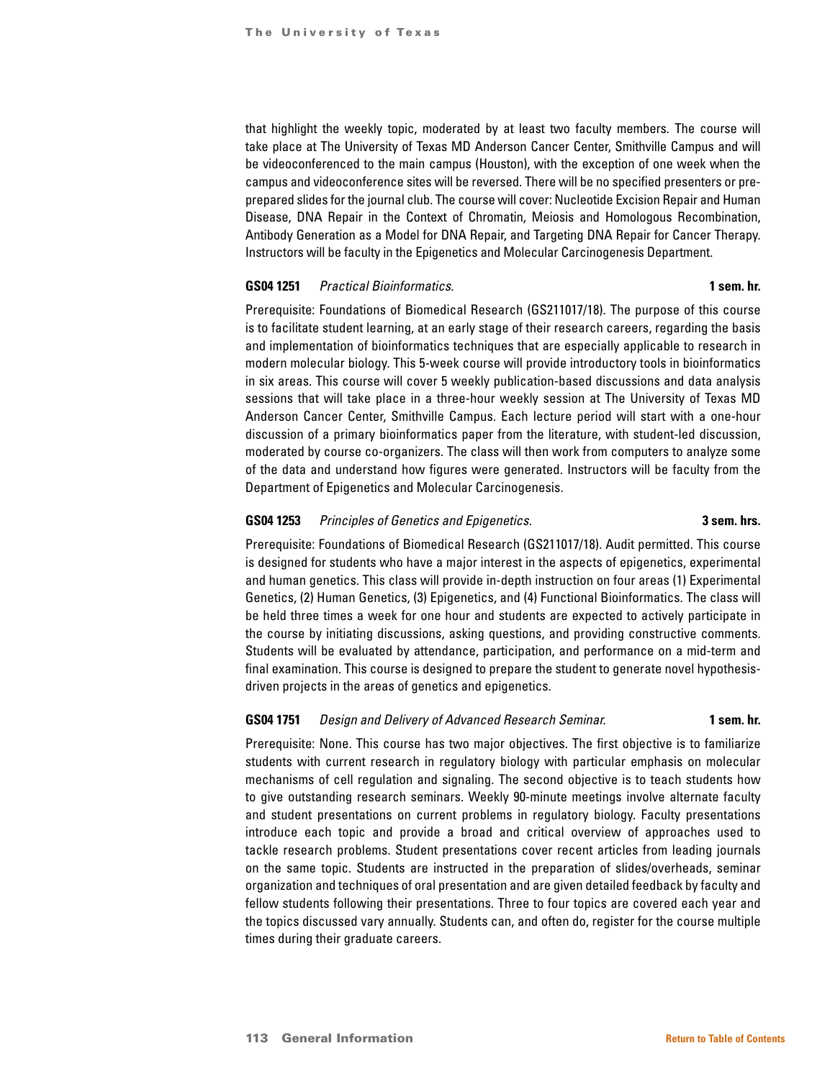that highlight the weekly topic, moderated by at least two faculty members. The course will take place at The University of Texas MD Anderson Cancer Center, Smithville Campus and will be videoconferenced to the main campus (Houston), with the exception of one week when the campus and videoconference sites will be reversed. There will be no specified presenters or preprepared slides for the journal club. The course will cover: Nucleotide Excision Repair and Human Disease, DNA Repair in the Context of Chromatin, Meiosis and Homologous Recombination, Antibody Generation as a Model for DNA Repair, and Targeting DNA Repair for Cancer Therapy. Instructors will be faculty in the Epigenetics and Molecular Carcinogenesis Department.

#### **GS04 1251** *Practical Bioinformatics.* **1 sem. hr.**

Prerequisite: Foundations of Biomedical Research (GS211017/18). The purpose of this course is to facilitate student learning, at an early stage of their research careers, regarding the basis and implementation of bioinformatics techniques that are especially applicable to research in modern molecular biology. This 5-week course will provide introductory tools in bioinformatics in six areas. This course will cover 5 weekly publication-based discussions and data analysis sessions that will take place in a three-hour weekly session at The University of Texas MD Anderson Cancer Center, Smithville Campus. Each lecture period will start with a one-hour discussion of a primary bioinformatics paper from the literature, with student-led discussion, moderated by course co-organizers. The class will then work from computers to analyze some of the data and understand how figures were generated. Instructors will be faculty from the Department of Epigenetics and Molecular Carcinogenesis.

# **GS04 1253** *Principles of Genetics and Epigenetics.* **3 sem. hrs.**

Prerequisite: Foundations of Biomedical Research (GS211017/18). Audit permitted. This course is designed for students who have a major interest in the aspects of epigenetics, experimental and human genetics. This class will provide in-depth instruction on four areas (1) Experimental Genetics, (2) Human Genetics, (3) Epigenetics, and (4) Functional Bioinformatics. The class will be held three times a week for one hour and students are expected to actively participate in the course by initiating discussions, asking questions, and providing constructive comments. Students will be evaluated by attendance, participation, and performance on a mid-term and final examination. This course is designed to prepare the student to generate novel hypothesisdriven projects in the areas of genetics and epigenetics.

# **GS04 1751** *Design and Delivery of Advanced Research Seminar.* **1 sem. hr.**

Prerequisite: None. This course has two major objectives. The first objective is to familiarize students with current research in regulatory biology with particular emphasis on molecular mechanisms of cell regulation and signaling. The second objective is to teach students how to give outstanding research seminars. Weekly 90-minute meetings involve alternate faculty and student presentations on current problems in regulatory biology. Faculty presentations introduce each topic and provide a broad and critical overview of approaches used to tackle research problems. Student presentations cover recent articles from leading journals on the same topic. Students are instructed in the preparation of slides/overheads, seminar organization and techniques of oral presentation and are given detailed feedback by faculty and fellow students following their presentations. Three to four topics are covered each year and the topics discussed vary annually. Students can, and often do, register for the course multiple times during their graduate careers.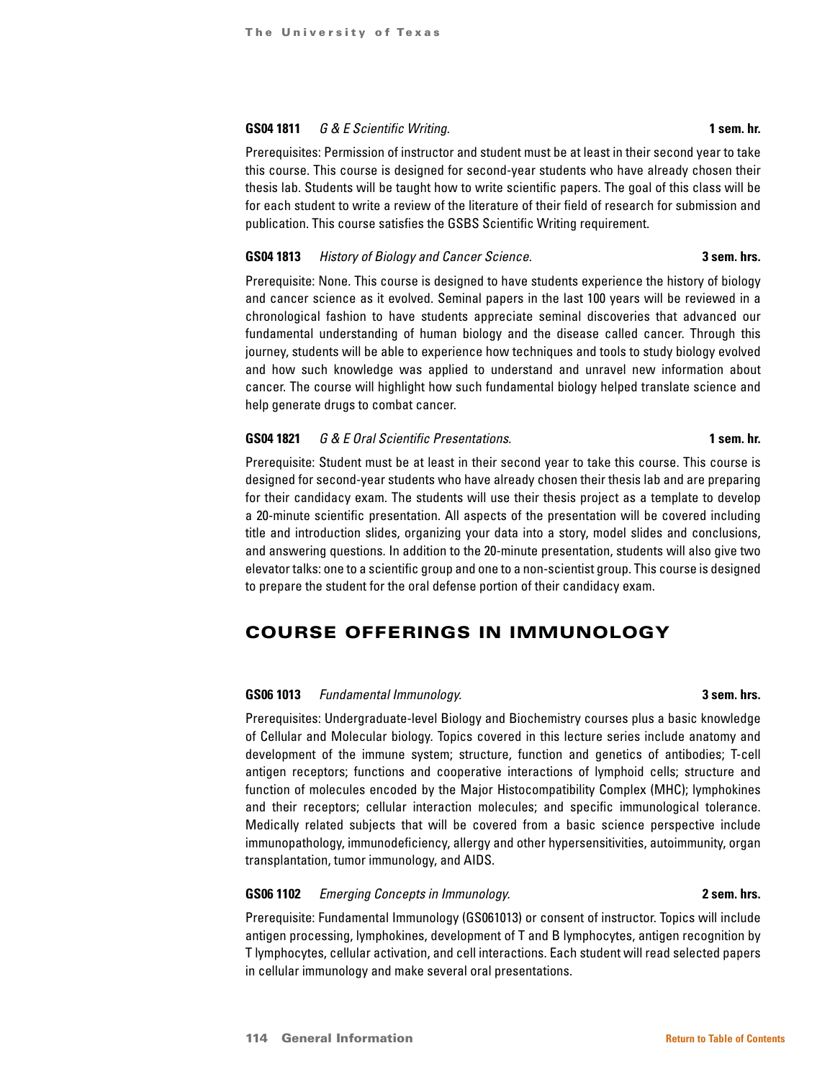# **GS04 1811** *G & E Scientific Writing.* **1 sem. hr.**

Prerequisites: Permission of instructor and student must be at least in their second year to take this course. This course is designed for second-year students who have already chosen their thesis lab. Students will be taught how to write scientific papers. The goal of this class will be for each student to write a review of the literature of their field of research for submission and publication. This course satisfies the GSBS Scientific Writing requirement.

# **GS04 1813** *History of Biology and Cancer Science.* **3 sem. hrs.**

Prerequisite: None. This course is designed to have students experience the history of biology and cancer science as it evolved. Seminal papers in the last 100 years will be reviewed in a chronological fashion to have students appreciate seminal discoveries that advanced our fundamental understanding of human biology and the disease called cancer. Through this journey, students will be able to experience how techniques and tools to study biology evolved and how such knowledge was applied to understand and unravel new information about cancer. The course will highlight how such fundamental biology helped translate science and help generate drugs to combat cancer.

# **GS04 1821** *G & E Oral Scientific Presentations.* **1 sem. hr.**

Prerequisite: Student must be at least in their second year to take this course. This course is designed for second-year students who have already chosen their thesis lab and are preparing for their candidacy exam. The students will use their thesis project as a template to develop a 20-minute scientific presentation. All aspects of the presentation will be covered including title and introduction slides, organizing your data into a story, model slides and conclusions, and answering questions. In addition to the 20-minute presentation, students will also give two elevator talks: one to a scientific group and one to a non-scientist group. This course is designed to prepare the student for the oral defense portion of their candidacy exam.

# COURSE OFFERINGS IN IMMUNOLOGY

# **GS06 1013** *Fundamental Immunology.* **3 sem. hrs.**

Prerequisites: Undergraduate-level Biology and Biochemistry courses plus a basic knowledge of Cellular and Molecular biology. Topics covered in this lecture series include anatomy and development of the immune system; structure, function and genetics of antibodies; T-cell antigen receptors; functions and cooperative interactions of lymphoid cells; structure and function of molecules encoded by the Major Histocompatibility Complex (MHC); lymphokines and their receptors; cellular interaction molecules; and specific immunological tolerance. Medically related subjects that will be covered from a basic science perspective include immunopathology, immunodeficiency, allergy and other hypersensitivities, autoimmunity, organ transplantation, tumor immunology, and AIDS.

# **GS06 1102** *Emerging Concepts in Immunology.* **2 sem. hrs.**

Prerequisite: Fundamental Immunology (GS061013) or consent of instructor. Topics will include antigen processing, lymphokines, development of T and B lymphocytes, antigen recognition by T lymphocytes, cellular activation, and cell interactions. Each student will read selected papers in cellular immunology and make several oral presentations.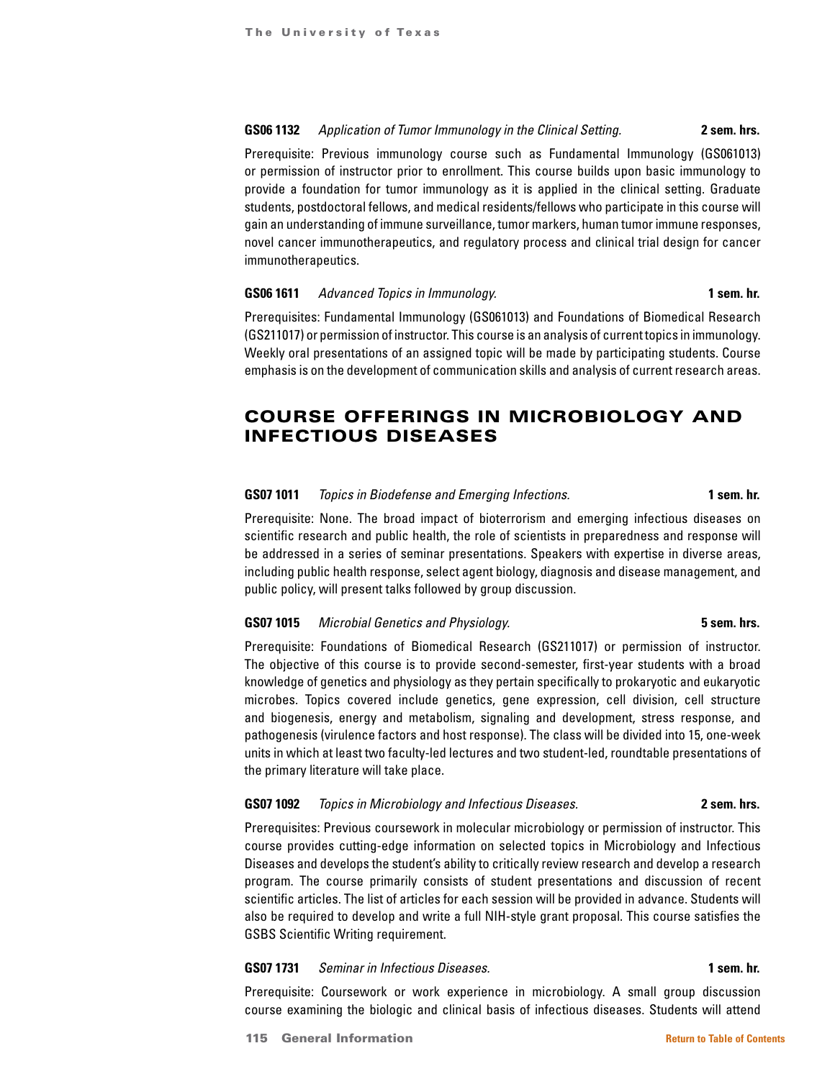# **GS06 1132** *Application of Tumor Immunology in the Clinical Setting.* **2 sem. hrs.**

Prerequisite: Previous immunology course such as Fundamental Immunology (GS061013) or permission of instructor prior to enrollment. This course builds upon basic immunology to provide a foundation for tumor immunology as it is applied in the clinical setting. Graduate students, postdoctoral fellows, and medical residents/fellows who participate in this course will gain an understanding of immune surveillance, tumor markers, human tumor immune responses, novel cancer immunotherapeutics, and regulatory process and clinical trial design for cancer immunotherapeutics.

#### **GS06 1611** *Advanced Topics in Immunology.* **1 sem. hr.**

Prerequisites: Fundamental Immunology (GS061013) and Foundations of Biomedical Research (GS211017) or permission of instructor. This course is an analysis of current topics in immunology. Weekly oral presentations of an assigned topic will be made by participating students. Course emphasis is on the development of communication skills and analysis of current research areas.

# COURSE OFFERINGS IN MICROBIOLOGY AND INFECTIOUS DISEASES

# **GS07 1011** *Topics in Biodefense and Emerging Infections.* **1 sem. hr.**

Prerequisite: None. The broad impact of bioterrorism and emerging infectious diseases on scientific research and public health, the role of scientists in preparedness and response will be addressed in a series of seminar presentations. Speakers with expertise in diverse areas, including public health response, select agent biology, diagnosis and disease management, and public policy, will present talks followed by group discussion.

### **GS07 1015** *Microbial Genetics and Physiology.* **5 sem. hrs.**

Prerequisite: Foundations of Biomedical Research (GS211017) or permission of instructor. The objective of this course is to provide second-semester, first-year students with a broad knowledge of genetics and physiology as they pertain specifically to prokaryotic and eukaryotic microbes. Topics covered include genetics, gene expression, cell division, cell structure and biogenesis, energy and metabolism, signaling and development, stress response, and pathogenesis (virulence factors and host response). The class will be divided into 15, one-week units in which at least two faculty-led lectures and two student-led, roundtable presentations of the primary literature will take place.

### **GS07 1092** *Topics in Microbiology and Infectious Diseases.* **2 sem. hrs.**

Prerequisites: Previous coursework in molecular microbiology or permission of instructor. This course provides cutting-edge information on selected topics in Microbiology and Infectious Diseases and develops the student's ability to critically review research and develop a research program. The course primarily consists of student presentations and discussion of recent scientific articles. The list of articles for each session will be provided in advance. Students will also be required to develop and write a full NIH-style grant proposal. This course satisfies the GSBS Scientific Writing requirement.

### **GS07 1731** *Seminar in Infectious Diseases.* **1 sem. hr.**

Prerequisite: Coursework or work experience in microbiology. A small group discussion course examining the biologic and clinical basis of infectious diseases. Students will attend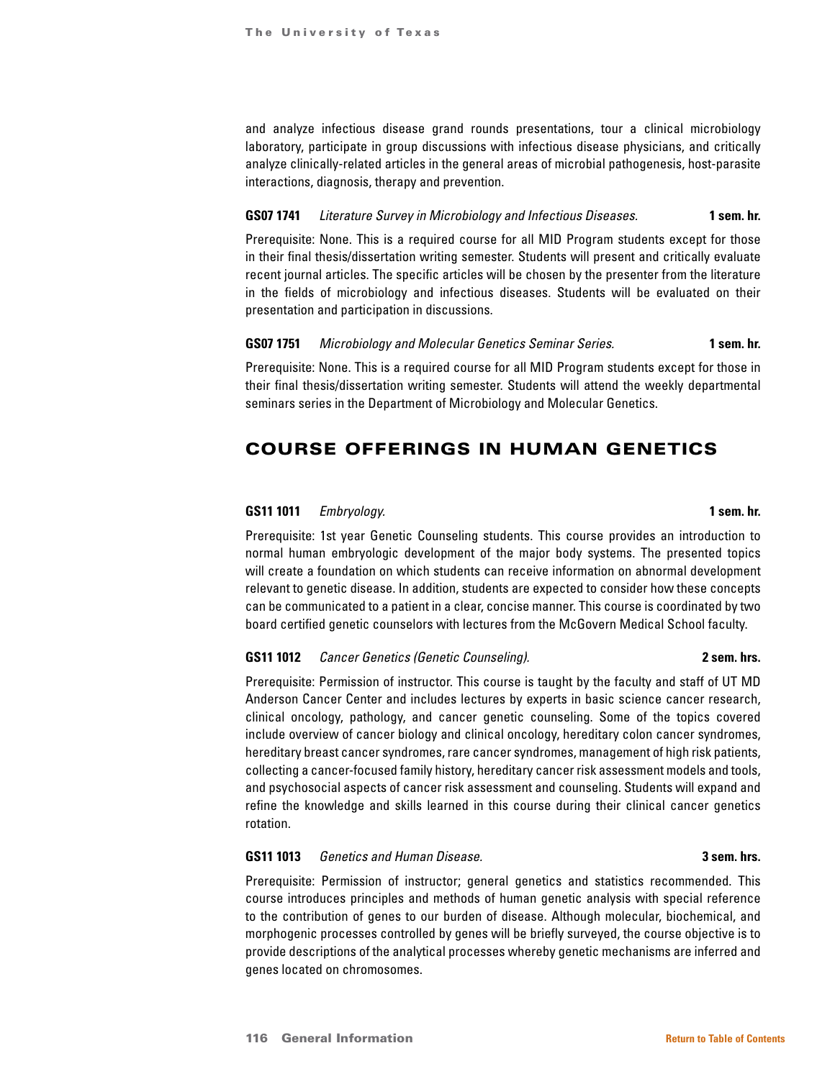and analyze infectious disease grand rounds presentations, tour a clinical microbiology laboratory, participate in group discussions with infectious disease physicians, and critically analyze clinically-related articles in the general areas of microbial pathogenesis, host-parasite interactions, diagnosis, therapy and prevention.

# **GS07 1741** *Literature Survey in Microbiology and Infectious Diseases.* **1 sem. hr.**

Prerequisite: None. This is a required course for all MID Program students except for those in their final thesis/dissertation writing semester. Students will present and critically evaluate recent journal articles. The specific articles will be chosen by the presenter from the literature in the fields of microbiology and infectious diseases. Students will be evaluated on their presentation and participation in discussions.

### **GS07 1751** *Microbiology and Molecular Genetics Seminar Series.* **1 sem. hr.**

Prerequisite: None. This is a required course for all MID Program students except for those in their final thesis/dissertation writing semester. Students will attend the weekly departmental seminars series in the Department of Microbiology and Molecular Genetics.

# COURSE OFFERINGS IN HUMAN GENETICS

#### **GS11 1011** *Embryology.* **1 sem. hr.**

Prerequisite: 1st year Genetic Counseling students. This course provides an introduction to normal human embryologic development of the major body systems. The presented topics will create a foundation on which students can receive information on abnormal development relevant to genetic disease. In addition, students are expected to consider how these concepts can be communicated to a patient in a clear, concise manner. This course is coordinated by two board certified genetic counselors with lectures from the McGovern Medical School faculty.

### **GS11 1012** *Cancer Genetics (Genetic Counseling).* **2 sem. hrs.**

Prerequisite: Permission of instructor. This course is taught by the faculty and staff of UT MD Anderson Cancer Center and includes lectures by experts in basic science cancer research, clinical oncology, pathology, and cancer genetic counseling. Some of the topics covered include overview of cancer biology and clinical oncology, hereditary colon cancer syndromes, hereditary breast cancer syndromes, rare cancer syndromes, management of high risk patients, collecting a cancer-focused family history, hereditary cancer risk assessment models and tools, and psychosocial aspects of cancer risk assessment and counseling. Students will expand and refine the knowledge and skills learned in this course during their clinical cancer genetics rotation.

### **GS11 1013** *Genetics and Human Disease.* **3 sem. hrs.**

Prerequisite: Permission of instructor; general genetics and statistics recommended. This course introduces principles and methods of human genetic analysis with special reference to the contribution of genes to our burden of disease. Although molecular, biochemical, and morphogenic processes controlled by genes will be briefly surveyed, the course objective is to provide descriptions of the analytical processes whereby genetic mechanisms are inferred and genes located on chromosomes.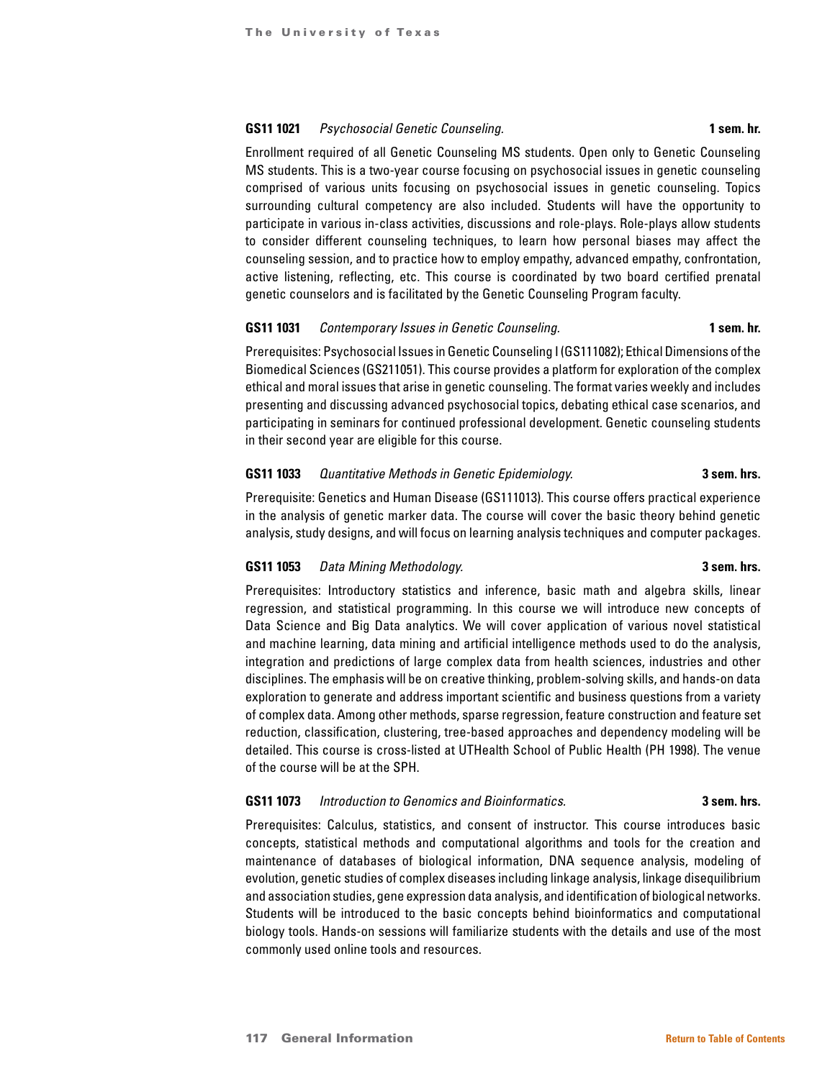#### **GS11 1021** *Psychosocial Genetic Counseling.* **1 sem. hr.**

Enrollment required of all Genetic Counseling MS students. Open only to Genetic Counseling MS students. This is a two-year course focusing on psychosocial issues in genetic counseling comprised of various units focusing on psychosocial issues in genetic counseling. Topics surrounding cultural competency are also included. Students will have the opportunity to participate in various in-class activities, discussions and role-plays. Role-plays allow students to consider different counseling techniques, to learn how personal biases may affect the counseling session, and to practice how to employ empathy, advanced empathy, confrontation, active listening, reflecting, etc. This course is coordinated by two board certified prenatal genetic counselors and is facilitated by the Genetic Counseling Program faculty.

#### **GS11 1031** *Contemporary Issues in Genetic Counseling.* **1 sem. hr.**

Prerequisites: Psychosocial Issues in Genetic Counseling I (GS111082); Ethical Dimensions of the Biomedical Sciences (GS211051). This course provides a platform for exploration of the complex ethical and moral issues that arise in genetic counseling. The format varies weekly and includes presenting and discussing advanced psychosocial topics, debating ethical case scenarios, and participating in seminars for continued professional development. Genetic counseling students in their second year are eligible for this course.

# **GS11 1033** *Quantitative Methods in Genetic Epidemiology.* **3 sem. hrs.**

Prerequisite: Genetics and Human Disease (GS111013). This course offers practical experience in the analysis of genetic marker data. The course will cover the basic theory behind genetic analysis, study designs, and will focus on learning analysis techniques and computer packages.

# **GS11 1053** *Data Mining Methodology.* **3 sem. hrs.**

Prerequisites: Introductory statistics and inference, basic math and algebra skills, linear regression, and statistical programming. In this course we will introduce new concepts of Data Science and Big Data analytics. We will cover application of various novel statistical and machine learning, data mining and artificial intelligence methods used to do the analysis, integration and predictions of large complex data from health sciences, industries and other disciplines. The emphasis will be on creative thinking, problem-solving skills, and hands-on data exploration to generate and address important scientific and business questions from a variety of complex data. Among other methods, sparse regression, feature construction and feature set reduction, classification, clustering, tree-based approaches and dependency modeling will be detailed. This course is cross-listed at UTHealth School of Public Health (PH 1998). The venue of the course will be at the SPH.

# **GS11 1073** *Introduction to Genomics and Bioinformatics.* **3 sem. hrs.**

Prerequisites: Calculus, statistics, and consent of instructor. This course introduces basic concepts, statistical methods and computational algorithms and tools for the creation and maintenance of databases of biological information, DNA sequence analysis, modeling of evolution, genetic studies of complex diseases including linkage analysis, linkage disequilibrium and association studies, gene expression data analysis, and identification of biological networks. Students will be introduced to the basic concepts behind bioinformatics and computational biology tools. Hands-on sessions will familiarize students with the details and use of the most commonly used online tools and resources.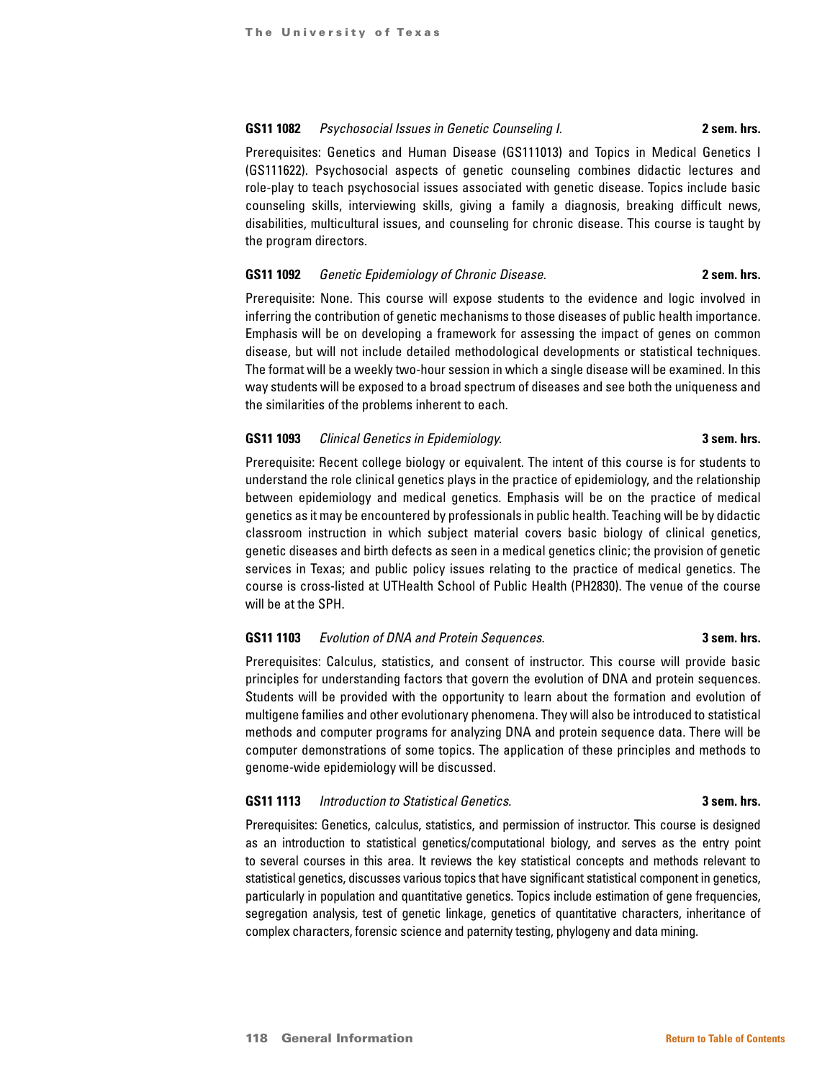#### **GS11 1082** *Psychosocial Issues in Genetic Counseling I.* **2 sem. hrs.**

Prerequisites: Genetics and Human Disease (GS111013) and Topics in Medical Genetics I (GS111622). Psychosocial aspects of genetic counseling combines didactic lectures and role-play to teach psychosocial issues associated with genetic disease. Topics include basic counseling skills, interviewing skills, giving a family a diagnosis, breaking difficult news, disabilities, multicultural issues, and counseling for chronic disease. This course is taught by the program directors.

### **GS11 1092** *Genetic Epidemiology of Chronic Disease.* **2 sem. hrs.**

Prerequisite: None. This course will expose students to the evidence and logic involved in inferring the contribution of genetic mechanisms to those diseases of public health importance. Emphasis will be on developing a framework for assessing the impact of genes on common disease, but will not include detailed methodological developments or statistical techniques. The format will be a weekly two-hour session in which a single disease will be examined. In this way students will be exposed to a broad spectrum of diseases and see both the uniqueness and the similarities of the problems inherent to each.

#### **GS11 1093** *Clinical Genetics in Epidemiology.* **3 sem. hrs.**

Prerequisite: Recent college biology or equivalent. The intent of this course is for students to understand the role clinical genetics plays in the practice of epidemiology, and the relationship between epidemiology and medical genetics. Emphasis will be on the practice of medical genetics as it may be encountered by professionals in public health. Teaching will be by didactic classroom instruction in which subject material covers basic biology of clinical genetics, genetic diseases and birth defects as seen in a medical genetics clinic; the provision of genetic services in Texas; and public policy issues relating to the practice of medical genetics. The course is cross-listed at UTHealth School of Public Health (PH2830). The venue of the course will be at the SPH.

### **GS11 1103** *Evolution of DNA and Protein Sequences.* **3 sem. hrs.**

Prerequisites: Calculus, statistics, and consent of instructor. This course will provide basic principles for understanding factors that govern the evolution of DNA and protein sequences. Students will be provided with the opportunity to learn about the formation and evolution of multigene families and other evolutionary phenomena. They will also be introduced to statistical methods and computer programs for analyzing DNA and protein sequence data. There will be computer demonstrations of some topics. The application of these principles and methods to genome-wide epidemiology will be discussed.

### **GS11 1113** *Introduction to Statistical Genetics.* **3 sem. hrs.**

Prerequisites: Genetics, calculus, statistics, and permission of instructor. This course is designed as an introduction to statistical genetics/computational biology, and serves as the entry point to several courses in this area. It reviews the key statistical concepts and methods relevant to statistical genetics, discusses various topics that have significant statistical component in genetics, particularly in population and quantitative genetics. Topics include estimation of gene frequencies, segregation analysis, test of genetic linkage, genetics of quantitative characters, inheritance of complex characters, forensic science and paternity testing, phylogeny and data mining.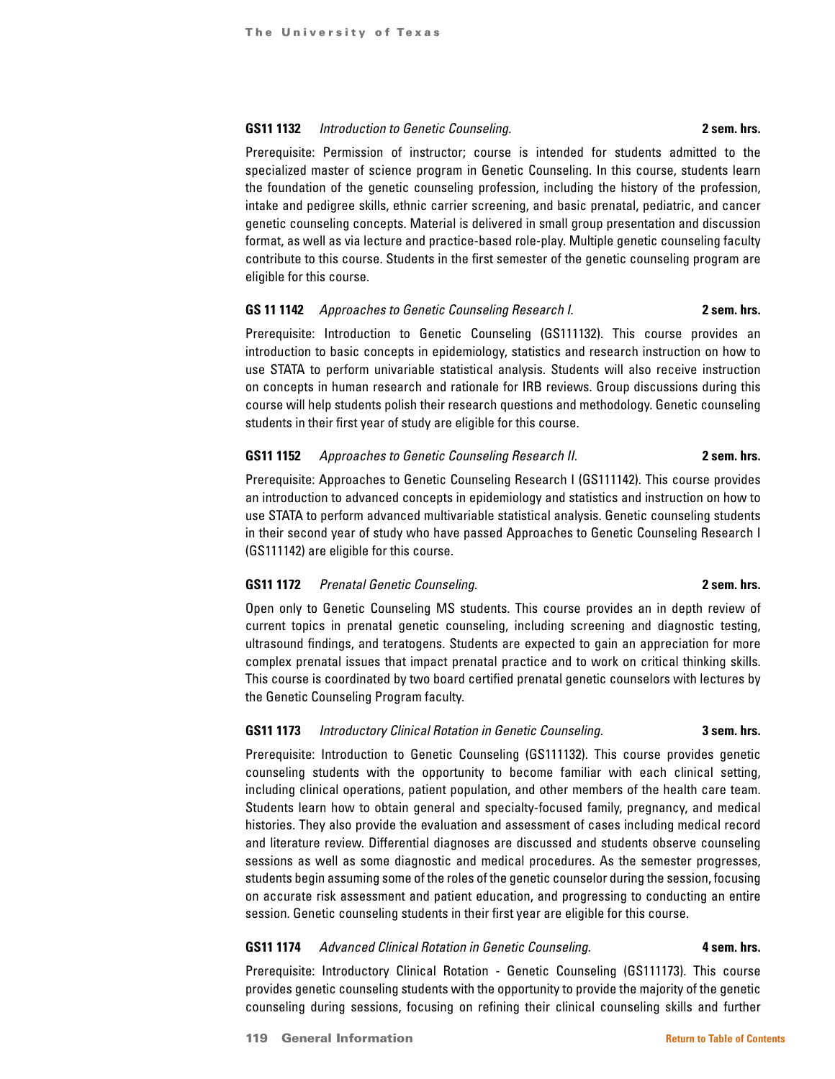#### **GS11 1132** *Introduction to Genetic Counseling.* **2 sem. hrs.**

Prerequisite: Permission of instructor; course is intended for students admitted to the specialized master of science program in Genetic Counseling. In this course, students learn the foundation of the genetic counseling profession, including the history of the profession, intake and pedigree skills, ethnic carrier screening, and basic prenatal, pediatric, and cancer genetic counseling concepts. Material is delivered in small group presentation and discussion format, as well as via lecture and practice-based role-play. Multiple genetic counseling faculty contribute to this course. Students in the first semester of the genetic counseling program are eligible for this course.

# **GS 11 1142** *Approaches to Genetic Counseling Research I.* **2 sem. hrs.**

Prerequisite: Introduction to Genetic Counseling (GS111132). This course provides an introduction to basic concepts in epidemiology, statistics and research instruction on how to use STATA to perform univariable statistical analysis. Students will also receive instruction on concepts in human research and rationale for IRB reviews. Group discussions during this course will help students polish their research questions and methodology. Genetic counseling students in their first year of study are eligible for this course.

# **GS11 1152** *Approaches to Genetic Counseling Research II.* **2 sem. hrs.**

Prerequisite: Approaches to Genetic Counseling Research I (GS111142). This course provides an introduction to advanced concepts in epidemiology and statistics and instruction on how to use STATA to perform advanced multivariable statistical analysis. Genetic counseling students in their second year of study who have passed Approaches to Genetic Counseling Research I (GS111142) are eligible for this course.

# **GS11 1172** *Prenatal Genetic Counseling.* **2 sem. hrs.**

Open only to Genetic Counseling MS students. This course provides an in depth review of current topics in prenatal genetic counseling, including screening and diagnostic testing, ultrasound findings, and teratogens. Students are expected to gain an appreciation for more complex prenatal issues that impact prenatal practice and to work on critical thinking skills. This course is coordinated by two board certified prenatal genetic counselors with lectures by the Genetic Counseling Program faculty.

# **GS11 1173** *Introductory Clinical Rotation in Genetic Counseling.* **3 sem. hrs.**

Prerequisite: Introduction to Genetic Counseling (GS111132). This course provides genetic counseling students with the opportunity to become familiar with each clinical setting, including clinical operations, patient population, and other members of the health care team. Students learn how to obtain general and specialty-focused family, pregnancy, and medical histories. They also provide the evaluation and assessment of cases including medical record and literature review. Differential diagnoses are discussed and students observe counseling sessions as well as some diagnostic and medical procedures. As the semester progresses, students begin assuming some of the roles of the genetic counselor during the session, focusing on accurate risk assessment and patient education, and progressing to conducting an entire session. Genetic counseling students in their first year are eligible for this course.

### **GS11 1174** *Advanced Clinical Rotation in Genetic Counseling.* **4 sem. hrs.**

Prerequisite: Introductory Clinical Rotation - Genetic Counseling (GS111173). This course provides genetic counseling students with the opportunity to provide the majority of the genetic counseling during sessions, focusing on refining their clinical counseling skills and further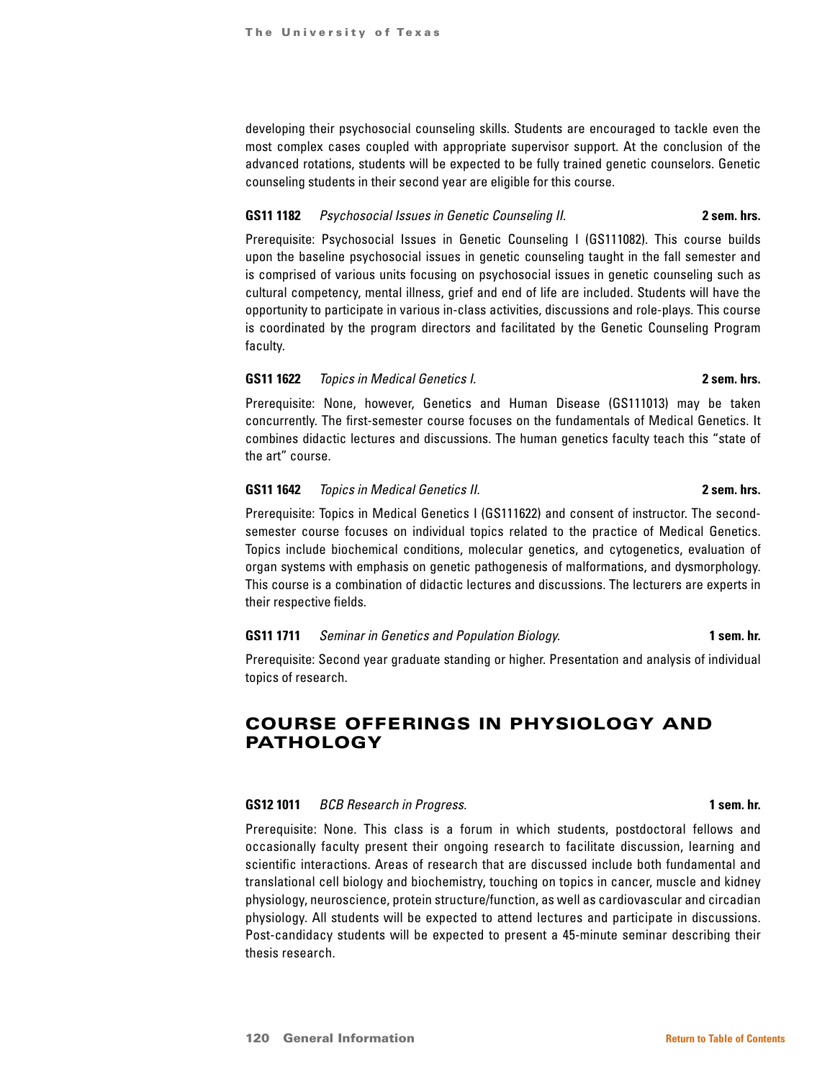developing their psychosocial counseling skills. Students are encouraged to tackle even the most complex cases coupled with appropriate supervisor support. At the conclusion of the advanced rotations, students will be expected to be fully trained genetic counselors. Genetic counseling students in their second year are eligible for this course.

## **GS11 1182** *Psychosocial Issues in Genetic Counseling II.* **2 sem. hrs.**

Prerequisite: Psychosocial Issues in Genetic Counseling I (GS111082). This course builds upon the baseline psychosocial issues in genetic counseling taught in the fall semester and is comprised of various units focusing on psychosocial issues in genetic counseling such as cultural competency, mental illness, grief and end of life are included. Students will have the opportunity to participate in various in-class activities, discussions and role-plays. This course is coordinated by the program directors and facilitated by the Genetic Counseling Program faculty.

## **GS11 1622** *Topics in Medical Genetics I.* **2 sem. hrs.**

Prerequisite: None, however, Genetics and Human Disease (GS111013) may be taken concurrently. The first-semester course focuses on the fundamentals of Medical Genetics. It combines didactic lectures and discussions. The human genetics faculty teach this "state of the art" course.

# **GS11 1642** *Topics in Medical Genetics II.* **2 sem. hrs.**

Prerequisite: Topics in Medical Genetics I (GS111622) and consent of instructor. The secondsemester course focuses on individual topics related to the practice of Medical Genetics. Topics include biochemical conditions, molecular genetics, and cytogenetics, evaluation of organ systems with emphasis on genetic pathogenesis of malformations, and dysmorphology. This course is a combination of didactic lectures and discussions. The lecturers are experts in their respective fields.

### **GS11 1711** *Seminar in Genetics and Population Biology.* **1 sem. hr.**

Prerequisite: Second year graduate standing or higher. Presentation and analysis of individual topics of research.

# COURSE OFFERINGS IN PHYSIOLOGY AND PATHOLOGY

### **GS12 1011** *BCB Research in Progress.* **1 sem. hr.**

Prerequisite: None. This class is a forum in which students, postdoctoral fellows and occasionally faculty present their ongoing research to facilitate discussion, learning and scientific interactions. Areas of research that are discussed include both fundamental and translational cell biology and biochemistry, touching on topics in cancer, muscle and kidney physiology, neuroscience, protein structure/function, as well as cardiovascular and circadian physiology. All students will be expected to attend lectures and participate in discussions. Post-candidacy students will be expected to present a 45-minute seminar describing their thesis research.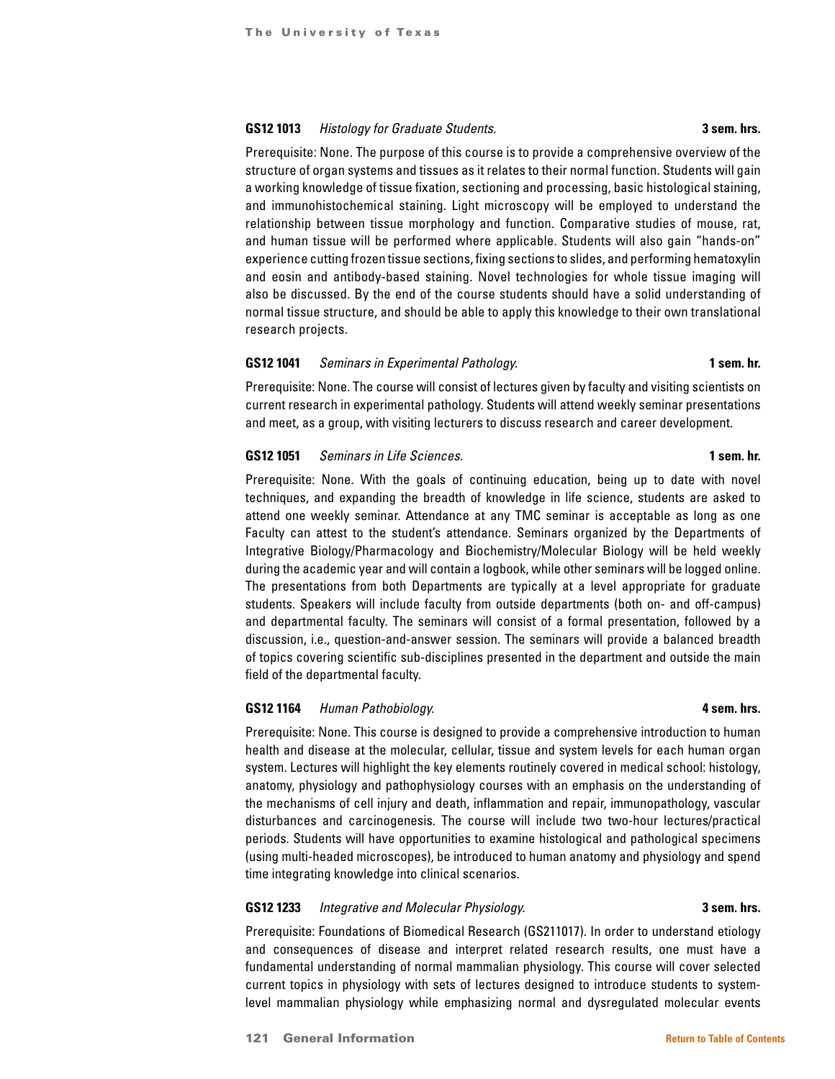# **GS12 1013** *Histology for Graduate Students.* **3 sem. hrs.**

# Prerequisite: None. The purpose of this course is to provide a comprehensive overview of the structure of organ systems and tissues as it relates to their normal function. Students will gain a working knowledge of tissue fixation, sectioning and processing, basic histological staining, and immunohistochemical staining. Light microscopy will be employed to understand the relationship between tissue morphology and function. Comparative studies of mouse, rat, and human tissue will be performed where applicable. Students will also gain "hands-on" experience cutting frozen tissue sections, fixing sections to slides, and performing hematoxylin and eosin and antibody-based staining. Novel technologies for whole tissue imaging will also be discussed. By the end of the course students should have a solid understanding of normal tissue structure, and should be able to apply this knowledge to their own translational research projects.

# **GS12 1041** *Seminars in Experimental Pathology.* **1 sem. hr.**

Prerequisite: None. The course will consist of lectures given by faculty and visiting scientists on current research in experimental pathology. Students will attend weekly seminar presentations and meet, as a group, with visiting lecturers to discuss research and career development.

## **GS12 1051** *Seminars in Life Sciences.* **1 sem. hr.**

Prerequisite: None. With the goals of continuing education, being up to date with novel techniques, and expanding the breadth of knowledge in life science, students are asked to attend one weekly seminar. Attendance at any TMC seminar is acceptable as long as one Faculty can attest to the student's attendance. Seminars organized by the Departments of Integrative Biology/Pharmacology and Biochemistry/Molecular Biology will be held weekly during the academic year and will contain a logbook, while other seminars will be logged online. The presentations from both Departments are typically at a level appropriate for graduate students. Speakers will include faculty from outside departments (both on- and off-campus) and departmental faculty. The seminars will consist of a formal presentation, followed by a discussion, i.e., question-and-answer session. The seminars will provide a balanced breadth of topics covering scientific sub-disciplines presented in the department and outside the main field of the departmental faculty.

### **GS12 1164** *Human Pathobiology.* **4 sem. hrs.**

Prerequisite: None. This course is designed to provide a comprehensive introduction to human health and disease at the molecular, cellular, tissue and system levels for each human organ system. Lectures will highlight the key elements routinely covered in medical school: histology, anatomy, physiology and pathophysiology courses with an emphasis on the understanding of the mechanisms of cell injury and death, inflammation and repair, immunopathology, vascular disturbances and carcinogenesis. The course will include two two-hour lectures/practical periods. Students will have opportunities to examine histological and pathological specimens (using multi-headed microscopes), be introduced to human anatomy and physiology and spend time integrating knowledge into clinical scenarios.

### **GS12 1233** *Integrative and Molecular Physiology.* **3 sem. hrs.**

Prerequisite: Foundations of Biomedical Research (GS211017). In order to understand etiology and consequences of disease and interpret related research results, one must have a fundamental understanding of normal mammalian physiology. This course will cover selected current topics in physiology with sets of lectures designed to introduce students to systemlevel mammalian physiology while emphasizing normal and dysregulated molecular events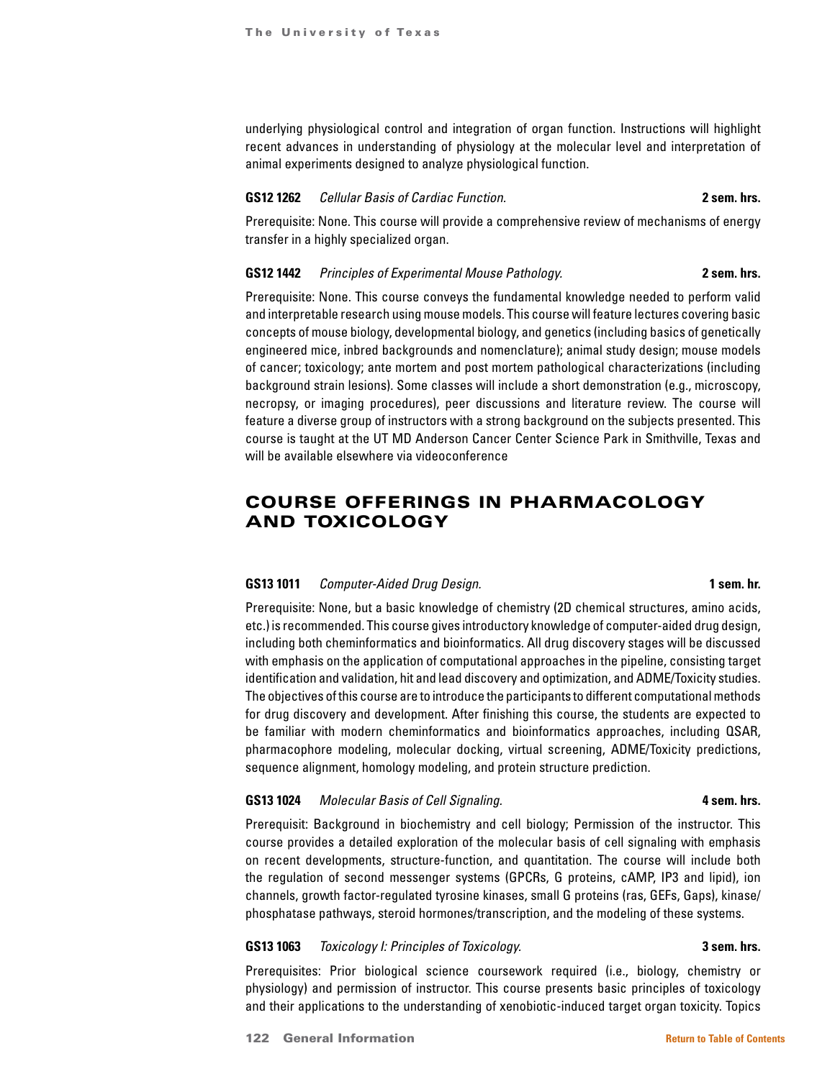underlying physiological control and integration of organ function. Instructions will highlight recent advances in understanding of physiology at the molecular level and interpretation of animal experiments designed to analyze physiological function.

#### **GS12 1262** *Cellular Basis of Cardiac Function.* **2 sem. hrs.**

Prerequisite: None. This course will provide a comprehensive review of mechanisms of energy transfer in a highly specialized organ.

### **GS12 1442** *Principles of Experimental Mouse Pathology.* **2 sem. hrs.**

Prerequisite: None. This course conveys the fundamental knowledge needed to perform valid and interpretable research using mouse models. This course will feature lectures covering basic concepts of mouse biology, developmental biology, and genetics (including basics of genetically engineered mice, inbred backgrounds and nomenclature); animal study design; mouse models of cancer; toxicology; ante mortem and post mortem pathological characterizations (including background strain lesions). Some classes will include a short demonstration (e.g., microscopy, necropsy, or imaging procedures), peer discussions and literature review. The course will feature a diverse group of instructors with a strong background on the subjects presented. This course is taught at the UT MD Anderson Cancer Center Science Park in Smithville, Texas and will be available elsewhere via videoconference

# COURSE OFFERINGS IN PHARMACOLOGY AND TOXICOLOGY

### **GS13 1011** *Computer-Aided Drug Design.* **1 sem. hr.**

Prerequisite: None, but a basic knowledge of chemistry (2D chemical structures, amino acids, etc.) is recommended. This course gives introductory knowledge of computer-aided drug design, including both cheminformatics and bioinformatics. All drug discovery stages will be discussed with emphasis on the application of computational approaches in the pipeline, consisting target identification and validation, hit and lead discovery and optimization, and ADME/Toxicity studies. The objectives of this course are to introduce the participants to different computational methods for drug discovery and development. After finishing this course, the students are expected to be familiar with modern cheminformatics and bioinformatics approaches, including QSAR, pharmacophore modeling, molecular docking, virtual screening, ADME/Toxicity predictions, sequence alignment, homology modeling, and protein structure prediction.

### **GS13 1024** *Molecular Basis of Cell Signaling.* **1998 1999 <b>4 sem. hrs. 4 sem. hrs.**

Prerequisit: Background in biochemistry and cell biology; Permission of the instructor. This course provides a detailed exploration of the molecular basis of cell signaling with emphasis on recent developments, structure-function, and quantitation. The course will include both the regulation of second messenger systems (GPCRs, G proteins, cAMP, IP3 and lipid), ion channels, growth factor-regulated tyrosine kinases, small G proteins (ras, GEFs, Gaps), kinase/ phosphatase pathways, steroid hormones/transcription, and the modeling of these systems.

## **GS13 1063** *Toxicology I: Principles of Toxicology.* **3 sem. hrs.**

Prerequisites: Prior biological science coursework required (i.e., biology, chemistry or physiology) and permission of instructor. This course presents basic principles of toxicology and their applications to the understanding of xenobiotic-induced target organ toxicity. Topics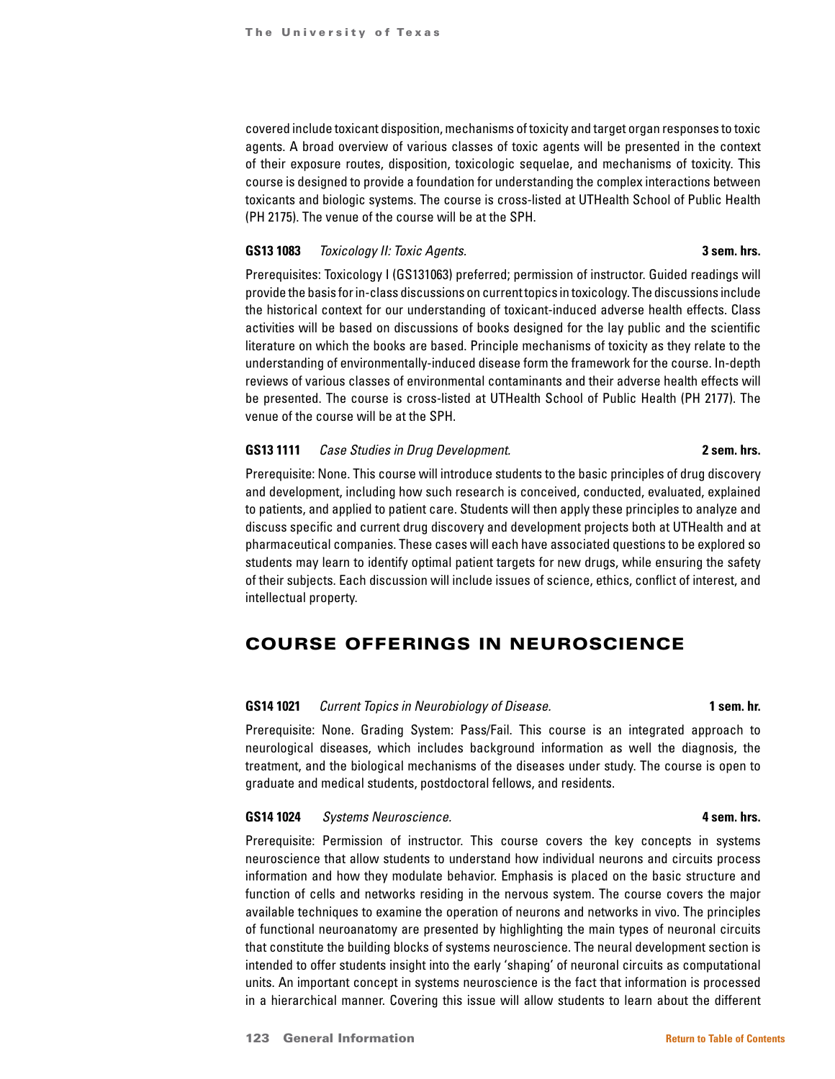covered include toxicant disposition, mechanisms of toxicity and target organ responses to toxic agents. A broad overview of various classes of toxic agents will be presented in the context of their exposure routes, disposition, toxicologic sequelae, and mechanisms of toxicity. This course is designed to provide a foundation for understanding the complex interactions between toxicants and biologic systems. The course is cross-listed at UTHealth School of Public Health (PH 2175). The venue of the course will be at the SPH.

### **GS13 1083** *Toxicology II: Toxic Agents.* **3 sem. hrs.**

Prerequisites: Toxicology I (GS131063) preferred; permission of instructor. Guided readings will provide the basis for in-class discussions on current topics in toxicology. The discussions include the historical context for our understanding of toxicant-induced adverse health effects. Class activities will be based on discussions of books designed for the lay public and the scientific literature on which the books are based. Principle mechanisms of toxicity as they relate to the understanding of environmentally-induced disease form the framework for the course. In-depth reviews of various classes of environmental contaminants and their adverse health effects will be presented. The course is cross-listed at UTHealth School of Public Health (PH 2177). The venue of the course will be at the SPH.

### **GS13 1111** *Case Studies in Drug Development.* **2 sem. hrs.**

# Prerequisite: None. This course will introduce students to the basic principles of drug discovery and development, including how such research is conceived, conducted, evaluated, explained to patients, and applied to patient care. Students will then apply these principles to analyze and discuss specific and current drug discovery and development projects both at UTHealth and at pharmaceutical companies. These cases will each have associated questions to be explored so students may learn to identify optimal patient targets for new drugs, while ensuring the safety of their subjects. Each discussion will include issues of science, ethics, conflict of interest, and intellectual property.

# COURSE OFFERINGS IN NEUROSCIENCE

### **GS14 1021** *Current Topics in Neurobiology of Disease.* **1 sem. hr.**

Prerequisite: None. Grading System: Pass/Fail. This course is an integrated approach to neurological diseases, which includes background information as well the diagnosis, the treatment, and the biological mechanisms of the diseases under study. The course is open to graduate and medical students, postdoctoral fellows, and residents.

### **GS14 1024** *Systems Neuroscience.* **4 sem. hrs.**

Prerequisite: Permission of instructor. This course covers the key concepts in systems neuroscience that allow students to understand how individual neurons and circuits process information and how they modulate behavior. Emphasis is placed on the basic structure and function of cells and networks residing in the nervous system. The course covers the major available techniques to examine the operation of neurons and networks in vivo. The principles of functional neuroanatomy are presented by highlighting the main types of neuronal circuits that constitute the building blocks of systems neuroscience. The neural development section is intended to offer students insight into the early 'shaping' of neuronal circuits as computational units. An important concept in systems neuroscience is the fact that information is processed in a hierarchical manner. Covering this issue will allow students to learn about the different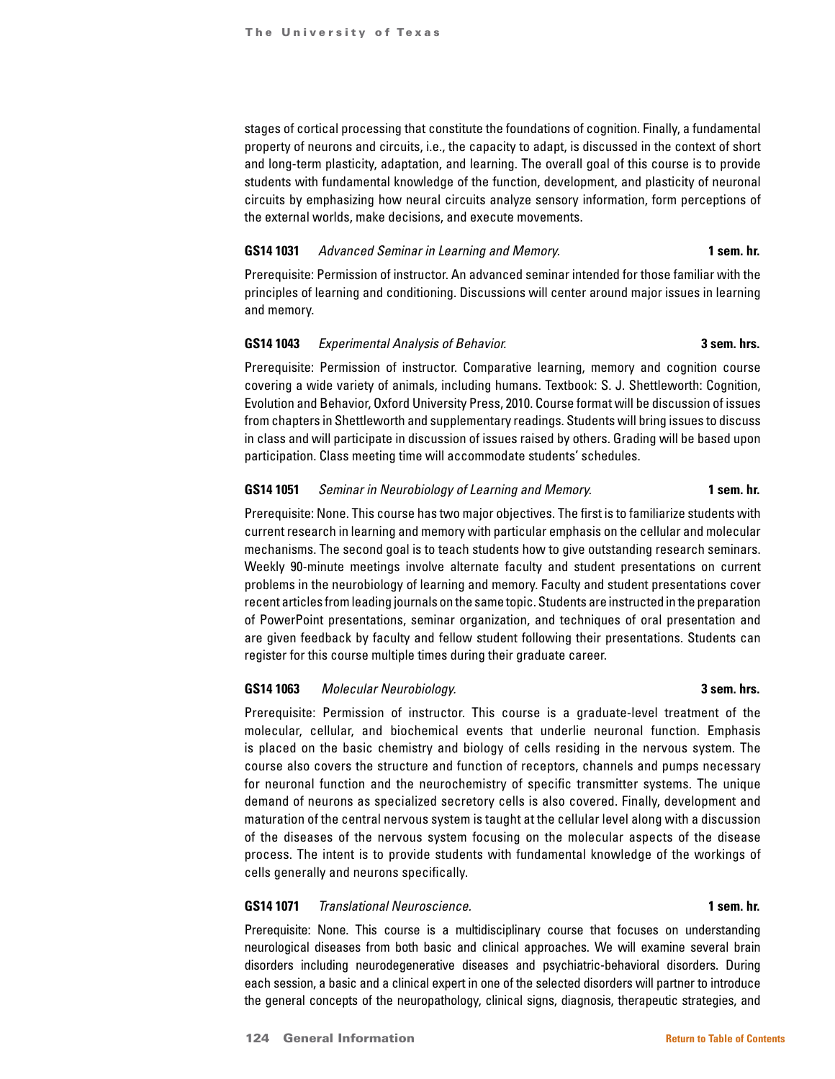stages of cortical processing that constitute the foundations of cognition. Finally, a fundamental property of neurons and circuits, i.e., the capacity to adapt, is discussed in the context of short and long-term plasticity, adaptation, and learning. The overall goal of this course is to provide students with fundamental knowledge of the function, development, and plasticity of neuronal circuits by emphasizing how neural circuits analyze sensory information, form perceptions of the external worlds, make decisions, and execute movements.

#### **GS14 1031** *Advanced Seminar in Learning and Memory.* **1 sem. hr.**

Prerequisite: Permission of instructor. An advanced seminar intended for those familiar with the principles of learning and conditioning. Discussions will center around major issues in learning and memory.

# **GS14 1043** *Experimental Analysis of Behavior.* **3 sem. hrs.**

Prerequisite: Permission of instructor. Comparative learning, memory and cognition course covering a wide variety of animals, including humans. Textbook: S. J. Shettleworth: Cognition, Evolution and Behavior, Oxford University Press, 2010. Course format will be discussion of issues from chapters in Shettleworth and supplementary readings. Students will bring issues to discuss in class and will participate in discussion of issues raised by others. Grading will be based upon participation. Class meeting time will accommodate students' schedules.

# **GS14 1051** *Seminar in Neurobiology of Learning and Memory.* **1 sem. hr.**

Prerequisite: None. This course has two major objectives. The first is to familiarize students with current research in learning and memory with particular emphasis on the cellular and molecular mechanisms. The second goal is to teach students how to give outstanding research seminars. Weekly 90-minute meetings involve alternate faculty and student presentations on current problems in the neurobiology of learning and memory. Faculty and student presentations cover recent articles from leading journals on the same topic. Students are instructed in the preparation of PowerPoint presentations, seminar organization, and techniques of oral presentation and are given feedback by faculty and fellow student following their presentations. Students can register for this course multiple times during their graduate career.

# **GS14 1063** *Molecular Neurobiology.* **3 sem. hrs.**

Prerequisite: Permission of instructor. This course is a graduate-level treatment of the molecular, cellular, and biochemical events that underlie neuronal function. Emphasis is placed on the basic chemistry and biology of cells residing in the nervous system. The course also covers the structure and function of receptors, channels and pumps necessary for neuronal function and the neurochemistry of specific transmitter systems. The unique demand of neurons as specialized secretory cells is also covered. Finally, development and maturation of the central nervous system is taught at the cellular level along with a discussion of the diseases of the nervous system focusing on the molecular aspects of the disease process. The intent is to provide students with fundamental knowledge of the workings of cells generally and neurons specifically.

### **GS14 1071** *Translational Neuroscience.* **1 sem. hr.**

Prerequisite: None. This course is a multidisciplinary course that focuses on understanding neurological diseases from both basic and clinical approaches. We will examine several brain disorders including neurodegenerative diseases and psychiatric-behavioral disorders. During each session, a basic and a clinical expert in one of the selected disorders will partner to introduce the general concepts of the neuropathology, clinical signs, diagnosis, therapeutic strategies, and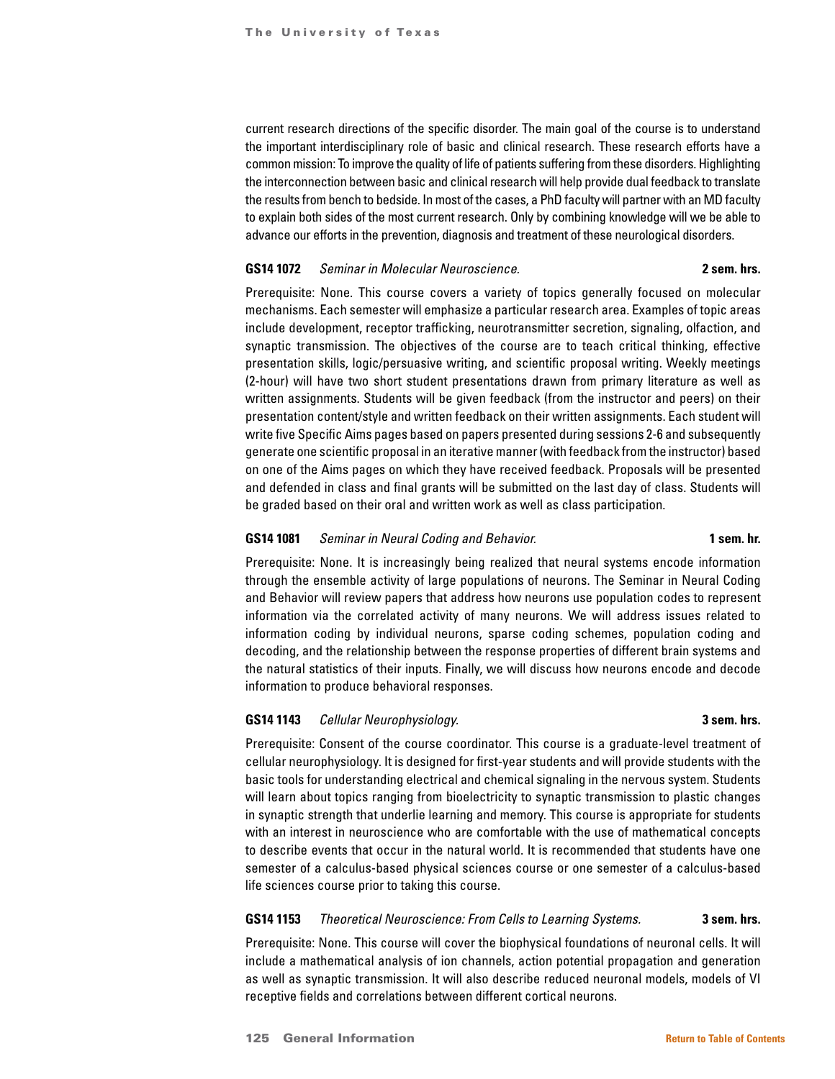current research directions of the specific disorder. The main goal of the course is to understand the important interdisciplinary role of basic and clinical research. These research efforts have a common mission: To improve the quality of life of patients suffering from these disorders. Highlighting the interconnection between basic and clinical research will help provide dual feedback to translate the results from bench to bedside. In most of the cases, a PhD faculty will partner with an MD faculty to explain both sides of the most current research. Only by combining knowledge will we be able to advance our efforts in the prevention, diagnosis and treatment of these neurological disorders.

#### **GS14 1072** *Seminar in Molecular Neuroscience.* **2 sem. hrs.**

Prerequisite: None. This course covers a variety of topics generally focused on molecular mechanisms. Each semester will emphasize a particular research area. Examples of topic areas include development, receptor trafficking, neurotransmitter secretion, signaling, olfaction, and synaptic transmission. The objectives of the course are to teach critical thinking, effective presentation skills, logic/persuasive writing, and scientific proposal writing. Weekly meetings (2-hour) will have two short student presentations drawn from primary literature as well as written assignments. Students will be given feedback (from the instructor and peers) on their presentation content/style and written feedback on their written assignments. Each student will write five Specific Aims pages based on papers presented during sessions 2-6 and subsequently generate one scientific proposal in an iterative manner (with feedback from the instructor) based on one of the Aims pages on which they have received feedback. Proposals will be presented and defended in class and final grants will be submitted on the last day of class. Students will be graded based on their oral and written work as well as class participation.

### **GS14 1081** *Seminar in Neural Coding and Behavior.* **1 sem. hr.**

Prerequisite: None. It is increasingly being realized that neural systems encode information through the ensemble activity of large populations of neurons. The Seminar in Neural Coding and Behavior will review papers that address how neurons use population codes to represent information via the correlated activity of many neurons. We will address issues related to information coding by individual neurons, sparse coding schemes, population coding and decoding, and the relationship between the response properties of different brain systems and the natural statistics of their inputs. Finally, we will discuss how neurons encode and decode information to produce behavioral responses.

# **GS14 1143** *Cellular Neurophysiology.* **3 sem. hrs.**

Prerequisite: Consent of the course coordinator. This course is a graduate-level treatment of cellular neurophysiology. It is designed for first-year students and will provide students with the basic tools for understanding electrical and chemical signaling in the nervous system. Students will learn about topics ranging from bioelectricity to synaptic transmission to plastic changes in synaptic strength that underlie learning and memory. This course is appropriate for students with an interest in neuroscience who are comfortable with the use of mathematical concepts to describe events that occur in the natural world. It is recommended that students have one semester of a calculus-based physical sciences course or one semester of a calculus-based life sciences course prior to taking this course.

# **GS14 1153** *Theoretical Neuroscience: From Cells to Learning Systems.* **3 sem. hrs.**

Prerequisite: None. This course will cover the biophysical foundations of neuronal cells. It will include a mathematical analysis of ion channels, action potential propagation and generation as well as synaptic transmission. It will also describe reduced neuronal models, models of VI receptive fields and correlations between different cortical neurons.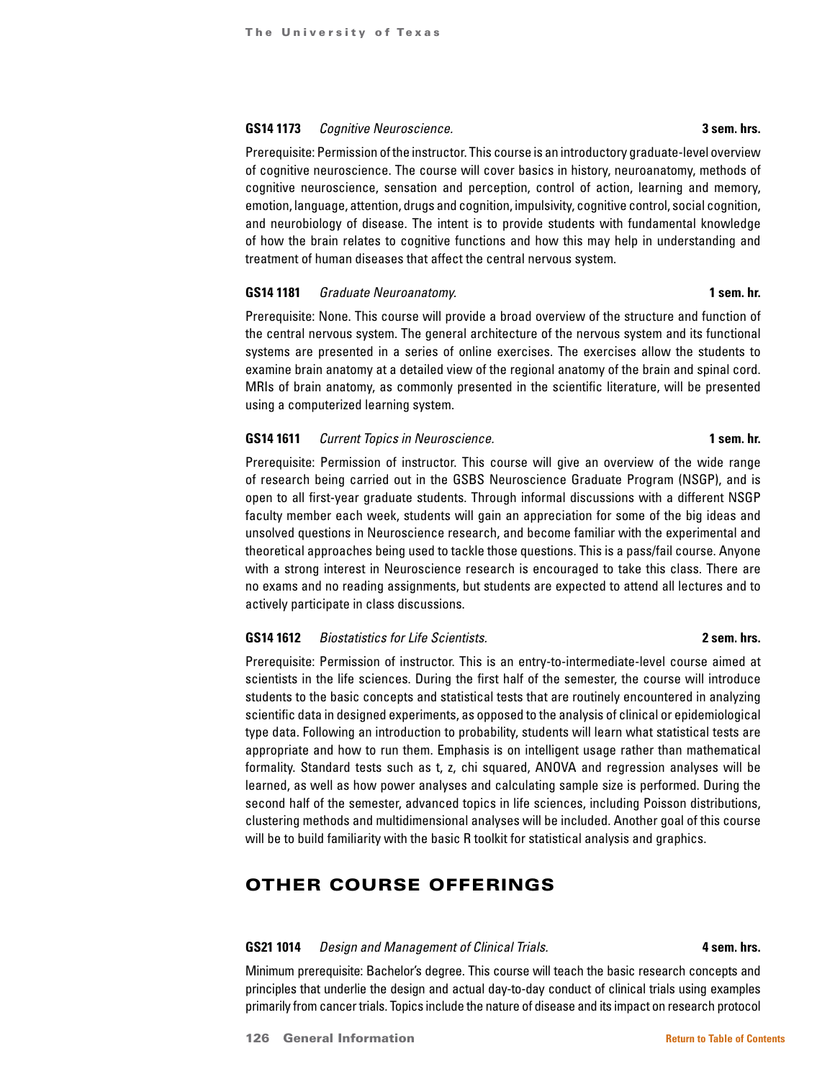### **GS14 1173** *Cognitive Neuroscience.* **3 sem. hrs.**

Prerequisite: Permission of the instructor. This course is an introductory graduate-level overview of cognitive neuroscience. The course will cover basics in history, neuroanatomy, methods of cognitive neuroscience, sensation and perception, control of action, learning and memory, emotion, language, attention, drugs and cognition, impulsivity, cognitive control, social cognition, and neurobiology of disease. The intent is to provide students with fundamental knowledge of how the brain relates to cognitive functions and how this may help in understanding and treatment of human diseases that affect the central nervous system.

### **GS14 1181** *Graduate Neuroanatomy.* **1 sem. hr.**

Prerequisite: None. This course will provide a broad overview of the structure and function of the central nervous system. The general architecture of the nervous system and its functional systems are presented in a series of online exercises. The exercises allow the students to examine brain anatomy at a detailed view of the regional anatomy of the brain and spinal cord. MRIs of brain anatomy, as commonly presented in the scientific literature, will be presented using a computerized learning system.

#### **GS14 1611** *Current Topics in Neuroscience.* **1 sem. hr.**

Prerequisite: Permission of instructor. This course will give an overview of the wide range of research being carried out in the GSBS Neuroscience Graduate Program (NSGP), and is open to all first-year graduate students. Through informal discussions with a different NSGP faculty member each week, students will gain an appreciation for some of the big ideas and unsolved questions in Neuroscience research, and become familiar with the experimental and theoretical approaches being used to tackle those questions. This is a pass/fail course. Anyone with a strong interest in Neuroscience research is encouraged to take this class. There are no exams and no reading assignments, but students are expected to attend all lectures and to actively participate in class discussions.

# **GS14 1612** *Biostatistics for Life Scientists.* **2 sem. hrs.**

Prerequisite: Permission of instructor. This is an entry-to-intermediate-level course aimed at scientists in the life sciences. During the first half of the semester, the course will introduce students to the basic concepts and statistical tests that are routinely encountered in analyzing scientific data in designed experiments, as opposed to the analysis of clinical or epidemiological type data. Following an introduction to probability, students will learn what statistical tests are appropriate and how to run them. Emphasis is on intelligent usage rather than mathematical formality. Standard tests such as t, z, chi squared, ANOVA and regression analyses will be learned, as well as how power analyses and calculating sample size is performed. During the second half of the semester, advanced topics in life sciences, including Poisson distributions, clustering methods and multidimensional analyses will be included. Another goal of this course will be to build familiarity with the basic R toolkit for statistical analysis and graphics.

# OTHER COURSE OFFERINGS

# **GS21 1014** *Design and Management of Clinical Trials.* **4 sem. hrs.**

Minimum prerequisite: Bachelor's degree. This course will teach the basic research concepts and principles that underlie the design and actual day-to-day conduct of clinical trials using examples primarily from cancer trials. Topics include the nature of disease and its impact on research protocol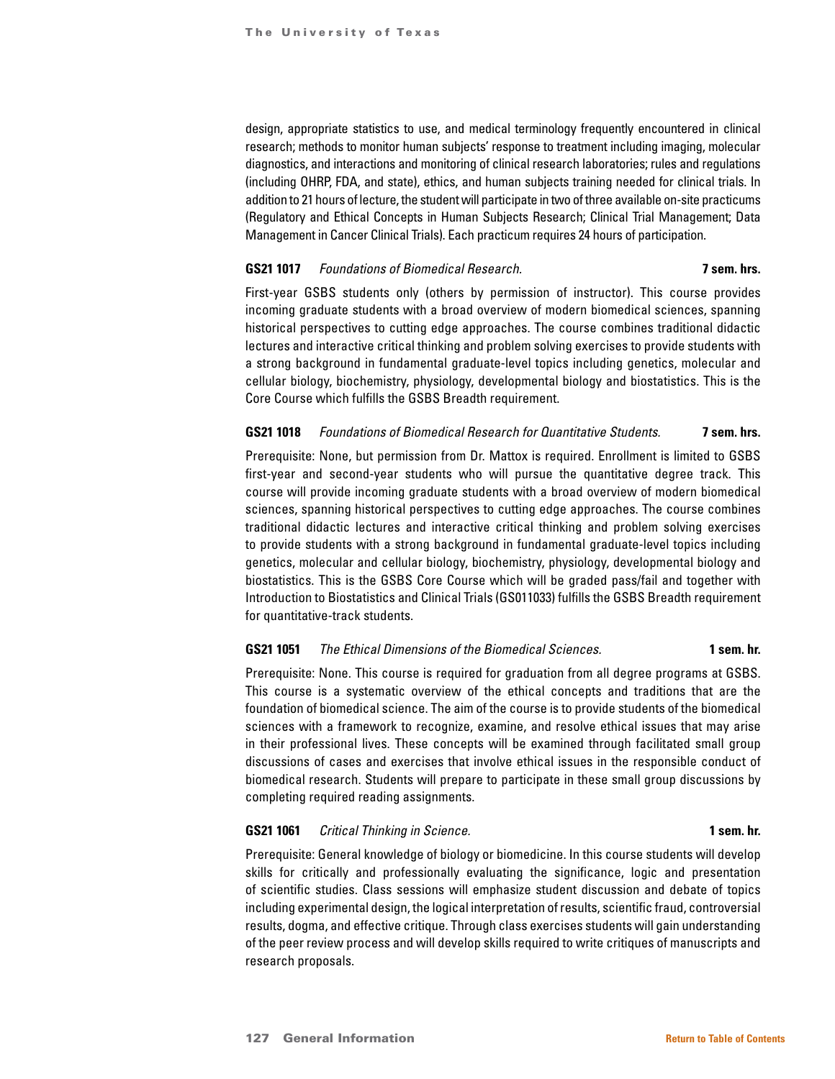design, appropriate statistics to use, and medical terminology frequently encountered in clinical research; methods to monitor human subjects' response to treatment including imaging, molecular diagnostics, and interactions and monitoring of clinical research laboratories; rules and regulations (including OHRP, FDA, and state), ethics, and human subjects training needed for clinical trials. In addition to 21 hours of lecture, the student will participate in two of three available on-site practicums (Regulatory and Ethical Concepts in Human Subjects Research; Clinical Trial Management; Data Management in Cancer Clinical Trials). Each practicum requires 24 hours of participation.

## **GS21 1017** *Foundations of Biomedical Research.* **7 sem. hrs.**

First-year GSBS students only (others by permission of instructor). This course provides incoming graduate students with a broad overview of modern biomedical sciences, spanning historical perspectives to cutting edge approaches. The course combines traditional didactic lectures and interactive critical thinking and problem solving exercises to provide students with a strong background in fundamental graduate-level topics including genetics, molecular and cellular biology, biochemistry, physiology, developmental biology and biostatistics. This is the Core Course which fulfills the GSBS Breadth requirement.

### **GS21 1018** *Foundations of Biomedical Research for Quantitative Students.* **7 sem. hrs.**

Prerequisite: None, but permission from Dr. Mattox is required. Enrollment is limited to GSBS first-year and second-year students who will pursue the quantitative degree track. This course will provide incoming graduate students with a broad overview of modern biomedical sciences, spanning historical perspectives to cutting edge approaches. The course combines traditional didactic lectures and interactive critical thinking and problem solving exercises to provide students with a strong background in fundamental graduate-level topics including genetics, molecular and cellular biology, biochemistry, physiology, developmental biology and biostatistics. This is the GSBS Core Course which will be graded pass/fail and together with Introduction to Biostatistics and Clinical Trials (GS011033) fulfills the GSBS Breadth requirement for quantitative-track students.

# **GS21 1051** *The Ethical Dimensions of the Biomedical Sciences.* **1 sem. hr.**

Prerequisite: None. This course is required for graduation from all degree programs at GSBS. This course is a systematic overview of the ethical concepts and traditions that are the foundation of biomedical science. The aim of the course is to provide students of the biomedical sciences with a framework to recognize, examine, and resolve ethical issues that may arise in their professional lives. These concepts will be examined through facilitated small group discussions of cases and exercises that involve ethical issues in the responsible conduct of biomedical research. Students will prepare to participate in these small group discussions by completing required reading assignments.

### **GS21 1061** *Critical Thinking in Science.* **1 sem. hr.**

Prerequisite: General knowledge of biology or biomedicine. In this course students will develop skills for critically and professionally evaluating the significance, logic and presentation of scientific studies. Class sessions will emphasize student discussion and debate of topics including experimental design, the logical interpretation of results, scientific fraud, controversial results, dogma, and effective critique. Through class exercises students will gain understanding of the peer review process and will develop skills required to write critiques of manuscripts and research proposals.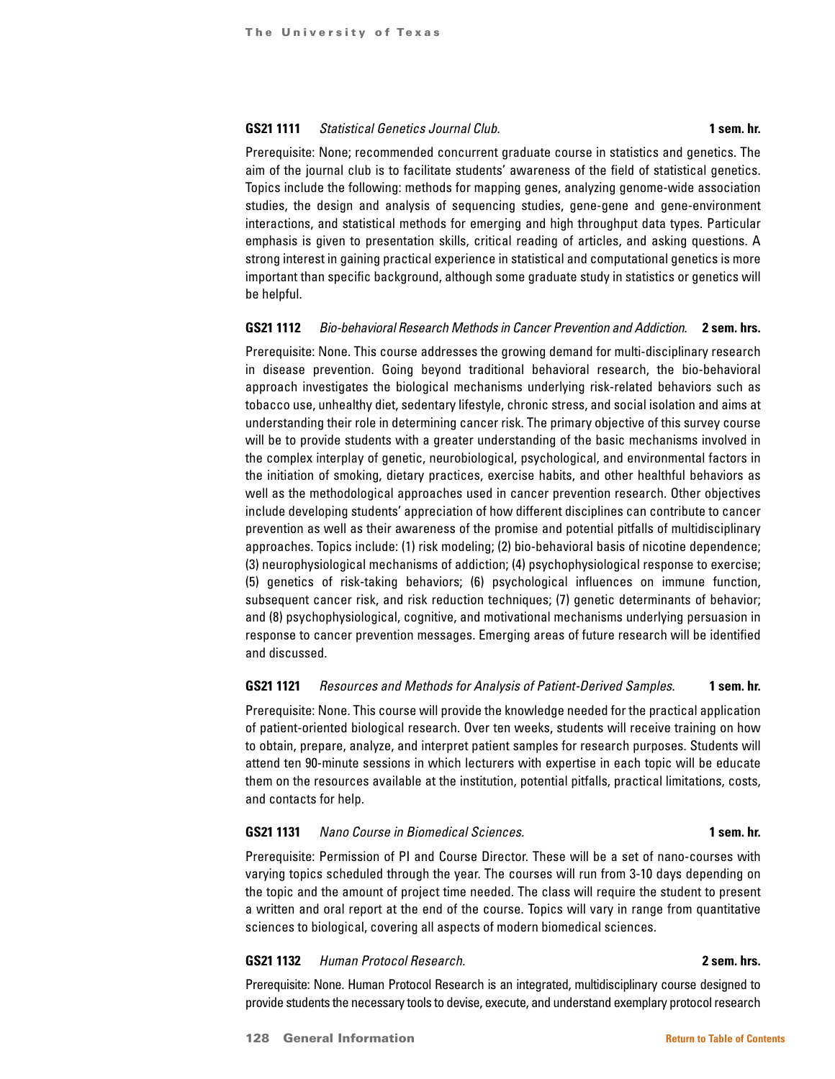# **GS21 1111** *Statistical Genetics Journal Club.* **1 sem. hr.**

Prerequisite: None; recommended concurrent graduate course in statistics and genetics. The aim of the journal club is to facilitate students' awareness of the field of statistical genetics. Topics include the following: methods for mapping genes, analyzing genome-wide association studies, the design and analysis of sequencing studies, gene-gene and gene-environment interactions, and statistical methods for emerging and high throughput data types. Particular emphasis is given to presentation skills, critical reading of articles, and asking questions. A strong interest in gaining practical experience in statistical and computational genetics is more important than specific background, although some graduate study in statistics or genetics will be helpful.

### **GS21 1112** *Bio-behavioral Research Methods in Cancer Prevention and Addiction.* **2 sem. hrs.**

Prerequisite: None. This course addresses the growing demand for multi-disciplinary research in disease prevention. Going beyond traditional behavioral research, the bio-behavioral approach investigates the biological mechanisms underlying risk-related behaviors such as tobacco use, unhealthy diet, sedentary lifestyle, chronic stress, and social isolation and aims at understanding their role in determining cancer risk. The primary objective of this survey course will be to provide students with a greater understanding of the basic mechanisms involved in the complex interplay of genetic, neurobiological, psychological, and environmental factors in the initiation of smoking, dietary practices, exercise habits, and other healthful behaviors as well as the methodological approaches used in cancer prevention research. Other objectives include developing students' appreciation of how different disciplines can contribute to cancer prevention as well as their awareness of the promise and potential pitfalls of multidisciplinary approaches. Topics include: (1) risk modeling; (2) bio-behavioral basis of nicotine dependence; (3) neurophysiological mechanisms of addiction; (4) psychophysiological response to exercise; (5) genetics of risk-taking behaviors; (6) psychological influences on immune function, subsequent cancer risk, and risk reduction techniques; (7) genetic determinants of behavior; and (8) psychophysiological, cognitive, and motivational mechanisms underlying persuasion in response to cancer prevention messages. Emerging areas of future research will be identified and discussed.

#### **GS21 1121** *Resources and Methods for Analysis of Patient-Derived Samples.* **1 sem. hr.**

Prerequisite: None. This course will provide the knowledge needed for the practical application of patient-oriented biological research. Over ten weeks, students will receive training on how to obtain, prepare, analyze, and interpret patient samples for research purposes. Students will attend ten 90-minute sessions in which lecturers with expertise in each topic will be educate them on the resources available at the institution, potential pitfalls, practical limitations, costs, and contacts for help.

### **GS21 1131** *Nano Course in Biomedical Sciences.* **1 sem. hr.**

Prerequisite: Permission of PI and Course Director. These will be a set of nano-courses with varying topics scheduled through the year. The courses will run from 3-10 days depending on the topic and the amount of project time needed. The class will require the student to present a written and oral report at the end of the course. Topics will vary in range from quantitative sciences to biological, covering all aspects of modern biomedical sciences.

#### **GS21 1132** *Human Protocol Research.* **2 sem. hrs.**

Prerequisite: None. Human Protocol Research is an integrated, multidisciplinary course designed to provide students the necessary tools to devise, execute, and understand exemplary protocol research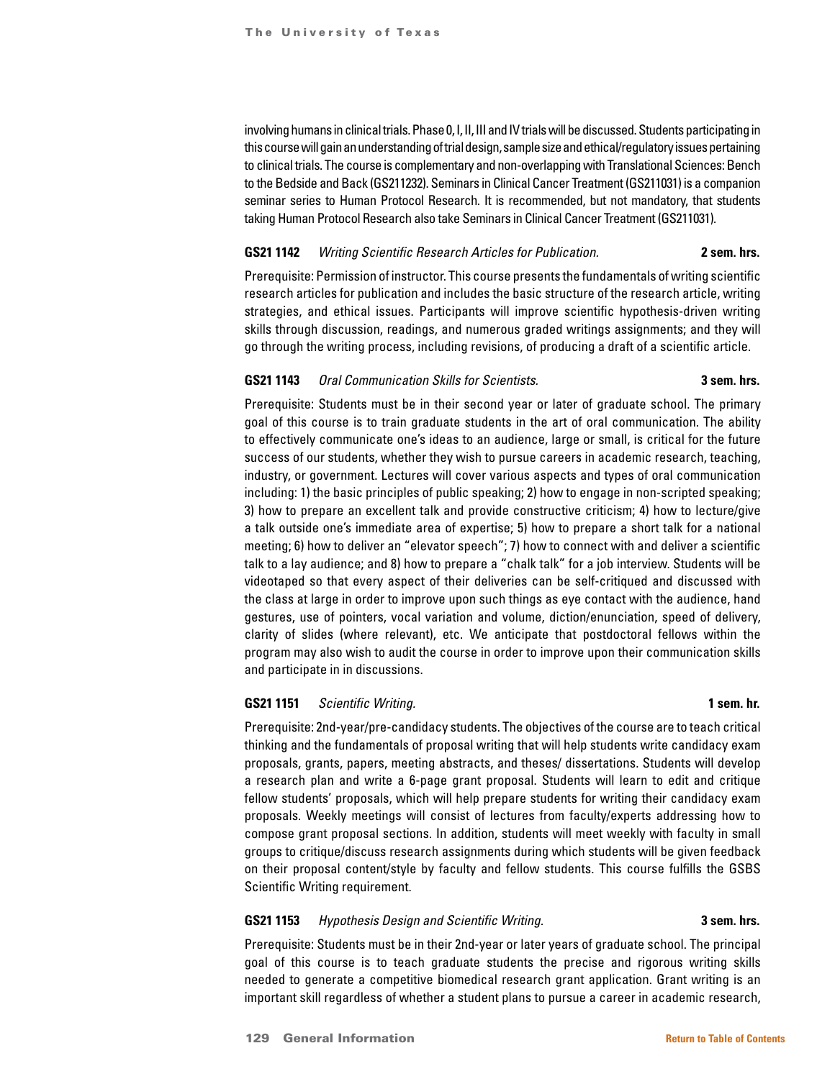involving humans in clinical trials. Phase 0, I, II, III and IV trials will be discussed. Students participating in this course will gain an understanding of trial design, sample size and ethical/regulatory issues pertaining to clinical trials. The course is complementary and non-overlapping with Translational Sciences: Bench to the Bedside and Back (GS211232). Seminars in Clinical Cancer Treatment (GS211031) is a companion seminar series to Human Protocol Research. It is recommended, but not mandatory, that students taking Human Protocol Research also take Seminars in Clinical Cancer Treatment (GS211031).

### **GS21 1142** *Writing Scientific Research Articles for Publication.* **2 sem. hrs.**

Prerequisite: Permission of instructor. This course presents the fundamentals of writing scientific research articles for publication and includes the basic structure of the research article, writing strategies, and ethical issues. Participants will improve scientific hypothesis-driven writing skills through discussion, readings, and numerous graded writings assignments; and they will go through the writing process, including revisions, of producing a draft of a scientific article.

### **GS21 1143** *Oral Communication Skills for Scientists.* **3 sem. hrs.**

Prerequisite: Students must be in their second year or later of graduate school. The primary goal of this course is to train graduate students in the art of oral communication. The ability to effectively communicate one's ideas to an audience, large or small, is critical for the future success of our students, whether they wish to pursue careers in academic research, teaching, industry, or government. Lectures will cover various aspects and types of oral communication including: 1) the basic principles of public speaking; 2) how to engage in non-scripted speaking; 3) how to prepare an excellent talk and provide constructive criticism; 4) how to lecture/give a talk outside one's immediate area of expertise; 5) how to prepare a short talk for a national meeting; 6) how to deliver an "elevator speech"; 7) how to connect with and deliver a scientific talk to a lay audience; and 8) how to prepare a "chalk talk" for a job interview. Students will be videotaped so that every aspect of their deliveries can be self-critiqued and discussed with the class at large in order to improve upon such things as eye contact with the audience, hand gestures, use of pointers, vocal variation and volume, diction/enunciation, speed of delivery, clarity of slides (where relevant), etc. We anticipate that postdoctoral fellows within the program may also wish to audit the course in order to improve upon their communication skills and participate in in discussions.

# **GS21 1151** *Scientific Writing.* **1 sem. hr.**

Prerequisite: 2nd-year/pre-candidacy students. The objectives of the course are to teach critical thinking and the fundamentals of proposal writing that will help students write candidacy exam proposals, grants, papers, meeting abstracts, and theses/ dissertations. Students will develop a research plan and write a 6-page grant proposal. Students will learn to edit and critique fellow students' proposals, which will help prepare students for writing their candidacy exam proposals. Weekly meetings will consist of lectures from faculty/experts addressing how to compose grant proposal sections. In addition, students will meet weekly with faculty in small groups to critique/discuss research assignments during which students will be given feedback on their proposal content/style by faculty and fellow students. This course fulfills the GSBS Scientific Writing requirement.

### **GS21 1153** *Hypothesis Design and Scientific Writing.* **3 sem. hrs.**

Prerequisite: Students must be in their 2nd-year or later years of graduate school. The principal goal of this course is to teach graduate students the precise and rigorous writing skills needed to generate a competitive biomedical research grant application. Grant writing is an important skill regardless of whether a student plans to pursue a career in academic research,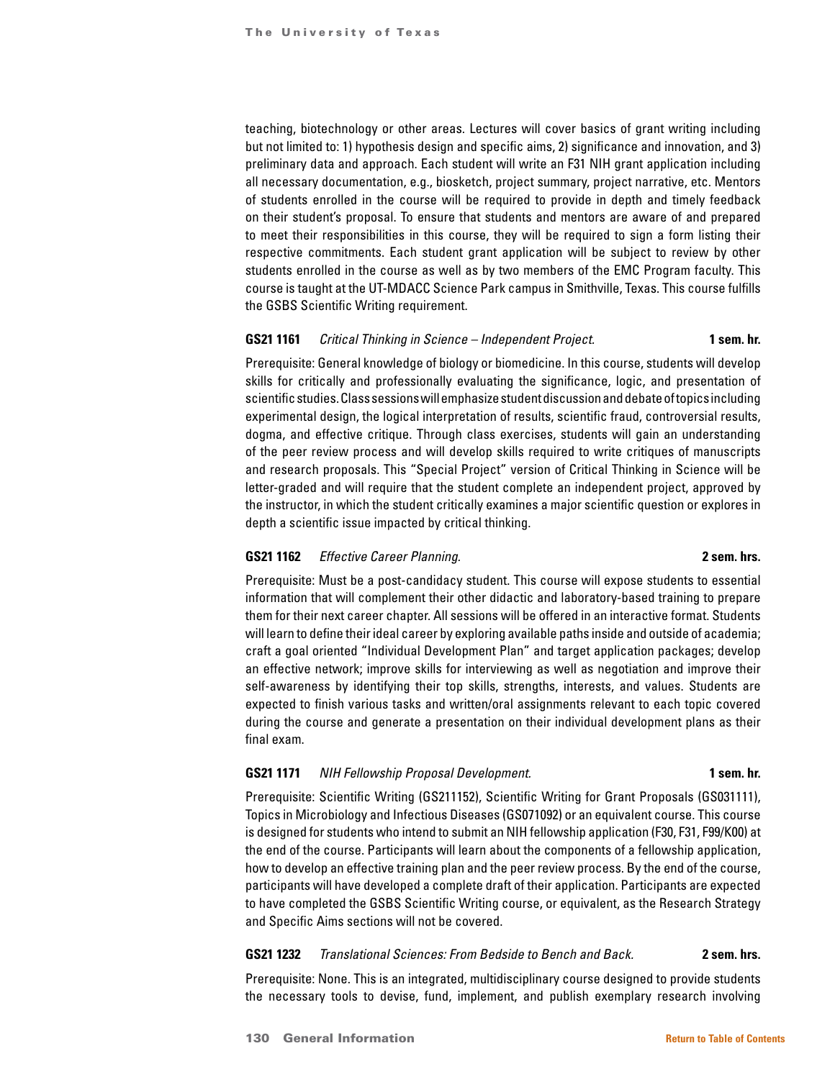teaching, biotechnology or other areas. Lectures will cover basics of grant writing including but not limited to: 1) hypothesis design and specific aims, 2) significance and innovation, and 3) preliminary data and approach. Each student will write an F31 NIH grant application including all necessary documentation, e.g., biosketch, project summary, project narrative, etc. Mentors of students enrolled in the course will be required to provide in depth and timely feedback on their student's proposal. To ensure that students and mentors are aware of and prepared to meet their responsibilities in this course, they will be required to sign a form listing their respective commitments. Each student grant application will be subject to review by other students enrolled in the course as well as by two members of the EMC Program faculty. This course is taught at the UT-MDACC Science Park campus in Smithville, Texas. This course fulfills the GSBS Scientific Writing requirement.

### **GS21 1161** *Critical Thinking in Science – Independent Project.* **1 sem. hr.**

Prerequisite: General knowledge of biology or biomedicine. In this course, students will develop skills for critically and professionally evaluating the significance, logic, and presentation of scientific studies. Class sessions will emphasize student discussion and debate of topics including experimental design, the logical interpretation of results, scientific fraud, controversial results, dogma, and effective critique. Through class exercises, students will gain an understanding of the peer review process and will develop skills required to write critiques of manuscripts and research proposals. This "Special Project" version of Critical Thinking in Science will be letter-graded and will require that the student complete an independent project, approved by the instructor, in which the student critically examines a major scientific question or explores in depth a scientific issue impacted by critical thinking.

### **GS21 1162** *Effective Career Planning.* **2 sem. hrs.**

Prerequisite: Must be a post-candidacy student. This course will expose students to essential information that will complement their other didactic and laboratory-based training to prepare them for their next career chapter. All sessions will be offered in an interactive format. Students will learn to define their ideal career by exploring available paths inside and outside of academia; craft a goal oriented "Individual Development Plan" and target application packages; develop an effective network; improve skills for interviewing as well as negotiation and improve their self-awareness by identifying their top skills, strengths, interests, and values. Students are expected to finish various tasks and written/oral assignments relevant to each topic covered during the course and generate a presentation on their individual development plans as their final exam.

### **GS21 1171** *NIH Fellowship Proposal Development.* **1 sem. hr.**

Prerequisite: Scientific Writing (GS211152), Scientific Writing for Grant Proposals (GS031111), Topics in Microbiology and Infectious Diseases (GS071092) or an equivalent course. This course is designed for students who intend to submit an NIH fellowship application (F30, F31, F99/K00) at the end of the course. Participants will learn about the components of a fellowship application, how to develop an effective training plan and the peer review process. By the end of the course, participants will have developed a complete draft of their application. Participants are expected to have completed the GSBS Scientific Writing course, or equivalent, as the Research Strategy and Specific Aims sections will not be covered.

# **GS21 1232** *Translational Sciences: From Bedside to Bench and Back.* **2 sem. hrs.**

Prerequisite: None. This is an integrated, multidisciplinary course designed to provide students the necessary tools to devise, fund, implement, and publish exemplary research involving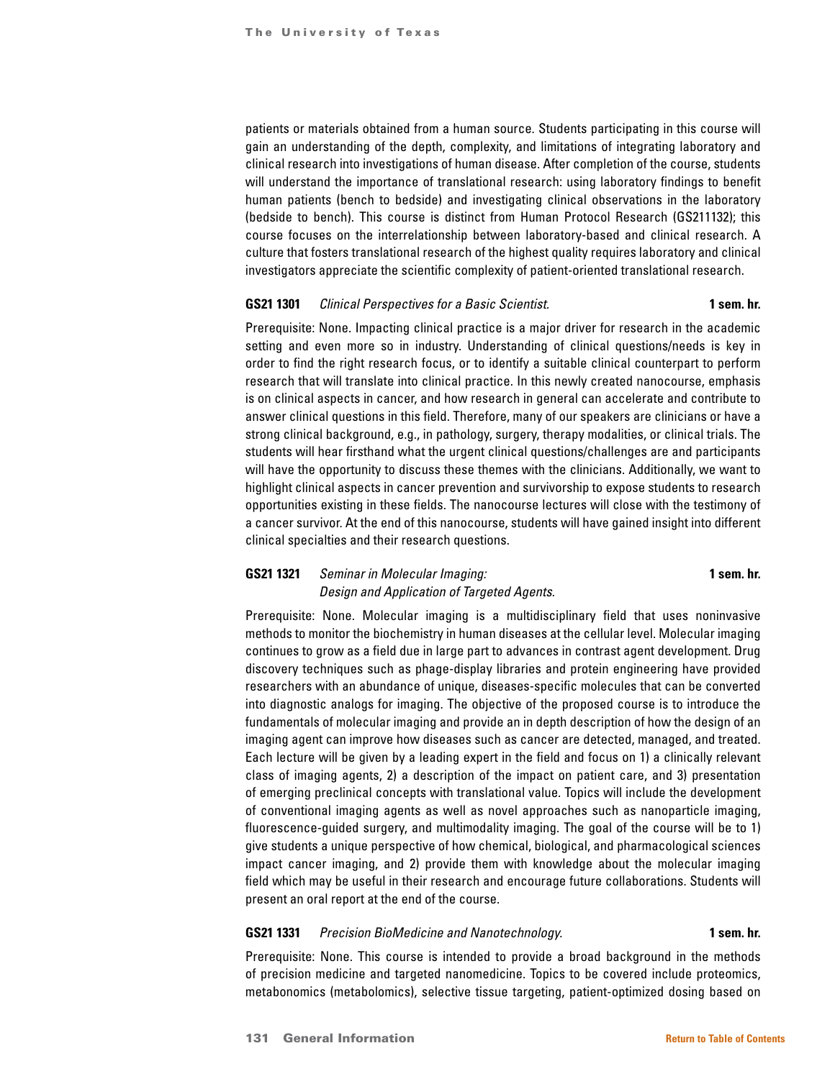patients or materials obtained from a human source. Students participating in this course will gain an understanding of the depth, complexity, and limitations of integrating laboratory and clinical research into investigations of human disease. After completion of the course, students will understand the importance of translational research: using laboratory findings to benefit human patients (bench to bedside) and investigating clinical observations in the laboratory (bedside to bench). This course is distinct from Human Protocol Research (GS211132); this course focuses on the interrelationship between laboratory-based and clinical research. A culture that fosters translational research of the highest quality requires laboratory and clinical investigators appreciate the scientific complexity of patient-oriented translational research.

#### **GS21 1301** *Clinical Perspectives for a Basic Scientist.* **1 sem. hr.**

Prerequisite: None. Impacting clinical practice is a major driver for research in the academic setting and even more so in industry. Understanding of clinical questions/needs is key in order to find the right research focus, or to identify a suitable clinical counterpart to perform research that will translate into clinical practice. In this newly created nanocourse, emphasis is on clinical aspects in cancer, and how research in general can accelerate and contribute to answer clinical questions in this field. Therefore, many of our speakers are clinicians or have a strong clinical background, e.g., in pathology, surgery, therapy modalities, or clinical trials. The students will hear firsthand what the urgent clinical questions/challenges are and participants will have the opportunity to discuss these themes with the clinicians. Additionally, we want to highlight clinical aspects in cancer prevention and survivorship to expose students to research opportunities existing in these fields. The nanocourse lectures will close with the testimony of a cancer survivor. At the end of this nanocourse, students will have gained insight into different clinical specialties and their research questions.

# **GS21 1321** *Seminar in Molecular Imaging:* **1 sem. hr.** *Design and Application of Targeted Agents.*

Prerequisite: None. Molecular imaging is a multidisciplinary field that uses noninvasive methods to monitor the biochemistry in human diseases at the cellular level. Molecular imaging continues to grow as a field due in large part to advances in contrast agent development. Drug discovery techniques such as phage-display libraries and protein engineering have provided researchers with an abundance of unique, diseases-specific molecules that can be converted into diagnostic analogs for imaging. The objective of the proposed course is to introduce the fundamentals of molecular imaging and provide an in depth description of how the design of an imaging agent can improve how diseases such as cancer are detected, managed, and treated. Each lecture will be given by a leading expert in the field and focus on 1) a clinically relevant class of imaging agents, 2) a description of the impact on patient care, and 3) presentation of emerging preclinical concepts with translational value. Topics will include the development of conventional imaging agents as well as novel approaches such as nanoparticle imaging, fluorescence-guided surgery, and multimodality imaging. The goal of the course will be to 1) give students a unique perspective of how chemical, biological, and pharmacological sciences impact cancer imaging, and 2) provide them with knowledge about the molecular imaging field which may be useful in their research and encourage future collaborations. Students will present an oral report at the end of the course.

#### **GS21 1331** *Precision BioMedicine and Nanotechnology.* **1 sem. hr.**

Prerequisite: None. This course is intended to provide a broad background in the methods of precision medicine and targeted nanomedicine. Topics to be covered include proteomics, metabonomics (metabolomics), selective tissue targeting, patient-optimized dosing based on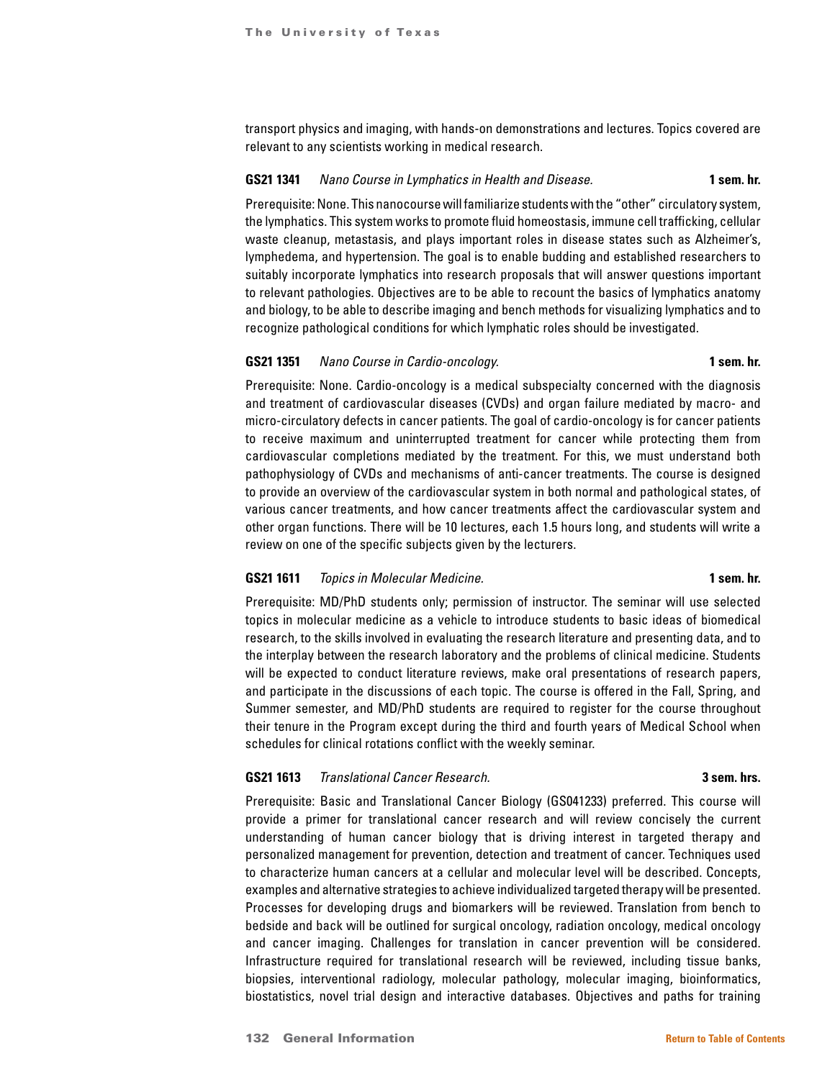transport physics and imaging, with hands-on demonstrations and lectures. Topics covered are relevant to any scientists working in medical research.

#### **GS21 1341** *Nano Course in Lymphatics in Health and Disease.* **1 sem. hr.**

Prerequisite: None. This nanocourse will familiarize students with the "other" circulatory system, the lymphatics. This system works to promote fluid homeostasis, immune cell trafficking, cellular waste cleanup, metastasis, and plays important roles in disease states such as Alzheimer's, lymphedema, and hypertension. The goal is to enable budding and established researchers to suitably incorporate lymphatics into research proposals that will answer questions important to relevant pathologies. Objectives are to be able to recount the basics of lymphatics anatomy and biology, to be able to describe imaging and bench methods for visualizing lymphatics and to recognize pathological conditions for which lymphatic roles should be investigated.

### **GS21 1351** *Nano Course in Cardio-oncology.* **1 sem. hr.**

Prerequisite: None. Cardio-oncology is a medical subspecialty concerned with the diagnosis and treatment of cardiovascular diseases (CVDs) and organ failure mediated by macro- and micro-circulatory defects in cancer patients. The goal of cardio-oncology is for cancer patients to receive maximum and uninterrupted treatment for cancer while protecting them from cardiovascular completions mediated by the treatment. For this, we must understand both pathophysiology of CVDs and mechanisms of anti-cancer treatments. The course is designed to provide an overview of the cardiovascular system in both normal and pathological states, of various cancer treatments, and how cancer treatments affect the cardiovascular system and other organ functions. There will be 10 lectures, each 1.5 hours long, and students will write a review on one of the specific subjects given by the lecturers.

#### **GS21 1611** *Topics in Molecular Medicine.* **1 sem. hr.**

Prerequisite: MD/PhD students only; permission of instructor. The seminar will use selected topics in molecular medicine as a vehicle to introduce students to basic ideas of biomedical research, to the skills involved in evaluating the research literature and presenting data, and to the interplay between the research laboratory and the problems of clinical medicine. Students will be expected to conduct literature reviews, make oral presentations of research papers, and participate in the discussions of each topic. The course is offered in the Fall, Spring, and Summer semester, and MD/PhD students are required to register for the course throughout their tenure in the Program except during the third and fourth years of Medical School when schedules for clinical rotations conflict with the weekly seminar.

### **GS21 1613** *Translational Cancer Research.* **3 sem. hrs.**

Prerequisite: Basic and Translational Cancer Biology (GS041233) preferred. This course will provide a primer for translational cancer research and will review concisely the current understanding of human cancer biology that is driving interest in targeted therapy and personalized management for prevention, detection and treatment of cancer. Techniques used to characterize human cancers at a cellular and molecular level will be described. Concepts, examples and alternative strategies to achieve individualized targeted therapy will be presented. Processes for developing drugs and biomarkers will be reviewed. Translation from bench to bedside and back will be outlined for surgical oncology, radiation oncology, medical oncology and cancer imaging. Challenges for translation in cancer prevention will be considered. Infrastructure required for translational research will be reviewed, including tissue banks, biopsies, interventional radiology, molecular pathology, molecular imaging, bioinformatics, biostatistics, novel trial design and interactive databases. Objectives and paths for training